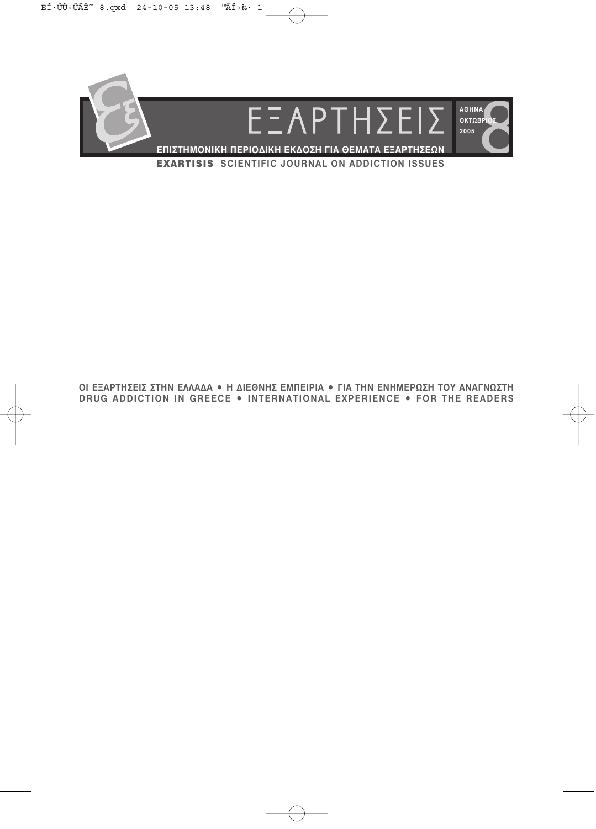

EÍ·ÚÙ<ÛÂÈ<sup>~</sup> 8.qxd 24-10-05 13:48 "ÂÏ>‰· 1

ΟΙ ΕΞΑΡΤΗΣΕΙΣ ΣΤΗΝ ΕΛΛΑΔΑ • Η ΔΙΕΘΝΗΣ ΕΜΠΕΙΡΙΑ • ΓΙΑ ΤΗΝ ΕΝΗΜΕΡΩΣΗ ΤΟΥ ΑΝΑΓΝΩΣΤΗ DRUG ADDICTION IN GREECE . INTERNATIONAL EXPERIENCE . FOR THE READERS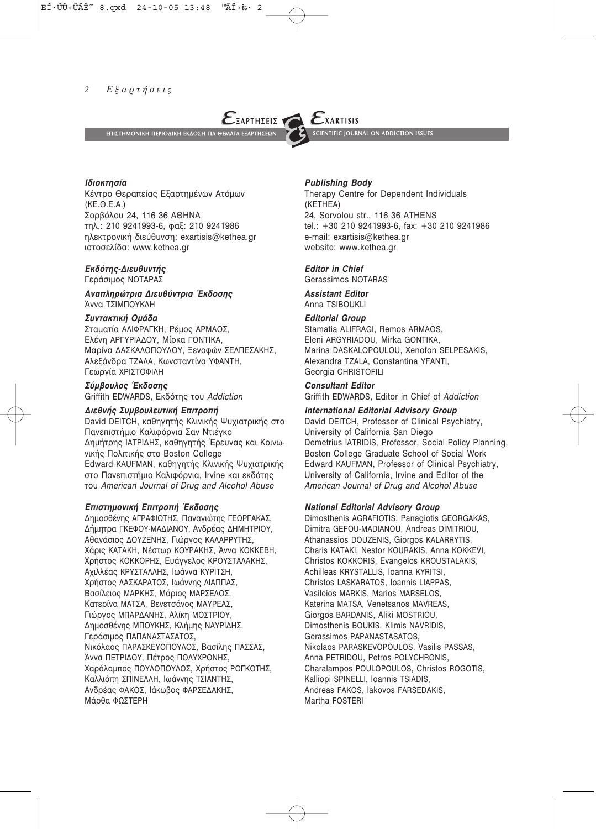$\mathcal{P}$  $E \xi \alpha \varrho \tau \eta \sigma \varepsilon \iota \varsigma$ 



**IENTIFIC JOURNAL ON ADDICTION ISSUES** 

#### Ιδιοκτησία

Κέντρο Θεραπείας Εξαρτημένων Ατόμων  $(KE. \Theta.E.A.)$ Σορβόλου 24, 116 36 ΑΘΗΝΑ τηλ.: 210 9241993-6, φαξ: 210 9241986 ηλεκτρονική διεύθυνση: exartisis@kethea.gr ιστοσελίδα: www.kethea.gr

#### Εκδότης-Διευθυντής

Γεράσιμος ΝΟΤΑΡΑΣ

Αναπληρώτρια Διευθύντρια Έκδοσης Άννα ΤΣΙΜΠΟΥΚΛΗ

#### Συντακτική Ομάδα

Σταματία ΑΛΙΦΡΑΓΚΗ, Ρέμος ΑΡΜΑΟΣ, Ελένη ΑΡΓΥΡΙΑΔΟΥ, Μίρκα ΓΟΝΤΙΚΑ, Μαρίνα ΔΑΣΚΑΛΟΠΟΥΛΟΥ, Ξενοφών ΣΕΛΠΕΣΑΚΗΣ, Αλεξάνδρα ΤΖΑΛΑ, Κωνσταντίνα ΥΦΑΝΤΗ, Γεωργία ΧΡΙΣΤΟΦΙΛΗ

#### Σύμβουλος Έκδοσης Griffith EDWARDS, Εκδότης του Addiction

#### Διεθνής Συμβουλευτική Επιτροπή

David DEITCH, καθηγητής Κλινικής Ψυχιατρικής στο Πανεπιστήμιο Καλιφόρνια Σαν Ντιέγκο Δημήτρης ΙΑΤΡΙΔΗΣ, καθηγητής Έρευνας και Κοινωνικής Πολιτικής στο Boston College Edward KAUFMAN, καθηγητής Κλινικής Ψυχιατρικής στο Πανεπιστήμιο Καλιφόρνια, Irvine και εκδότης του American Journal of Drug and Alcohol Abuse

# Επιστημονική Επιτροπή Έκδοσης

Δημοσθένης ΑΓΡΑΦΙΩΤΗΣ, Παναγιώτης ΓΕΩΡΓΑΚΑΣ, Δήμητρα ΓΚΕΦΟΥ-ΜΑΔΙΑΝΟΥ, Ανδρέας ΔΗΜΗΤΡΙΟΥ, Αθανάσιος ΔΟΥΖΕΝΗΣ, Γιώργος ΚΑΛΑΡΡΥΤΗΣ, Χάρις ΚΑΤΑΚΗ, Νέστωρ ΚΟΥΡΑΚΗΣ, Άννα ΚΟΚΚΕΒΗ, Χρήστος ΚΟΚΚΟΡΗΣ, Ευάγγελος ΚΡΟΥΣΤΑΛΑΚΗΣ, Αχιλλέας ΚΡΥΣΤΑΛΛΗΣ, Ιωάννα ΚΥΡΙΤΣΗ, Χρήστος ΛΑΣΚΑΡΑΤΟΣ, Ιωάννης ΛΙΑΠΠΑΣ, Βασίλειος ΜΑΡΚΗΣ, Μάριος ΜΑΡΣΕΛΟΣ, Κατερίνα ΜΑΤΣΑ, Βενετσάνος ΜΑΥΡΕΑΣ, Γιώργος ΜΠΑΡΔΑΝΗΣ, Αλίκη ΜΟΣΤΡΙΟΥ, Δημοσθένης ΜΠΟΥΚΗΣ, Κλήμης ΝΑΥΡΙΔΗΣ, Γεράσιμος ΠΑΠΑΝΑΣΤΑΣΑΤΟΣ, Νικόλαος ΠΑΡΑΣΚΕΥΟΠΟΥΛΟΣ, Βασίλης ΠΑΣΣΑΣ, Άννα ΠΕΤΡΙΔΟΥ, Πέτρος ΠΟΛΥΧΡΟΝΗΣ, Χαράλαμπος ΠΟΥΛΟΠΟΥΛΟΣ, Χρήστος ΡΟΓΚΟΤΗΣ, Καλλιόπη ΣΠΙΝΕΛΛΗ, Ιωάννης ΤΣΙΑΝΤΗΣ, Ανδρέας ΦΑΚΟΣ, Ιάκωβος ΦΑΡΣΕΔΑΚΗΣ, Μάρθα ΦΩΣΤΕΡΗ

#### **Publishing Body**

Therapy Centre for Dependent Individuals (KETHEA) 24, Sorvolou str., 116 36 ATHENS tel.: +30 210 9241993-6, fax: +30 210 9241986 e-mail: exartisis@kethea.gr website: www.kethea.gr

#### **Editor in Chief**

Gerassimos NOTARAS

**Assistant Editor** Anna TSIBOUKLI

#### **Editorial Group**

Stamatia ALIFRAGI. Remos ARMAOS. Eleni ARGYRIADOU, Mirka GONTIKA, Marina DASKALOPOULOU, Xenofon SELPESAKIS, Alexandra TZALA, Constantina YFANTI, Georgia CHRISTOFILI

**Consultant Editor** Griffith EDWARDS, Editor in Chief of Addiction

**International Editorial Advisory Group** David DEITCH, Professor of Clinical Psychiatry, University of California San Diego Demetrius IATRIDIS, Professor, Social Policy Planning, Boston College Graduate School of Social Work Edward KAUFMAN, Professor of Clinical Psychiatry, University of California, Irvine and Editor of the American Journal of Drug and Alcohol Abuse

#### **National Editorial Advisory Group**

Dimosthenis AGRAFIOTIS, Panagiotis GEORGAKAS, Dimitra GEFOU-MADIANOU, Andreas DIMITRIOU, Athanassios DOUZENIS, Giorgos KALARRYTIS, Charis KATAKI, Nestor KOURAKIS, Anna KOKKEVI, Christos KOKKORIS, Evangelos KROUSTALAKIS, Achilleas KRYSTALLIS, Ioanna KYRITSI, Christos LASKARATOS, Ioannis LIAPPAS, Vasileios MARKIS, Marios MARSELOS, Katerina MATSA, Venetsanos MAVREAS, Giorgos BARDANIS, Aliki MOSTRIOU, Dimosthenis BOUKIS, Klimis NAVRIDIS, Gerassimos PAPANASTASATOS, Nikolaos PARASKEVOPOULOS, Vasilis PASSAS, Anna PETRIDOU, Petros POLYCHRONIS, Charalampos POULOPOULOS, Christos ROGOTIS, Kalliopi SPINELLI, Ioannis TSIADIS, Andreas FAKOS, lakovos FARSEDAKIS, Martha FOSTERI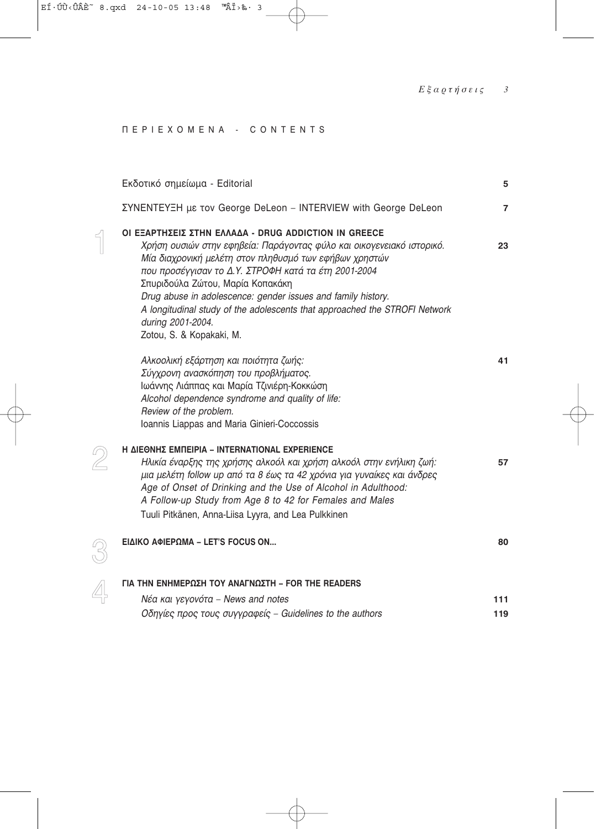# $E \xi a \varrho \tau \eta \sigma \varepsilon \iota \varsigma$  3

# **ΠΕΡΙΕΧΟΜΕΝΑ - CONTENTS**

| Εκδοτικό σημείωμα - Editorial                                                                                                                                                                                                                                                                                                                                                                                                                                                      | 5              |
|------------------------------------------------------------------------------------------------------------------------------------------------------------------------------------------------------------------------------------------------------------------------------------------------------------------------------------------------------------------------------------------------------------------------------------------------------------------------------------|----------------|
| ΣΥΝΕΝΤΕΥΞΗ με τον George DeLeon – INTERVIEW with George DeLeon                                                                                                                                                                                                                                                                                                                                                                                                                     | $\overline{7}$ |
| ΟΙ ΕΞΑΡΤΗΣΕΙΣ ΣΤΗΝ ΕΛΛΑΔΑ - DRUG ADDICTION IN GREECE<br>Χρήση ουσιών στην εφηβεία: Παράγοντας φύλο και οικογενειακό ιστορικό.<br>Μία διαχρονική μελέτη στον πληθυσμό των εφήβων χρηστών<br>που προσέγγισαν το Δ.Υ. ΣΤΡΟΦΗ κατά τα έτη 2001-2004<br>Σπυριδούλα Ζώτου, Μαρία Κοπακάκη<br>Drug abuse in adolescence: gender issues and family history.<br>A longitudinal study of the adolescents that approached the STROFI Network<br>during 2001-2004.<br>Zotou, S. & Kopakaki, M. | 23             |
| Αλκοολική εξάρτηση και ποιότητα ζωής:<br>Σύγχρονη ανασκόπηση του προβλήματος.<br>Ιωάννης Λιάππας και Μαρία Τζινιέρη-Κοκκώση<br>Alcohol dependence syndrome and quality of life:<br>Review of the problem.<br>Ioannis Liappas and Maria Ginieri-Coccossis                                                                                                                                                                                                                           | 41             |
| Η ΔΙΕΘΝΗΣ ΕΜΠΕΙΡΙΑ - INTERNATIONAL EXPERIENCE<br>Ηλικία έναρξης της χρήσης αλκοόλ και χρήση αλκοόλ στην ενήλικη ζωή:<br>μια μελέτη follow up από τα 8 έως τα 42 χρόνια για γυναίκες και άνδρες<br>Age of Onset of Drinking and the Use of Alcohol in Adulthood:<br>A Follow-up Study from Age 8 to 42 for Females and Males<br>Tuuli Pitkänen, Anna-Liisa Lyyra, and Lea Pulkkinen                                                                                                 | 57             |
| ΕΙΔΙΚΟ ΑΦΙΕΡΩΜΑ – LET'S FOCUS ON                                                                                                                                                                                                                                                                                                                                                                                                                                                   | 80             |
| ΓΙΑ ΤΗΝ ΕΝΗΜΕΡΩΣΗ ΤΟΥ ΑΝΑΓΝΩΣΤΗ – FOR THE READERS                                                                                                                                                                                                                                                                                                                                                                                                                                  |                |
| Νέα και γεγονότα - News and notes                                                                                                                                                                                                                                                                                                                                                                                                                                                  | 111            |
| Οδηγίες προς τους συγγραφείς - Guidelines to the authors                                                                                                                                                                                                                                                                                                                                                                                                                           | 119            |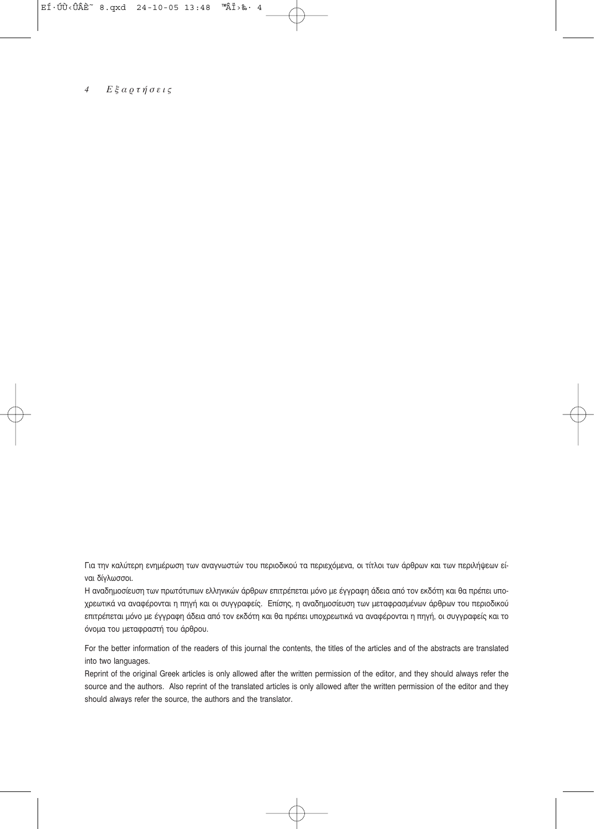Εξαρτήσεις  $\overline{4}$ 

Για την καλύτερη ενημέρωση των αναγνωστών του περιοδικού τα περιεχόμενα, οι τίτλοι των άρθρων και των περιλήψεων είναι δίγλωσσοι.

Η αναδημοσίευση των πρωτότυπων ελληνικών άρθρων επιτρέπεται μόνο με έγγραφη άδεια από τον εκδότη και θα πρέπει υποχρεωτικά να αναφέρονται η πηγή και οι συγγραφείς. Επίσης, η αναδημοσίευση των μεταφρασμένων άρθρων του περιοδικού επιτρέπεται μόνο με έγγραφη άδεια από τον εκδότη και θα πρέπει υποχρεωτικά να αναφέρονται η πηγή, οι συγγραφείς και το όνομα του μεταφραστή του άρθρου.

For the better information of the readers of this journal the contents, the titles of the articles and of the abstracts are translated into two languages.

Reprint of the original Greek articles is only allowed after the written permission of the editor, and they should always refer the source and the authors. Also reprint of the translated articles is only allowed after the written permission of the editor and they should always refer the source, the authors and the translator.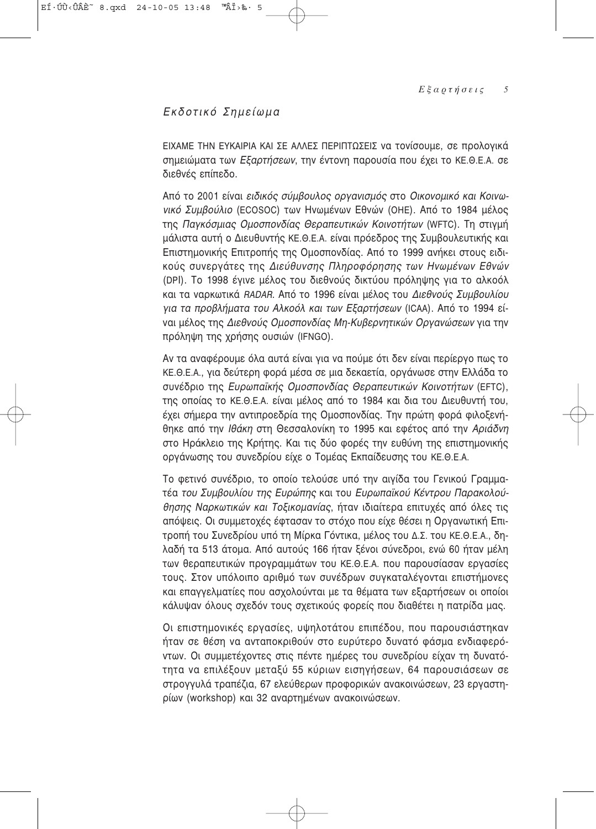# *E*κδοτικό Σημείωμα

ΕΙΧΑΜΕ ΤΗΝ ΕΥΚΑΙΡΙΑ ΚΑΙ ΣΕ ΑΛΛΕΣ ΠΕΡΙΠΤΩΣΕΙΣ να τονίσουμε, σε προλογικά σημειώματα των *Εξαρτήσεων*, την έντονη παρουσία που έχει το ΚΕ.Θ.Ε.Α. σε διεθνές επίπεδο.

Aπό το 2001 είναι ειδικός σύμβουλος οργανισμός στο Οικονομικό και Κοινω-*VΙΚΌ Συμβούλιο* (ECOSOC) των Ηνωμένων Εθνών (ΟΗΕ). Από το 1984 μέλος της Παγκόσμιας Ομοσπονδίας Θεραπευτικών Κοινοτήτων (WFTC). Τη στιγμή μάλιστα αυτή ο Διευθυντής ΚΕ.Θ.Ε.Α. είναι πρόεδρος της Συμβουλευτικής και Επιστημονικής Επιτροπής της Ομοσπονδίας. Από το 1999 ανήκει στους ειδι-Κούς συνεργάτες της Διεύθυνσης Πληροφόρησης των Ηνωμένων Εθνών (DPI). Το 1998 έγινε μέλος του διεθνούς δικτύου πρόληψης για το αλκοόλ και τα ναρκωτικά *RADAR*. Από το 1996 είναι μέλος του Διεθνούς Συμβουλίου για τα προβλήματα του Αλκοόλ και των Εξαρτήσεων (ICAA). Από το 1994 είναι μέλος της Διεθνούς Ομοσπονδίας Μη-Κυβερνητικών Οργανώσεων για την πρόληψη της χρήσης ουσιών (IFNGO).

Aν τα αναφέρουμε όλα αυτά είναι για να πούμε ότι δεν είναι περίεργο πως το ΚΕ.Θ.Ε.Α., για δεύτερη φορά μέσα σε μια δεκαετία, οργάνωσε στην Ελλάδα το συνέδριο της Ευρωπαϊκής Ομοσπονδίας Θεραπευτικών Κοινοτήτων (EFTC), της οποίας το ΚΕ.Θ.Ε.Α. είναι μέλος από το 1984 και δια του Διευθυντή του, έχει σήμερα την αντιπροεδρία της Ομοσπονδίας. Την πρώτη φορά φιλοξενήθηκε από την Ιθάκη στη Θεσσαλονίκη το 1995 και εφέτος από την Αριάδνη στο Ηράκλειο της Κρήτης. Και τις δύο φορές την ευθύνη της επιστημονικής οργάνωσης του συνεδρίου είχε ο Τομέας Εκπαίδευσης του ΚΕ.Θ.Ε.Α.

Το φετινό συνέδριο, το οποίο τελούσε υπό την αιγίδα του Γενικού Γραμματέα του Συμβουλίου της Ευρώπης και του Ευρωπαϊκού Κέντρου Παρακολούθησης Ναρκωτικών και Τοξικομανίας, ήταν ιδιαίτερα επιτυχές από όλες τις απόψεις. Οι συμμετοχές έφτασαν το στόχο που είχε θέσει η Οργανωτική Επιτροπή του Συνεδρίου υπό τη Μίρκα Γόντικα, μέλος του Δ.Σ. του ΚΕ.Θ.Ε.Α., δηλαδή τα 513 άτομα. Από αυτούς 166 ήταν ξένοι σύνεδροι, ενώ 60 ήταν μέλη των θεραπευτικών προγραμμάτων του ΚΕ.Θ.Ε.Α. που παρουσίασαν εργασίες τους. Στον υπόλοιπο αριθμό των συνέδρων συγκαταλέγονται επιστήμονες και επαγγελματίες που ασχολούνται με τα θέματα των εξαρτήσεων οι οποίοι κάλυψαν όλους σχεδόν τους σχετικούς φορείς που διαθέτει η πατρίδα μας.

Οι επιστημονικές εργασίες, υψηλοτάτου επιπέδου, που παρουσιάστηκαν ήταν σε θέση να ανταποκριθούν στο ευρύτερο δυνατό φάσμα ενδιαφερό-Vτων. Οι συμμετέχοντες στις πέντε ημέρες του συνεδρίου είχαν τη δυνατότητα να επιλέξουν μεταξύ 55 κύριων εισηγήσεων, 64 παρουσιάσεων σε στρογγυλά τραπέζια, 67 ελεύθερων προφορικών ανακοινώσεων, 23 εργαστηρίων (workshop) και 32 αναρτημένων ανακοινώσεων.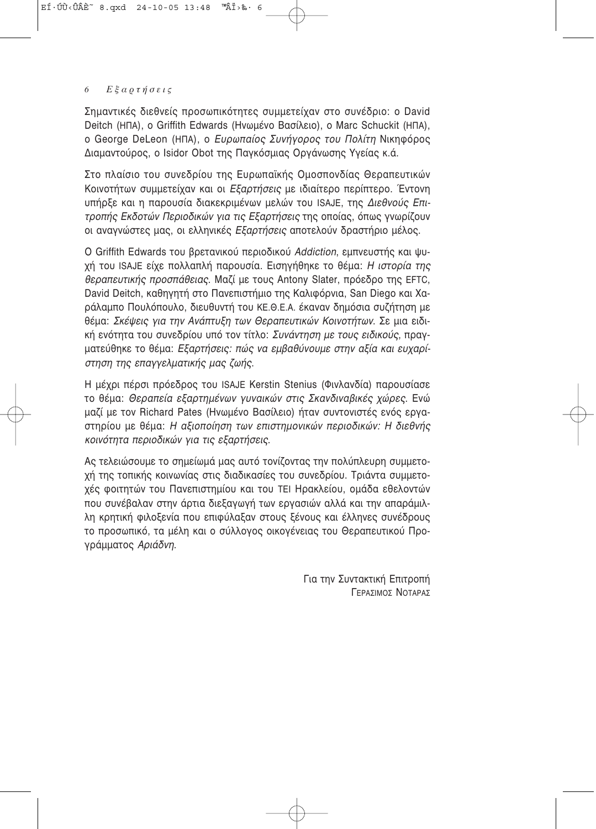Σημαντικές διεθνείς προσωπικότητες συμμετείχαν στο συνέδριο: ο David Deitch (HΠA), o Griffith Edwards (Ηνωμένο Βασίλειο), ο Marc Schuckit (ΗΠΑ), o George DeLeon (ΗΠΑ), ο *Ευρωπαίος Συνήγορος του Πολίτη* Νικηφόρος Διαμαντούρος, ο Isidor Obot της Παγκόσμιας Οργάνωσης Υγείας κ.ά.

Στο πλαίσιο του συνεδρίου της Ευρωπαϊκής Ομοσπονδίας Θεραπευτικών Κοινοτήτων συμμετείχαν και οι *Εξαρτήσεις* με ιδιαίτερο περίπτερο. Έντονη υπήρξε και η παρουσία διακεκριμένων μελών του ISAJE, της Διεθνούς Επιτροπής Εκδοτών Περιοδικών για τις Εξαρτήσεις της οποίας, όπως γνωρίζουν οι αναγνώστες μας, οι ελληνικές *Εξαρτήσεις* αποτελούν δραστήριο μέλος.

Ο Griffith Edwards του βρετανικού περιοδικού Addiction, εμπνευστής και ψυχή του ISAJE είχε πολλαπλή παρουσία. Εισηγήθηκε το θέμα: *Η ιστορία της* θεραπευτικής προσπάθειας. Μαζί με τους Antony Slater, πρόεδρο της EFTC, David Deitch, καθηγητή στο Πανεπιστήμιο της Καλιφόρνια, San Diego και Χαράλαμπο Πουλόπουλο, διευθυντή του ΚΕ.Θ.Ε.Α. έκαναν δημόσια συζήτηση με θέμα: *Σκέψεις για την Ανάπτυξη των Θεραπευτικών Κοινοτήτων*. Σε μια ειδική ενότητα του συνεδρίου υπό τον τίτλο: *Συνάντηση με τους ειδικούς*, πραγματεύθηκε το θέμα: *Εξαρτήσεις: πώς να εμβαθύνουμε στην αξία και ευχαρί-* $O$ *τηση της επαγγελματικής μας ζωής.* 

Η μέχρι πέρσι πρόεδρος του ISAJE Kerstin Stenius (Φινλανδία) παρουσίασε το θέμα: *Θεραπεία εξαρτημένων γυναικών στις Σκανδιναβικές χώρες.* Ενώ μαζί με τον Richard Pates (Ηνωμένο Βασίλειο) ήταν συντονιστές ενός εργαστηρίου με θέμα: *Η αξιοποίηση των επιστημονικών περιοδικών: Η διεθνής κοινότητα περιοδικών για τις εξαρτήσεις.* 

Ας τελειώσουμε το σημείωμά μας αυτό τονίζοντας την πολύπλευρη συμμετοχή της τοπικής κοινωνίας στις διαδικασίες του συνεδρίου. Τριάντα συμμετοχές φοιτητών του Πανεπιστημίου και του ΤΕΙ Ηρακλείου, ομάδα εθελοντών που συνέβαλαν στην άρτια διεξαγωγή των εργασιών αλλά και την απαράμιλλη κρητική φιλοξενία που επιφύλαξαν στους ξένους και έλληνες συνέδρους το προσωπικό, τα μέλη και ο σύλλογος οικογένειας του Θεραπευτικού Προγράμματος Αριάδνη.

> Για την Συντακτική Επιτροπή ΓΕΡΑΣΙΜΟΣ ΝΟΤΑΡΑΣ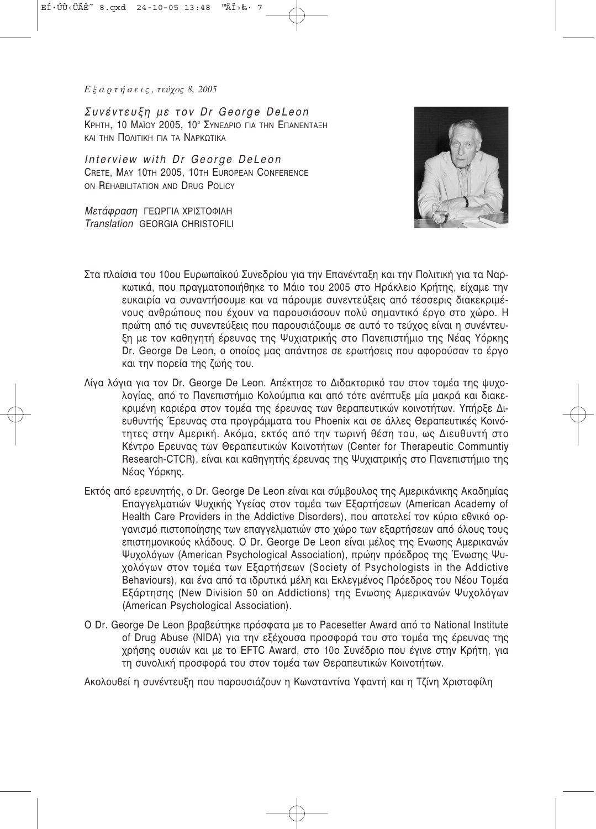*<i>Eξαρτήσεις, τεύχος 8, 2005* 

 $\Sigma$ υνέντευξη με τον Dr George DeLeon Kphth, 10 Maïoy 2005, 10° ΣyneΔpio fia thn Eπanentaeh KAI THN **NOAITIKH FIA TA NAPKOTIKA** 

*Interview with Dr George DeLeon*  CRETE, MAY 10TH 2005, 10TH EUROPEAN CONFERENCE ON REHABILITATION AND DRUG POLICY

 $M$ ετάφραση ΓΕΩΡΓΙΑ ΧΡΙΣΤΟΦΙΛΗ *Translation* GEORGIA CHRISTOFILI



- Στα πλαίσια του 10ου Ευρωπαϊκού Συνεδρίου για την Επανένταξη και την Πολιτική για τα Ναρκωτικά, που πραγματοποιήθηκε το Μάιο του 2005 στο Ηράκλειο Κρήτης, είχαμε την ευκαιρία να συναντήσουμε και να πάρουμε συνεντεύξεις από τέσσερις διακεκριμένους ανθρώπους που έχουν να παρουσιάσουν πολύ σημαντικό έργο στο χώρο. Η πρώτη από τις συνεντεύξεις που παρουσιάζουμε σε αυτό το τεύχος είναι η συνέντευξη με τον καθηγητή έρευνας της Ψυχιατρικής στο Πανεπιστήμιο της Νέας Υόρκης Dr. George De Leon, ο οποίος μας απάντησε σε ερωτήσεις που αφορούσαν το έργο και την πορεία της ζωής του.
- Λίγα λόγια για τον Dr. George De Leon. Απέκτησε το Διδακτορικό του στον τομέα της ψυχολογίας, από το Πανεπιστήμιο Κολούμπια και από τότε ανέπτυξε μία μακρά και διακεκριμένη καριέρα στον τομέα της έρευνας των θεραπευτικών κοινοτήτων. Υπήρξε Διευθυντής Έρευνας στα προγράμματα του Phoenix και σε άλλες Θεραπευτικές Κοινότητες στην Αμερική. Ακόμα, εκτός από την τωρινή θέση του, ως Διευθυντή στο Κέντρο Ερευνας των Θεραπευτικών Κοινοτήτων (Center for Therapeutic Communtiy Research-CTCR), είναι και καθηγητής έρευνας της Ψυχιατρικής στο Πανεπιστήμιο της Néac Yópkne.
- Eκτός από ερευνητής, ο Dr. George De Leon είναι και σύμβουλος της Αμερικάνικης Ακαδημίας Επαγγελματιών Ψυχικής Υγείας στον τομέα των Εξαρτήσεων (American Academy of Health Care Providers in the Addictive Disorders), που αποτελεί τον κύριο εθνικό οργανισμό πιστοποίησης των επαγγελματιών στο χώρο των εξαρτήσεων από όλους τους επιστημονικούς κλάδους. Ο Dr. George De Leon είναι μέλος της Ενωσης Αμερικανών Ψυχολόγων (American Psychological Association), πρώην πρόεδρος της Ένωσης Ψυχολόγων στον τομέα των Εξαρτήσεων (Society of Psychologists in the Addictive Behaviours), και ένα από τα ιδρυτικά μέλη και Εκλεγμένος Πρόεδρος του Νέου Τομέα Eξάρτησης (New Division 50 on Addictions) της Ενωσης Αμερικανών Ψυχολόγων (American Psychological Association).
- O Dr. George De Leon βραβεύτηκε πρόσφατα με το Pacesetter Award από το National Institute of Drug Abuse (NIDA) για την εξέχουσα προσφορά του στο τομέα της έρευνας της χρήσης ουσιών και με το ΕFTC Award, στο 10ο Συνέδριο που έγινε στην Κρήτη, για τη συνολική προσφορά του στον τομέα των Θεραπευτικών Κοινοτήτων.

Aκολουθεί η συνέντευξη που παρουσιάζουν η Κωνσταντίνα Υφαντή και η Τζίνη Χριστοφίλη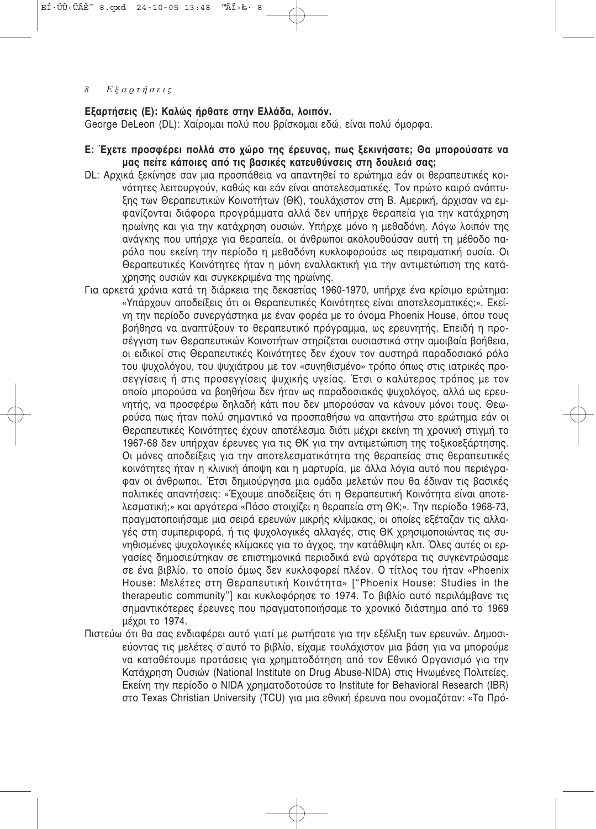*8 ∂Í·ÚÙ‹ÛÂȘ*

# **Εξαρτήσεις (Ε): Καλώς ήρθατε στην Ελλάδα, λοιπόν.**

George DeLeon (DL): Χαίρομαι πολύ που βρίσκομαι εδώ, είναι πολύ όμορφα.

- Ε: Έχετε προσφέρει πολλά στο χώρο της έρευνας, πως ξεκινήσατε; Θα μπορούσατε να **μας πείτε κάποιες από τις βασικές κατευθύνσεις στη δουλειά σας;**
- DL: Αρχικά ξεκίνησε σαν μια προσπάθεια να απαντηθεί το ερώτημα εάν οι θεραπευτικές κοινότητες λειτουργούν, καθώς και εάν είναι αποτελεσματικές. Τον πρώτο καιρό ανάπτυξης των Θεραπευτικών Κοινοτήτων (ΘΚ), τουλάχιστον στη Β. Αμερική, άρχισαν να εμφανίζονται διάφορα προνράμματα αλλά δεν υπήρχε θεραπεία για την κατάχρηση ηρωίνης και για την κατάχρηση ουσιών. Υπήρχε μόνο η μεθαδόνη. Λόνω λοιπόν της ανάγκης που υπήρχε για θεραπεία, οι άνθρωποι ακολουθούσαν αυτή τη μέθοδο παρόλο που εκείνη την περίοδο η μεθαδόνη κυκλοφορούσε ως πειραματική ουσία. Οι Θεραπευτικές Κοινότητες ήταν η μόνη εναλλακτική για την αντιμετώπιση της κατάχρησης ουσιών και συγκεκριμένα της ηρωίνης.
- Για αρκετά χρόνια κατά τη διάρκεια της δεκαετίας 1960-1970, υπήρχε ένα κρίσιμο ερώτημα: «Υπάρχουν αποδείξεις ότι οι Θεραπευτικές Κοινότητες είναι αποτελεσματικές;». Εκείνη την περίοδο συνεργάστηκα με έναν φορέα με το όνομα Phoenix House, όπου τους βοήθησα να αναπτύξουν το θεραπευτικό πρόνραμμα, ως ερευνητής. Επειδή η προσέγγιση των Θεραπευτικών Κοινοτήτων στηρίζεται ουσιαστικά στην αμοιβαία βοήθεια, οι ειδικοί στις Θεραπευτικές Κοινότητες δεν έχουν τον αυστηρά παραδοσιακό ρόλο του ψυχολόγου, του ψυχιάτρου με τον «συνηθισμένο» τρόπο όπως στις ιατρικές προσεγγίσεις ή στις προσεγγίσεις ψυχικής υγείας. Έτσι ο καλύτερος τρόπος με τον οποίο μπορούσα να βοηθήσω δεν ήταν ως παραδοσιακός ψυχολόγος, αλλά ως ερευνητής, να προσφέρω δηλαδή κάτι που δεν μπορούσαν να κάνουν μόνοι τους. Θεωρούσα πως ήταν πολύ σημαντικό να προσπαθήσω να απαντήσω στο ερώτημα εάν οι Θεραπευτικές Κοινότητες έχουν αποτέλεσμα διότι μέχρι εκείνη τη χρονική στιγμή το 1967-68 δεν υπήρχαν έρευνες για τις ΘΚ για την αντιμετώπιση της τοξικοεξάρτησης. Οι μόνες αποδείξεις για την αποτελεσματικότητα της θεραπείας στις θεραπευτικές κοινότητες ήταν η κλινική άποψη και η μαρτυρία, με άλλα λόγια αυτό που περιέγραφαν οι άνθρωποι. Έτσι δημιούργησα μια ομάδα μελετών που θα έδιναν τις βασικές πολιτικές απαντήσεις: «Έχουμε αποδείξεις ότι η Θεραπευτική Κοινότητα είναι αποτελεσματική;» και αργότερα «Πόσο στοιχίζει η θεραπεία στη ΘΚ;». Την περίοδο 1968-73, πραγματοποιήσαμε μια σειρά ερευνών μικρής κλίμακας, οι οποίες εξέταζαν τις αλλαγές στη συμπεριφορά, ή τις ψυχολογικές αλλαγές, στις ΘΚ χρησιμοποιώντας τις συνηθισμένες ψυχολογικές κλίμακες για το άγχος, την κατάθλιψη κλπ. Όλες αυτές οι ερνασίες δημοσιεύτηκαν σε επιστημονικά περιοδικά ενώ αρνότερα τις συνκεντρώσαμε σε ένα βιβλίο, το οποίο όμως δεν κυκλοφορεί πλέον. Ο τίτλος του ήταν «Phoenix House: Μελέτες στη Θεραπευτική Κοινότητα» ["Phoenix House: Studies in the therapeutic community"] και κυκλοφόρησε το 1974. Το βιβλίο αυτό περιλάμβανε τις σημαντικότερες έρευνες που πραγματοποιήσαμε το χρονικό διάστημα από το 1969 μέχρι το 1974.
- Πιστεύω ότι θα σας ενδιαφέρει αυτό γιατί με ρωτήσατε για την εξέλιξη των ερευνών. Δημοσιεύοντας τις μελέτες σ'αυτό το βιβλίο, είχαμε τουλάχιστον μια βάση για να μπορούμε να καταθέτουμε προτάσεις για χρηματοδότηση από τον Εθνικό Οργανισμό για την Kατάχρηση Ουσιών (National Institute on Drug Abuse-NIDA) στις Ηνωμένες Πολιτείες. Eκείνη την περίοδο ο NIDA χρηματοδοτούσε το Institute for Behavioral Research (IBR) στο Texas Christian University (TCU) για μια εθνική έρευνα που ονομαζόταν: «Το Πρό-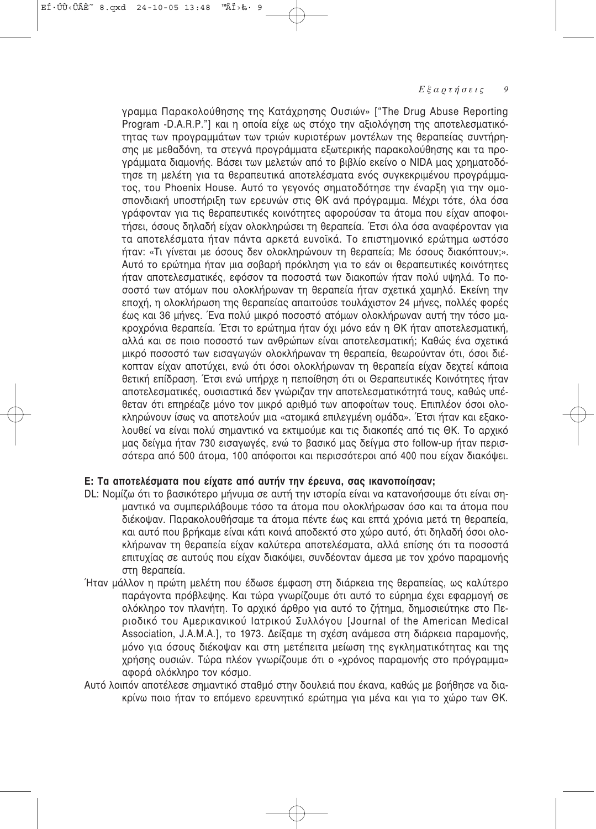γραμμα Παρακολούθησης της Κατάχρησης Ουσιών» ["The Drug Abuse Reporting Program -D.A.R.P."] και η οποία είχε ως στόχο την αξιολόγηση της αποτελεσματικότητας των προγραμμάτων των τριών κυριοτέρων μοντέλων της θεραπείας συντήρησης με μεθαδόνη, τα στεγνά προγράμματα εξωτερικής παρακολούθησης και τα προγράμματα διαμονής. Βάσει των μελετών από το βιβλίο εκείνο ο NIDA μας χρηματοδότησε τη μελέτη για τα θεραπευτικά αποτελέσματα ενός συγκεκριμένου προγράμματος, του Phoenix House. Αυτό το γεγονός σηματοδότησε την έναρξη για την ομοσπονδιακή υποστήριξη των ερευνών στις ΘΚ ανά πρόγραμμα. Μέχρι τότε, όλα όσα γράφονταν για τις θεραπευτικές κοινότητες αφορούσαν τα άτομα που είχαν αποφοιτήσει, όσους δηλαδή είχαν ολοκληρώσει τη θεραπεία. Έτσι όλα όσα αναφέρονταν για τα αποτελέσματα ήταν πάντα αρκετά ευνοϊκά. Το επιστημονικό ερώτημα ωστόσο ήταν: «Τι γίνεται με όσους δεν ολοκληρώνουν τη θεραπεία; Με όσους διακόπτουν;». Aυτό το ερώτημα ήταν μια σοβαρή πρόκληση για το εάν οι θεραπευτικές κοινότητες ήταν αποτελεσματικές, εφόσον τα ποσοστά των διακοπών ήταν πολύ υψηλά. Το ποσοστό των ατόμων που ολοκλήρωναν τη θεραπεία ήταν σχετικά χαμηλό. Εκείνη την εποχή, η ολοκλήρωση της θεραπείας απαιτούσε τουλάχιστον 24 μήνες, πολλές φορές έως και 36 μήνες. Ένα πολύ μικρό ποσοστό ατόμων ολοκλήρωναν αυτή την τόσο μα-Κροχρόνια θεραπεία. Έτσι το ερώτημα ήταν όχι μόνο εάν η ΘΚ ήταν αποτελεσματική, αλλά και σε ποιο ποσοστό των ανθρώπων είναι αποτελεσματική; Καθώς ένα σχετικά μικρό ποσοστό των εισαγωγών ολοκλήρωναν τη θεραπεία, θεωρούνταν ότι, όσοι διέκοπταν είχαν αποτύχει, ενώ ότι όσοι ολοκλήρωναν τη θεραπεία είχαν δεχτεί κάποια θετική επίδραση. Έτσι ενώ υπήρχε η πεποίθηση ότι οι Θεραπευτικές Κοινότητες ήταν αποτελεσματικές, ουσιαστικά δεν γνώριζαν την αποτελεσματικότητά τους, καθώς υπέθεταν ότι επηρέαζε μόνο τον μικρό αριθμό των αποφοίτων τους. Επιπλέον όσοι ολοκληρώνουν ίσως να αποτελούν μια «ατομικά επιλεγμένη ομάδα». Έτσι ήταν και εξακολουθεί να είναι πολύ σημαντικό να εκτιμούμε και τις διακοπές από τις ΘΚ. Το αρχικό μας δείγμα ήταν 730 εισαγωγές, ενώ το βασικό μας δείγμα στο follow-up ήταν περισσότερα από 500 άτομα, 100 απόφοιτοι και περισσότεροι από 400 που είχαν διακόψει.

# Ε: Τα αποτελέσματα που είχατε από αυτήν την έρευνα, σας ικανοποίησαν;

- DL: Νομίζω ότι το βασικότερο μήνυμα σε αυτή την ιστορία είναι να κατανοήσουμε ότι είναι σημαντικό να συμπεριλάβουμε τόσο τα άτομα που ολοκλήρωσαν όσο και τα άτομα που διέκοψαν. Παρακολουθήσαμε τα άτομα πέντε έως και επτά χρόνια μετά τη θεραπεία, και αυτό που βρήκαμε είναι κάτι κοινά αποδεκτό στο χώρο αυτό, ότι δηλαδή όσοι ολοκλήρωναν τη θεραπεία είχαν καλύτερα αποτελέσματα, αλλά επίσης ότι τα ποσοστά επιτυχίας σε αυτούς που είχαν διακόψει, συνδέονταν άμεσα με τον χρόνο παραμονής στη θεραπεία.
- Ήταν μάλλον η πρώτη μελέτη που έδωσε έμφαση στη διάρκεια της θεραπείας, ως καλύτερο παράγοντα πρόβλεψης. Και τώρα γνωρίζουμε ότι αυτό το εύρημα έχει εφαρμογή σε ολόκληρο τον πλανήτη. Το αρχικό άρθρο για αυτό το ζήτημα, δημοσιεύτηκε στο Περιοδικό του Αμερικανικού Ιατρικού Συλλόγου [Journal of the American Medical Association, J.A.M.A.], το 1973. Δείξαμε τη σχέση ανάμεσα στη διάρκεια παραμονής, μόνο για όσους διέκοψαν και στη μετέπειτα μείωση της εγκληματικότητας και της χρήσης ουσιών. Τώρα πλέον γνωρίζουμε ότι ο «χρόνος παραμονής στο πρόγραμμα» αφορά ολόκληρο τον κόσμο.
- Aυτό λοιπόν αποτέλεσε σημαντικό σταθμό στην δουλειά που έκανα, καθώς με βοήθησε να δια-Κρίνω ποιο ήταν το επόμενο ερευνητικό ερώτημα για μένα και για το χώρο των ΘΚ.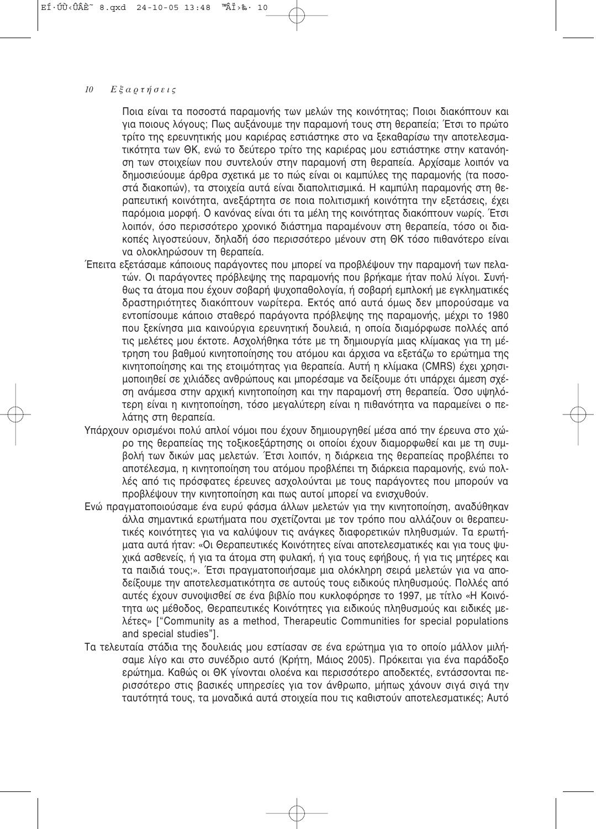*10 <i>Eξαρτήσεις* 

Ποια είναι τα ποσοστά παραμονής των μελών της κοινότητας; Ποιοι διακόπτουν και για ποιους λόγους; Πως αυξάνουμε την παραμονή τους στη θεραπεία; Έτσι το πρώτο τρίτο της ερευνητικής μου καριέρας εστιάστηκε στο να ξεκαθαρίσω την αποτελεσματικότητα των ΘΚ, ενώ το δεύτερο τρίτο της καριέρας μου εστιάστηκε στην κατανόηση των στοιχείων που συντελούν στην παραμονή στη θεραπεία. Αρχίσαμε λοιπόν να δημοσιεύουμε άρθρα σχετικά με το πώς είναι οι καμπύλες της παραμονής (τα ποσοστά διακοπών), τα στοιχεία αυτά είναι διαπολιτισμικά. Η καμπύλη παραμονής στη θεραπευτική κοινότητα, ανεξάρτητα σε ποια πολιτισμική κοινότητα την εξετάσεις, έχει παρόμοια μορφή. Ο κανόνας είναι ότι τα μέλη της κοινότητας διακόπτουν νωρίς. Έτσι λοιπόν, όσο περισσότερο χρονικό διάστημα παραμένουν στη θεραπεία, τόσο οι διακοπές λιγοστεύουν, δηλαδή όσο περισσότερο μένουν στη ΘΚ τόσο πιθανότερο είναι να ολοκληρώσουν τη θεραπεία.

- Έπειτα εξετάσαμε κάποιους παράγοντες που μπορεί να προβλέψουν την παραμονή των πελατών. Οι παράγοντες πρόβλεψης της παραμονής που βρήκαμε ήταν πολύ λίγοι. Συνήθως τα άτομα που έχουν σοβαρή ψυχοπαθολογία, ή σοβαρή εμπλοκή με εγκληματικές δραστηριότητες διακόπτουν νωρίτερα. Εκτός από αυτά όμως δεν μπορούσαμε να εντοπίσουμε κάποιο σταθερό παράγοντα πρόβλεψης της παραμονής, μέχρι το 1980 που ξεκίνησα μια καινούργια ερευνητική δουλειά, η οποία διαμόρφωσε πολλές από τις μελέτες μου έκτοτε. Ασχολήθηκα τότε με τη δημιουργία μιας κλίμακας για τη μέτρηση του βαθμού κινητοποίησης του ατόμου και άρχισα να εξετάζω το ερώτημα της κινητοποίησης και της ετοιμότητας για θεραπεία. Αυτή η κλίμακα (CMRS) έχει χρησιμοποιηθεί σε χιλιάδες ανθρώπους και μπορέσαμε να δείξουμε ότι υπάρχει άμεση σχέση ανάμεσα στην αρχική κινητοποίηση και την παραμονή στη θεραπεία. Όσο υψηλότερη είναι η κινητοποίηση, τόσο μεγαλύτερη είναι η πιθανότητα να παραμείνει ο πελάτης στη θεραπεία.
- Υπάρχουν ορισμένοι πολύ απλοί νόμοι που έχουν δημιουργηθεί μέσα από την έρευνα στο χώρο της θεραπείας της τοξικοεξάρτησης οι οποίοι έχουν διαμορφωθεί και με τη συμβολή των δικών μας μελετών. Έτσι λοιπόν, η διάρκεια της θεραπείας προβλέπει το αποτέλεσμα, η κινητοποίηση του ατόμου προβλέπει τη διάρκεια παραμονής, ενώ πολλές από τις πρόσφατες έρευνες ασχολούνται με τους παράγοντες που μπορούν να προβλέψουν την κινητοποίηση και πως αυτοί μπορεί να ενισχυθούν.
- Ενώ πραγματοποιούσαμε ένα ευρύ φάσμα άλλων μελετών για την κινητοποίηση, αναδύθηκαν άλλα σημαντικά ερωτήματα που σχετίζονται με τον τρόπο που αλλάζουν οι θεραπευτικές κοινότητες για να καλύψουν τις ανάγκες διαφορετικών πληθυσμών. Τα ερωτήματα αυτά ήταν: «Οι Θεραπευτικές Κοινότητες είναι αποτελεσματικές και για τους ψυχικά ασθενείς, ή για τα άτομα στη φυλακή, ή για τους εφήβους, ή για τις μητέρες και τα παιδιά τους;». Έτσι πραγματοποιήσαμε μια ολόκληρη σειρά μελετών για να αποδείξουμε την αποτελεσματικότητα σε αυτούς τους ειδικούς πληθυσμούς. Πολλές από αυτές έχουν συνοψισθεί σε ένα βιβλίο που κυκλοφόρησε το 1997, με τίτλο «Η Κοινότητα ως μέθοδος, Θεραπευτικές Κοινότητες για ειδικούς πληθυσμούς και ειδικές μελέτες» ["Community as a method, Therapeutic Communities for special populations and special studies"].
- Τα τελευταία στάδια της δουλειάς μου εστίασαν σε ένα ερώτημα για το οποίο μάλλον μιλήσαμε λίγο και στο συνέδριο αυτό (Κρήτη, Μάιος 2005). Πρόκειται για ένα παράδοξο ερώτημα. Καθώς οι ΘΚ γίνονται ολοένα και περισσότερο αποδεκτές, εντάσσονται περισσότερο στις βασικές υπηρεσίες για τον άνθρωπο, μήπως χάνουν σιγά σιγά την ταυτότητά τους, τα μοναδικά αυτά στοιχεία που τις καθιστούν αποτελεσματικές; Αυτό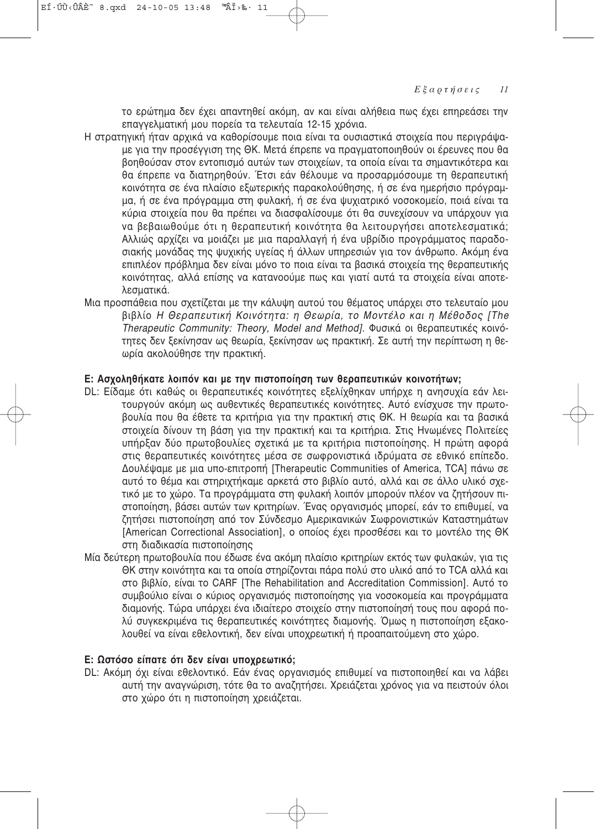το ερώτημα δεν έχει απαντηθεί ακόμη, αν και είναι αλήθεια πως έχει επηρεάσει την επαγγελματική μου πορεία τα τελευταία 12-15 χρόνια.

- Η στρατηνική ήταν αρχικά να καθορίσουμε ποια είναι τα ουσιαστικά στοιχεία που περινράψαμε για την προσέγγιση της ΘΚ. Μετά έπρεπε να πραγματοποιηθούν οι έρευνες που θα βοηθούσαν στον εντοπισμό αυτών των στοιχείων, τα οποία είναι τα σημαντικότερα και θα έπρεπε να διατηρηθούν. Έτσι εάν θέλουμε να προσαρμόσουμε τη θεραπευτική κοινότητα σε ένα πλαίσιο εξωτερικής παρακολούθησης, ή σε ένα ημερήσιο πρόγραμμα, ή σε ένα πρόγραμμα στη φυλακή, ή σε ένα ψυχιατρικό νοσοκομείο, ποιά είναι τα κύρια στοιχεία που θα πρέπει να διασφαλίσουμε ότι θα συνεχίσουν να υπάρχουν για να βεβαιωθούμε ότι η θεραπευτική κοινότητα θα λειτουργήσει αποτελεσματικά: Αλλιώς αρχίζει να μοιάζει με μια παραλλαγή ή ένα υβρίδιο προγράμματος παραδοσιακής μονάδας της ψυχικής υγείας ή άλλων υπηρεσιών για τον άνθρωπο. Ακόμη ένα επιπλέον πρόβλημα δεν είναι μόνο το ποια είναι τα βασικά στοιχεία της θεραπευτικής κοινότητας, αλλά επίσης να κατανοούμε πως και γιατί αυτά τα στοιχεία είναι αποτελεσματικά.
- Μια προσπάθεια που σχετίζεται με την κάλυψη αυτού του θέματος υπάρχει στο τελευταίο μου βιβλίο Η Θεραπευτική Κοινότητα: η Θεωρία, το Μοντέλο και η Μέθοδος [The Therapeutic Community: Theory, Model and Methodl, Φυσικά οι θεραπευτικές κοινότητες δεν ξεκίνησαν ως θεωρία, ξεκίνησαν ως πρακτική. Σε αυτή την περίπτωση η θεωρία ακολούθησε την πρακτική.

# Ε: Ασχοληθήκατε λοιπόν και με την πιστοποίηση των θεραπευτικών κοινοτήτων;

- DL: Είδαμε ότι καθώς οι θεραπευτικές κοινότητες εξελίχθηκαν υπήρχε η ανησυχία εάν λειτουργούν ακόμη ως αυθεντικές θεραπευτικές κοινότητες. Αυτό ενίσχυσε την πρωτοβουλία που θα έθετε τα κριτήρια για την πρακτική στις ΘΚ. Η θεωρία και τα βασικά στοιχεία δίνουν τη βάση για την πρακτική και τα κριτήρια. Στις Ηνωμένες Πολιτείες υπήρξαν δύο πρωτοβουλίες σχετικά με τα κριτήρια πιστοποίησης. Η πρώτη αφορά στις θεραπευτικές κοινότητες μέσα σε σωφρονιστικά ιδρύματα σε εθνικό επίπεδο. Δουλέψαμε με μια υπο-επιτροπή [Therapeutic Communities of America, TCA] πάνω σε αυτό το θέμα και στηριχτήκαμε αρκετά στο βιβλίο αυτό, αλλά και σε άλλο υλικό σχετικό με το χώρο. Τα προγράμματα στη φυλακή λοιπόν μπορούν πλέον να ζητήσουν πιστοποίηση, βάσει αυτών των κριτηρίων. Ένας οργανισμός μπορεί, εάν το επιθυμεί, να ζητήσει πιστοποίηση από τον Σύνδεσμο Αμερικανικών Σωφρονιστικών Καταστημάτων [American Correctional Association], ο οποίος έχει προσθέσει και το μοντέλο της ΘΚ στη διαδικασία πιστοποίησης
- Μία δεύτερη πρωτοβουλία που έδωσε ένα ακόμη πλαίσιο κριτηρίων εκτός των φυλακών, για τις ΘΚ στην κοινότητα και τα οποία στηρίζονται πάρα πολύ στο υλικό από το TCA αλλά και στο βιβλίο, είναι το CARF [The Rehabilitation and Accreditation Commission]. Αυτό το συμβούλιο είναι ο κύριος οργανισμός πιστοποίησης για νοσοκομεία και προγράμματα διαμονής. Τώρα υπάρχει ένα ιδιαίτερο στοιχείο στην πιστοποίησή τους που αφορά πολύ συγκεκριμένα τις θεραπευτικές κοινότητες διαμονής. Όμως η πιστοποίηση εξακολουθεί να είναι εθελοντική, δεν είναι υποχρεωτική ή προαπαιτούμενη στο χώρο.

# Ε: Ωστόσο είπατε ότι δεν είναι υποχρεωτικό;

DL: Ακόμη όχι είναι εθελοντικό. Εάν ένας οργανισμός επιθυμεί να πιστοποιηθεί και να λάβει αυτή την αναγνώριση, τότε θα το αναζητήσει. Χρειάζεται χρόνος για να πειστούν όλοι στο χώρο ότι η πιστοποίηση χρειάζεται.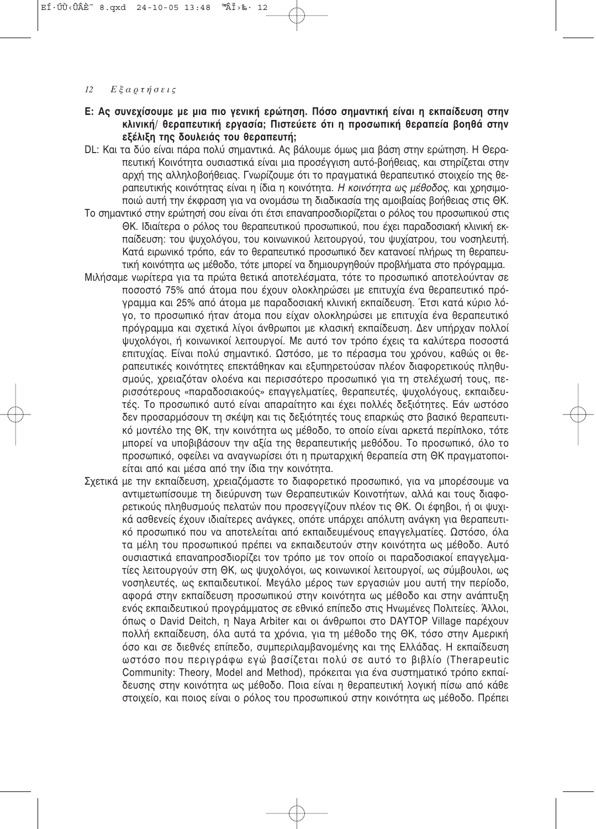- Ε: Ας συνεχίσουμε με μια πιο γενική ερώτηση. Πόσο σημαντική είναι η εκπαίδευση στην Κλινική/ θεραπευτική εργασία; Πιστεύετε ότι η προσωπική θεραπεία βοηθά στην εξέλιξη της δουλειάς του θεραπευτή;
- DL: Και τα δύο είναι πάρα πολύ σημαντικά. Ας βάλουμε όμως μια βάση στην ερώτηση. Η Θεραπευτική Κοινότητα ουσιαστικά είναι μια προσέγγιση αυτό-βοήθειας, και στηρίζεται στην αρχή της αλληλοβοήθειας. Γνωρίζουμε ότι το πραγματικά θεραπευτικό στοιχείο της θεραπευτικής κοινότητας είναι η ίδια η κοινότητα. *Η κοινότητα ως μέθοδος*, και χρησιμοποιώ αυτή την έκφραση για να ονομάσω τη διαδικασία της αμοιβαίας βοήθειας στις ΘΚ. Το σημαντικό στην ερώτησή σου είναι ότι έτσι επαναπροσδιορίζεται ο ρόλος του προσωπικού στις ΘΚ. Ιδιαίτερα ο ρόλος του θεραπευτικού προσωπικού, που έχει παραδοσιακή κλινική εκπαίδευση: του ψυχολόγου, του κοινωνικού λειτουργού, του ψυχίατρου, του νοσηλευτή. Κατά ειρωνικό τρόπο, εάν το θεραπευτικό προσωπικό δεν κατανοεί πλήρως τη θεραπευτική κοινότητα ως μέθοδο, τότε μπορεί να δημιουργηθούν προβλήματα στο πρόγραμμα.
- Μιλήσαμε νωρίτερα για τα πρώτα θετικά αποτελέσματα, τότε το προσωπικό αποτελούνταν σε ποσοστό 75% από άτομα που έχουν ολοκληρώσει με επιτυχία ένα θεραπευτικό πρόγραμμα και 25% από άτομα με παραδοσιακή κλινική εκπαίδευση. Έτσι κατά κύριο λόγο, το προσωπικό ήταν άτομα που είχαν ολοκληρώσει με επιτυχία ένα θεραπευτικό πρόγραμμα και σχετικά λίγοι άνθρωποι με κλασική εκπαίδευση. Δεν υπήρχαν πολλοί ψυχολόγοι, ή κοινωνικοί λειτουργοί. Με αυτό τον τρόπο έχεις τα καλύτερα ποσοστά επιτυχίας. Είναι πολύ σημαντικό. Ωστόσο, με το πέρασμα του χρόνου, καθώς οι θεραπευτικές κοινότητες επεκτάθηκαν και εξυπηρετούσαν πλέον διαφορετικούς πληθυσμούς, χρειαζόταν ολοένα και περισσότερο προσωπικό για τη στελέχωσή τους, πεpισσότερους «παραδοσιακούς» επαγγελματίες, θεραπευτές, ψυχολόγους, εκπαιδευτές. Το προσωπικό αυτό είναι απαραίτητο και έχει πολλές δεξιότητες. Εάν ωστόσο δεν προσαρμόσουν τη σκέψη και τις δεξιότητές τους επαρκώς στο βασικό θεραπευτι-Κό μοντέλο της ΘΚ, την κοινότητα ως μέθοδο, το οποίο είναι αρκετά περίπλοκο, τότε μπορεί να υποβιβάσουν την αξία της θεραπευτικής μεθόδου. Το προσωπικό, όλο το προσωπικό, οφείλει να αναγνωρίσει ότι η πρωταρχική θεραπεία στη ΘΚ πραγματοποιείται από και μέσα από την ίδια την κοινότητα.
- Σχετικά με την εκπαίδευση, χρειαζόμαστε το διαφορετικό προσωπικό, για να μπορέσουμε να αντιμετωπίσουμε τη διεύρυνση των Θεραπευτικών Κοινοτήτων, αλλά και τους διαφορετικούς πληθυσμούς πελατών που προσεγγίζουν πλέον τις ΘΚ. Οι έφηβοι, ή οι ψυχικά ασθενείς έχουν ιδιαίτερες ανάγκες, οπότε υπάρχει απόλυτη ανάγκη για θεραπευτικό προσωπικό που να αποτελείται από εκπαιδευμένους επαγγελματίες. Ωστόσο, όλα τα μέλη του προσωπικού πρέπει να εκπαιδευτούν στην κοινότητα ως μέθοδο. Αυτό ουσιαστικά επαναπροσδιορίζει τον τρόπο με τον οποίο οι παραδοσιακοί επαννελματίες λειτουργούν στη ΘΚ, ως ψυχολόγοι, ως κοινωνικοί λειτουργοί, ως σύμβουλοι, ως VΟσηλευτές, ως εκπαιδευτικοί. Μεγάλο μέρος των εργασιών μου αυτή την περίοδο, αφορά στην εκπαίδευση προσωπικού στην κοινότητα ως μέθοδο και στην ανάπτυξη ενός εκπαιδευτικού προγράμματος σε εθνικό επίπεδο στις Ηνωμένες Πολιτείες. Άλλοι, όπως ο David Deitch, η Naya Arbiter και οι άνθρωποι στο DAYTOP Village παρέχουν πολλή εκπαίδευση, όλα αυτά τα χρόνια, για τη μέθοδο της ΘΚ, τόσο στην Αμερική όσο και σε διεθνές επίπεδο, συμπεριλαμβανομένης και της Ελλάδας. Η εκπαίδευση ωστόσο που περιγράφω εγώ βασίζεται πολύ σε αυτό το βιβλίο (Therapeutic Community: Theory, Model and Method), πρόκειται για ένα συστηματικό τρόπο εκπαίδευσης στην κοινότητα ως μέθοδο. Ποια είναι η θεραπευτική λογική πίσω από κάθε στοιχείο, και ποιος είναι ο ρόλος του προσωπικού στην κοινότητα ως μέθοδο. Πρέπει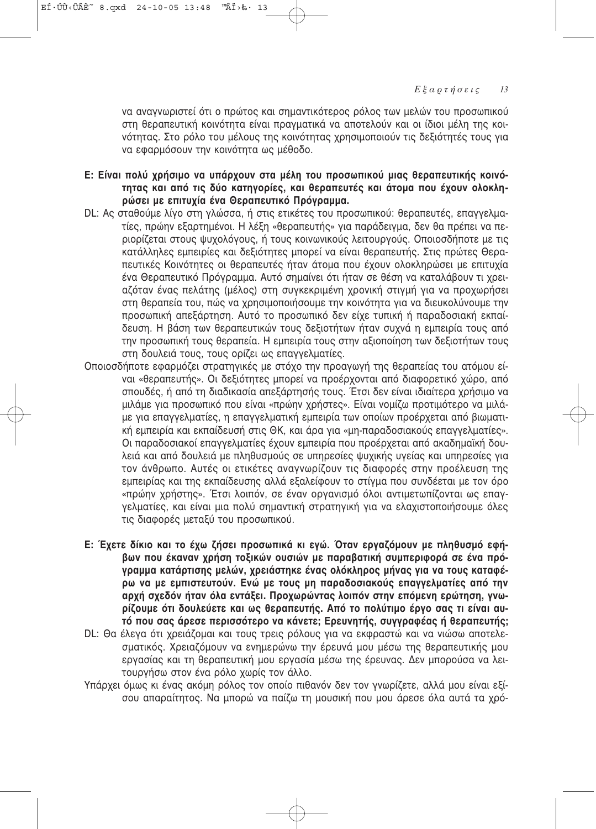να αναγνωριστεί ότι ο πρώτος και σημαντικότερος ρόλος των μελών του προσωπικού στη θεραπευτική κοινότητα είναι πραγματικά να αποτελούν και οι ίδιοι μέλη της κοιvότητας. Στο ρόλο του μέλους της κοινότητας χρησιμοποιούν τις δεξιότητές τους για να εφαρμόσουν την κοινότητα ως μέθοδο.

Ε: Είναι πολύ χρήσιμο να υπάρχουν στα μέλη του προσωπικού μιας θεραπευτικής κοινότητας και από τις δύο κατηγορίες, και θεραπευτές και άτομα που έχουν ολοκλη**ρώσει με επιτυχία ένα Θεραπευτικό Πρόγραμμα.** 

- DL: Ας σταθούμε λίνο στη γλώσσα, ή στις ετικέτες του προσωπικού: θεραπευτές, επαννελματίες, πρώην εξαρτημένοι, Η λέξη «θεραπευτής» για παράδειγμα, δεν θα πρέπει να περιορίζεται στους ψυχολόγους, ή τους κοινωνικούς λειτουργούς. Οποιοσδήποτε με τις κατάλληλες εμπειρίες και δεξιότητες μπορεί να είναι θεραπευτής. Στις πρώτες Θεραπευτικές Κοινότητες οι θεραπευτές ήταν άτομα που έχουν ολοκληρώσει με επιτυχία ένα Θεραπευτικό Πρόγραμμα. Αυτό σημαίνει ότι ήταν σε θέση να καταλάβουν τι χρειαζόταν ένας πελάτης (μέλος) στη συγκεκριμένη χρονική στιγμή για να προχωρήσει στη θεραπεία του, πώς να χρησιμοποιήσουμε την κοινότητα για να διευκολύνουμε την προσωπική απεξάρτηση. Αυτό το προσωπικό δεν είχε τυπική ή παραδοσιακή εκπαίδευση. Η βάση των θεραπευτικών τους δεξιοτήτων ήταν συχνά η εμπειρία τους από την προσωπική τους θεραπεία. Η εμπειρία τους στην αξιοποίηση των δεξιοτήτων τους στη δουλειά τους, τους ορίζει ως επαγγελματίες.
- Οποιοσδήποτε εφαρμόζει στρατηγικές με στόχο την προαγωγή της θεραπείας του ατόμου είvαι «θεραπευτής». Οι δεξιότητες μπορεί να προέρχονται από διαφορετικό χώρο, από σπουδές, ή από τη διαδικασία απεξάρτησής τους. Έτσι δεν είναι ιδιαίτερα χρήσιμο να μιλάμε για προσωπικό που είναι «πρώην χρήστες». Είναι νομίζω προτιμότερο να μιλάμε για επαγγελματίες, η επαγγελματική εμπειρία των οποίων προέρχεται από βιωματική εμπειρία και εκπαίδευσή στις ΘΚ, και άρα για «μη-παραδοσιακούς επαγγελματίες». Οι παραδοσιακοί επαγγελματίες έχουν εμπειρία που προέρχεται από ακαδημαϊκή δουλειά και από δουλειά με πληθυσμούς σε υπηρεσίες ψυχικής υνείας και υπηρεσίες για τον άνθρωπο. Αυτές οι ετικέτες αναγνωρίζουν τις διαφορές στην προέλευση της εμπειρίας και της εκπαίδευσης αλλά εξαλείφουν το στίγμα που συνδέεται με τον όρο «πρώην χρήστης». Έτσι λοιπόν, σε έναν οργανισμό όλοι αντιμετωπίζονται ως επαγγελματίες, και είναι μια πολύ σημαντική στρατηγική για να ελαχιστοποιήσουμε όλες τις διαφορές μεταξύ του προσωπικού.
- Ε: Έχετε δίκιο και το έχω ζήσει προσωπικά κι εγώ. Όταν εργαζόμουν με πληθυσμό εφήβων που έκαναν χρήση τοξικών ουσιών με παραβατική συμπεριφορά σε ένα πρόγραμμα κατάρτισης μελών, χρειάστηκε ένας ολόκληρος μήνας για να τους καταφέρω να με εμπιστευτούν. Ενώ με τους μη παραδοσιακούς επαγγελματίες από την αρχή σχεδόν ήταν όλα εντάξει. Προχωρώντας λοιπόν στην επόμενη ερώτηση, γνωρίζουμε ότι δουλεύετε και ως θεραπευτής. Από το πολύτιμο έργο σας τι είναι αυτό που σας άρεσε περισσότερο να κάνετε; Ερευνητής, συγγραφέας ή θεραπευτής;
- DL: Θα έλεγα ότι χρειάζομαι και τους τρεις ρόλους για να εκφραστώ και να νιώσω αποτελεσματικός. Χρειαζόμουν να ενημερώνω την έρευνά μου μέσω της θεραπευτικής μου εργασίας και τη θεραπευτική μου εργασία μέσω της έρευνας. Δεν μπορούσα να λειτουργήσω στον ένα ρόλο χωρίς τον άλλο.
- Υπάρχει όμως κι ένας ακόμη ρόλος τον οποίο πιθανόν δεν τον γνωρίζετε, αλλά μου είναι εξίσου απαραίτητος. Να μπορώ να παίζω τη μουσική που μου άρεσε όλα αυτά τα χρό-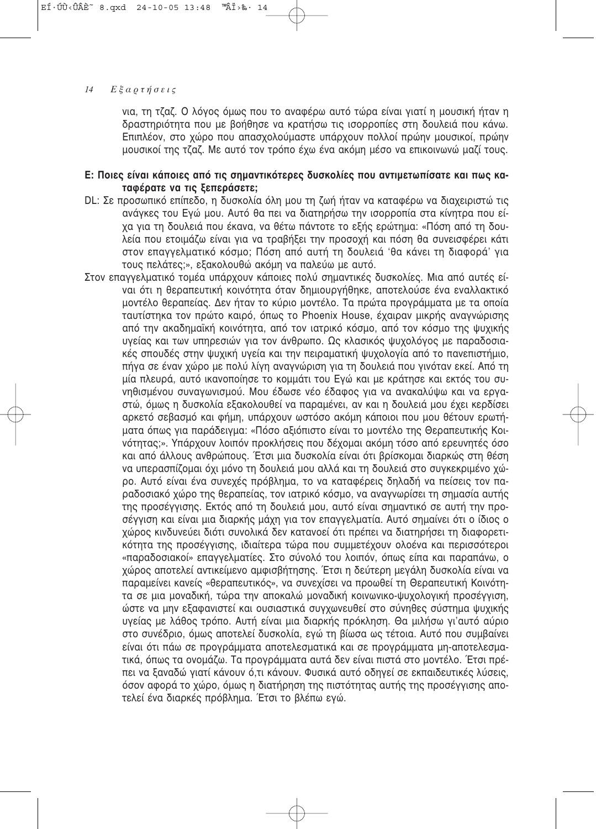νια, τη τζαζ. Ο λόγος όμως που το αναφέρω αυτό τώρα είναι γιατί η μουσική ήταν η δραστηριότητα που με βοήθησε να κρατήσω τις ισορροπίες στη δουλειά που κάνω. Επιπλέον, στο χώρο που απασχολούμαστε υπάρχουν πολλοί πρώην μουσικοί, πρώην μουσικοί της τζαζ. Με αυτό τον τρόπο έχω ένα ακόμη μέσο να επικοινωνώ μαζί τους.

# **Ε: Ποιες είναι κάποιες από τις σημαντικότερες δυσκολίες που αντιμετωπίσατε και πως καταφέρατε να τις ξεπεράσετε;**

- DL: Σε προσωπικό επίπεδο, η δυσκολία όλη μου τη ζωή ήταν να καταφέρω να διαχειριστώ τις ανάγκες του Εγώ μου. Αυτό θα πει να διατηρήσω την ισορροπία στα κίνητρα που είγα για τη δουλειά που έκανα, να θέτω πάντοτε το εξής ερώτημα: «Πόση από τη δουλεία που ετοιμάζω είναι για να τραβήξει την προσοχή και πόση θα συνεισφέρει κάτι στον επανγελματικό κόσμο; Πόση από αυτή τη δουλειά 'θα κάνει τη διαφορά' για τους πελάτες;», εξακολουθώ ακόμη να παλεύω με αυτό.
- Στον επαγγελματικό τομέα υπάρχουν κάποιες πολύ σημαντικές δυσκολίες. Μια από αυτές είναι ότι η θεραπευτική κοινότητα όταν δημιουργήθηκε, αποτελούσε ένα εναλλακτικό μοντέλο θεραπείας. Δεν ήταν το κύριο μοντέλο. Τα πρώτα προγράμματα με τα οποία ταυτίστηκα τον πρώτο καιρό, όπως το Phoenix House, έχαιραν μικρής αναγνώρισης από την ακαδημαϊκή κοινότητα, από τον ιατρικό κόσμο, από τον κόσμο της ψυχικής υγείας και των υπηρεσιών για τον άνθρωπο. Ως κλασικός ψυχολόγος με παραδοσιακές σπουδές στην ψυχική υγεία και την πειραματική ψυχολογία από το πανεπιστήμιο, πήγα σε έναν χώρο με πολύ λίγη αναγνώριση για τη δουλειά που γινόταν εκεί. Από τη μία πλευρά, αυτό ικανοποίησε το κομμάτι του Εγώ και με κράτησε και εκτός του συ-Vηθισμένου συναγωνισμού. Μου έδωσε νέο έδαφος για να ανακαλύψω και να εργαστώ, όμως η δυσκολία εξακολουθεί να παραμένει, αν και η δουλειά μου έχει κερδίσει αρκετό σεβασμό και φήμη, υπάρχουν ωστόσο ακόμη κάποιοι που μου θέτουν ερωτήματα όπως για παράδειγμα: «Πόσο αξιόπιστο είναι το μοντέλο της Θεραπευτικής Κοινότητας;». Υπάρχουν λοιπόν προκλήσεις που δέχομαι ακόμη τόσο από ερευνητές όσο και από άλλους ανθρώπους. Έτσι μια δυσκολία είναι ότι βρίσκομαι διαρκώς στη θέση να υπερασπίζομαι όχι μόνο τη δουλειά μου αλλά και τη δουλειά στο συγκεκριμένο χώρο. Αυτό είναι ένα συνεχές πρόβλημα, το να καταφέρεις δηλαδή να πείσεις τον παραδοσιακό χώρο της θεραπείας, τον ιατρικό κόσμο, να αναγνωρίσει τη σημασία αυτής της προσέγγισης. Εκτός από τη δουλειά μου, αυτό είναι σημαντικό σε αυτή την προσέγγιση και είναι μια διαρκής μάχη για τον επαγγελματία. Αυτό σημαίνει ότι ο ίδιος ο χώρος κινδυνεύει διότι συνολικά δεν κατανοεί ότι πρέπει να διατηρήσει τη διαφορετικότητα της προσέγγισης, ιδιαίτερα τώρα που συμμετέχουν ολοένα και περισσότεροι «παραδοσιακοί» επαννελματίες. Στο σύνολό του λοιπόν, όπως είπα και παραπάνω, ο χώρος αποτελεί αντικείμενο αμφισβήτησης. Έτσι η δεύτερη μεγάλη δυσκολία είναι να παραμείνει κανείς «θεραπευτικός», να συνεχίσει να προωθεί τη Θεραπευτική Κοινότητα σε μια μοναδική, τώρα την αποκαλώ μοναδική κοινωνικο-ψυχολογική προσέγγιση, ώστε να μην εξαφανιστεί και ουσιαστικά συγχωνευθεί στο σύνηθες σύστημα ψυχικής υγείας με λάθος τρόπο. Αυτή είναι μια διαρκής πρόκληση. Θα μιλήσω γι'αυτό αύριο στο συνέδριο, όμως αποτελεί δυσκολία, εγώ τη βίωσα ως τέτοια. Αυτό που συμβαίνει είναι ότι πάω σε προγράμματα αποτελεσματικά και σε προγράμματα μη-αποτελεσματικά, όπως τα ονομάζω. Τα προγράμματα αυτά δεν είναι πιστά στο μοντέλο. Έτσι πρέπει να ξαναδώ γιατί κάνουν ό,τι κάνουν. Φυσικά αυτό οδηγεί σε εκπαιδευτικές λύσεις, <u>όσον αφορά το χώρο, όμως η διατήρηση της πιστότητας αυτής της προσέγγισης απο-</u> τελεί ένα διαρκές πρόβλημα. Έτσι το βλέπω εγώ.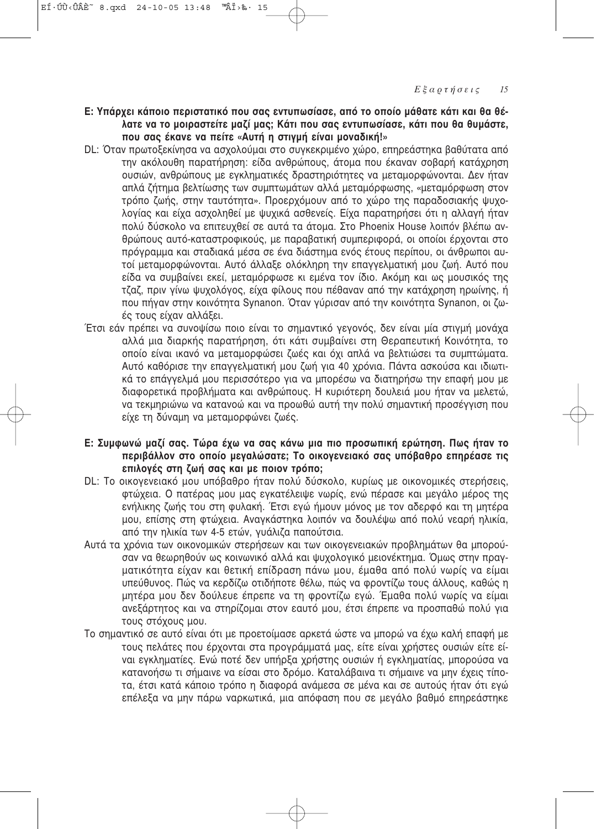Ε: Υπάρχει κάποιο περιστατικό που σας εντυπωσίασε, από το οποίο μάθατε κάτι και θα θέλατε να το μοιραστείτε μαζί μας; Κάτι που σας εντυπωσίασε, κάτι που θα θυμάστε, που σας έκανε να πείτε «Αυτή η στιγμή είναι μοναδική!»

- DL: Όταν πρωτοξεκίνησα να ασχολούμαι στο συγκεκριμένο χώρο, επηρεάστηκα βαθύτατα από την ακόλουθη παρατήρηση: είδα ανθρώπους, άτομα που έκαναν σοβαρή κατάχρηση ουσιών, ανθρώπους με εγκληματικές δραστηριότητες να μεταμορφώνονται. Δεν ήταν απλά ζήτημα βελτίωσης των συμπτωμάτων αλλά μεταμόρφωσης, «μεταμόρφωση στον τρόπο ζωής, στην ταυτότητα». Προερχόμουν από το χώρο της παραδοσιακής ψυχολονίας και είχα ασχοληθεί με ψυχικά ασθενείς. Είχα παρατηρήσει ότι η αλλαγή ήταν πολύ δύσκολο να επιτευχθεί σε αυτά τα άτομα. Στο Phoenix House λοιπόν βλέπω ανθρώπους αυτό-καταστροφικούς, με παραβατική συμπεριφορά, οι οποίοι έρχονται στο πρόγραμμα και σταδιακά μέσα σε ένα διάστημα ενός έτους περίπου, οι άνθρωποι αυτοί μεταμορφώνονται. Αυτό άλλαξε ολόκληρη την επαγγελματική μου ζωή. Αυτό που είδα να συμβαίνει εκεί, μεταμόρφωσε κι εμένα τον ίδιο. Ακόμη και ως μουσικός της τζαζ, πριν γίνω ψυχολόγος, είχα φίλους που πέθαναν από την κατάχρηση ηρωίνης, ή που πήγαν στην κοινότητα Synanon. Όταν γύρισαν από την κοινότητα Synanon, οι ζωές τους είχαν αλλάξει.
- Έτσι εάν πρέπει να συνοψίσω ποιο είναι το σημαντικό νενονός. δεν είναι μία στινμή μονάχα αλλά μια διαρκής παρατήρηση, ότι κάτι συμβαίνει στη Θεραπευτική Κοινότητα, το οποίο είναι ικανό να μεταμορφώσει ζωές και όχι απλά να βελτιώσει τα συμπτώματα. Αυτό καθόρισε την επαγγελματική μου ζωή για 40 χρόνια. Πάντα ασκούσα και ιδιωτικά το επάγγελμά μου περισσότερο για να μπορέσω να διατηρήσω την επαφή μου με διαφορετικά προβλήματα και ανθρώπους. Η κυριότερη δουλειά μου ήταν να μελετώ, να τεκμηριώνω να κατανοώ και να προωθώ αυτή την πολύ σημαντική προσέγγιση που είχε τη δύναμη να μεταμορφώνει ζωές.
- Ε: Συμφωνώ μαζί σας. Τώρα έχω να σας κάνω μια πιο προσωπική ερώτηση. Πως ήταν το περιβάλλον στο οποίο μεγαλώσατε; Το οικογενειακό σας υπόβαθρο επηρέασε τις επιλογές στη ζωή σας και με ποιον τρόπο;
- DL: Το οικογενειακό μου υπόβαθρο ήταν πολύ δύσκολο, κυρίως με οικονομικές στερήσεις, φτώχεια. Ο πατέρας μου μας εγκατέλειψε νωρίς, ενώ πέρασε και μεγάλο μέρος της ενήλικης ζωής του στη φυλακή. Έτσι εγώ ήμουν μόνος με τον αδερφό και τη μητέρα μου, επίσης στη φτώχεια. Αναγκάστηκα λοιπόν να δουλέψω από πολύ νεαρή ηλικία, από την ηλικία των 4-5 ετών, γυάλιζα παπούτσια.
- Αυτά τα χρόνια των οικονομικών στερήσεων και των οικογενειακών προβλημάτων θα μπορούσαν να θεωρηθούν ως κοινωνικό αλλά και ψυχολονικό μειονέκτημα. Όμως στην πρανματικότητα είχαν και θετική επίδραση πάνω μου, έμαθα από πολύ νωρίς να είμαι υπεύθυνος. Πώς να κερδίζω οτιδήποτε θέλω, πώς να φροντίζω τους άλλους, καθώς η μητέρα μου δεν δούλευε έπρεπε να τη φροντίζω εγώ. Έμαθα πολύ νωρίς να είμαι ανεξάρτητος και να στηρίζομαι στον εαυτό μου, έτσι έπρεπε να προσπαθώ πολύ για τους στόχους μου.
- Το σημαντικό σε αυτό είναι ότι με προετοίμασε αρκετά ώστε να μπορώ να έχω καλή επαφή με τους πελάτες που έρχονται στα προγράμματά μας, είτε είναι χρήστες ουσιών είτε είναι εγκληματίες. Ενώ ποτέ δεν υπήρξα χρήστης ουσιών ή εγκληματίας, μπορούσα να κατανοήσω τι σήμαινε να είσαι στο δρόμο. Καταλάβαινα τι σήμαινε να μην έχεις τίποτα, έτσι κατά κάποιο τρόπο η διαφορά ανάμεσα σε μένα και σε αυτούς ήταν ότι εγώ επέλεξα να μην πάρω ναρκωτικά, μια απόφαση που σε μεγάλο βαθμό επηρεάστηκε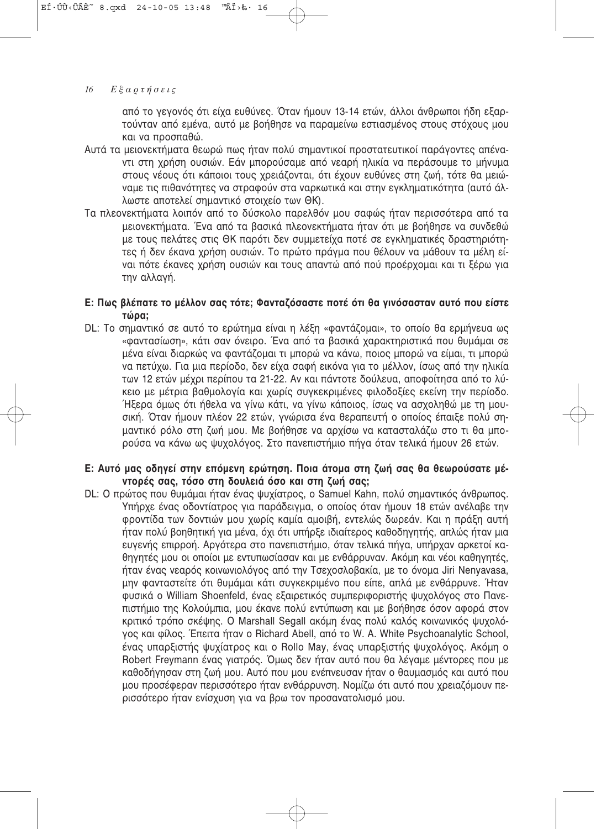> από το γεγονός ότι είχα ευθύνες. Όταν ήμουν 13-14 ετών, άλλοι άνθρωποι ήδη εξαρτούνταν από εμένα, αυτό με βοήθησε να παραμείνω εστιασμένος στους στόχους μου και να προσπαθώ.

- Αυτά τα μειονεκτήματα θεωρώ πως ήταν πολύ σημαντικοί προστατευτικοί παράγοντες απέναντι στη χρήση ουσιών. Εάν μπορούσαμε από νεαρή ηλικία να περάσουμε το μήνυμα στους νέους ότι κάποιοι τους χρειάζονται, ότι έχουν ευθύνες στη ζωή, τότε θα μειώναμε τις πιθανότητες να στραφούν στα ναρκωτικά και στην εγκληματικότητα (αυτό άλλωστε αποτελεί σημαντικό στοιχείο των ΘΚ).
- Τα πλεονεκτήματα λοιπόν από το δύσκολο παρελθόν μου σαφώς ήταν περισσότερα από τα μειονεκτήματα. Ένα από τα βασικά πλεονεκτήματα ήταν ότι με βοήθησε να συνδεθώ με τους πελάτες στις ΘΚ παρότι δεν συμμετείχα ποτέ σε εγκληματικές δραστηριότητες ή δεν έκανα χρήση ουσιών. Το πρώτο πράνμα που θέλουν να μάθουν τα μέλη είναι πότε έκανες χρήση ουσιών και τους απαντώ από πού προέρχομαι και τι ξέρω για την αλλαγή.
- Ε: Πως βλέπατε το μέλλον σας τότε; Φανταζόσαστε ποτέ ότι θα γινόσασταν αυτό που είστε τώρα;
- DL: Το σημαντικό σε αυτό το ερώτημα είναι η λέξη «φαντάζομαι», το οποίο θα ερμήνευα ως «φαντασίωση», κάτι σαν όνειρο. Ένα από τα βασικά χαρακτηριστικά που θυμάμαι σε μένα είναι διαρκώς να φαντάζομαι τι μπορώ να κάνω, ποιος μπορώ να είμαι, τι μπορώ να πετύχω. Για μια περίοδο, δεν είχα σαφή εικόνα για το μέλλον, ίσως από την ηλικία των 12 ετών μέχρι περίπου τα 21-22. Αν και πάντοτε δούλευα, αποφοίτησα από το λύκειο με μέτρια βαθμολογία και χωρίς συγκεκριμένες φιλοδοξίες εκείνη την περίοδο. Ήξερα όμως ότι ήθελα να γίνω κάτι, να γίνω κάποιος, ίσως να ασχοληθώ με τη μουσική. Όταν ήμουν πλέον 22 ετών, γνώρισα ένα θεραπευτή ο οποίος έπαιξε πολύ σημαντικό ρόλο στη ζωή μου. Με βοήθησε να αρχίσω να κατασταλάζω στο τι θα μπορούσα να κάνω ως ψυχολόγος. Στο πανεπιστήμιο πήγα όταν τελικά ήμουν 26 ετών.
- Ε: Αυτό μας οδηγεί στην επόμενη ερώτηση. Ποια άτομα στη ζωή σας θα θεωρούσατε μέντορές σας, τόσο στη δουλειά όσο και στη ζωή σας;
- DL: Ο πρώτος που θυμάμαι ήταν ένας ψυχίατρος, ο Samuel Kahn, πολύ σημαντικός άνθρωπος. Υπήρχε ένας οδοντίατρος για παράδειγμα, ο οποίος όταν ήμουν 18 ετών ανέλαβε την φροντίδα των δοντιών μου χωρίς καμία αμοιβή, εντελώς δωρεάν. Και η πράξη αυτή ήταν πολύ βοηθητική για μένα, όχι ότι υπήρξε ιδιαίτερος καθοδηγητής, απλώς ήταν μια ευγενής επιρροή. Αργότερα στο πανεπιστήμιο, όταν τελικά πήγα, υπήρχαν αρκετοί καθηνητές μου οι οποίοι με εντυπωσίασαν και με ενθάρρυναν. Ακόμη και νέοι καθηνητές, ήταν ένας νεαρός κοινωνιολόγος από την Τσεχοσλοβακία, με το όνομα Jiri Nenyavasa, μην φανταστείτε ότι θυμάμαι κάτι συγκεκριμένο που είπε, απλά με ενθάρρυνε. Ήταν φυσικά ο William Shoenfeld, ένας εξαιρετικός συμπεριφοριστής ψυχολόγος στο Πανεπιστήμιο της Κολούμπια, μου έκανε πολύ εντύπωση και με βοήθησε όσον αφορά στον κριτικό τρόπο σκέψης. Ο Marshall Segall ακόμη ένας πολύ καλός κοινωνικός ψυχολόγος και φίλος. Έπειτα ήταν ο Richard Abell, από το W. A. White Psychoanalytic School, ένας υπαρξιστής ψυχίατρος και ο Rollo May, ένας υπαρξιστής ψυχολόγος. Ακόμη ο Robert Freymann ένας γιατρός. Όμως δεν ήταν αυτό που θα λέγαμε μέντορες που με καθοδήγησαν στη ζωή μου. Αυτό που μου ενέπνευσαν ήταν ο θαυμασμός και αυτό που μου προσέφεραν περισσότερο ήταν ενθάρρυνση. Νομίζω ότι αυτό που χρειαζόμουν περισσότερο ήταν ενίσχυση για να βρω τον προσανατολισμό μου.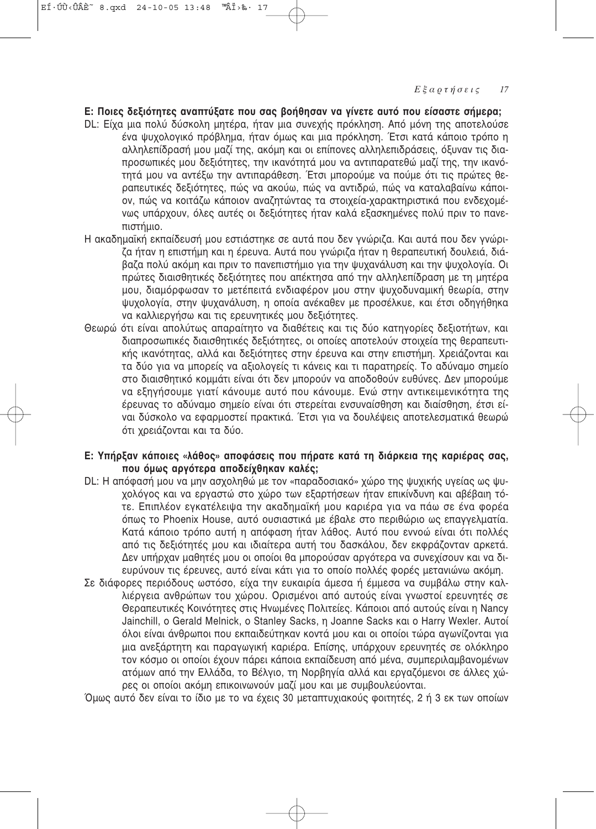#### EÍ·ÚÙ<ÛÂÈ<sup>~</sup> 8.qxd  $24 - 10 - 05$  13:48  $M\hat{A}$  $\ddot{I}$  >  $\%$ .

# Ε: Ποιες δεξιότητες αναπτύξατε που σας βοήθησαν να γίνετε αυτό που είσαστε σήμερα;

- DL: Είχα μια πολύ δύσκολη μητέρα, ήταν μια συνεχής πρόκληση. Από μόνη της αποτελούσε ένα ψυχολογικό πρόβλημα, ήταν όμως και μια πρόκληση. Έτσι κατά κάποιο τρόπο η αλληλεπίδρασή μου μαζί της, ακόμη και οι επίπονες αλληλεπιδράσεις, όξυναν τις διαπροσωπικές μου δεξιότητες, την ικανότητά μου να αντιπαρατεθώ μαζί της, την ικανότητά μου να αντέξω την αντιπαράθεση. Έτσι μπορούμε να πούμε ότι τις πρώτες θεραπευτικές δεξιότητες, πώς να ακούω, πώς να αντιδρώ, πώς να καταλαβαίνω κάποιον, πώς να κοιτάζω κάποιον αναζητώντας τα στοιχεία-χαρακτηριστικά που ενδεχομένως υπάρχουν, όλες αυτές οι δεξιότητες ήταν καλά εξασκημένες πολύ πριν το πανεπιστήμιο.
- Η ακαδημαϊκή εκπαίδευσή μου εστιάστηκε σε αυτά που δεν γνώριζα. Και αυτά που δεν γνώριζα ήταν η επιστήμη και η έρευνα. Αυτά που γνώριζα ήταν η θεραπευτική δουλειά, διάβαζα πολύ ακόμη και πριν το πανεπιστήμιο για την ψυχανάλυση και την ψυχολογία. Οι πρώτες διαισθητικές δεξιότητες που απέκτησα από την αλληλεπίδραση με τη μητέρα μου, διαμόρφωσαν το μετέπειτά ενδιαφέρον μου στην ψυχοδυναμική θεωρία, στην ψυχολογία, στην ψυχανάλυση, η οποία ανέκαθεν με προσέλκυε, και έτσι οδηγήθηκα να καλλιεργήσω και τις ερευνητικές μου δεξιότητες.
- Θεωρώ ότι είναι απολύτως απαραίτητο να διαθέτεις και τις δύο κατηνορίες δεξιοτήτων, και διαπροσωπικές διαισθητικές δεξιότητες, οι οποίες αποτελούν στοιχεία της θεραπευτικής ικανότητας, αλλά και δεξιότητες στην έρευνα και στην επιστήμη. Χρειάζονται και τα δύο για να μπορείς να αξιολογείς τι κάνεις και τι παρατηρείς. Το αδύναμο σημείο στο διαισθητικό κομμάτι είναι ότι δεν μπορούν να αποδοθούν ευθύνες. Δεν μπορούμε να εξηγήσουμε γιατί κάνουμε αυτό που κάνουμε. Ενώ στην αντικειμενικότητα της έρευνας το αδύναμο σημείο είναι ότι στερείται ενσυναίσθηση και διαίσθηση, έτσι είναι δύσκολο να εφαρμοστεί πρακτικά. Έτσι για να δουλέψεις αποτελεσματικά θεωρώ ότι χρειάζονται και τα δύο.

# E: Υπήρξαν κάποιες «λάθος» αποφάσεις που πήρατε κατά τη διάρκεια της καριέρας σας, που όμως αργότερα αποδείχθηκαν καλές;

- DL: Η απόφασή μου να μην ασχοληθώ με τον «παραδοσιακό» χώρο της ψυχικής υγείας ως ψυχολόγος και να εργαστώ στο χώρο των εξαρτήσεων ήταν επικίνδυνη και αβέβαιη τότε. Επιπλέον εγκατέλειψα την ακαδημαϊκή μου καριέρα για να πάω σε ένα φορέα όπως το Phoenix House, αυτό ουσιαστικά με έβαλε στο περιθώριο ως επαγγελματία. Κατά κάποιο τρόπο αυτή η απόφαση ήταν λάθος. Αυτό που εννοώ είναι ότι πολλές από τις δεξιότητές μου και ιδιαίτερα αυτή του δασκάλου, δεν εκφράζονταν αρκετά. Δεν υπήρχαν μαθητές μου οι οποίοι θα μπορούσαν αργότερα να συνεχίσουν και να διευρύνουν τις έρευνες, αυτό είναι κάτι για το οποίο πολλές φορές μετανιώνω ακόμη.
- Σε διάφορες περιόδους ωστόσο, είχα την ευκαιρία άμεσα ή έμμεσα να συμβάλω στην καλλιέργεια ανθρώπων του χώρου. Ορισμένοι από αυτούς είναι γνωστοί ερευνητές σε Θεραπευτικές Κοινότητες στις Ηνωμένες Πολιτείες. Κάποιοι από αυτούς είναι η Nancy Jainchill, o Gerald Melnick, o Stanley Sacks, n Joanne Sacks και ο Harry Wexler. Αυτοί όλοι είναι άνθρωποι που εκπαιδεύτηκαν κοντά μου και οι οποίοι τώρα αγωνίζονται για μια ανεξάρτητη και παραγωγική καριέρα. Επίσης, υπάρχουν ερευνητές σε ολόκληρο τον κόσμο οι οποίοι έχουν πάρει κάποια εκπαίδευση από μένα, συμπεριλαμβανομένων ατόμων από την Ελλάδα, το Βέλγιο, τη Νορβηγία αλλά και εργαζόμενοι σε άλλες χώρες οι οποίοι ακόμη επικοινωνούν μαζί μου και με συμβουλεύονται.

Όμως αυτό δεν είναι το ίδιο με το να έχεις 30 μεταπτυχιακούς φοιτητές, 2 ή 3 εκ των οποίων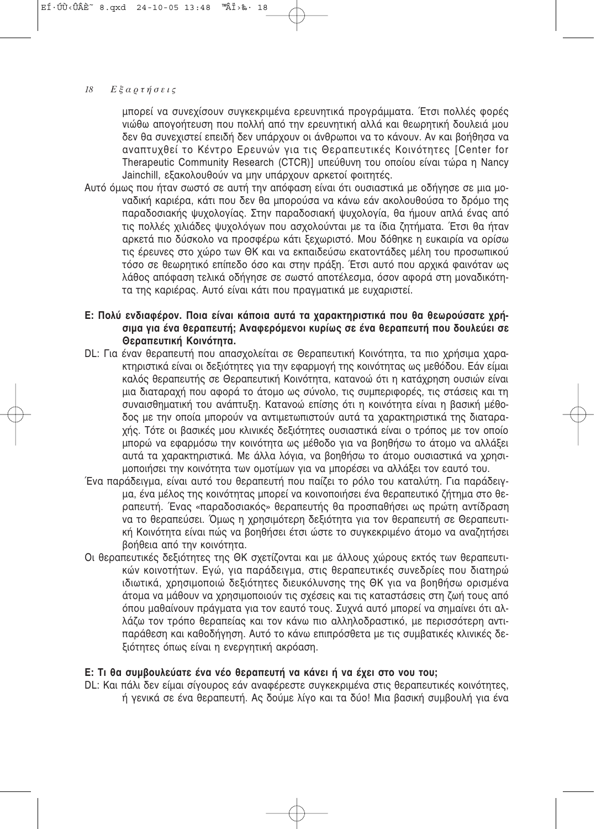#### *18 <i>Eξαρτήσεις*

μπορεί να συνεχίσουν συγκεκριμένα ερευνητικά προγράμματα. Έτσι πολλές φορές νιώθω απογοήτευση που πολλή από την ερευνητική αλλά και θεωρητική δουλειά μου δεν θα συνεχιστεί επειδή δεν υπάρχουν οι άνθρωποι να το κάνουν. Αν και βοήθησα να αναπτυχθεί το Κέντρο Ερευνών για τις Θεραπευτικές Κοινότητες [Center for Therapeutic Community Research (CTCR)] υπεύθυνη του οποίου είναι τώρα η Nancy Jainchill, εξακολουθούν να μην υπάρχουν αρκετοί φοιτητές.

- Aυτό όμως που ήταν σωστό σε αυτή την απόφαση είναι ότι ουσιαστικά με οδήγησε σε μια μοναδική καριέρα, κάτι που δεν θα μπορούσα να κάνω εάν ακολουθούσα το δρόμο της παραδοσιακής ψυχολονίας. Στην παραδοσιακή ψυχολονία, θα ήμουν απλά ένας από τις πολλές χιλιάδες ψυχολόγων που ασχολούνται με τα ίδια ζητήματα. Έτσι θα ήταν αρκετά πιο δύσκολο να προσφέρω κάτι ξεχωριστό. Μου δόθηκε η ευκαιρία να ορίσω τις έρευνες στο χώρο των ΘΚ και να εκπαιδεύσω εκατοντάδες μέλη του προσωπικού τόσο σε θεωρητικό επίπεδο όσο και στην πράξη. Έτσι αυτό που αρχικά φαινόταν ως λάθος απόφαση τελικά οδήγησε σε σωστό αποτέλεσμα, όσον αφορά στη μοναδικότητα της καριέρας. Αυτό είναι κάτι που πραγματικά με ευχαριστεί.
- E: Πολύ ενδιαφέρον. Ποια είναι κάποια αυτά τα χαρακτηριστικά που θα θεωρούσατε χρήσιμα νια ένα θεραπευτή; Αναφερόμενοι κυρίως σε ένα θεραπευτή που δουλεύει σε  $\Theta$ εραπευτική Κοινότητα.
- DL: Για έναν θεραπευτή που απασχολείται σε Θεραπευτική Κοινότητα, τα πιο χρήσιμα χαρα-Κτηριστικά είναι οι δεξιότητες για την εφαρμογή της κοινότητας ως μεθόδου. Εάν είμαι καλός θεραπευτής σε Θεραπευτική Κοινότητα, κατανοώ ότι η κατάχρηση ουσιών είναι μια διαταραχή που αφορά το άτομο ως σύνολο, τις συμπεριφορές, τις στάσεις και τη συναισθηματική του ανάπτυξη. Κατανοώ επίσης ότι η κοινότητα είναι η βασική μέθοδος με την οποία μπορούν να αντιμετωπιστούν αυτά τα χαρακτηριστικά της διαταραγής. Τότε οι βασικές μου κλινικές δεξιότητες ουσιαστικά είναι ο τρόπος με τον οποίο μπορώ να εφαρμόσω την κοινότητα ως μέθοδο για να βοηθήσω το άτομο να αλλάξει αυτά τα χαρακτηριστικά. Με άλλα λόγια, να βοηθήσω το άτομο ουσιαστικά να χρησιμοποιήσει την κοινότητα των ομοτίμων για να μπορέσει να αλλάξει τον εαυτό του.
- Ένα παράδειγμα, είναι αυτό του θεραπευτή που παίζει το ρόλο του καταλύτη. Για παράδειγμα, ένα μέλος της κοινότητας μπορεί να κοινοποιήσει ένα θεραπευτικό ζήτημα στο θεραπευτή. Ένας «παραδοσιακός» θεραπευτής θα προσπαθήσει ως πρώτη αντίδραση να το θεραπεύσει. Όμως η χρησιμότερη δεξιότητα για τον θεραπευτή σε Θεραπευτική Κοινότητα είναι πώς να βοηθήσει έτσι ώστε το συγκεκριμένο άτομο να αναζητήσει βοήθεια από την κοινότητα.
- Οι θεραπευτικές δεξιότητες της ΘΚ σχετίζονται και με άλλους χώρους εκτός των θεραπευτικών κοινοτήτων. Εγώ, για παράδειγμα, στις θεραπευτικές συνεδρίες που διατηρώ ιδιωτικά, χρησιμοποιώ δεξιότητες διευκόλυνσης της ΘΚ για να βοηθήσω ορισμένα άτομα να μάθουν να χρησιμοποιούν τις σχέσεις και τις καταστάσεις στη ζωή τους από όπου μαθαίνουν πράγματα για τον εαυτό τους. Συχνά αυτό μπορεί να σημαίνει ότι αλλάζω τον τρόπο θεραπείας και τον κάνω πιο αλληλοδραστικό, με περισσότερη αντιπαράθεση και καθοδήγηση. Αυτό το κάνω επιπρόσθετα με τις συμβατικές κλινικές δεξιότητες όπως είναι η ενεργητική ακρόαση.

# E: Τι θα συμβουλεύατε ένα νέο θεραπευτή να κάνει ή να έχει στο νου του;

DL: Και πάλι δεν είμαι σίγουρος εάν αναφέρεστε συγκεκριμένα στις θεραπευτικές κοινότητες, ή γενικά σε ένα θεραπευτή. Ας δούμε λίγο και τα δύο! Μια βασική συμβουλή για ένα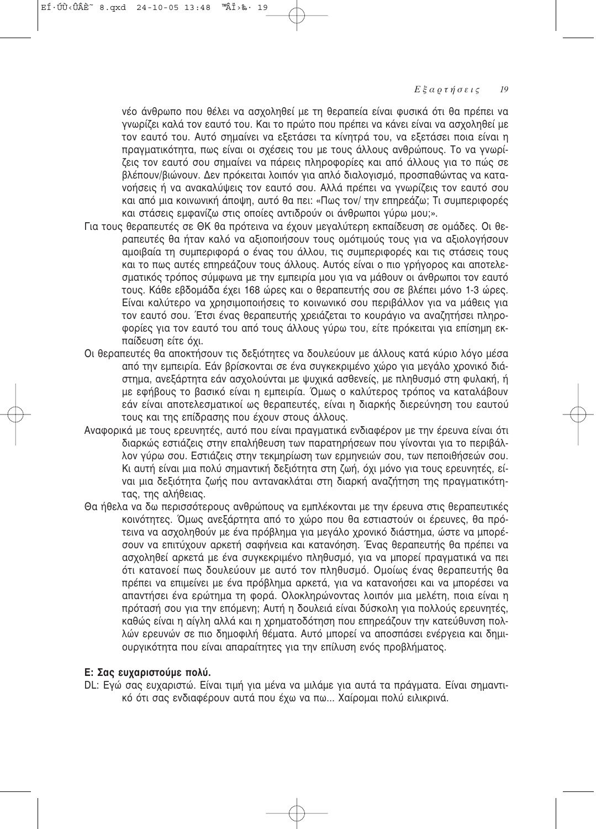#### Εξαρτήσεις 19

EÍ·ÚÙ<ÛÂÈ<sup>~</sup> 8.qxd  $24 - 10 - 05$  13:48 ™ÂÏ>‰·

> νέο άνθρωπο που θέλει να ασχοληθεί με τη θεραπεία είναι φυσικά ότι θα πρέπει να ννωρίζει καλά τον εαυτό του. Και το πρώτο που πρέπει να κάνει είναι να ασχοληθεί με τον εαυτό του. Αυτό σημαίνει να εξετάσει τα κίνητρά του, να εξετάσει ποια είναι η πραγματικότητα, πως είναι οι σχέσεις του με τους άλλους ανθρώπους. Το να γνωρίζεις τον εαυτό σου σημαίνει να πάρεις πληροφορίες και από άλλους για το πώς σε βλέπουν/βιώνουν. Δεν πρόκειται λοιπόν για απλό διαλογισμό, προσπαθώντας να κατανοήσεις ή να ανακαλύψεις τον εαυτό σου. Αλλά πρέπει να γνωρίζεις τον εαυτό σου και από μια κοινωνική άποψη, αυτό θα πει: «Πως τον/ την επηρεάζω; Τι συμπεριφορές και στάσεις εμφανίζω στις οποίες αντιδρούν οι άνθρωποι νύρω μου:».

- Για τους θεραπευτές σε ΘΚ θα πρότεινα να έχουν μεναλύτερη εκπαίδευση σε ομάδες. Οι θεραπευτές θα ήταν καλό να αξιοποιήσουν τους ομότιμούς τους για να αξιολογήσουν αμοιβαία τη συμπεριφορά ο ένας του άλλου, τις συμπεριφορές και τις στάσεις τους και το πως αυτές επηρεάζουν τους άλλους. Αυτός είναι ο πιο γρήγορος και αποτελεσματικός τρόπος σύμφωνα με την εμπειρία μου για να μάθουν οι άνθρωποι τον εαυτό τους. Κάθε εβδομάδα έχει 168 ώρες και ο θεραπευτής σου σε βλέπει μόνο 1-3 ώρες. Είναι καλύτερο να χρησιμοποιήσεις το κοινωνικό σου περιβάλλον για να μάθεις για τον εαυτό σου. Έτσι ένας θεραπευτής χρειάζεται το κουράγιο να αναζητήσει πληροφορίες για τον εαυτό του από τους άλλους γύρω του, είτε πρόκειται για επίσημη εκπαίδευση είτε όχι.
- Οι θεραπευτές θα αποκτήσουν τις δεξιότητες να δουλεύουν με άλλους κατά κύριο λόγο μέσα από την εμπειρία. Εάν βρίσκονται σε ένα συγκεκριμένο χώρο για μεγάλο χρονικό διάστημα, ανεξάρτητα εάν ασχολούνται με ψυχικά ασθενείς, με πληθυσμό στη φυλακή, ή με εφήβους το βασικό είναι η εμπειρία. Όμως ο καλύτερος τρόπος να καταλάβουν εάν είναι αποτελεσματικοί ως θεραπευτές, είναι η διαρκής διερεύνηση του εαυτού τους και της επίδρασης που έχουν στους άλλους.
- Αναφορικά με τους ερευνητές, αυτό που είναι πραγματικά ενδιαφέρον με την έρευνα είναι ότι διαρκώς εστιάζεις στην επαλήθευση των παρατηρήσεων που γίνονται για το περιβάλλον γύρω σου. Εστιάζεις στην τεκμηρίωση των ερμηνειών σου, των πεποιθήσεών σου, Κι αυτή είναι μια πολύ σημαντική δεξιότητα στη ζωή, όχι μόνο για τους ερευνητές, είναι μια δεξιότητα ζωής που αντανακλάται στη διαρκή αναζήτηση της πραγματικότητας, της αλήθειας.
- Θα ήθελα να δω περισσότερους ανθρώπους να εμπλέκονται με την έρευνα στις θεραπευτικές κοινότητες. Όμως ανεξάρτητα από το χώρο που θα εστιαστούν οι έρευνες, θα πρότεινα να ασχοληθούν με ένα πρόβλημα για μεγάλο χρονικό διάστημα, ώστε να μπορέσουν να επιτύχουν αρκετή σαφήνεια και κατανόηση. Ένας θεραπευτής θα πρέπει να ασχοληθεί αρκετά με ένα συνκεκριμένο πληθυσμό, για να μπορεί πραγματικά να πει ότι κατανοεί πως δουλεύουν με αυτό τον πληθυσμό. Ομοίως ένας θεραπευτής θα πρέπει να επιμείνει με ένα πρόβλημα αρκετά, για να κατανοήσει και να μπορέσει να απαντήσει ένα ερώτημα τη φορά. Ολοκληρώνοντας λοιπόν μια μελέτη, ποια είναι η πρότασή σου για την επόμενη; Αυτή η δουλειά είναι δύσκολη για πολλούς ερευνητές, καθώς είναι η αίγλη αλλά και η χρηματοδότηση που επηρεάζουν την κατεύθυνση πολλών ερευνών σε πιο δημοφιλή θέματα. Αυτό μπορεί να αποσπάσει ενέργεια και δημιουργικότητα που είναι απαραίτητες για την επίλυση ενός προβλήματος.

# Ε: Σας ευχαριστούμε πολύ.

DL: Εγώ σας ευχαριστώ. Είναι τιμή για μένα να μιλάμε για αυτά τα πράγματα. Είναι σημαντικό ότι σας ενδιαφέρουν αυτά που έχω να πω... Χαίρομαι πολύ ειλικρινά.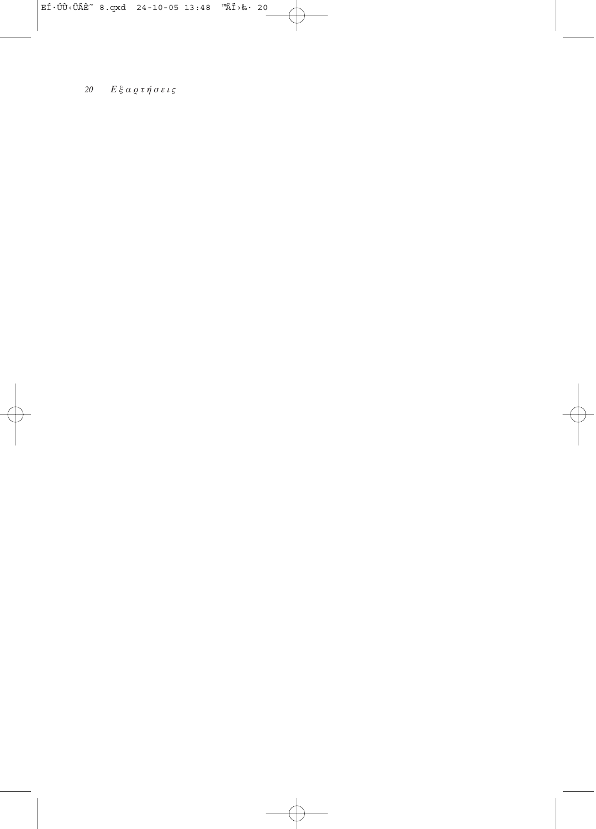Ť.

 $E$ ξαρτήσεις  $2\theta$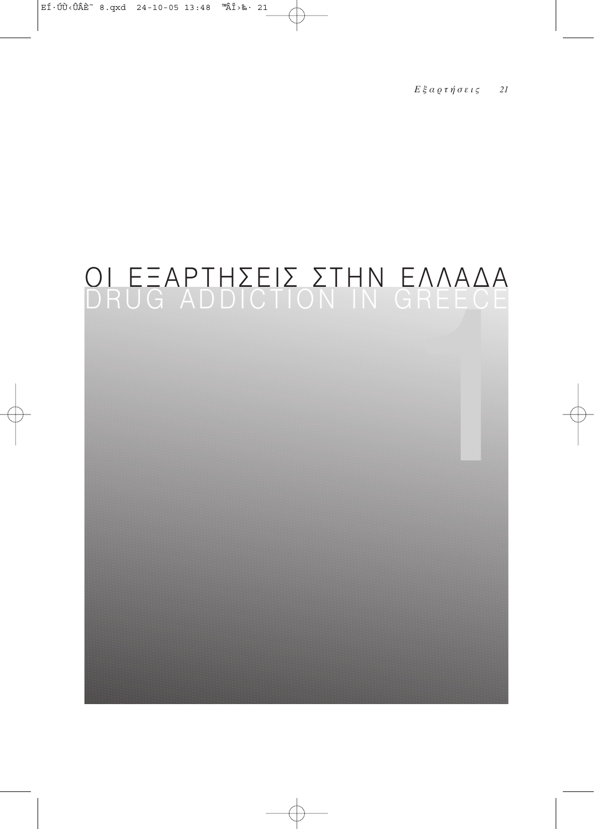$E \xi \alpha \varrho \tau \eta \sigma \epsilon \iota \zeta$  21

# <u>ΟΙ ΕΞΑΡΤΗΣΕΙΣ ΣΤΗΝ ΕΛΛΑΔΑ</u><br>Drug addiction in greece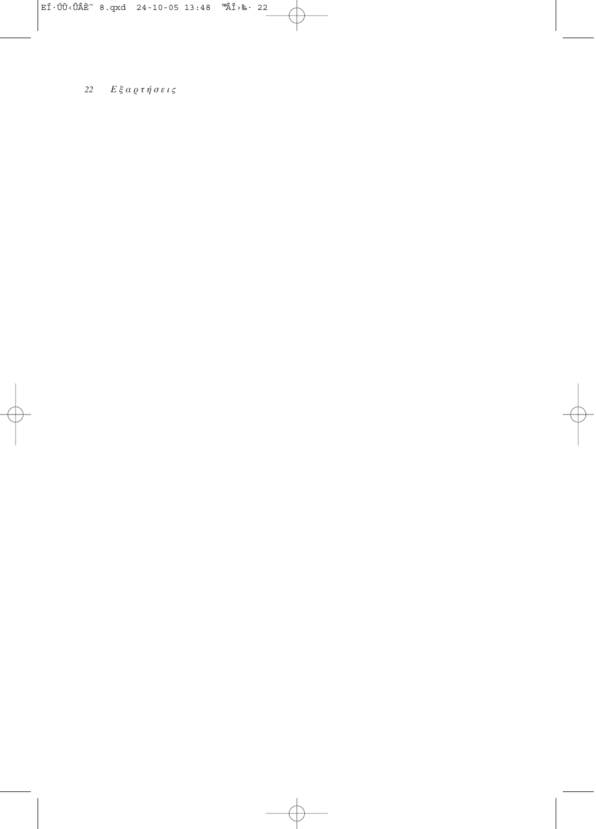22 *Εξαρτήσεις*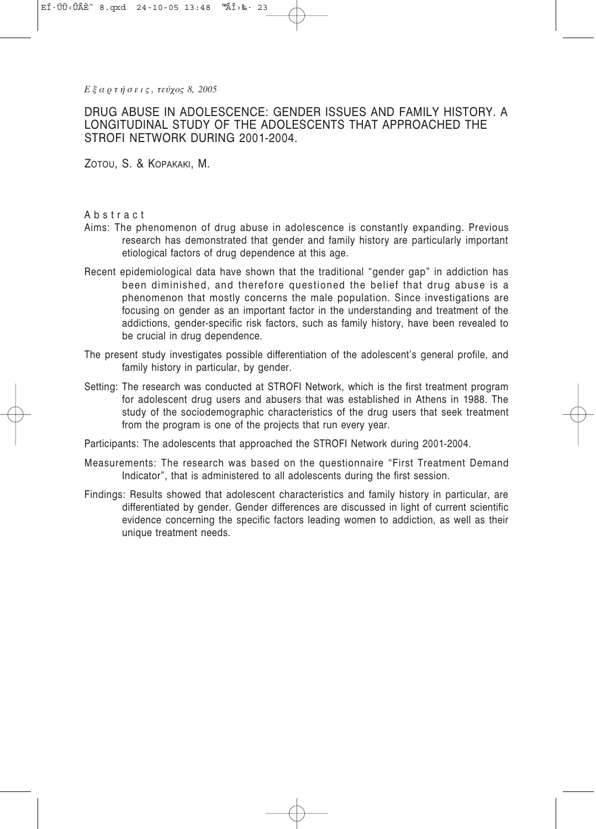$E \xi a \varrho \tau \eta \sigma \varepsilon \iota$ ς, τεύχος 8, 2005

DRUG ABUSE IN ADOLESCENCE: GENDER ISSUES AND FAMILY HISTORY. A LONGITUDINAL STUDY OF THE ADOLESCENTS THAT APPROACHED THE STROFI NETWORK DURING 2001-2004.

ZOTOU, S. & KOPAKAKI, M.

Abstract

- Aims: The phenomenon of drug abuse in adolescence is constantly expanding. Previous research has demonstrated that gender and family history are particularly important etiological factors of drug dependence at this age.
- Recent epidemiological data have shown that the traditional "gender gap" in addiction has been diminished, and therefore questioned the belief that drug abuse is a phenomenon that mostly concerns the male population. Since investigations are focusing on gender as an important factor in the understanding and treatment of the addictions, gender-specific risk factors, such as family history, have been revealed to be crucial in drug dependence.
- The present study investigates possible differentiation of the adolescent's general profile, and family history in particular, by gender.
- Setting: The research was conducted at STROFI Network, which is the first treatment program for adolescent drug users and abusers that was established in Athens in 1988. The study of the sociodemographic characteristics of the drug users that seek treatment from the program is one of the projects that run every year.

Participants: The adolescents that approached the STROFI Network during 2001-2004.

- Measurements: The research was based on the questionnaire "First Treatment Demand" Indicator", that is administered to all adolescents during the first session.
- Findings: Results showed that adolescent characteristics and family history in particular, are differentiated by gender. Gender differences are discussed in light of current scientific evidence concerning the specific factors leading women to addiction, as well as their unique treatment needs.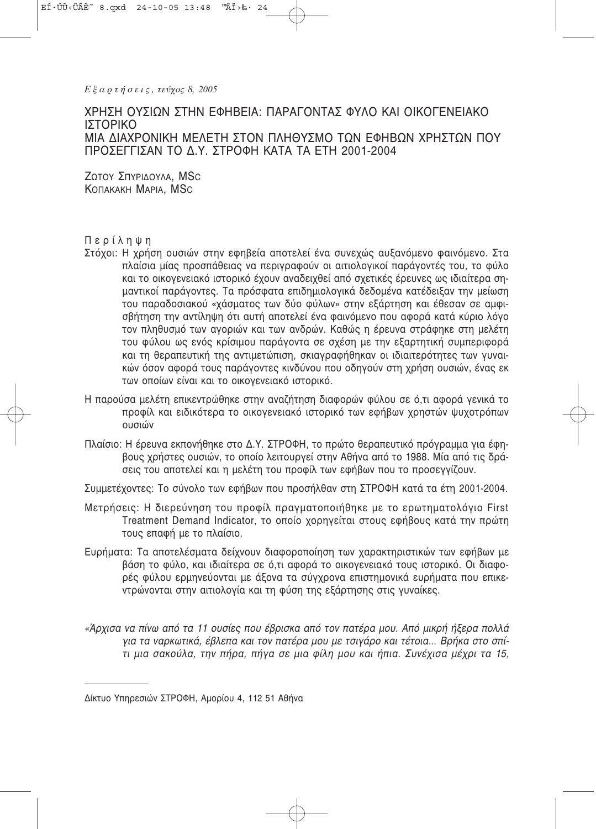$E \xi a \varrho \tau \eta \sigma \varepsilon \iota$ ς, τεύχος 8, 2005

# ΧΡΗΣΗ ΟΥΣΙΩΝ ΣΤΗΝ ΕΦΗΒΕΙΑ: ΠΑΡΑΓΟΝΤΑΣ ΦΥΛΟ ΚΑΙ ΟΙΚΟΓΕΝΕΙΑΚΟ ΙΣΤΟΡΙΚΟ ΜΙΑ ΔΙΑΧΡΟΝΙΚΗ ΜΕΛΕΤΗ ΣΤΟΝ ΠΛΗΘΥΣΜΟ ΤΩΝ ΕΦΗΒΩΝ ΧΡΗΣΤΩΝ ΠΟΥ ΠΡΟΣΕΓΓΙΣΑΝ ΤΟ Δ.Υ. ΣΤΡΟΦΗ ΚΑΤΑ ΤΑ ΕΤΗ 2001-2004

ΖΩΤΟΥ ΣΠΥΡΙΔΟΥΛΑ, MSC **KONAKAKH MAPIA, MSC** 

Περίληψη

- Στόχοι: Η χρήση ουσιών στην εφηβεία αποτελεί ένα συνεχώς αυξανόμενο φαινόμενο. Στα πλαίσια μίας προσπάθειας να περιγραφούν οι αιτιολογικοί παράγοντές του, το φύλο και το οικονενειακό ιστορικό έχουν αναδειχθεί από σχετικές έρευνες ως ιδιαίτερα σημαντικοί παράγοντες. Τα πρόσφατα επιδημιολογικά δεδομένα κατέδειξαν την μείωση του παραδοσιακού «χάσματος των δύο φύλων» στην εξάρτηση και έθεσαν σε αμφισβήτηση την αντίληψη ότι αυτή αποτελεί ένα φαινόμενο που αφορά κατά κύριο λόγο τον πληθυσμό των αγοριών και των ανδρών. Καθώς η έρευνα στράφηκε στη μελέτη του φύλου ως ενός κρίσιμου παράνοντα σε σχέση με την εξαρτητική συμπεριφορά και τη θεραπευτική της αντιμετώπιση, σκιαγραφήθηκαν οι ιδιαιτερότητες των γυναικών όσον αφορά τους παράγοντες κινδύνου που οδηγούν στη χρήση ουσιών, ένας εκ των οποίων είναι και το οικογενειακό ιστορικό.
- Η παρούσα μελέτη επικεντρώθηκε στην αναζήτηση διαφορών φύλου σε ό,τι αφορά γενικά το προφίλ και ειδικότερα το οικογενειακό ιστορικό των εφήβων χρηστών ψυχοτρόπων ουσιών
- Πλαίσιο: Η έρευνα εκπονήθηκε στο Δ.Υ. ΣΤΡΟΦΗ, το πρώτο θεραπευτικό πρόγραμμα για έφηβους χρήστες ουσιών, το οποίο λειτουργεί στην Αθήνα από το 1988. Μία από τις δράσεις του αποτελεί και η μελέτη του προφίλ των εφήβων που το προσεγγίζουν.

Συμμετέχοντες: Το σύνολο των εφήβων που προσήλθαν στη ΣΤΡΟΦΗ κατά τα έτη 2001-2004.

- Μετρήσεις: Η διερεύνηση του προφίλ πραγματοποιήθηκε με το ερωτηματολόγιο First Treatment Demand Indicator, το οποίο χορηγείται στους εφήβους κατά την πρώτη τους επαφή με το πλαίσιο.
- Ευρήματα: Τα αποτελέσματα δείχνουν διαφοροποίηση των χαρακτηριστικών των εφήβων με βάση το φύλο, και ιδιαίτερα σε ό,τι αφορά το οικογενειακό τους ιστορικό. Οι διαφορές φύλου ερμηνεύονται με άξονα τα σύγχρονα επιστημονικά ευρήματα που επικεντρώνονται στην αιτιολογία και τη φύση της εξάρτησης στις γυναίκες.
- «Άρχισα να πίνω από τα 11 ουσίες που έβρισκα από τον πατέρα μου. Από μικρή ήξερα πολλά για τα ναρκωτικά, έβλεπα και τον πατέρα μου με τσιγάρο και τέτοια... Βρήκα στο σπίτι μια σακούλα, την πήρα, πήγα σε μια φίλη μου και ήπια. Συνέχισα μέχρι τα 15,

Δίκτυο Υπηρεσιών ΣΤΡΟΦΗ, Αμορίου 4, 112 51 Αθήνα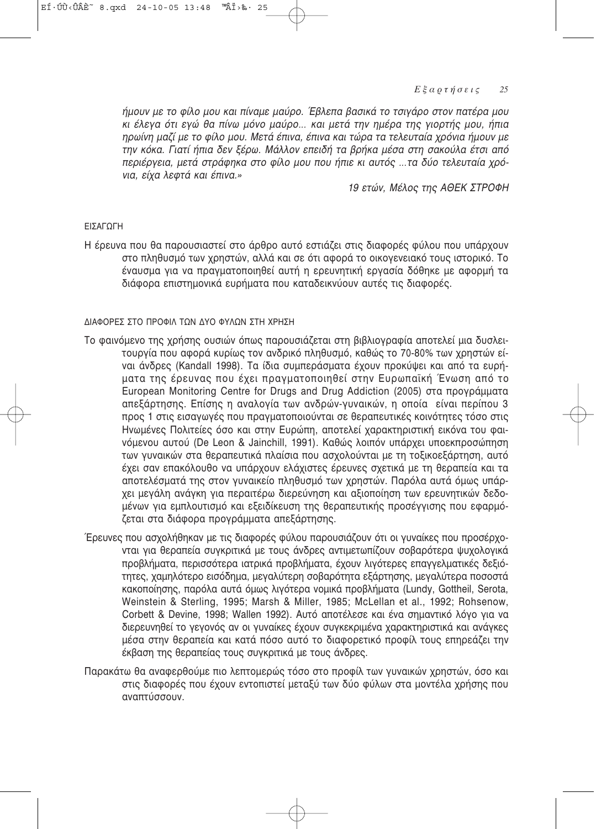ήμουν με το φίλο μου και πίναμε μαύρο. Έβλεπα βασικά το τσιγάρο στον πατέρα μου κι έλεγα ότι εγώ θα πίνω μόνο μαύρο... και μετά την ημέρα της γιορτής μου, ήπια ηρωίνη μαζί με το φίλο μου. Μετά έπινα, έπινα και τώρα τα τελευταία χρόνια ήμουν με την κόκα. Γιατί ήπια δεν ξέρω. Μάλλον επειδή τα βρήκα μέσα στη σακούλα έτσι από περιέργεια, μετά στράφηκα στο φίλο μου που ήπιε κι αυτός ...τα δύο τελευταία χρόνια, είχα λεφτά και έπινα.»

19 ετών, Μέλος της ΑΘΕΚ ΣΤΡΟΦΗ

# ΕΙΣΑΓΩΓΗ

Η έρευνα που θα παρουσιαστεί στο άρθρο αυτό εστιάζει στις διαφορές φύλου που υπάρχουν στο πληθυσμό των χρηστών, αλλά και σε ότι αφορά το οικογενειακό τους ιστορικό. Το έναυσμα για να πραγματοποιηθεί αυτή η ερευνητική εργασία δόθηκε με αφορμή τα διάφορα επιστημονικά ευρήματα που καταδεικνύουν αυτές τις διαφορές.

# ΛΙΑΦΩΡΕΣ ΣΤΩ ΠΡΩΦΙΛ ΤΩΝ ΛΥΩ ΦΥΛΩΝ ΣΤΗ ΧΡΗΣΗ

- Το φαινόμενο της χρήσης ουσιών όπως παρουσιάζεται στη βιβλιογραφία αποτελεί μια δυσλειτουργία που αφορά κυρίως τον ανδρικό πληθυσμό, καθώς το 70-80% των χρηστών είναι άνδρες (Kandall 1998). Τα ίδια συμπεράσματα έχουν προκύψει και από τα ευρήματα της έρευνας που έχει πραγματοποιηθεί στην Ευρωπαϊκή Ένωση από το European Monitoring Centre for Drugs and Drug Addiction (2005) στα προγράμματα απεξάρτησης. Επίσης η αναλογία των ανδρών-γυναικών, η οποία είναι περίπου 3 προς 1 στις εισαγωγές που πραγματοποιούνται σε θεραπευτικές κοινότητες τόσο στις Ηνωμένες Πολιτείες όσο και στην Ευρώπη, αποτελεί χαρακτηριστική εικόνα του φαινόμενου αυτού (De Leon & Jainchill, 1991). Καθώς λοιπόν υπάρχει υποεκπροσώπηση των γυναικών στα θεραπευτικά πλαίσια που ασχολούνται με τη τοξικοεξάρτηση, αυτό έχει σαν επακόλουθο να υπάρχουν ελάχιστες έρευνες σχετικά με τη θεραπεία και τα αποτελέσματά της στον γυναικείο πληθυσμό των χρηστών. Παρόλα αυτά όμως υπάρχει μεγάλη ανάγκη για περαιτέρω διερεύνηση και αξιοποίηση των ερευνητικών δεδομένων για εμπλουτισμό και εξειδίκευση της θεραπευτικής προσέγγισης που εφαρμόζεται στα διάφορα προγράμματα απεξάρτησης.
- Έρευνες που ασχολήθηκαν με τις διαφορές φύλου παρουσιάζουν ότι οι γυναίκες που προσέρχονται για θεραπεία συγκριτικά με τους άνδρες αντιμετωπίζουν σοβαρότερα ψυχολογικά προβλήματα, περισσότερα ιατρικά προβλήματα, έχουν λιγότερες επαγγελματικές δεξιότητες, χαμηλότερο εισόδημα, μεγαλύτερη σοβαρότητα εξάρτησης, μεγαλύτερα ποσοστά κακοποίησης, παρόλα αυτά όμως λιγότερα νομικά προβλήματα (Lundy, Gottheil, Serota, Weinstein & Sterling, 1995; Marsh & Miller, 1985; McLellan et al., 1992; Rohsenow, Corbett & Devine, 1998; Wallen 1992). Αυτό αποτέλεσε και ένα σημαντικό λόγο για να διερευνηθεί το γεγονός αν οι γυναίκες έχουν συγκεκριμένα χαρακτηριστικά και ανάγκες μέσα στην θεραπεία και κατά πόσο αυτό το διαφορετικό προφίλ τους επηρεάζει την έκβαση της θεραπείας τους συγκριτικά με τους άνδρες.
- Παρακάτω θα αναφερθούμε πιο λεπτομερώς τόσο στο προφίλ των γυναικών χρηστών, όσο και στις διαφορές που έχουν εντοπιστεί μεταξύ των δύο φύλων στα μοντέλα χρήσης που αναπτύσσουν.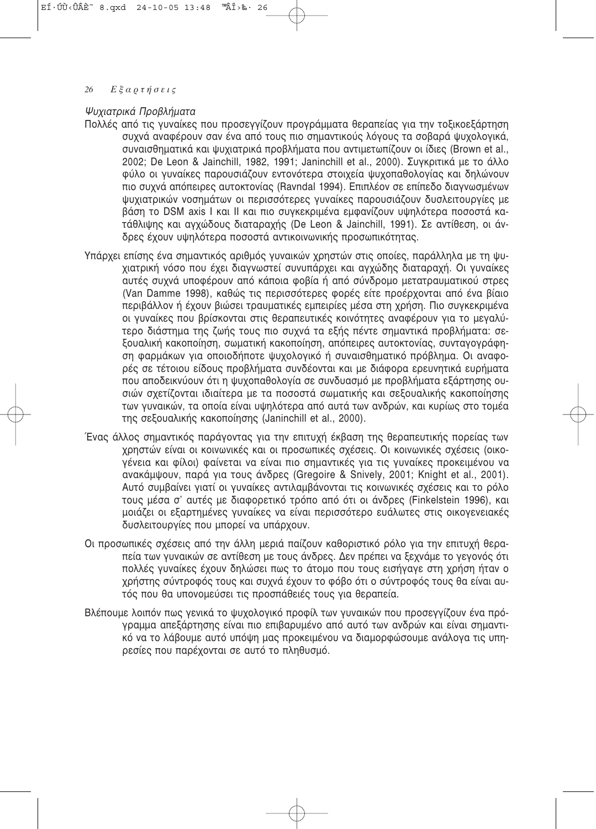#### 26 Εξαρτήσεις

# Ψυχιατρικά Προβλήματα

- Πολλές από τις γυναίκες που προσεγγίζουν προγράμματα θεραπείας για την τοξικοεξάρτηση συχνά αναφέρουν σαν ένα από τους πιο σημαντικούς λόγους τα σοβαρά ψυχολογικά, συναισθηματικά και ψυχιατρικά προβλήματα που αντιμετωπίζουν οι ίδιες (Brown et al., 2002; De Leon & Jainchill, 1982, 1991; Janinchill et al., 2000). Συγκριτικά με το άλλο φύλο οι γυναίκες παρουσιάζουν εντονότερα στοιχεία ψυχοπαθολογίας και δηλώνουν πιο συχνά απόπειρες αυτοκτονίας (Ravndal 1994). Επιπλέον σε επίπεδο διαγνωσμένων ψυχιατρικών νοσημάτων οι περισσότερες γυναίκες παρουσιάζουν δυσλειτουργίες με βάση το DSM axis I και II και πιο συγκεκριμένα εμφανίζουν υψηλότερα ποσοστά κατάθλιψης και ανχώδους διαταραχής (De Leon & Jainchill, 1991). Σε αντίθεση, οι άνδρες έχουν υψηλότερα ποσοστά αντικοινωνικής προσωπικότητας.
- Υπάρχει επίσης ένα σημαντικός αριθμός γυναικών χρηστών στις οποίες, παράλληλα με τη ψυχιατρική νόσο που έχει διαγνωστεί συνυπάρχει και αγχώδης διαταραχή. Οι γυναίκες αυτές συχνά υποφέρουν από κάποια φοβία ή από σύνδρομο μετατραυματικού στρες (Van Damme 1998), καθώς τις περισσότερες φορές είτε προέρχονται από ένα βίαιο περιβάλλον ή έχουν βιώσει τραυματικές εμπειρίες μέσα στη χρήση. Πιο συγκεκριμένα οι γυναίκες που βρίσκονται στις θεραπευτικές κοινότητες αναφέρουν για το μεγαλύτερο διάστημα της ζωής τους πιο συχνά τα εξής πέντε σημαντικά προβλήματα: σεξουαλική κακοποίηση, σωματική κακοποίηση, απόπειρες αυτοκτονίας, συνταγογράφηση φαρμάκων για οποιοδήποτε ψυχολογικό ή συναισθηματικό πρόβλημα. Οι αναφορές σε τέτοιου είδους προβλήματα συνδέονται και με διάφορα ερευνητικά ευρήματα που αποδεικνύουν ότι η ψυχοπαθολογία σε συνδυασμό με προβλήματα εξάρτησης ουσιών σχετίζονται ιδιαίτερα με τα ποσοστά σωματικής και σεξουαλικής κακοποίησης των γυναικών, τα οποία είναι υψηλότερα από αυτά των ανδρών, και κυρίως στο τομέα της σεξουαλικής κακοποίησης (Janinchill et al., 2000).
- Ένας άλλος σημαντικός παράγοντας για την επιτυχή έκβαση της θεραπευτικής πορείας των χρηστών είναι οι κοινωνικές και οι προσωπικές σχέσεις. Οι κοινωνικές σχέσεις (οικογένεια και φίλοι) φαίνεται να είναι πιο σημαντικές για τις γυναίκες προκειμένου να ανακάμψουν, παρά για τους άνδρες (Gregoire & Snively, 2001; Knight et al., 2001). Αυτό συμβαίνει γιατί οι γυναίκες αντιλαμβάνονται τις κοινωνικές σχέσεις και το ρόλο τους μέσα σ' αυτές με διαφορετικό τρόπο από ότι οι άνδρες (Finkelstein 1996), και μοιάζει οι εξαρτημένες γυναίκες να είναι περισσότερο ευάλωτες στις οικογενειακές δυσλειτουργίες που μπορεί να υπάρχουν.
- Οι προσωπικές σχέσεις από την άλλη μεριά παίζουν καθοριστικό ρόλο για την επιτυχή θεραπεία των γυναικών σε αντίθεση με τους άνδρες. Δεν πρέπει να ξεχνάμε το γεγονός ότι πολλές γυναίκες έχουν δηλώσει πως το άτομο που τους εισήγαγε στη χρήση ήταν ο χρήστης σύντροφός τους και συχνά έχουν το φόβο ότι ο σύντροφός τους θα είναι αυτός που θα υπονομεύσει τις προσπάθειές τους για θεραπεία.
- Βλέπουμε λοιπόν πως γενικά το ψυχολογικό προφίλ των γυναικών που προσεγγίζουν ένα πρόγραμμα απεξάρτησης είναι πιο επιβαρυμένο από αυτό των ανδρών και είναι σημαντικό να το λάβουμε αυτό υπόψη μας προκειμένου να διαμορφώσουμε ανάλογα τις υπηρεσίες που παρέχονται σε αυτό το πληθυσμό.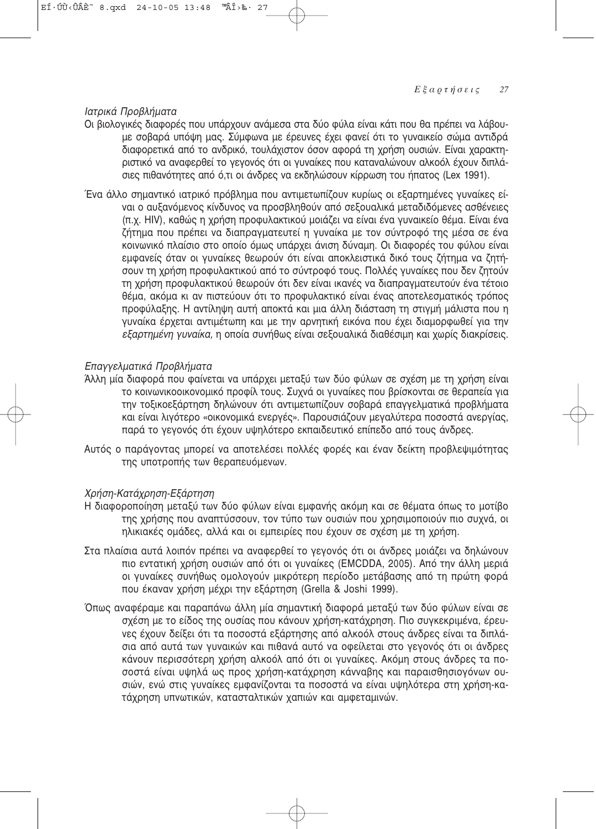# *Ιατρικά Προβλήματα*

- Οι βιολογικές διαφορές που υπάρχουν ανάμεσα στα δύο φύλα είναι κάτι που θα πρέπει να λάβουμε σοβαρά υπόψη μας. Σύμφωνα με έρευνες έχει φανεί ότι το γυναικείο σώμα αντιδρά διαφορετικά από το ανδρικό, τουλάχιστον όσον αφορά τη χρήση ουσιών. Είναι χαρακτηριστικό να αναφερθεί το γεγονός ότι οι γυναίκες που καταναλώνουν αλκοόλ έχουν διπλάσιες πιθανότητες από ό,τι οι άνδρες να εκδηλώσουν κίρρωση του ήπατος (Lex 1991).
- Ένα άλλο σημαντικό ιατρικό πρόβλημα που αντιμετωπίζουν κυρίως οι εξαρτημένες γυναίκες είναι ο αυξανόμενος κίνδυνος να προσβληθούν από σεξουαλικά μεταδιδόμενες ασθένειες (π.χ. HIV), καθώς η χρήση προφυλακτικού μοιάζει να είναι ένα γυναικείο θέμα. Είναι ένα ζήτημα που πρέπει να διαπραγματευτεί η γυναίκα με τον σύντροφό της μέσα σε ένα κοινωνικό πλαίσιο στο οποίο όμως υπάρχει άνιση δύναμη. Οι διαφορές του φύλου είναι εμφανείς όταν οι γυναίκες θεωρούν ότι είναι αποκλειστικά δικό τους ζήτημα να ζητήσουν τη χρήση προφυλακτικού από το σύντροφό τους. Πολλές γυναίκες που δεν ζητούν τη χρήση προφυλακτικού θεωρούν ότι δεν είναι ικανές να διαπραγματευτούν ένα τέτοιο θέμα, ακόμα κι αν πιστεύουν ότι το προφυλακτικό είναι ένας αποτελεσματικός τρόπος προφύλαξης. Η αντίληψη αυτή αποκτά και μια άλλη διάσταση τη στιγμή μάλιστα που η γυναίκα έρχεται αντιμέτωπη και με την αρνητική εικόνα που έχει διαμορφωθεί για την *εξαρτημένη γυναίκα, η οποία συνήθως είναι σεξουαλικά διαθέσιμη και χωρίς διακρίσεις.*

# *Επαγγελματικά Προβλήματα*

- Άλλη μία διαφορά που φαίνεται να υπάρχει μεταξύ των δύο φύλων σε σχέση με τη χρήση είναι το κοινωνικοοικονομικό προφίλ τους. Συχνά οι γυναίκες που βρίσκονται σε θεραπεία για την τοξικοεξάρτηση δηλώνουν ότι αντιμετωπίζουν σοβαρά επαγγελματικά προβλήματα και είναι λιγότερο «οικονομικά ενεργές». Παρουσιάζουν μεγαλύτερα ποσοστά ανεργίας, τιαρά το γεγονός ότι έχουν υψηλότερο εκπαιδευτικό επίπεδο από τους άνδρες.
- Aυτός ο παράγοντας μπορεί να αποτελέσει πολλές φορές και έναν δείκτη προβλεψιμότητας της υποτροπής των θεραπευόμενων.

# *Xρήση-Κατάχρηση-Εξάρτηση*

- Η διαφοροποίηση μεταξύ των δύο φύλων είναι εμφανής ακόμη και σε θέματα όπως το μοτίβο της χρήσης που αναπτύσσουν, τον τύπο των ουσιών που χρησιμοποιούν πιο συχνά, οι ηλικιακές ομάδες, αλλά και οι εμπειρίες που έχουν σε σχέση με τη χρήση.
- Στα πλαίσια αυτά λοιπόν πρέπει να αναφερθεί το γεγονός ότι οι άνδρες μοιάζει να δηλώνουν πιο εντατική χρήση ουσιών από ότι οι γυναίκες (EMCDDA, 2005). Από την άλλη μεριά οι γυναίκες συνήθως ομολογούν μικρότερη περίοδο μετάβασης από τη πρώτη φορά που έκαναν χρήση μέχρι την εξάρτηση (Grella & Joshi 1999).
- Όπως αναφέραμε και παραπάνω άλλη μία σημαντική διαφορά μεταξύ των δύο φύλων είναι σε σχέση με το είδος της ουσίας που κάνουν χρήση-κατάχρηση. Πιο συγκεκριμένα, έρευνες έχουν δείξει ότι τα ποσοστά εξάρτησης από αλκοόλ στους άνδρες είναι τα διπλάσια από αυτά των γυναικών και πιθανά αυτό να οφείλεται στο γεγονός ότι οι άνδρες κάνουν περισσότερη χρήση αλκοόλ από ότι οι γυναίκες. Ακόμη στους άνδρες τα ποσοστά είναι υψηλά ως προς χρήση-κατάχρηση κάνναβης και παραισθησιογόνων ουσιών, ενώ στις γυναίκες εμφανίζονται τα ποσοστά να είναι υψηλότερα στη χρήση-κατάχρηση υπνωτικών, κατασταλτικών χαπιών και αμφεταμινών.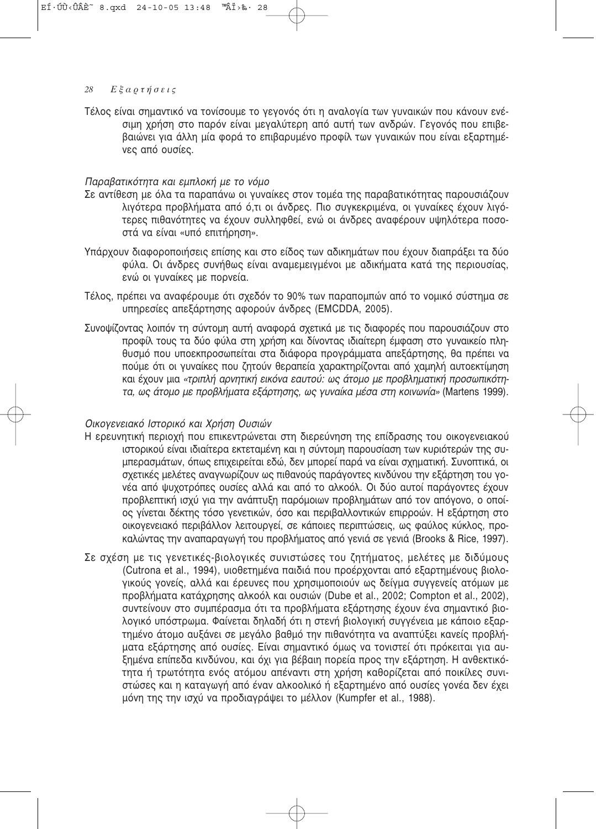Τέλος είναι σημαντικό να τονίσουμε το γεγονός ότι η αναλογία των γυναικών που κάνουν ενέσιμη χρήση στο παρόν είναι μεγαλύτερη από αυτή των ανδρών. Γεγονός που επιβεβαιώνει για άλλη μία φορά το επιβαρυμένο προφίλ των γυναικών που είναι εξαρτημένες από ουσίες.

# *Παραβατικότητα και εμπλοκή με το νόμο*

- Σε αντίθεση με όλα τα παραπάνω οι γυναίκες στον τομέα της παραβατικότητας παρουσιάζουν λιγότερα προβλήματα από ό,τι οι άνδρες. Πιο συγκεκριμένα, οι γυναίκες έχουν λιγότερες πιθανότητες να έχουν συλληφθεί, ενώ οι άνδρες αναφέρουν υψηλότερα ποσοστά να είναι «υπό επιτήρηση».
- Υπάρχουν διαφοροποιήσεις επίσης και στο είδος των αδικημάτων που έχουν διαπράξει τα δύο φύλα. Οι άνδρες συνήθως είναι αναμεμειγμένοι με αδικήματα κατά της περιουσίας, ενώ οι γυναίκες με πορνεία.
- Τέλος, πρέπει να αναφέρουμε ότι σχεδόν το 90% των παραπομπών από το νομικό σύστημα σε υπηρεσίες απεξάρτησης αφορούν άνδρες (EMCDDA, 2005).
- Συνοψίζοντας λοιπόν τη σύντομη αυτή αναφορά σχετικά με τις διαφορές που παρουσιάζουν στο προφίλ τους τα δύο φύλα στη χρήση και δίνοντας ιδιαίτερη έμφαση στο γυναικείο πληθυσμό που υποεκπροσωπείται στα διάφορα προγράμματα απεξάρτησης, θα πρέπει να πούμε ότι οι γυναίκες που ζητούν θεραπεία χαρακτηρίζονται από χαμηλή αυτοεκτίμηση και έχουν μια «τριπλή αρνητική εικόνα εαυτού: ως άτομο με προβληματική προσωπικότη-*Ù·, ˆ˜ ¿ÙÔÌÔ Ì ÚԂϋ̷ٷ ÂÍ¿ÚÙËÛ˘, ˆ˜ Á˘Ó·›Î· ̤۷ ÛÙË ÎÔÈÓˆÓ›·»* (Martens 1999).

# Οικογενειακό Ιστορικό και Χρήση Ουσιών

- Η ερευνητική περιοχή που επικεντρώνεται στη διερεύνηση της επίδρασης του οικογενειακού ιστορικού είναι ιδιαίτερα εκτεταμένη και η σύντομη παρουσίαση των κυριότερών της συμπερασμάτων, όπως επιχειρείται εδώ, δεν μπορεί παρά να είναι σχηματική. Συνοπτικά, οι σχετικές μελέτες αναγνωρίζουν ως πιθανούς παράγοντες κινδύνου την εξάρτηση του γονέα από ψυχοτρόπες ουσίες αλλά και από το αλκοόλ. Οι δύο αυτοί παράγοντες έχουν προβλεπτική ισχύ για την ανάπτυξη παρόμοιων προβλημάτων από τον απόγονο, ο οποίος γίνεται δέκτης τόσο γενετικών, όσο και περιβαλλοντικών επιρροών. Η εξάρτηση στο οικογενειακό περιβάλλον λειτουργεί, σε κάποιες περιπτώσεις, ως φαύλος κύκλος, προκαλώντας την αναπαραγωγή του προβλήματος από γενιά σε γενιά (Brooks & Rice, 1997).
- Σε σχέση με τις γενετικές-βιολογικές συνιστώσες του ζητήματος, μελέτες με διδύμους (Cutrona et al., 1994), υιοθετημένα παιδιά που προέρχονται από εξαρτημένους βιολογικούς γονείς, αλλά και έρευνες που χρησιμοποιούν ως δείγμα συγγενείς ατόμων με προβλήματα κατάχρησης αλκοόλ και ουσιών (Dube et al., 2002; Compton et al., 2002), συντείνουν στο συμπέρασμα ότι τα προβλήματα εξάρτησης έχουν ένα σημαντικό βιολογικό υπόστρωμα. Φαίνεται δηλαδή ότι η στενή βιολογική συγγένεια με κάποιο εξαρτημένο άτομο αυξάνει σε μεγάλο βαθμό την πιθανότητα να αναπτύξει κανείς προβλήματα εξάρτησης από ουσίες. Είναι σημαντικό όμως να τονιστεί ότι πρόκειται για αυξημένα επίπεδα κινδύνου, και όχι για βέβαιη πορεία προς την εξάρτηση. Η ανθεκτικότητα ή τρωτότητα ενός ατόμου απέναντι στη χρήση καθορίζεται από ποικίλες συνιστώσες και η καταγωγή από έναν αλκοολικό ή εξαρτημένο από ουσίες γονέα δεν έχει μόνη της την ισχύ να προδιαγράψει το μέλλον (Kumpfer et al., 1988).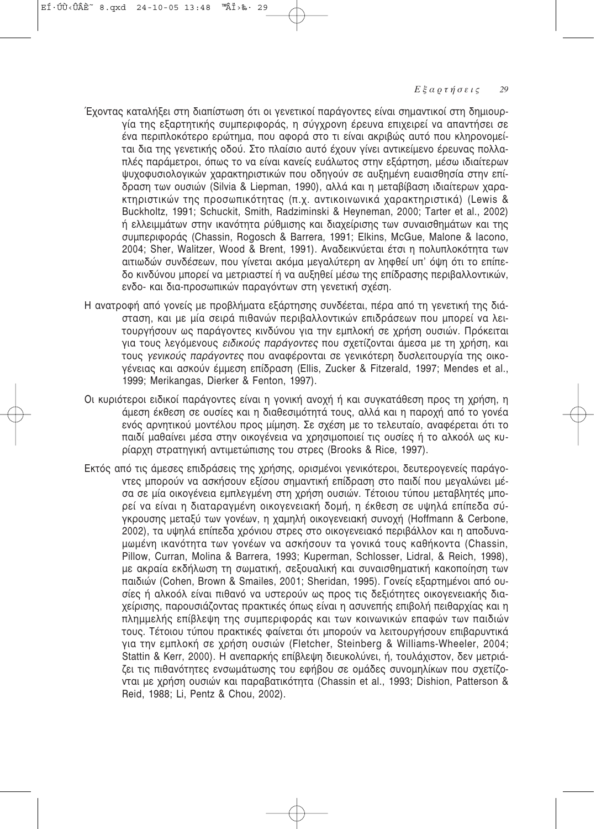#### *<i>Eξαρτήσεις* 29

Έχοντας καταλήξει στη διαπίστωση ότι οι γενετικοί παράγοντες είναι σημαντικοί στη δημιουργία της εξαρτητικής συμπεριφοράς, η σύγχρονη έρευνα επιχειρεί να απαντήσει σε ένα περιπλοκότερο ερώτημα, που αφορά στο τι είναι ακριβώς αυτό που κληρονομείται δια της γενετικής οδού. Στο πλαίσιο αυτό έχουν γίνει αντικείμενο έρευνας πολλαπλές παράμετροι, όπως το να είναι κανείς ευάλωτος στην εξάρτηση, μέσω ιδιαίτερων ψυχοφυσιολογικών χαρακτηριστικών που οδηγούν σε αυξημένη ευαισθησία στην επίδραση των ουσιών (Silvia & Liepman, 1990), αλλά και η μεταβίβαση ιδιαίτερων χαρα-Κτηριστικών της προσωπικότητας (π.χ. αντικοινωνικά χαρακτηριστικά) (Lewis & Buckholtz, 1991; Schuckit, Smith, Radziminski & Heyneman, 2000; Tarter et al., 2002) ή ελλειμμάτων στην ικανότητα ρύθμισης και διαχείρισης των συναισθημάτων και της συμπεριφοράς (Chassin, Rogosch & Barrera, 1991; Elkins, McGue, Malone & Iacono, 2004; Sher, Walitzer, Wood & Brent, 1991). Αναδεικνύεται έτσι η πολυπλοκότητα των αιτιωδών συνδέσεων, που γίνεται ακόμα μεγαλύτερη αν ληφθεί υπ' όψη ότι το επίπεδο κινδύνου μπορεί να μετριαστεί ή να αυξηθεί μέσω της επίδρασης περιβαλλοντικών, ενδο- και δια-προσωπικών παρανόντων στη νενετική σχέση.

- Η ανατροφή από γονείς με προβλήματα εξάρτησης συνδέεται, πέρα από τη γενετική της διάσταση, και με μία σειρά πιθανών περιβαλλοντικών επιδράσεων που μπορεί να λειτουργήσουν ως παράγοντες κινδύνου για την εμπλοκή σε χρήση ουσιών. Πρόκειται για τους λεγόμενους *ειδικούς παράγοντες* που σχετίζονται άμεσα με τη χρήση, και τους γενικούς παράγοντες που αναφέρονται σε γενικότερη δυσλειτουργία της οικογένειας και ασκούν έμμεση επίδραση (Ellis, Zucker & Fitzerald, 1997; Mendes et al., 1999; Merikangas, Dierker & Fenton, 1997).
- Οι κυριότεροι ειδικοί παράγοντες είναι η γονική ανοχή ή και συγκατάθεση προς τη χρήση, η άμεση έκθεση σε ουσίες και η διαθεσιμότητά τους, αλλά και η παροχή από το γονέα ενός αρνητικού μοντέλου προς μίμηση. Σε σχέση με το τελευταίο, αναφέρεται ότι το παιδί μαθαίνει μέσα στην οικογένεια να χρησιμοποιεί τις ουσίες ή το αλκοόλ ως κυρίαρχη στρατηγική αντιμετώπισης του στρες (Brooks & Rice, 1997).
- Εκτός από τις άμεσες επιδράσεις της χρήσης, ορισμένοι γενικότεροι, δευτερογενείς παράγο-VΤες μπορούν να ασκήσουν εξίσου σημαντική επίδραση στο παιδί που μεγαλώνει μέσα σε μία οικογένεια εμπλεγμένη στη χρήση ουσιών. Τέτοιου τύπου μεταβλητές μπορεί να είναι η διαταραγμένη οικογενειακή δομή, η έκθεση σε υψηλά επίπεδα σύγκρουσης μεταξύ των γονέων, η χαμηλή οικογενειακή συνοχή (Hoffmann & Cerbone, 2002), τα υψηλά επίπεδα χρόνιου στρες στο οικογενειακό περιβάλλον και η αποδυναμωμένη ικανότητα των γονέων να ασκήσουν τα γονικά τους καθήκοντα (Chassin, Pillow, Curran, Molina & Barrera, 1993; Kuperman, Schlosser, Lidral, & Reich, 1998), με ακραία εκδήλωση τη σωματική, σεξουαλική και συναισθηματική κακοποίηση των παιδιών (Cohen, Brown & Smailes, 2001; Sheridan, 1995). Γονείς εξαρτημένοι από ουσίες ή αλκοόλ είναι πιθανό να υστερούν ως προς τις δεξιότητες οικογενειακής διαχείρισης, παρουσιάζοντας πρακτικές όπως είναι η ασυνεπής επιβολή πειθαρχίας και η πλημμελής επίβλεψη της συμπεριφοράς και των κοινωνικών επαφών των παιδιών τους. Τέτοιου τύπου πρακτικές φαίνεται ότι μπορούν να λειτουργήσουν επιβαρυντικά για την εμπλοκή σε χρήση ουσιών (Fletcher, Steinberg & Williams-Wheeler, 2004; Stattin & Kerr, 2000). Η ανεπαρκής επίβλεψη διευκολύνει, ή, τουλάχιστον, δεν μετριάζει τις πιθανότητες ενσωμάτωσης του εφήβου σε ομάδες συνομηλίκων που σχετίζονται με χρήση ουσιών και παραβατικότητα (Chassin et al., 1993; Dishion, Patterson & Reid, 1988; Li, Pentz & Chou, 2002).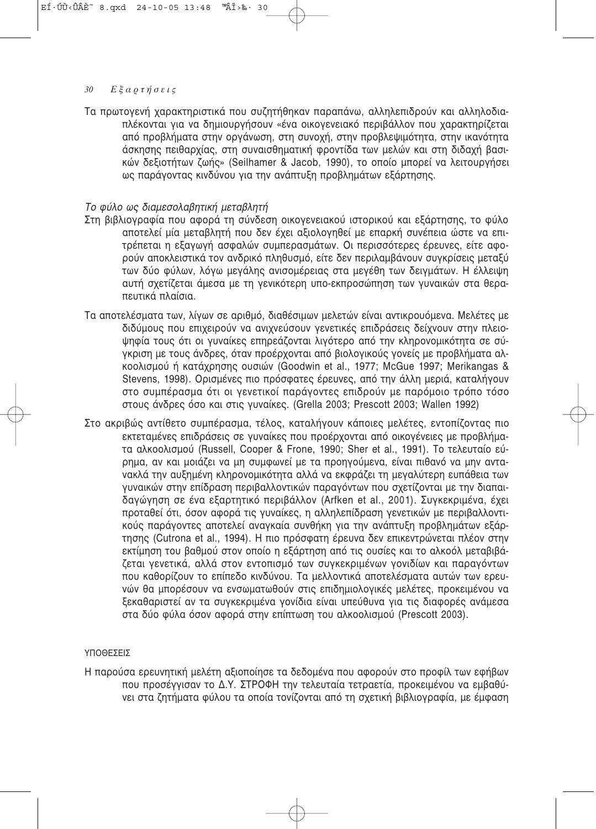Τα πρωτογενή χαρακτηριστικά που συζητήθηκαν παραπάνω, αλληλεπιδρούν και αλληλοδιαπλέκονται για να δημιουργήσουν «ένα οικογενειακό περιβάλλον που χαρακτηρίζεται από προβλήματα στην οργάνωση, στη συνοχή, στην προβλεψιμότητα, στην ικανότητα άσκησης πειθαρχίας, στη συναισθηματική φροντίδα των μελών και στη διδαχή βασι-Kών δεξιοτήτων ζωής» (Seilhamer & Jacob, 1990), το οποίο μπορεί να λειτουργήσει ως παράγοντας κινδύνου για την ανάπτυξη προβλημάτων εξάρτησης.

# *Το φύλο ως διαμεσολαβητική μεταβλητή*

- Στη βιβλιογραφία που αφορά τη σύνδεση οικογενειακού ιστορικού και εξάρτησης, το φύλο αποτελεί μία μεταβλητή που δεν έχει αξιολογηθεί με επαρκή συνέπεια ώστε να επιτρέπεται η εξαγωγή ασφαλών συμπερασμάτων. Οι περισσότερες έρευνες, είτε αφορούν αποκλειστικά τον ανδρικό πληθυσμό, είτε δεν περιλαμβάνουν συγκρίσεις μεταξύ των δύο φύλων, λόγω μεγάλης ανισομέρειας στα μεγέθη των δειγμάτων. Η έλλειψη αυτή σχετίζεται άμεσα με τη γενικότερη υπο-εκπροσώπηση των γυναικών στα θεραπευτικά πλαίσια.
- Τα αποτελέσματα των, λίγων σε αριθμό, διαθέσιμων μελετών είναι αντικρουόμενα. Μελέτες με διδύμους που επιχειρούν να ανιχνεύσουν γενετικές επιδράσεις δείχνουν στην πλειοψηφία τους ότι οι γυναίκες επηρεάζονται λιγότερο από την κληρονομικότητα σε σύγκριση με τους άνδρες, όταν προέρχονται από βιολογικούς γονείς με προβλήματα αλκοολισμού ή κατάχρησης ουσιών (Goodwin et al., 1977; McGue 1997; Merikangas & Stevens, 1998). Ορισμένες πιο πρόσφατες έρευνες, από την άλλη μεριά, καταλήγουν στο συμπέρασμα ότι οι γενετικοί παράγοντες επιδρούν με παρόμοιο τρόπο τόσο στους άνδρες όσο και στις γυναίκες. (Grella 2003; Prescott 2003; Wallen 1992)
- Στο ακριβώς αντίθετο συμπέρασμα, τέλος, καταλήγουν κάποιες μελέτες, εντοπίζοντας πιο εκτεταμένες επιδράσεις σε γυναίκες που προέρχονται από οικογένειες με προβλήματα αλκοολισμού (Russell, Cooper & Frone, 1990; Sher et al., 1991). Το τελευταίο εύρημα, αν και μοιάζει να μη συμφωνεί με τα προηγούμενα, είναι πιθανό να μην ανταvακλά την αυξημένη κληρονομικότητα αλλά να εκφράζει τη μεγαλύτερη ευπάθεια των γυναικών στην επίδραση περιβαλλοντικών παραγόντων που σχετίζονται με την διαπαιδαγώγηση σε ένα εξαρτητικό περιβάλλον (Arfken et al., 2001). Συγκεκριμένα, έχει προταθεί ότι, όσον αφορά τις γυναίκες, η αλληλεπίδραση γενετικών με περιβαλλοντικούς παράγοντες αποτελεί αναγκαία συνθήκη για την ανάπτυξη προβλημάτων εξάρτησης (Cutrona et al., 1994). Η πιο πρόσφατη έρευνα δεν επικεντρώνεται πλέον στην εκτίμηση του βαθμού στον οποίο η εξάρτηση από τις ουσίες και το αλκοόλ μεταβιβάζεται γενετικά, αλλά στον εντοπισμό των συγκεκριμένων γονιδίων και παραγόντων που καθορίζουν το επίπεδο κινδύνου. Τα μελλοντικά αποτελέσματα αυτών των ερευνών θα μπορέσουν να ενσωματωθούν στις επιδημιολογικές μελέτες, προκειμένου να ξεκαθαριστεί αν τα συγκεκριμένα γονίδια είναι υπεύθυνα για τις διαφορές ανάμεσα στα δύο φύλα όσον αφορά στην επίπτωση του αλκοολισμού (Prescott 2003).

#### ΥΠΟΘΕΣΕΙΣ

Η παρούσα ερευνητική μελέτη αξιοποίησε τα δεδομένα που αφορούν στο προφίλ των εφήβων που προσέγγισαν το Δ.Υ. ΣΤΡΟΦΗ την τελευταία τετραετία, προκειμένου να εμβαθύνει στα ζητήματα φύλου τα οποία τονίζονται από τη σχετική βιβλιογραφία, με έμφαση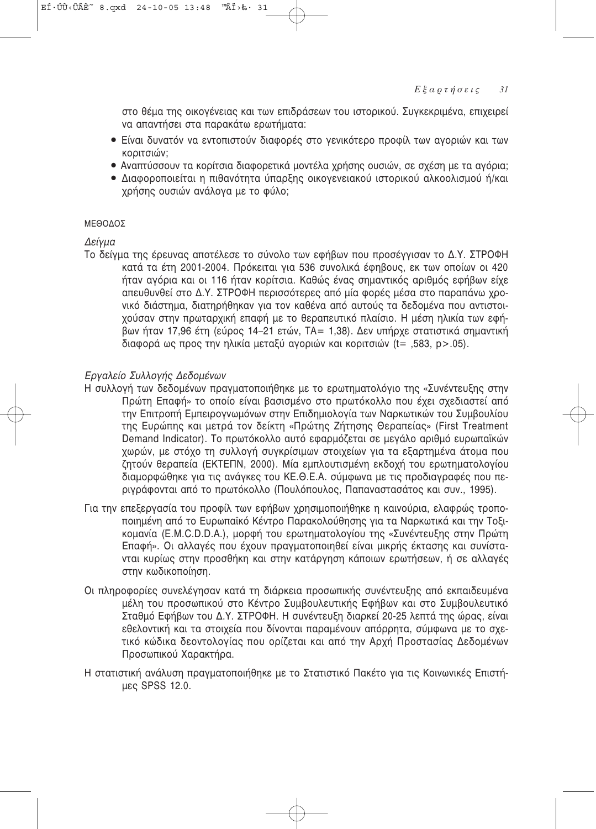#### *<i>Eξαρτήσεις* 31

EÍ·ÚÙ‹ÛÂȘ 8.qxd 24-10-05 13:48 ™ÂÏ›‰· 31

στο θέμα της οικογένειας και των επιδράσεων του ιστορικού. Συγκεκριμένα, επιχειρεί να απαντήσει στα παρακάτω ερωτήματα:

- $\bullet$  Είναι δυνατόν να εντοπιστούν διαφορές στο γενικότερο προφίλ των αγοριών και των ΚΟΟΙΤσιών:
- Αναπτύσσουν τα κορίτσια διαφορετικά μοντέλα χρήσης ουσιών, σε σχέση με τα αγόρια;
- Διαφοροποιείται η πιθανότητα ύπαρξης οικογενειακού ιστορικού αλκοολισμού ή/και χρήσης ουσιών ανάλογα με το φύλο;

#### ΜΕΘΟΔΟΣ

# $\Delta$ *είν*μα

Το δείγμα της έρευνας αποτέλεσε το σύνολο των εφήβων που προσέγγισαν το Δ.Υ. ΣΤΡΟΦΗ κατά τα έτη 2001-2004. Πρόκειται για 536 συνολικά έφηβους, εκ των οποίων οι 420 ήταν αγόρια και οι 116 ήταν κορίτσια. Καθώς ένας σημαντικός αριθμός εφήβων είχε απευθυνθεί στο Δ.Υ. ΣΤΡΟΦΗ περισσότερες από μία φορές μέσα στο παραπάνω χρονικό διάστημα, διατηρήθηκαν για τον καθένα από αυτούς τα δεδομένα που αντιστοιχούσαν στην πρωταρχική επαφή με το θεραπευτικό πλαίσιο. Η μέση ηλικία των εφή-Θων ήταν 17,96 έτη (εύρος 14–21 ετών, ΤΑ= 1,38). Δεν υπήρχε στατιστικά σημαντική διαφορά ως προς την ηλικία μεταξύ αγοριών και κοριτσιών (t= ,583, p>.05).

## *Εργαλείο Συλλογής Δεδομένων*

- Η συλλογή των δεδομένων πραγματοποιήθηκε με το ερωτηματολόγιο της «Συνέντευξης στην Πρώτη Επαφή» το οποίο είναι βασισμένο στο πρωτόκολλο που έχει σχεδιαστεί από την Επιτροπή Εμπειρογνωμόνων στην Επιδημιολογία των Ναρκωτικών του Συμβουλίου της Ευρώπης και μετρά τον δείκτη «Πρώτης Ζήτησης Θεραπείας» (First Treatment Demand Indicator). Το πρωτόκολλο αυτό εφαρμόζεται σε μενάλο αριθμό ευρωπαϊκών χωρών, με στόχο τη συλλογή συγκρίσιμων στοιχείων για τα εξαρτημένα άτομα που ζητούν θεραπεία (ΕΚΤΕΠΝ, 2000). Μία εμπλουτισμένη εκδοχή του ερωτηματολογίου διαμορφώθηκε για τις ανάγκες του ΚΕ.Θ.Ε.Α. σύμφωνα με τις προδιαγραφές που πε- $\rho$ ιγράφονται από το πρωτόκολλο (Πουλόπουλος, Παπαναστασάτος και συν., 1995).
- Για την επεξεργασία του προφίλ των εφήβων χρησιμοποιήθηκε η καινούρια, ελαφρώς τροποποιημένη από το Ευρωπαϊκό Κέντρο Παρακολούθησης για τα Ναρκωτικά και την Τοξι-Κομανία (Ε.Μ.C.D.D.A.), μορφή του ερωτηματολονίου της «Συνέντευξης στην Πρώτη Επαφή». Οι αλλαγές που έχουν πραγματοποιηθεί είναι μικρής έκτασης και συνίστανται κυρίως στην προσθήκη και στην κατάργηση κάποιων ερωτήσεων, ή σε αλλαγές στην κωδικοποίηση.
- Οι πληροφορίες συνελέγησαν κατά τη διάρκεια προσωπικής συνέντευξης από εκπαιδευμένα μέλη του προσωπικού στο Κέντρο Συμβουλευτικής Εφήβων και στο Συμβουλευτικό Σταθμό Εφήβων του Δ.Υ. ΣΤΡΟΦΗ. Η συνέντευξη διαρκεί 20-25 λεπτά της ώρας, είναι εθελοντική και τα στοιχεία που δίνονται παραμένουν απόρρητα, σύμφωνα με το σχετικό κώδικα δεοντολογίας που ορίζεται και από την Αρχή Προστασίας Δεδομένων Προσωπικού Χαρακτήρα.
- Η στατιστική ανάλυση πραγματοποιήθηκε με το Στατιστικό Πακέτο για τις Κοινωνικές Επιστή-̘ SPSS 12.0.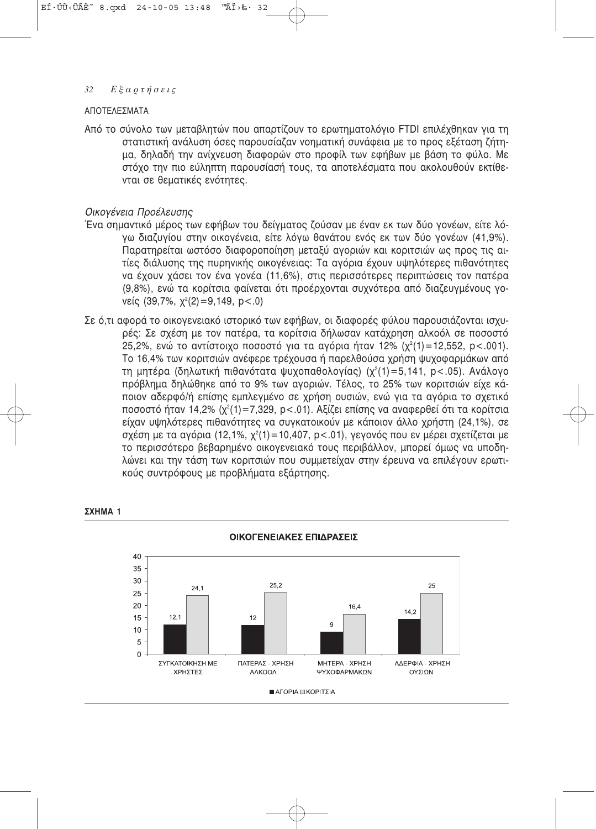#### ΑΠΟΤΕΛΕΣΜΑΤΑ

Aπό το σύνολο των μεταβλητών που απαρτίζουν το ερωτηματολόγιο FTDI επιλέχθηκαν για τη στατιστική ανάλυση όσες παρουσίαζαν νοηματική συνάφεια με το προς εξέταση ζήτημα, δηλαδή την ανίχνευση διαφορών στο προφίλ των εφήβων με βάση το φύλο. Με στόχο την πιο εύληπτη παρουσίασή τους, τα αποτελέσματα που ακολουθούν εκτίθενται σε θεματικές ενότητες.

## Οικογένεια Προέλευσης

- Ένα σημαντικό μέρος των εφήβων του δείγματος ζούσαν με έναν εκ των δύο γονέων, είτε λόγω διαζυγίου στην οικογένεια, είτε λόγω θανάτου ενός εκ των δύο γονέων (41,9%). Παρατηρείται ωστόσο διαφοροποίηση μεταξύ αγοριών και κοριτσιών ως προς τις αιτίες διάλυσης της πυρηνικής οικογένειας: Τα αγόρια έχουν υψηλότερες πιθανότητες να έχουν χάσει τον ένα γονέα (11,6%), στις περισσότερες περιπτώσεις τον πατέρα (9,8%), ενώ τα κορίτσια φαίνεται ότι προέρχονται συχνότερα από διαζευγμένους γονείς (39,7%, χ²(2)=9,149, p<.0)
- Σε ό,τι αφορά το οικογενειακό ιστορικό των εφήβων, οι διαφορές φύλου παρουσιάζονται ισχυρές: Σε σχέση με τον πατέρα, τα κορίτσια δήλωσαν κατάχρηση αλκοόλ σε ποσοστό 25,2%, ενώ το αντίστοιχο ποσοστό για τα αγόρια ήταν 12% (χ²(1)=12,552, p<.001). Το 16,4% των κοριτσιών ανέφερε τρέχουσα ή παρελθούσα χρήση ψυχοφαρμάκων από τη μητέρα (δηλωτική πιθανότατα ψυχοπαθολογίας) (χ²(1)=5,141, p<.05). Ανάλογο πρόβλημα δηλώθηκε από το 9% των αγοριών. Τέλος, το 25% των κοριτσιών είχε κάποιον αδερφό/ή επίσης εμπλεγμένο σε χρήση ουσιών, ενώ για τα αγόρια το σχετικό ποσοστό ήταν 14,2% (χ²(1)=7,329, p<.01). Αξίζει επίσης να αναφερθεί ότι τα κορίτσια είχαν υψηλότερες πιθανότητες να συνκατοικούν με κάποιον άλλο χρήστη (24,1%), σε σχέση με τα αγόρια (12,1%, χ²(1)=10,407, p<.01), γεγονός που εν μέρει σχετίζεται με το περισσότερο βεβαρημένο οικογενειακό τους περιβάλλον, μπορεί όμως να υποδηλώνει και την τάση των κοριτσιών που συμμετείχαν στην έρευνα να επιλέγουν ερωτικούς συντρόφους με προβλήματα εξάρτησης.



#### **™XHMA 1**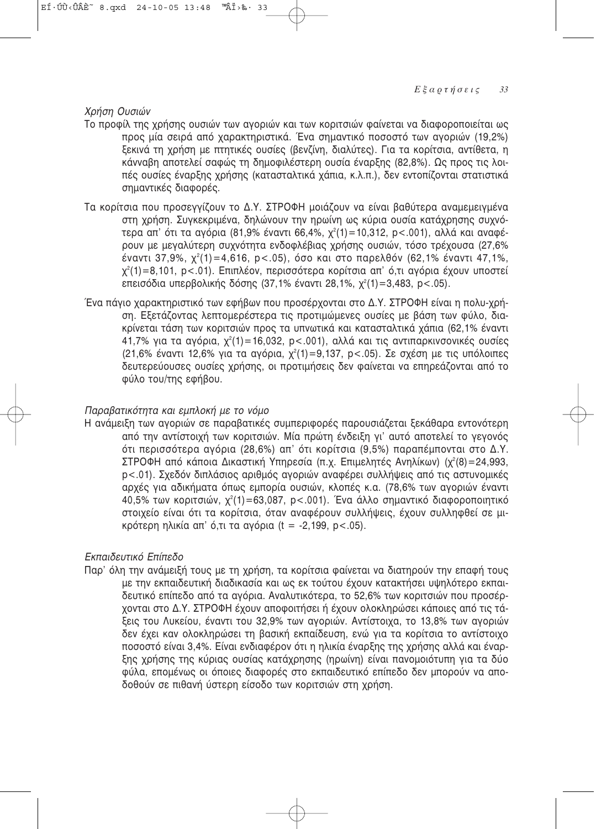# *Χρήση Ουσιών*

- Το προφίλ της χρήσης ουσιών των αγοριών και των κοριτσιών φαίνεται να διαφοροποιείται ως προς μία σειρά από χαρακτηριστικά. Ένα σημαντικό ποσοστό των ανοριών (19,2%) ξεκινά τη χρήση με πτητικές ουσίες (βενζίνη, διαλύτες). Για τα κορίτσια, αντίθετα, η κάνναβη αποτελεί σαφώς τη δημοφιλέστερη ουσία έναρξης (82,8%). Ως προς τις λοιπές ουσίες έναρξης χρήσης (κατασταλτικά χάπια, κ.λ.π.), δεν εντοπίζονται στατιστικά σημαντικές διαφορές.
- Τα κορίτσια που προσεγγίζουν το Δ.Υ. ΣΤΡΟΦΗ μοιάζουν να είναι βαθύτερα αναμεμειγμένα στη χρήση. Συγκεκριμένα, δηλώνουν την ηρωίνη ως κύρια ουσία κατάχρησης συχνότερα απ' ότι τα αγόρια (81,9% έναντι 66,4%, χ²(1)=10,312, p<.001), αλλά και αναφέρουν με μεγαλύτερη συχνότητα ενδοφλέβιας χρήσης ουσιών, τόσο τρέχουσα (27,6% έναντι 37,9%, χ²(1)=4,616, p<.05), όσο και στο παρελθόν (62,1% έναντι 47,1%, χ²(1)=8,101, p<.01). Επιπλέον, περισσότερα κορίτσια απ' ό,τι αγόρια έχουν υποστεί επεισόδια υπερβολικής δόσης (37,1% έναντι 28,1%, χ $^2$ (1)=3,483, p<.05).
- Ένα πάγιο χαρακτηριστικό των εφήβων που προσέρχονται στο Δ.Υ. ΣΤΡΟΦΗ είναι η πολυ-χρήση. Εξετάζοντας λεπτομερέστερα τις προτιμώμενες ουσίες με βάση των φύλο, διακρίνεται τάση των κοριτσιών προς τα υπνωτικά και κατασταλτικά χάπια (62,1% έναντι 41,7% για τα αγόρια, χ $^2$ (1)=16,032, p<.001), αλλά και τις αντιπαρκινσονικές ουσίες (21,6% έναντι 12,6% για τα αγόρια, χ $^2$ (1)=9,137, p<.05). Σε σχέση με τις υπόλοιπες δευτερεύουσες ουσίες χρήσης, οι προτιμήσεις δεν φαίνεται να επηρεάζονται από το φύλο του/της εφήβου.

## *Παραβατικότητα και εμπλοκή με το νόμο*

Η ανάμειξη των αγοριών σε παραβατικές συμπεριφορές παρουσιάζεται ξεκάθαρα εντονότερη από την αντίστοιχή των κοριτσιών. Μία πρώτη ένδειξη γι' αυτό αποτελεί το γεγονός ότι περισσότερα αγόρια (28,6%) απ' ότι κορίτσια (9,5%) παραπέμπονται στο Δ.Υ. ΣΤΡΟΦΗ από κάποια Δικαστική Υπηρεσία (π.χ. Επιμελητές Ανηλίκων) (χ²(8)=24,993, p<.01). Σχεδόν διπλάσιος αριθμός αγοριών αναφέρει συλλήψεις από τις αστυνομικές αρχές για αδικήματα όπως εμπορία ουσιών, κλοπές κ.α. (78,6% των αγοριών έναντι 40,5% των κοριτσιών, χ² $(1)$ =63,087, p<.001). Ένα άλλο σημαντικό διαφοροποιητικό στοιχείο είναι ότι τα κορίτσια, όταν αναφέρουν συλλήψεις, έχουν συλληφθεί σε μι- $K$ ρότερη ηλικία απ' ό,τι τα αγόρια (t = -2,199, p<.05).

# *<i>Eκπαιδευτικό Επίπεδο*

Παρ' όλη την ανάμειξή τους με τη χρήση, τα κορίτσια φαίνεται να διατηρούν την επαφή τους με την εκπαιδευτική διαδικασία και ως εκ τούτου έχουν κατακτήσει υψηλότερο εκπαιδευτικό επίπεδο από τα αγόρια. Αναλυτικότερα, το 52,6% των κοριτσιών που προσέρχονται στο Δ.Υ. ΣΤΡΟΦΗ έχουν αποφοιτήσει ή έχουν ολοκληρώσει κάποιες από τις τάξεις του Λυκείου, έναντι του 32,9% των αγοριών. Αντίστοιχα, το 13,8% των αγοριών δεν έχει καν ολοκληρώσει τη βασική εκπαίδευση, ενώ για τα κορίτσια το αντίστοιχο ποσοστό είναι 3,4%. Είναι ενδιαφέρον ότι η ηλικία έναρξης της χρήσης αλλά και έναρξης χρήσης της κύριας ουσίας κατάχρησης (ηρωίνη) είναι πανομοιότυπη για τα δύο φύλα, επομένως οι όποιες διαφορές στο εκπαιδευτικό επίπεδο δεν μπορούν να αποδοθούν σε πιθανή ύστερη είσοδο των κοριτσιών στη χρήση.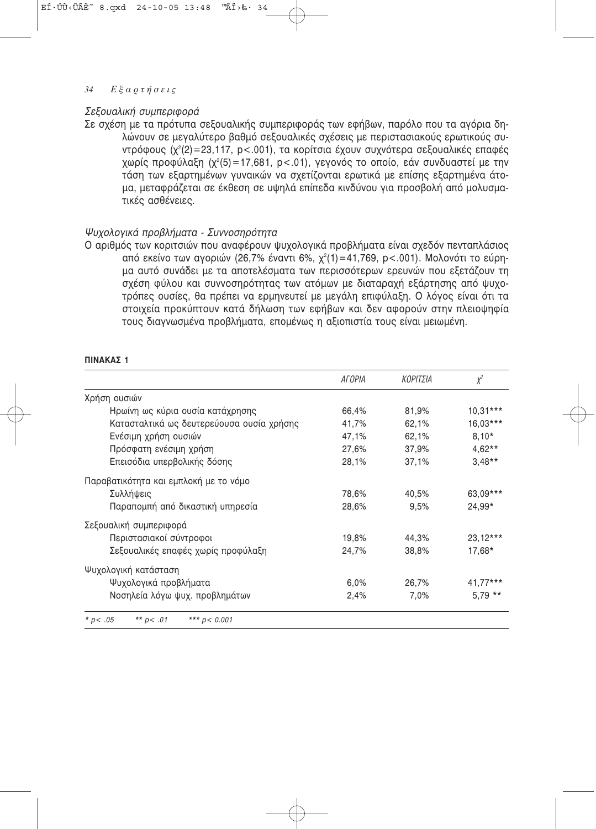# Σεξουαλική συμπεριφορά

Σε σχέση με τα πρότυπα σεξουαλικής συμπεριφοράς των εφήβων, παρόλο που τα αγόρια δηλώνουν σε μεγαλύτερο βαθμό σεξουαλικές σχέσεις με περιστασιακούς ερωτικούς συντρόφους (χ²(2)=23,117, p<.001), τα κορίτσια έχουν συχνότερα σεξουαλικές επαφές χωρίς προφύλαξη (χ²(5)=17,681, p<.01), γεγονός το οποίο, εάν συνδυαστεί με την τάση των εξαρτημένων γυναικών να σχετίζονται ερωτικά με επίσης εξαρτημένα άτομα, μεταφράζεται σε έκθεση σε υψηλά επίπεδα κινδύνου για προσβολή από μολυσματικές ασθένειες.

# Ψυχολογικά προβλήματα - Συννοσηρότητα

Ο αριθμός των κοριτσιών που αναφέρουν ψυχολογικά προβλήματα είναι σχεδόν πενταπλάσιος από εκείνο των αγοριών (26,7% έναντι 6%, χ²(1)=41,769, p<.001). Μολονότι το εύρημα αυτό συνάδει με τα αποτελέσματα των περισσότερων ερευνών που εξετάζουν τη σχέση φύλου και συννοσηρότητας των ατόμων με διαταραχή εξάρτησης από ψυχοτρόπες ουσίες, θα πρέπει να ερμηνευτεί με μεγάλη επιφύλαξη. Ο λόγος είναι ότι τα στοιχεία προκύπτουν κατά δήλωση των εφήβων και δεν αφορούν στην πλειοψηφία τους διαγνωσμένα προβλήματα, επομένως η αξιοπιστία τους είναι μειωμένη.

## **¶INAKA™ 1**

|                                                | <b>AFOPIA</b> | ΚΟΡΙΤΣΙΑ | $\chi^2$   |
|------------------------------------------------|---------------|----------|------------|
| Χρήση ουσιών                                   |               |          |            |
| Ηρωίνη ως κύρια ουσία κατάχρησης               | 66,4%         | 81,9%    | $10,31***$ |
| Κατασταλτικά ως δευτερεύουσα ουσία χρήσης      | 41,7%         | 62,1%    | $16,03***$ |
| Ενέσιμη χρήση ουσιών                           | 47,1%         | 62,1%    | $8.10*$    |
| Πρόσφατη ενέσιμη χρήση                         | 27,6%         | 37,9%    | $4,62**$   |
| Επεισόδια υπερβολικής δόσης                    | 28,1%         | 37,1%    | $3.48**$   |
| Παραβατικότητα και εμπλοκή με το νόμο          |               |          |            |
| Συλλήψεις                                      | 78,6%         | 40.5%    | 63,09***   |
| Παραπομπή από δικαστική υπηρεσία               | 28,6%         | 9.5%     | 24,99*     |
| Σεξουαλική συμπεριφορά                         |               |          |            |
| Περιστασιακοί σύντροφοι                        | 19,8%         | 44,3%    | $23,12***$ |
| Σεξουαλικές επαφές χωρίς προφύλαξη             | 24,7%         | 38,8%    | 17,68*     |
| Ψυχολογική κατάσταση                           |               |          |            |
| Ψυχολογικά προβλήματα                          | 6,0%          | 26,7%    | 41,77***   |
| Νοσηλεία λόγω ψυχ. προβλημάτων                 | 2,4%          | 7,0%     | $5,79$ **  |
| ** $p < .01$<br>*** $p < 0.001$<br>* $p$ < .05 |               |          |            |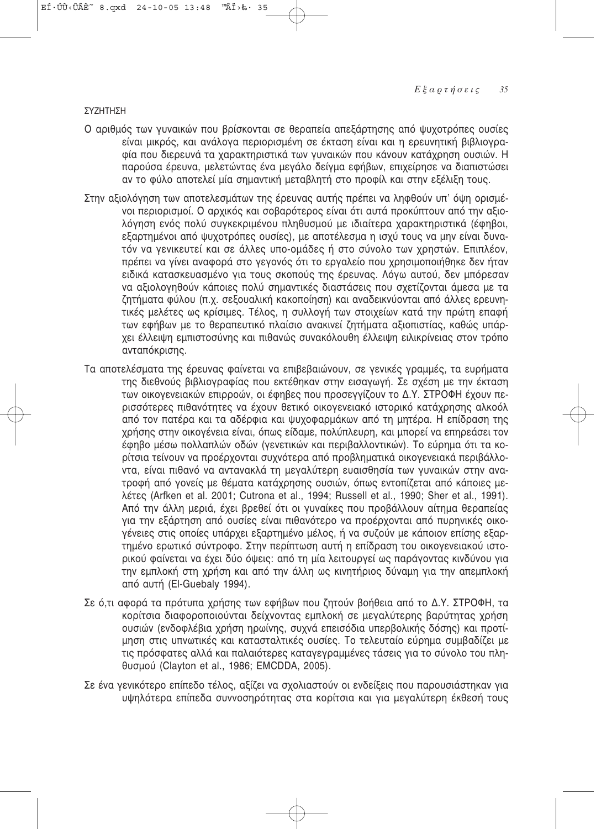#### ΣΥΖΗΤΗΣΗ

- Ο αριθμός των γυναικών που βρίσκονται σε θεραπεία απεξάρτησης από ψυχοτρόπες ουσίες είναι μικρός, και ανάλογα περιορισμένη σε έκταση είναι και η ερευνητική βιβλιογραφία που διερευνά τα χαρακτηριστικά των γυναικών που κάνουν κατάχρηση ουσιών. Η παρούσα έρευνα, μελετώντας ένα μεγάλο δείγμα εφήβων, επιχείρησε να διαπιστώσει αν το φύλο αποτελεί μία σημαντική μεταβλητή στο προφίλ και στην εξέλιξη τους.
- Στην αξιολόγηση των αποτελεσμάτων της έρευνας αυτής πρέπει να ληφθούν υπ' όψη ορισμένοι περιορισμοί. Ο αρχικός και σοβαρότερος είναι ότι αυτά προκύπτουν από την αξιολόγηση ενός πολύ συγκεκριμένου πληθυσμού με ιδιαίτερα χαρακτηριστικά (έφηβοι, εξαρτημένοι από ψυχοτρόπες ουσίες), με αποτέλεσμα η ισχύ τους να μην είναι δυνατόν να γενικευτεί και σε άλλες υπο-ομάδες ή στο σύνολο των χρηστών. Επιπλέον, πρέπει να γίνει αναφορά στο γεγονός ότι το εργαλείο που χρησιμοποιήθηκε δεν ήταν ειδικά κατασκευασμένο για τους σκοπούς της έρευνας. Λόγω αυτού, δεν μπόρεσαν να αξιολογηθούν κάποιες πολύ σημαντικές διαστάσεις που σχετίζονται άμεσα με τα ζητήματα φύλου (π.χ. σεξουαλική κακοποίηση) και αναδεικνύονται από άλλες ερευνητικές μελέτες ως κρίσιμες. Τέλος, η συλλογή των στοιχείων κατά την πρώτη επαφή των εφήβων με το θεραπευτικό πλαίσιο ανακινεί ζητήματα αξιοπιστίας, καθώς υπάρχει έλλειψη εμπιστοσύνης και πιθανώς συνακόλουθη έλλειψη ειλικρίνειας στον τρόπο ανταπόκρισης.
- Τα αποτελέσματα της έρευνας φαίνεται να επιβεβαιώνουν, σε γενικές γραμμές, τα ευρήματα της διεθνούς βιβλιογραφίας που εκτέθηκαν στην εισαγωγή. Σε σχέση με την έκταση των οικογενειακών επιρροών, οι έφηβες που προσεγγίζουν το Δ.Υ. ΣΤΡΟΦΗ έχουν περισσότερες πιθανότητες να έχουν θετικό οικογενειακό ιστορικό κατάχρησης αλκοόλ από τον πατέρα και τα αδέρφια και ψυχοφαρμάκων από τη μητέρα. Η επίδραση της χρήσης στην οικογένεια είναι, όπως είδαμε, πολύπλευρη, και μπορεί να επηρεάσει τον έφηβο μέσω πολλαπλών οδών (γενετικών και περιβαλλοντικών). Το εύρημα ότι τα κορίτσια τείνουν να προέρχονται συχνότερα από προβληματικά οικογενειακά περιβάλλο-Vτα, είναι πιθανό να αντανακλά τη μεγαλύτερη ευαισθησία των γυναικών στην ανατροφή από γονείς με θέματα κατάχρησης ουσιών, όπως εντοπίζεται από κάποιες μελέτες (Arfken et al. 2001; Cutrona et al., 1994; Russell et al., 1990; Sher et al., 1991). Aπό την άλλη μεριά, έχει βρεθεί ότι οι γυναίκες που προβάλλουν αίτημα θεραπείας για την εξάρτηση από ουσίες είναι πιθανότερο να προέρχονται από πυρηνικές οικογένειες στις οποίες υπάρχει εξαρτημένο μέλος, ή να συζούν με κάποιον επίσης εξαρτημένο ερωτικό σύντροφο. Στην περίπτωση αυτή η επίδραση του οικογενειακού ιστορικού φαίνεται να έχει δύο όψεις: από τη μία λειτουργεί ως παράγοντας κινδύνου για την εμπλοκή στη χρήση και από την άλλη ως κινητήριος δύναμη για την απεμπλοκή από αυτή (El-Guebaly 1994).
- Σε ό,τι αφορά τα πρότυπα χρήσης των εφήβων που ζητούν βοήθεια από το Δ.Υ. ΣΤΡΟΦΗ, τα κορίτσια διαφοροποιούνται δείχνοντας εμπλοκή σε μεγαλύτερης βαρύτητας χρήση ουσιών (ενδοφλέβια χρήση ηρωίνης, συχνά επεισόδια υπερβολικής δόσης) και προτίμηση στις υπνωτικές και κατασταλτικές ουσίες. Το τελευταίο εύρημα συμβαδίζει με τις πρόσφατες αλλά και παλαιότερες καταγεγραμμένες τάσεις για το σύνολο του πληθυσμού (Clayton et al., 1986; EMCDDA, 2005).
- Σε ένα γενικότερο επίπεδο τέλος, αξίζει να σχολιαστούν οι ενδείξεις που παρουσιάστηκαν για υψηλότερα επίπεδα συννοσηρότητας στα κορίτσια και για μεγαλύτερη έκθεσή τους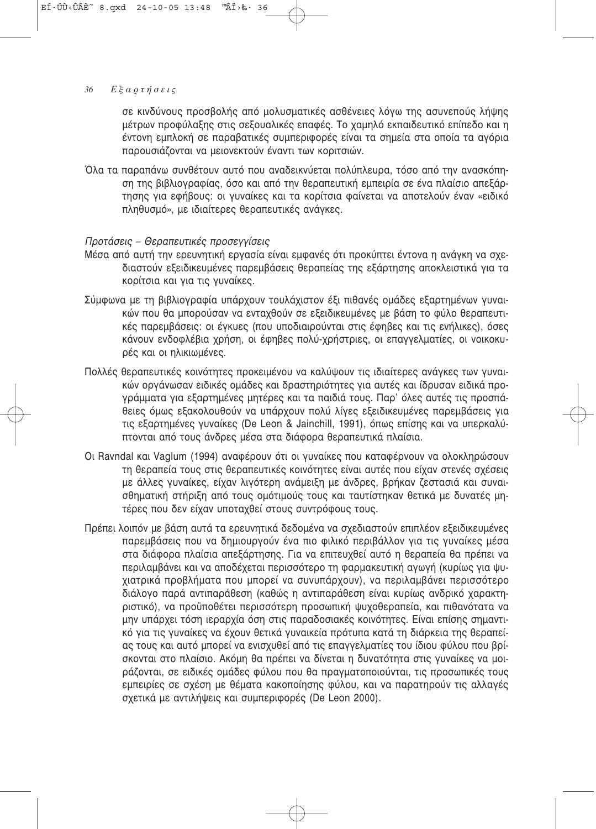> σε κινδύνους προσβολής από μολυσματικές ασθένειες λόγω της ασυνεπούς λήψης μέτρων προφύλαξης στις σεξουαλικές επαφές. Το χαμηλό εκπαιδευτικό επίπεδο και η έντονη εμπλοκή σε παραβατικές συμπεριφορές είναι τα σημεία στα οποία τα αγόρια παρουσιάζονται να μειονεκτούν έναντι των κοριτσιών.

Όλα τα παραπάνω συνθέτουν αυτό που αναδεικνύεται πολύπλευρα, τόσο από την ανασκόπηση της βιβλιογραφίας, όσο και από την θεραπευτική εμπειρία σε ένα πλαίσιο απεξάρτησης για εφήβους: οι γυναίκες και τα κορίτσια φαίνεται να αποτελούν έναν «ειδικό πληθυσμό», με ιδιαίτερες θεραπευτικές ανάγκες.

## Προτάσεις - Θεραπευτικές προσεγγίσεις

- Μέσα από αυτή την ερευνητική εργασία είναι εμφανές ότι προκύπτει έντονα η ανάγκη να σχεδιαστούν εξειδικευμένες παρεμβάσεις θεραπείας της εξάρτησης αποκλειστικά για τα κορίτσια και για τις γυναίκες.
- Σύμφωνα με τη βιβλιογραφία υπάρχουν τουλάχιστον έξι πιθανές ομάδες εξαρτημένων γυναικών που θα μπορούσαν να ενταχθούν σε εξειδικευμένες με βάση το φύλο θεραπευτικές παρεμβάσεις: οι έγκυες (που υποδιαιρούνται στις έφηβες και τις ενήλικες), όσες κάνουν ενδοφλέβια χρήση, οι έφηβες πολύ-χρήστριες, οι επαγγελματίες, οι νοικοκυρές και οι ηλικιωμένες.
- Πολλές θεραπευτικές κοινότητες προκειμένου να καλύψουν τις ιδιαίτερες ανάγκες των γυναικών οργάνωσαν ειδικές ομάδες και δραστηριότητες για αυτές και ίδρυσαν ειδικά προγράμματα για εξαρτημένες μητέρες και τα παιδιά τους. Παρ' όλες αυτές τις προσπάθειες όμως εξακολουθούν να υπάρχουν πολύ λίγες εξειδικευμένες παρεμβάσεις για τις εξαρτημένες γυναίκες (De Leon & Jainchill, 1991), όπως επίσης και να υπερκαλύπτονται από τους άνδρες μέσα στα διάφορα θεραπευτικά πλαίσια.
- Οι Ravndal και Vaglum (1994) αναφέρουν ότι οι γυναίκες που καταφέρνουν να ολοκληρώσουν τη θεραπεία τους στις θεραπευτικές κοινότητες είναι αυτές που είχαν στενές σχέσεις με άλλες γυναίκες, είχαν λιγότερη ανάμειξη με άνδρες, βρήκαν ζεστασιά και συναισθηματική στήριξη από τους ομότιμούς τους και ταυτίστηκαν θετικά με δυνατές μητέρες που δεν είχαν υποταχθεί στους συντρόφους τους.
- Πρέπει λοιπόν με βάση αυτά τα ερευνητικά δεδομένα να σχεδιαστούν επιπλέον εξειδικευμένες παρεμβάσεις που να δημιουργούν ένα πιο φιλικό περιβάλλον για τις γυναίκες μέσα στα διάφορα πλαίσια απεξάρτησης. Για να επιτευχθεί αυτό η θεραπεία θα πρέπει να περιλαμβάνει και να αποδέχεται περισσότερο τη φαρμακευτική αγωγή (κυρίως για ψυχιατρικά προβλήματα που μπορεί να συνυπάρχουν), να περιλαμβάνει περισσότερο διάλογο παρά αντιπαράθεση (καθώς η αντιπαράθεση είναι κυρίως ανδρικό χαρακτηριστικό), να προϋποθέτει περισσότερη προσωπική ψυχοθεραπεία, και πιθανότατα να μην υπάρχει τόση ιεραρχία όση στις παραδοσιακές κοινότητες. Είναι επίσης σημαντικό για τις γυναίκες να έχουν θετικά γυναικεία πρότυπα κατά τη διάρκεια της θεραπείας τους και αυτό μπορεί να ενισχυθεί από τις επαγγελματίες του ίδιου φύλου που βρίσκονται στο πλαίσιο. Ακόμη θα πρέπει να δίνεται η δυνατότητα στις γυναίκες να μοιράζονται, σε ειδικές ομάδες φύλου που θα πραγματοποιούνται, τις προσωπικές τους εμπειρίες σε σχέση με θέματα κακοποίησης φύλου, και να παρατηρούν τις αλλαγές σχετικά με αντιλήψεις και συμπεριφορές (De Leon 2000).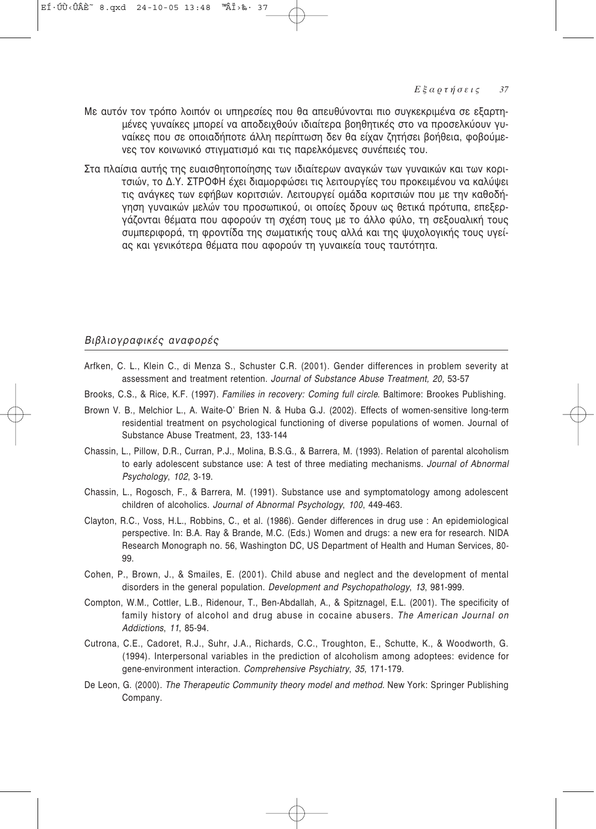- Με αυτόν τον τρόπο λοιπόν οι υπηρεσίες που θα απευθύνονται πιο συγκεκριμένα σε εξαρτημένες γυναίκες μπορεί να αποδειχθούν ιδιαίτερα βοηθητικές στο να προσελκύουν γυναίκες που σε οποιαδήποτε άλλη περίπτωση δεν θα είχαν ζητήσει βοήθεια, φοβούμενες τον κοινωνικό στιγματισμό και τις παρελκόμενες συνέπειές του.
- Στα πλαίσια αυτής της ευαισθητοποίησης των ιδιαίτερων αναγκών των γυναικών και των κοριτσιών, το Δ.Υ. ΣΤΡΟΦΗ έχει διαμορφώσει τις λειτουργίες του προκειμένου να καλύψει τις ανάγκες των εφήβων κοριτσιών. Λειτουργεί ομάδα κοριτσιών που με την καθοδήγηση γυναικών μελών του προσωπικού, οι οποίες δρουν ως θετικά πρότυπα, επεξεργάζονται θέματα που αφορούν τη σχέση τους με το άλλο φύλο, τη σεξουαλική τους συμπεριφορά, τη φροντίδα της σωματικής τους αλλά και της ψυχολογικής τους υγείας και γενικότερα θέματα που αφορούν τη γυναικεία τους ταυτότητα.

# Βιβλιογραφικές αναφορές

 $24 - 10 - 05$  13:48

™ÂÏ>‰∙

 $E\acute{\rm I}\cdot\acute{\rm U}\grave{\rm U}\cdot\hat{\rm U}\hat{\rm A}\hat{\rm E}$  ^ 8.qxd

- Arfken, C. L., Klein C., di Menza S., Schuster C.R. (2001). Gender differences in problem severity at assessment and treatment retention. Journal of Substance Abuse Treatment. 20, 53-57
- Brooks, C.S., & Rice, K.F. (1997). Families in recovery: Coming full circle. Baltimore: Brookes Publishing.
- Brown V. B., Melchior L., A. Waite-O' Brien N. & Huba G.J. (2002). Effects of women-sensitive long-term residential treatment on psychological functioning of diverse populations of women. Journal of Substance Abuse Treatment, 23, 133-144
- Chassin, L., Pillow, D.R., Curran, P.J., Molina, B.S.G., & Barrera, M. (1993). Relation of parental alcoholism to early adolescent substance use: A test of three mediating mechanisms. Journal of Abnormal Psychology, 102, 3-19.
- Chassin, L., Rogosch, F., & Barrera, M. (1991). Substance use and symptomatology among adolescent children of alcoholics. Journal of Abnormal Psychology, 100, 449-463.
- Clayton, R.C., Voss, H.L., Robbins, C., et al. (1986). Gender differences in drug use : An epidemiological perspective. In: B.A. Ray & Brande, M.C. (Eds.) Women and drugs: a new era for research. NIDA Research Monograph no. 56, Washington DC, US Department of Health and Human Services, 80-99.
- Cohen, P., Brown, J., & Smailes, E. (2001). Child abuse and neglect and the development of mental disorders in the general population. Development and Psychopathology, 13, 981-999.
- Compton, W.M., Cottler, L.B., Ridenour, T., Ben-Abdallah, A., & Spitznagel, E.L. (2001). The specificity of family history of alcohol and drug abuse in cocaine abusers. The American Journal on Addictions. 11, 85-94.
- Cutrona, C.E., Cadoret, R.J., Suhr, J.A., Richards, C.C., Troughton, E., Schutte, K., & Woodworth, G. (1994). Interpersonal variables in the prediction of alcoholism among adoptees: evidence for gene-environment interaction. Comprehensive Psychiatry, 35, 171-179.
- De Leon, G. (2000). The Therapeutic Community theory model and method. New York: Springer Publishing Company.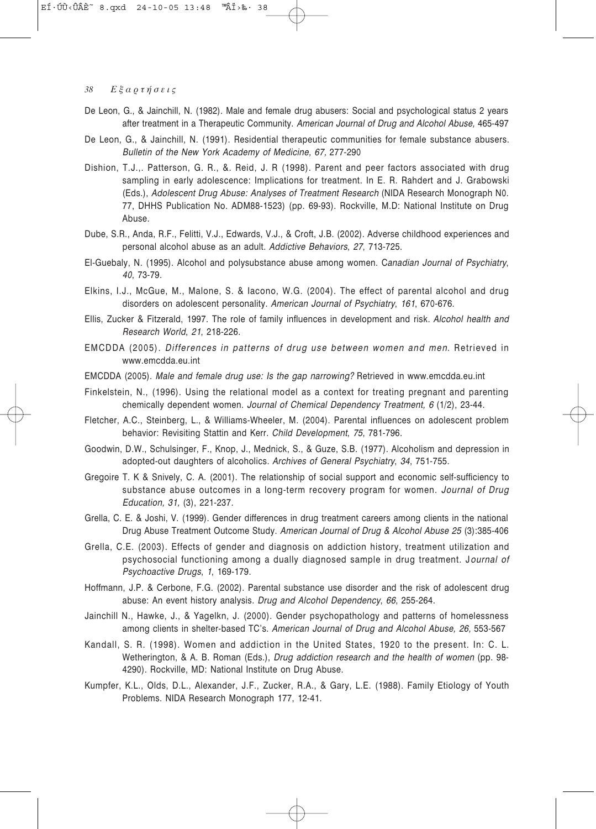- De Leon, G., & Jainchill, N. (1982). Male and female drug abusers: Social and psychological status 2 years after treatment in a Therapeutic Community. *American Journal of Drug and Alcohol Abuse,* 465-497
- De Leon, G., & Jainchill, N. (1991). Residential therapeutic communities for female substance abusers. *Bulletin of the New York Academy of Medicine, 67,* 277-290
- Dishion, T.J.,. Patterson, G. R., &. Reid, J. R (1998). Parent and peer factors associated with drug sampling in early adolescence: Implications for treatment. In E. R. Rahdert and J. Grabowski (Eds.), *Adolescent Drug Abuse: Analyses of Treatment Research* (NIDA Research Monograph N0. 77, DHHS Publication No. ADM88-1523) (pp. 69-93). Rockville, M.D: National Institute on Drug Abuse.
- Dube, S.R., Anda, R.F., Felitti, V.J., Edwards, V.J., & Croft, J.B. (2002). Adverse childhood experiences and personal alcohol abuse as an adult. *Addictive Behaviors*, *27*, 713-725.
- El-Guebaly, N. (1995). Alcohol and polysubstance abuse among women. C*anadian Journal of Psychiatry*, *40*, 73-79.
- Elkins, I.J., McGue, M., Malone, S. & Iacono, W.G. (2004). The effect of parental alcohol and drug disorders on adolescent personality. *American Journal of Psychiatry*, *161*, 670-676.
- Ellis, Zucker & Fitzerald, 1997. The role of family influences in development and risk. *Alcohol health and Research World*, *21*, 218-226.
- EMCDDA (2005). *Differences in patterns of drug use between women and men*. Retrieved in www.emcdda.eu.int
- EMCDDA (2005). *Male and female drug use: Is the gap narrowing?* Retrieved in www.emcdda.eu.int
- Finkelstein, N., (1996). Using the relational model as a context for treating pregnant and parenting chemically dependent women. *Journal of Chemical Dependency Treatment, 6* (1/2), 23-44.
- Fletcher, A.C., Steinberg, L., & Williams-Wheeler, M. (2004). Parental influences on adolescent problem behavior: Revisiting Stattin and Kerr. *Child Development*, *75*, 781-796.
- Goodwin, D.W., Schulsinger, F., Knop, J., Mednick, S., & Guze, S.B. (1977). Alcoholism and depression in adopted-out daughters of alcoholics. *Archives of General Psychiatry*, *34*, 751-755.
- Gregoire T. K & Snively, C. A. (2001). The relationship of social support and economic self-sufficiency to substance abuse outcomes in a long-term recovery program for women. *Journal of Drug Education, 31,* (3), 221-237.
- Grella, C. E. & Joshi, V. (1999). Gender differences in drug treatment careers among clients in the national Drug Abuse Treatment Outcome Study. *American Journal of Drug & Alcohol Abuse 25* (3):385-406
- Grella, C.E. (2003). Effects of gender and diagnosis on addiction history, treatment utilization and psychosocial functioning among a dually diagnosed sample in drug treatment. J*ournal of Psychoactive Drugs*, *1*, 169-179.
- Hoffmann, J.P. & Cerbone, F.G. (2002). Parental substance use disorder and the risk of adolescent drug abuse: An event history analysis. *Drug and Alcohol Dependency*, *66*, 255-264.
- Jainchill N., Hawke, J., & Yagelkn, J. (2000). Gender psychopathology and patterns of homelessness among clients in shelter-based TC's. *American Journal of Drug and Alcohol Abuse, 26,* 553-567
- Kandall, S. R. (1998). Women and addiction in the United States, 1920 to the present. In: C. L. Wetherington, & A. B. Roman (Eds.), *Drug addiction research and the health of women* (pp. 98- 4290). Rockville, MD: National Institute on Drug Abuse.
- Kumpfer, K.L., Olds, D.L., Alexander, J.F., Zucker, R.A., & Gary, L.E. (1988). Family Etiology of Youth Problems. NIDA Research Monograph 177, 12-41.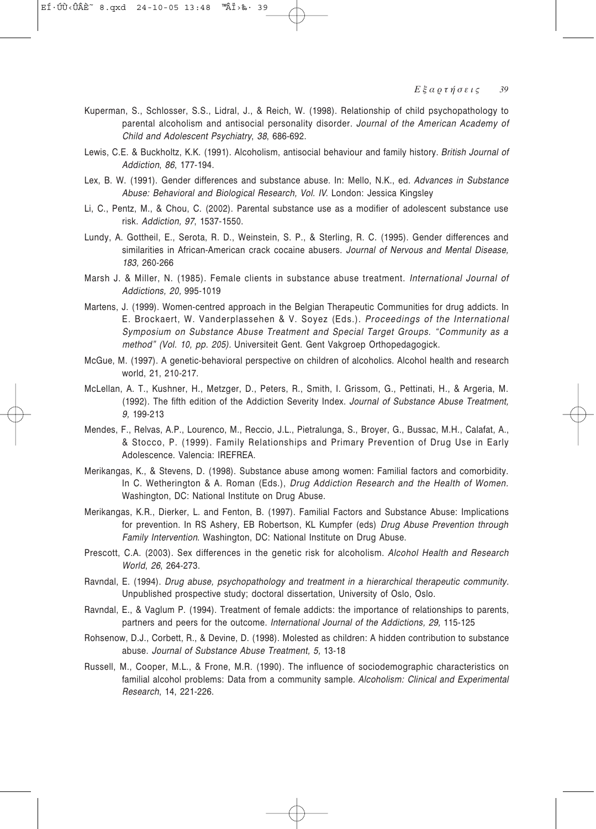- Kuperman, S., Schlosser, S.S., Lidral, J., & Reich, W. (1998). Relationship of child psychopathology to parental alcoholism and antisocial personality disorder. *Journal of the American Academy of Child and Adolescent Psychiatry*, *38*, 686-692.
- Lewis, C.E. & Buckholtz, K.K. (1991). Alcoholism, antisocial behaviour and family history. *British Journal of Addiction*, *86*, 177-194.
- Lex, B. W. (1991). Gender differences and substance abuse. In: Mello, N.K., ed. *Advances in Substance Abuse: Behavioral and Biological Research, Vol. IV*. London: Jessica Kingsley
- Li, C., Pentz, M., & Chou, C. (2002). Parental substance use as a modifier of adolescent substance use risk. *Addiction, 97*, 1537-1550.
- Lundy, A. Gottheil, E., Serota, R. D., Weinstein, S. P., & Sterling, R. C. (1995). Gender differences and similarities in African-American crack cocaine abusers. *Journal of Nervous and Mental Disease, 183,* 260-266
- Marsh J. & Miller, N. (1985). Female clients in substance abuse treatment. *International Journal of Addictions, 20,* 995-1019
- Martens, J. (1999). Women-centred approach in the Belgian Therapeutic Communities for drug addicts. In E. Brockaert, W. Vanderplassehen & V. Soyez (Eds.). *Proceedings of the International Symposium on Substance Abuse Treatment and Special Target Groups. "Community as a method" (Vol. 10, pp. 205).* Universiteit Gent. Gent Vakgroep Orthopedagogick.
- McGue, M. (1997). A genetic-behavioral perspective on children of alcoholics. Alcohol health and research world, 21, 210-217.
- McLellan, A. T., Kushner, H., Metzger, D., Peters, R., Smith, I. Grissom, G., Pettinati, H., & Argeria, M. (1992). The fifth edition of the Addiction Severity Index. *Journal of Substance Abuse Treatment, 9,* 199-213
- Mendes, F., Relvas, A.P., Lourenco, M., Reccio, J.L., Pietralunga, S., Broyer, G., Bussac, M.H., Calafat, A., & Stocco, P. (1999). Family Relationships and Primary Prevention of Drug Use in Early Adolescence. Valencia: IREFREA.
- Merikangas, K., & Stevens, D. (1998). Substance abuse among women: Familial factors and comorbidity. In C. Wetherington & A. Roman (Eds.), *Drug Addiction Research and the Health of Women.* Washington, DC: National Institute on Drug Abuse.
- Merikangas, K.R., Dierker, L. and Fenton, B. (1997). Familial Factors and Substance Abuse: Implications for prevention. In RS Ashery, EB Robertson, KL Kumpfer (eds) *Drug Abuse Prevention through Family Intervention*. Washington, DC: National Institute on Drug Abuse.
- Prescott, C.A. (2003). Sex differences in the genetic risk for alcoholism. *Alcohol Health and Research World*, *26*, 264-273.
- Ravndal, E. (1994). *Drug abuse, psychopathology and treatment in a hierarchical therapeutic community.* Unpublished prospective study; doctoral dissertation, University of Oslo, Oslo.
- Ravndal, E., & Vaglum P. (1994). Treatment of female addicts: the importance of relationships to parents, partners and peers for the outcome. *International Journal of the Addictions, 29,* 115-125
- Rohsenow, D.J., Corbett, R., & Devine, D. (1998). Molested as children: A hidden contribution to substance abuse. *Journal of Substance Abuse Treatment, 5,* 13-18
- Russell, M., Cooper, M.L., & Frone, M.R. (1990). The influence of sociodemographic characteristics on familial alcohol problems: Data from a community sample. *Alcoholism: Clinical and Experimental Research*, 14, 221-226.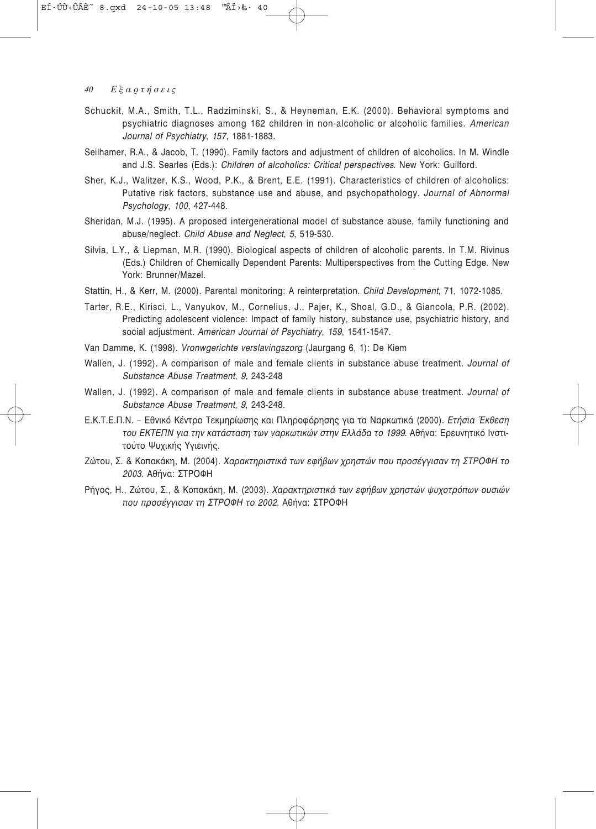- Schuckit, M.A., Smith, T.L., Radziminski, S., & Heyneman, E.K. (2000). Behavioral symptoms and psychiatric diagnoses among 162 children in non-alcoholic or alcoholic families. *American Journal of Psychiatry*, *157*, 1881-1883.
- Seilhamer, R.A., & Jacob, T. (1990). Family factors and adjustment of children of alcoholics. In M. Windle and J.S. Searles (Eds.): *Children of alcoholics: Critical perspectives*. New York: Guilford.
- Sher, K.J., Walitzer, K.S., Wood, P.K., & Brent, E.E. (1991). Characteristics of children of alcoholics: Putative risk factors, substance use and abuse, and psychopathology. *Journal of Abnormal Psychology*, *100*, 427-448.
- Sheridan, M.J. (1995). A proposed intergenerational model of substance abuse, family functioning and abuse/neglect. *Child Abuse and Neglect*, *5*, 519-530.
- Silvia, L.Y., & Liepman, M.R. (1990). Biological aspects of children of alcoholic parents. In T.M. Rivinus (Eds.) Children of Chemically Dependent Parents: Multiperspectives from the Cutting Edge. New York: Brunner/Mazel.
- Stattin, H., & Kerr, M. (2000). Parental monitoring: A reinterpretation. *Child Development*, 71, 1072-1085.
- Tarter, R.E., Kirisci, L., Vanyukov, M., Cornelius, J., Pajer, K., Shoal, G.D., & Giancola, P.R. (2002). Predicting adolescent violence: Impact of family history, substance use, psychiatric history, and social adjustment. *American Journal of Psychiatry*, *159*, 1541-1547.
- Van Damme, K. (1998). *Vronwgerichte verslavingszorg* (Jaurgang 6, 1): De Kiem
- Wallen, J. (1992). A comparison of male and female clients in substance abuse treatment. *Journal of Substance Abuse Treatment, 9,* 243-248
- Wallen, J. (1992). A comparison of male and female clients in substance abuse treatment. *Journal of Substance Abuse Treatment*, *9*, 243-248.
- Ε.Κ.Τ.Ε.Π.Ν. Εθνικό Κέντρο Τεκμηρίωσης και Πληροφόρησης για τα Ναρκωτικά (2000). *Ετήσια Έκθεση* του ΕΚΤΕΠΝ για την κατάσταση των ναρκωτικών στην Ελλάδα το 1999. Αθήνα: Ερευνητικό Ινστιτούτο Ψυχικής Υγιεινής.
- Ζώτου, Σ. & Κοπακάκη, Μ. (2004). Χαρακτηριστικά των εφήβων χρηστών που προσέγγισαν τη ΣΤΡΟΦΗ το 2003. Αθήνα: ΣΤΡΟΦΗ
- Ρήγος, Η., Ζώτου, Σ., & Κοπακάκη, Μ. (2003). Χαρακτηριστικά των εφήβων χρηστών ψυχοτρόπων ουσιών που προσέγγισαν τη ΣΤΡΟΦΗ το 2002. Αθήνα: ΣΤΡΟΦΗ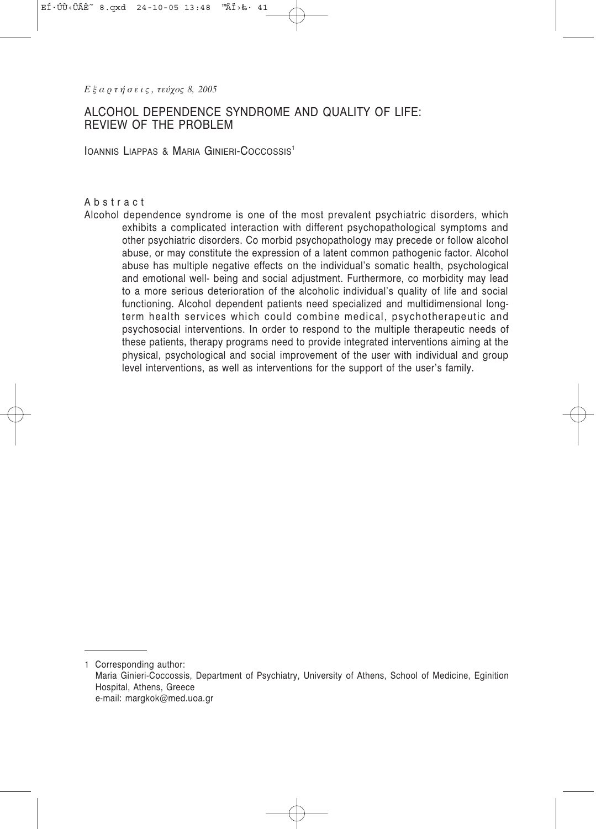$E \xi a \varrho \tau \eta \sigma \varepsilon \iota$ ς, τεύχος 8, 2005

# ALCOHOL DEPENDENCE SYNDROME AND QUALITY OF LIFE: REVIEW OF THE PROBLEM

IOANNIS LIAPPAS & MARIA GINIERI-COCCOSSIS<sup>1</sup>

#### Abstract

Alcohol dependence syndrome is one of the most prevalent psychiatric disorders, which exhibits a complicated interaction with different psychopathological symptoms and other psychiatric disorders. Co morbid psychopathology may precede or follow alcohol abuse, or may constitute the expression of a latent common pathogenic factor. Alcohol abuse has multiple negative effects on the individual's somatic health, psychological and emotional well- being and social adjustment. Furthermore, co morbidity may lead to a more serious deterioration of the alcoholic individual's quality of life and social functioning. Alcohol dependent patients need specialized and multidimensional longterm health services which could combine medical, psychotherapeutic and psychosocial interventions. In order to respond to the multiple therapeutic needs of these patients, therapy programs need to provide integrated interventions aiming at the physical, psychological and social improvement of the user with individual and group level interventions, as well as interventions for the support of the user's family.

<sup>1</sup> Corresponding author: Maria Ginieri-Coccossis, Department of Psychiatry, University of Athens, School of Medicine, Eginition Hospital, Athens, Greece e-mail: margkok@med.uoa.gr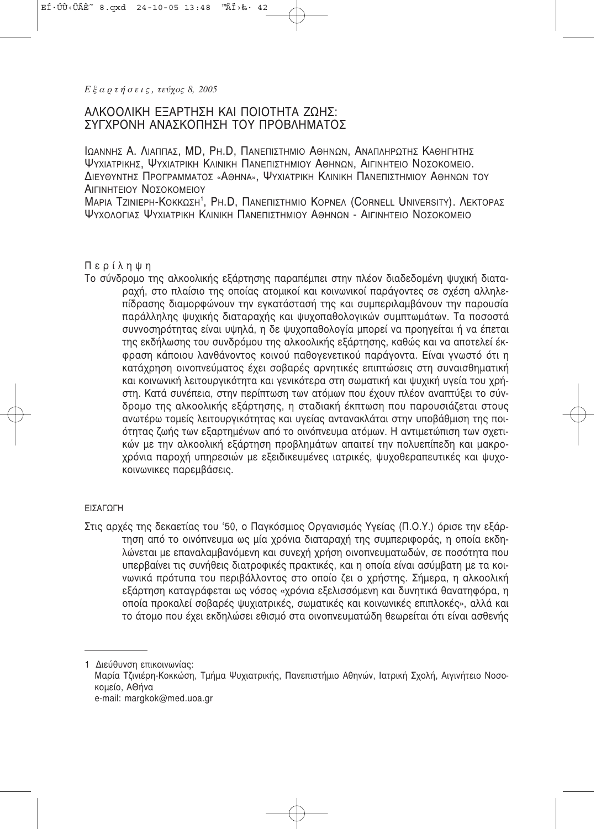$E \xi a \varrho \tau \eta \sigma \varepsilon \iota \varsigma$ , τεύχος 8, 2005

# ΑΛΚΟΟΛΙΚΗ ΕΞΑΡΤΗΣΗ ΚΑΙ ΠΟΙΟΤΗΤΑ ΖΩΗΣ: ΣΥΓΧΡΟΝΗ ΑΝΑΣΚΟΠΗΣΗ ΤΟΥ ΠΡΟΒΛΗΜΑΤΟΣ

IQANNHE A. NIANNAE, MD, PH.D, NANENIZTHMIO AOHNON, ANANAHPOTHE KAOHITHTHE WYXIATPIKHE, WYXIATPIKH KAINIKH ΠΑΝΕΠΙΣΤΗΜΙΟΥ ΑΘΗΝΩΝ, ΑΙΓΙΝΗΤΕΙΟ ΝΟΣΟΚΟΜΕΙΟ. **ΔΙΕΥΘΥΝΤΗΣ ΠΡΟΓΡΑΜΜΑΤΟΣ «ΑΘΗΝΑ», ΨΥΧΙΑΤΡΙΚΗ ΚΛΙΝΙΚΗ ΠΑΝΕΠΙΣΤΗΜΙΟΥ ΑΘΗΝΩΝ ΤΟΥ AIFINHTFIOY NOZOKOMFIOY** 

MAPIA TZINIEPH-ΚΟΚΚΩΣΗ<sup>1</sup>, PH.D, ΠΑΝΕΠΙΣΤΗΜΙΟ ΚΟΡΝΕΛ (CORNELL UNIVERSITY). ΛΕΚΤΟΡΑΣ WYXONOFIAZ WYXIATPIKH KAINIKH HANEHIZTHMIOY AOHNON - AIFINHTEIO NOZOKOMEIO

# Περίληψη

Το σύνδρομο της αλκοολικής εξάρτησης παραπέμπει στην πλέον διαδεδομένη ψυχική διαταραχή, στο πλαίσιο της οποίας ατομικοί και κοινωνικοί παράγοντες σε σχέση αλληλεπίδρασης διαμορφώνουν την ενκατάστασή της και συμπεριλαμβάνουν την παρουσία παράλληλης ψυχικής διαταραχής και ψυχοπαθολογικών συμπτωμάτων. Τα ποσοστά συννοσηρότητας είναι υψηλά, η δε ψυχοπαθολογία μπορεί να προηγείται ή να έπεται της εκδήλωσης του συνδρόμου της αλκοολικής εξάρτησης, καθώς και να αποτελεί έκφραση κάποιου λανθάνοντος κοινού παθογενετικού παράγοντα. Είναι γνωστό ότι η κατάχρηση οινοπνεύματος έχει σοβαρές αρνητικές επιπτώσεις στη συναισθηματική και κοινωνική λειτουργικότητα και γενικότερα στη σωματική και ψυχική υγεία του χρήστη. Κατά συνέπεια, στην περίπτωση των ατόμων που έχουν πλέον αναπτύξει το σύνδρομο της αλκοολικής εξάρτησης, η σταδιακή έκπτωση που παρουσιάζεται στους ανωτέρω τομείς λειτουργικότητας και υγείας αντανακλάται στην υποβάθμιση της ποιότητας ζωής των εξαρτημένων από το οινόπνευμα ατόμων. Η αντιμετώπιση των σχετικών με την αλκοολική εξάρτηση προβλημάτων απαιτεί την πολυεπίπεδη και μακροχρόνια παροχή υπηρεσιών με εξειδικευμένες ιατρικές, ψυχοθεραπευτικές και ψυχοκοινωνικες παρεμβάσεις.

#### ΕΙΣΑΓΩΓΗ

Στις αρχές της δεκαετίας του '50, ο Παγκόσμιος Οργανισμός Υγείας (Π.Ο.Υ.) όρισε την εξάρτηση από το οινόπνευμα ως μία χρόνια διαταραχή της συμπεριφοράς, η οποία εκδηλώνεται με επαναλαμβανόμενη και συνεχή χρήση οινοπνευματωδών, σε ποσότητα που υπερβαίνει τις συνήθεις διατροφικές πρακτικές, και η οποία είναι ασύμβατη με τα κοινωνικά πρότυπα του περιβάλλοντος στο οποίο ζει ο χρήστης. Σήμερα, η αλκοολική εξάρτηση καταγράφεται ως νόσος «χρόνια εξελισσόμενη και δυνητικά θανατηφόρα, η οποία προκαλεί σοβαρές ψυχιατρικές, σωματικές και κοινωνικές επιπλοκές», αλλά και το άτομο που έχει εκδηλώσει εθισμό στα οινοπνευματώδη θεωρείται ότι είναι ασθενής

1 Διεύθυνση επικοινωνίας: Μαρία Τζινιέρη-Κοκκώση, Τμήμα Ψυχιατρικής, Πανεπιστήμιο Αθηνών, Ιατρική Σχολή, Αιγινήτειο Νοσοκομείο, Αθήνα e-mail: margkok@med.uoa.gr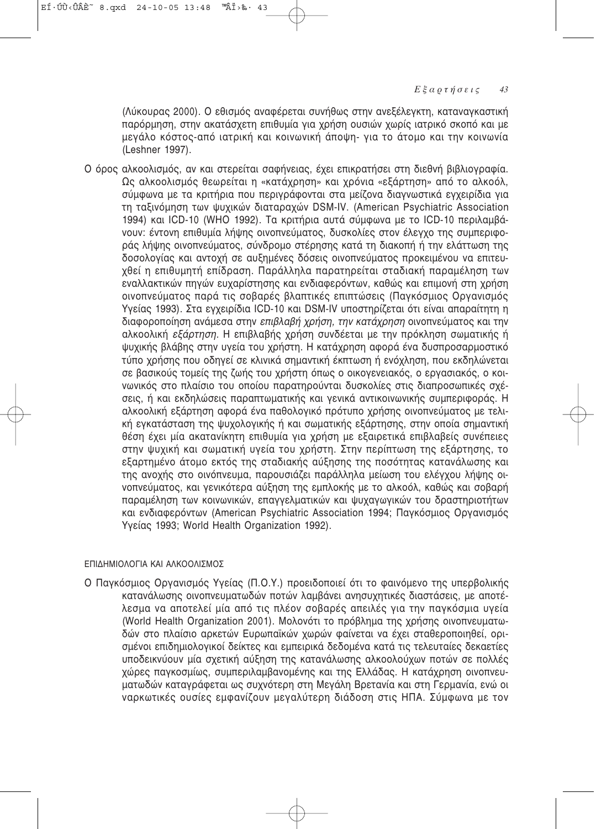EÍ·ÚÙ‹ÛÂȘ 8.qxd 24-10-05 13:48 ™ÂÏ›‰· 43

(Λύκουρας 2000). Ο εθισμός αναφέρεται συνήθως στην ανεξέλεγκτη, καταναγκαστική παρόρμηση, στην ακατάσχετη επιθυμία για χρήση ουσιών χωρίς ιατρικό σκοπό και με μεγάλο κόστος-από ιατρική και κοινωνική άποψη- για το άτομο και την κοινωνία (Leshner 1997).

Ο όρος αλκοολισμός, αν και στερείται σαφήνειας, έχει επικρατήσει στη διεθνή βιβλιογραφία. Ως αλκοολισμός θεωρείται η «κατάχρηση» και χρόνια «εξάρτηση» από το αλκοόλ, σύμφωνα με τα κριτήρια που περιγράφονται στα μείζονα διαγνωστικά εγχειρίδια για τη ταξινόμηση των ψυχικών διαταραχών DSM-IV. (American Psychiatric Association 1994) και ICD-10 (WHO 1992). Τα κριτήρια αυτά σύμφωνα με το ICD-10 περιλαμβά-VOUV: έντονη επιθυμία λήψης οινοπνεύματος, δυσκολίες στον έλεγχο της συμπεριφοράς λήψης οινοπνεύματος, σύνδρομο στέρησης κατά τη διακοπή ή την ελάττωση της δοσολογίας και αντοχή σε αυξημένες δόσεις οινοπνεύματος προκειμένου να επιτευχθεί η επιθυμητή επίδραση. Παράλληλα παρατηρείται σταδιακή παραμέληση των εναλλακτικών πηγών ευχαρίστησης και ενδιαφερόντων, καθώς και επιμονή στη χρήση οινοπνεύματος παρά τις σοβαρές βλαπτικές επιπτώσεις (Παγκόσμιος Οργανισμός Υγείας 1993). Στα εγχειρίδια ICD-10 και DSM-IV υποστηρίζεται ότι είναι απαραίτητη η διαφοροποίηση ανάμεσα στην επιβλαβή χρήση, την κατάχρηση οινοπνεύματος και την αλκοολική *εξάρτηση*. Η επιβλαβής χρήση συνδέεται με την πρόκληση σωματικής ή ψυχικής βλάβης στην υγεία του χρήστη. Η κατάχρηση αφορά ένα δυσπροσαρμοστικό τύπο χρήσης που οδηγεί σε κλινικά σημαντική έκπτωση ή ενόχληση, που εκδηλώνεται σε βασικούς τομείς της ζωής του χρήστη όπως ο οικογενειακός, ο εργασιακός, ο κοινωνικός στο πλαίσιο του οποίου παρατηρούνται δυσκολίες στις διαπροσωπικές σχέσεις, ή και εκδηλώσεις παραπτωματικής και γενικά αντικοινωνικής συμπεριφοράς. Η αλκοολική εξάρτηση αφορά ένα παθολογικό πρότυπο χρήσης οινοπνεύματος με τελική εγκατάσταση της ψυχολογικής ή και σωματικής εξάρτησης, στην οποία σημαντική θέση έχει μία ακατανίκητη επιθυμία για χρήση με εξαιρετικά επιβλαβείς συνέπειες στην ψυχική και σωματική υγεία του χρήστη. Στην περίπτωση της εξάρτησης, το εξαρτημένο άτομο εκτός της σταδιακής αύξησης της ποσότητας κατανάλωσης και της ανοχής στο οινόπνευμα, παρουσιάζει παράλληλα μείωση του ελέγχου λήψης οινοπνεύματος, και γενικότερα αύξηση της εμπλοκής με το αλκοόλ, καθώς και σοβαρή παραμέληση των κοινωνικών, επαννελματικών και ψυχανωνικών του δραστηριοτήτων και ενδιαφερόντων (American Psychiatric Association 1994; Παγκόσμιος Οργανισμός Υγείας 1993; World Health Organization 1992).

# ΕΠΙΔΗΜΙΟΛΟΓΙΑ ΚΑΙ ΑΛΚΟΟΛΙΣΜΟΣ

Ο Πανκόσμιος Οργανισμός Υνείας (Π.Ο.Υ.) προειδοποιεί ότι το φαινόμενο της υπερβολικής κατανάλωσης οινοπνευματωδών ποτών λαμβάνει ανησυχητικές διαστάσεις, με αποτέλεσμα να αποτελεί μία από τις πλέον σοβαρές απειλές για την παγκόσμια υγεία (World Health Organization 2001). Μολονότι το πρόβλημα της χρήσης οινοπνευματωδών στο πλαίσιο αρκετών Ευρωπαϊκών χωρών φαίνεται να έχει σταθεροποιηθεί, ορισμένοι επιδημιολογικοί δείκτες και εμπειρικά δεδομένα κατά τις τελευταίες δεκαετίες υποδεικνύουν μία σχετική αύξηση της κατανάλωσης αλκοολούχων ποτών σε πολλές χώρες παγκοσμίως, συμπεριλαμβανομένης και της Ελλάδας. Η κατάχρηση οινοπνευματωδών καταγράφεται ως συχνότερη στη Μεγάλη Βρετανία και στη Γερμανία, ενώ οι ναρκωτικές ουσίες εμφανίζουν μεγαλύτερη διάδοση στις ΗΠΑ. Σύμφωνα με τον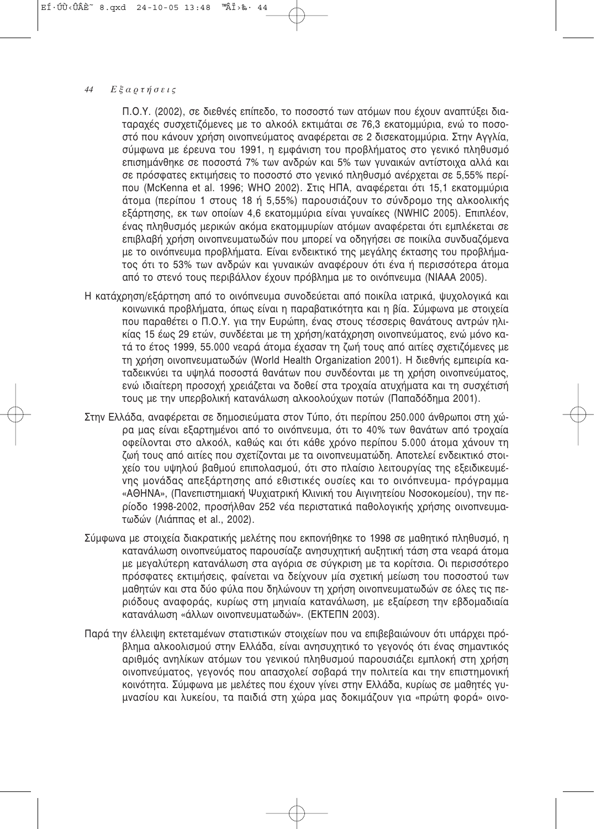$\Pi$ .O.Y. (2002), σε διεθνές επίπεδο, το ποσοστό των ατόμων που έχουν αναπτύξει διαταραχές συσχετιζόμενες με το αλκοόλ εκτιμάται σε 76,3 εκατομμύρια, ενώ το ποσοστό που κάνουν χρήση οινοπνεύματος αναφέρεται σε 2 δισεκατομμύρια. Στην Αννλία, σύμφωνα με έρευνα του 1991, η εμφάνιση του προβλήματος στο γενικό πληθυσμό επισημάνθηκε σε ποσοστά 7% των ανδρών και 5% των γυναικών αντίστοιχα αλλά και σε πρόσφατες εκτιμήσεις το ποσοστό στο γενικό πληθυσμό ανέρχεται σε 5,55% περίπου (McKenna et al. 1996; WHO 2002). Στις ΗΠΑ, αναφέρεται ότι 15,1 εκατομμύρια άτομα (περίπου 1 στους 18 ή 5,55%) παρουσιάζουν το σύνδρομο της αλκοολικής εξάρτησης, εκ των οποίων 4,6 εκατομμύρια είναι γυναίκες (NWHIC 2005). Επιπλέον, ένας πληθυσμός μερικών ακόμα εκατομμυρίων ατόμων αναφέρεται ότι εμπλέκεται σε επιβλαβή χρήση οινοπνευματωδών που μπορεί να οδηγήσει σε ποικίλα συνδυαζόμενα ιμε το οινόπνευμα προβλήματα. Είναι ενδεικτικό της μενάλης έκτασης του προβλήματος ότι το 53% των ανδρών και γυναικών αναφέρουν ότι ένα ή περισσότερα άτομα από το στενό τους περιβάλλον έχουν πρόβλημα με το οινόπνευμα (NIAAA 2005).

- Η κατάχρηση/εξάρτηση από το οινόπνευμα συνοδεύεται από ποικίλα ιατρικά, ψυχολογικά και κοινωνικά προβλήματα, όπως είναι η παραβατικότητα και η βία. Σύμφωνα με στοιχεία που παραθέτει ο Π.Ο.Υ. για την Ευρώπη, ένας στους τέσσερις θανάτους αντρών ηλικίας 15 έως 29 ετών, συνδέεται με τη χρήση/κατάχρηση οινοπνεύματος, ενώ μόνο κατά το έτος 1999, 55.000 νεαρά άτομα έχασαν τη ζωή τους από αιτίες σχετιζόμενες με τη χρήση οινοπνευματωδών (World Health Organization 2001). Η διεθνής εμπειρία καταδεικνύει τα υψηλά ποσοστά θανάτων που συνδέονται με τη χρήση οινοπνεύματος, ενώ ιδιαίτερη προσοχή χρειάζεται να δοθεί στα τροχαία ατυχήματα και τη συσχέτισή τους με την υπερβολική κατανάλωση αλκοολούχων ποτών (Παπαδόδημα 2001).
- Στην Ελλάδα, αναφέρεται σε δημοσιεύματα στον Τύπο, ότι περίπου 250.000 άνθρωποι στη χώρα μας είναι εξαρτημένοι από το οινόπνευμα, ότι το 40% των θανάτων από τροχαία οφείλονται στο αλκοόλ, καθώς και ότι κάθε χρόνο περίπου 5.000 άτομα χάνουν τη ζωή τους από αιτίες που σχετίζονται με τα οινοπνευματώδη. Αποτελεί ενδεικτικό στοιχείο του υψηλού βαθμού επιπολασμού, ότι στο πλαίσιο λειτουργίας της εξειδικευμένης μονάδας απεξάρτησης από εθιστικές ουσίες και το οινόπνευμα- πρόγραμμα «ΑΘΗΝΑ», (Πανεπιστημιακή Ψυχιατρική Κλινική του Αιγινητείου Νοσοκομείου), την περίοδο 1998-2002, προσήλθαν 252 νέα περιστατικά παθολογικής χρήσης οινοπνευματωδών (Λιάππας et al., 2002).
- Σύμφωνα με στοιχεία διακρατικής μελέτης που εκπονήθηκε το 1998 σε μαθητικό πληθυσμό, η κατανάλωση οινοπνεύματος παρουσίαζε ανησυχητική αυξητική τάση στα νεαρά άτομα με μεγαλύτερη κατανάλωση στα αγόρια σε σύγκριση με τα κορίτσια. Οι περισσότερο πρόσφατες εκτιμήσεις, φαίνεται να δείχνουν μία σχετική μείωση του ποσοστού των μαθητών και στα δύο φύλα που δηλώνουν τη χρήση οινοπνευματωδών σε όλες τις περιόδους αναφοράς, κυρίως στη μηνιαία κατανάλωση, με εξαίρεση την εβδομαδιαία κατανάλωση «άλλων οινοπνευματωδών». (ΕΚΤΕΠΝ 2003).
- Παρά την έλλειψη εκτεταμένων στατιστικών στοιχείων που να επιβεβαιώνουν ότι υπάρχει πρόβλημα αλκοολισμού στην Ελλάδα, είναι ανησυχητικό το γεγονός ότι ένας σημαντικός αριθμός ανηλίκων ατόμων του γενικού πληθυσμού παρουσιάζει εμπλοκή στη χρήση οινοπνεύματος, γεγονός που απασχολεί σοβαρά την πολιτεία και την επιστημονική κοινότητα. Σύμφωνα με μελέτες που έχουν γίνει στην Ελλάδα, κυρίως σε μαθητές γυμνασίου και λυκείου, τα παιδιά στη χώρα μας δοκιμάζουν για «πρώτη φορά» οινο-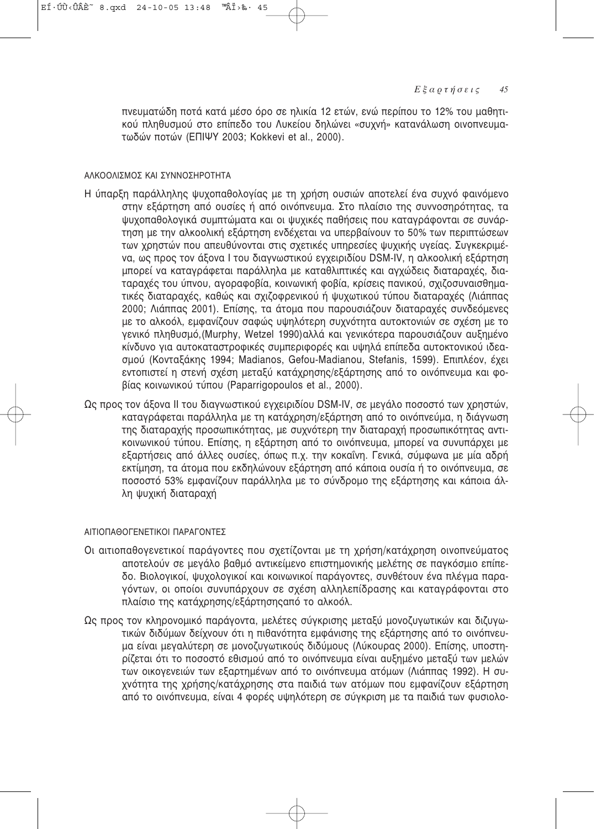EÍ·ÚÙ‹ÛÂȘ 8.qxd 24-10-05 13:48 ™ÂÏ›‰· 45

πνευματώδη ποτά κατά μέσο όρο σε ηλικία 12 ετών, ενώ περίπου το 12% του μαθητι-ΚΟύ πληθυσμού στο επίπεδο του Λυκείου δηλώνει «συχνή» κατανάλωση οινοπνευματωδών ποτών (ΕΠΙΨΥ 2003: Kokkevi et al., 2000).

# ΑΛΚΟΟΛΙΣΜΟΣ ΚΑΙ ΣΥΝΝΟΣΗΡΟΤΗΤΑ

- Η ύπαρξη παράλληλης ψυχοπαθολογίας με τη χρήση ουσιών αποτελεί ένα συχνό φαινόμενο στην εξάρτηση από ουσίες ή από οινόπνευμα. Στο πλαίσιο της συννοσηρότητας, τα ψυχοπαθολογικά συμπτώματα και οι ψυχικές παθήσεις που καταγράφονται σε συνάρτηση με την αλκοολική εξάρτηση ενδέχεται να υπερβαίνουν το 50% των περιπτώσεων των χρηστών που απευθύνονται στις σχετικές υπηρεσίες ψυχικής υγείας. Συγκεκριμένα, ως προς τον άξονα Ι του διαγνωστικού εγχειριδίου DSM-IV, η αλκοολική εξάρτηση μπορεί να καταγράφεται παράλληλα με καταθλιπτικές και αγχώδεις διαταραχές, διαταραχές του ύπνου, αγοραφοβία, κοινωνική φοβία, κρίσεις πανικού, σχιζοσυναισθηματικές διαταραχές, καθώς και σχιζοφρενικού ή ψυχωτικού τύπου διαταραχές (Λιάππας 2000; Λιάππας 2001). Επίσης, τα άτομα που παρουσιάζουν διαταραχές συνδεόμενες με το αλκοόλ, εμφανίζουν σαφώς υψηλότερη συχνότητα αυτοκτονιών σε σχέση με το γενικό πληθυσμό,(Murphy, Wetzel 1990) αλλά και γενικότερα παρουσιάζουν αυξημένο κίνδυνο για αυτοκαταστροφικές συμπεριφορές και υψηλά επίπεδα αυτοκτονικού ιδεασμού (Κονταξάκης 1994; Madianos, Gefou-Madianou, Stefanis, 1599). Επιπλέον, έχει εντοπιστεί η στενή σχέση μεταξύ κατάχρησης/εξάρτησης από το οινόπνευμα και φο- $\beta$ ίας κοινωνικού τύπου (Paparrigopoulos et al., 2000).
- Ως προς τον άξονα ΙΙ του διαγνωστικού εγχειριδίου DSM-IV, σε μεγάλο ποσοστό των χρηστών, καταγράφεται παράλληλα με τη κατάχρηση/εξάρτηση από το οινόπνεύμα, η διάγνωση της διαταραχής προσωπικότητας, με συχνότερη την διαταραχή προσωπικότητας αντικοινωνικού τύπου. Επίσης, η εξάρτηση από το οινόπνευμα, μπορεί να συνυπάρχει με εξαρτήσεις από άλλες ουσίες, όπως π.χ. την κοκαΐνη, Γενικά, σύμφωνα με μία αδρή εκτίμηση, τα άτομα που εκδηλώνουν εξάρτηση από κάποια ουσία ή το οινόπνευμα, σε ποσοστό 53% εμφανίζουν παράλληλα με το σύνδρομο της εξάρτησης και κάποια άλλη ψυχική διαταραχή

# ΔΙΤΙΟΠΑΘΩΓΕΝΕΤΙΚΩΙ ΠΑΡΑΓΩΝΤΕΣ

- Οι αιτιοπαθογενετικοί παράγοντες που σχετίζονται με τη χρήση/κατάχρηση οινοπνεύματος αποτελούν σε μεγάλο βαθμό αντικείμενο επιστημονικής μελέτης σε παγκόσμιο επίπεδο. Βιολογικοί, ψυχολογικοί και κοινωνικοί παράγοντες, συνθέτουν ένα πλέγμα παραγόντων, οι οποίοι συνυπάρχουν σε σχέση αλληλεπίδρασης και καταγράφονται στο πλαίσιο της κατάχρησης/εξάρτησης από το αλκοόλ.
- Ως προς τον κληρονομικό παράγοντα, μελέτες σύγκρισης μεταξύ μονοζυγωτικών και διζυγωτικών διδύμων δείχνουν ότι η πιθανότητα εμφάνισης της εξάρτησης από το οινόπνευμα είναι μεγαλύτερη σε μονοζυγωτικούς διδύμους (Λύκουρας 2000). Επίσης, υποστηρίζεται ότι το ποσοστό εθισμού από το οινόπνευμα είναι αυξημένο μεταξύ των μελών των οικογενειών των εξαρτημένων από το οινόπνευμα ατόμων (Λιάππας 1992). Η συχνότητα της χρήσης/κατάχρησης στα παιδιά των ατόμων που εμφανίζουν εξάρτηση από το οινόπνευμα, είναι 4 φορές υψηλότερη σε σύγκριση με τα παιδιά των φυσιολο-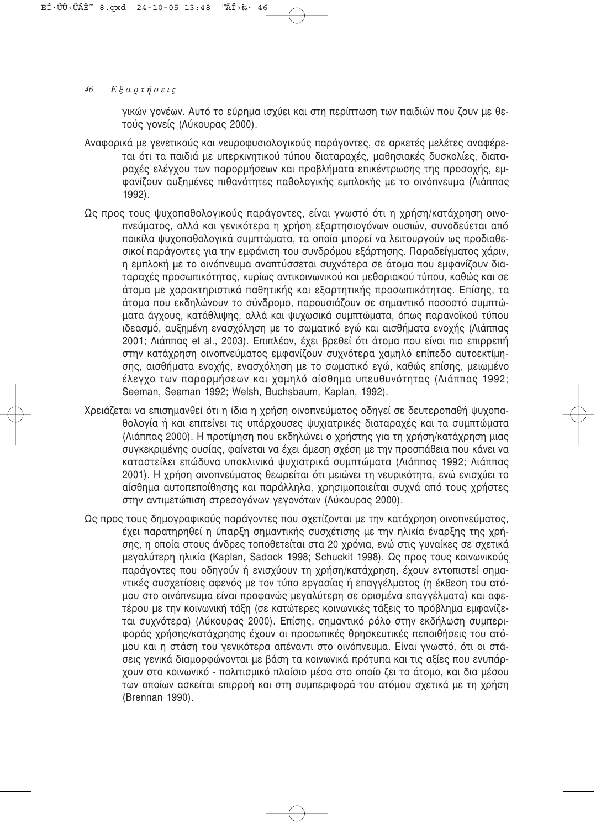> γικών γονέων. Αυτό το εύρημα ισχύει και στη περίπτωση των παιδιών που ζουν με θετούς γονείς (Λύκουρας 2000).

- Αναφορικά με νενετικούς και νευροφυσιολονικούς παράνοντες, σε αρκετές μελέτες αναφέρεται ότι τα παιδιά με υπερκινητικού τύπου διαταραχές, μαθησιακές δυσκολίες, διαταραχές ελέγχου των παρορμήσεων και προβλήματα επικέντρωσης της προσοχής, εμφανίζουν αυξημένες πιθανότητες παθολογικής εμπλοκής με το οινόπνευμα (Λιάππας  $1992$ ).
- Ως προς τους ψυχοπαθολογικούς παράγοντες, είναι γνωστό ότι η χρήση/κατάχρηση οινοπνεύματος, αλλά και νενικότερα η χρήση εξαρτησιονόνων ουσιών, συνοδεύεται από ποικίλα ψυχοπαθολογικά συμπτώματα, τα οποία μπορεί να λειτουργούν ως προδιαθεσικοί παράγοντες για την εμφάνιση του συνδρόμου εξάρτησης. Παραδείγματος χάριν, η εμπλοκή με το οινόπνευμα αναπτύσσεται συχνότερα σε άτομα που εμφανίζουν διαταραχές προσωπικότητας, κυρίως αντικοινωνικού και μεθοριακού τύπου, καθώς και σε άτομα με χαρακτηριστικά παθητικής και εξαρτητικής προσωπικότητας. Επίσης, τα άτομα που εκδηλώνουν το σύνδρομο, παρουσιάζουν σε σημαντικό ποσοστό συμπτώματα άγχους, κατάθλιψης, αλλά και ψυχωσικά συμπτώματα, όπως παρανοϊκού τύπου ιδεασμό, αυξημένη ενασχόληση με το σωματικό εγώ και αισθήματα ενοχής (Λιάππας 2001; Λιάππας et al., 2003). Επιπλέον, έχει βρεθεί ότι άτομα που είναι πιο επιρρεπή στην κατάχρηση οινοπνεύματος εμφανίζουν συχνότερα χαμηλό επίπεδο αυτοεκτίμησης, αισθήματα ενοχής, ενασχόληση με το σωματικό εγώ, καθώς επίσης, μειωμένο έλεγχο των παρορμήσεων και χαμηλό αίσθημα υπευθυνότητας (Λιάππας 1992; Seeman, Seeman 1992; Welsh, Buchsbaum, Kaplan, 1992).
- Χρειάζεται να επισημανθεί ότι η ίδια η χρήση οινοπνεύματος οδηγεί σε δευτεροπαθή ψυχοπαθολογία ή και επιτείνει τις υπάρχουσες ψυχιατρικές διαταραχές και τα συμπτώματα (Λιάππας 2000). Η προτίμηση που εκδηλώνει ο χρήστης για τη χρήση/κατάχρηση μιας συγκεκριμένης ουσίας, φαίνεται να έχει άμεση σχέση με την προσπάθεια που κάνει να καταστείλει επώδυνα υποκλινικά ψυχιατρικά συμπτώματα (Λιάππας 1992; Λιάππας 2001). Η χρήση οινοπνεύματος θεωρείται ότι μειώνει τη νευρικότητα, ενώ ενισχύει το αίσθημα αυτοπεποίθησης και παράλληλα, χρησιμοποιείται συχνά από τους χρήστες στην αντιμετώπιση στρεσογόνων γεγονότων (Λύκουρας 2000).
- Ως προς τους δημογραφικούς παράγοντες που σχετίζονται με την κατάχρηση οινοπνεύματος. έχει παρατηρηθεί η ύπαρξη σημαντικής συσχέτισης με την ηλικία έναρξης της χρήσης, η οποία στους άνδρες τοποθετείται στα 20 χρόνια, ενώ στις γυναίκες σε σχετικά μεγαλύτερη ηλικία (Kaplan, Sadock 1998; Schuckit 1998). Ως προς τους κοινωνικούς παράγοντες που οδηγούν ή ενισχύουν τη χρήση/κατάχρηση, έχουν εντοπιστεί σημαντικές συσχετίσεις αφενός με τον τύπο εργασίας ή επαγγέλματος (η έκθεση του ατόμου στο οινόπνευμα είναι προφανώς μεγαλύτερη σε ορισμένα επαγγέλματα) και αφετέρου με την κοινωνική τάξη (σε κατώτερες κοινωνικές τάξεις το πρόβλημα εμφανίζεται συχνότερα) (Λύκουρας 2000). Επίσης, σημαντικό ρόλο στην εκδήλωση συμπεριφοράς χρήσης/κατάχρησης έχουν οι προσωπικές θρησκευτικές πεποιθήσεις του ατόμου και η στάση του γενικότερα απέναντι στο οινόπνευμα. Είναι γνωστό, ότι οι στάσεις γενικά διαμορφώνονται με βάση τα κοινωνικά πρότυπα και τις αξίες που ενυπάρχουν στο κοινωνικό - πολιτισμικό πλαίσιο μέσα στο οποίο ζει το άτομο, και δια μέσου των οποίων ασκείται επιρροή και στη συμπεριφορά του ατόμου σχετικά με τη χρήση (Brennan 1990).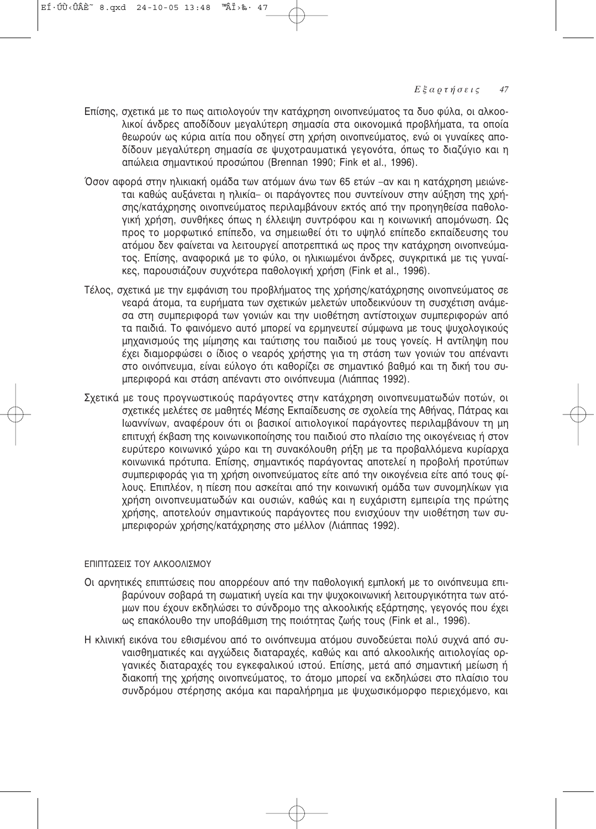- Επίσης, σχετικά με το πως αιτιολογούν την κατάχρηση οινοπνεύματος τα δυο φύλα, οι αλκοολικοί άνδρες αποδίδουν μεγαλύτερη σημασία στα οικονομικά προβλήματα, τα οποία θεωρούν ως κύρια αιτία που οδηγεί στη χρήση οινοπνεύματος, ενώ οι γυναίκες αποδίδουν μεγαλύτερη σημασία σε ψυχοτραυματικά γεγονότα, όπως το διαζύγιο και η απώλεια σημαντικού προσώπου (Brennan 1990; Fink et al., 1996).
- Όσον αφορά στην ηλικιακή ομάδα των ατόμων άνω των 65 ετών –αν και η κατάχρηση μειώνεται καθώς αυξάνεται η ηλικία- οι παράγοντες που συντείνουν στην αύξηση της χρήσης/κατάχρησης οινοπνεύματος περιλαμβάνουν εκτός από την προηγηθείσα παθολογική χρήση, συνθήκες όπως η έλλειψη συντρόφου και η κοινωνική απομόνωση. Ως προς το μορφωτικό επίπεδο, να σημειωθεί ότι το υψηλό επίπεδο εκπαίδευσης του ατόμου δεν φαίνεται να λειτουργεί αποτρεπτικά ως προς την κατάχρηση οινοπνεύματος. Επίσης, αναφορικά με το φύλο, οι ηλικιωμένοι άνδρες, συγκριτικά με τις γυναίκες, παρουσιάζουν συχνότερα παθολογική χρήση (Fink et al., 1996).
- Τέλος, σχετικά με την εμφάνιση του προβλήματος της χρήσης/κατάχρησης οινοπνεύματος σε vεαρά άτομα, τα ευρήματα των σχετικών μελετών υποδεικνύουν τη συσχέτιση ανάμεσα στη συμπεριφορά των γονιών και την υιοθέτηση αντίστοιχων συμπεριφορών από τα παιδιά. Το φαινόμενο αυτό μπορεί να ερμηνευτεί σύμφωνα με τους ψυχολογικούς μηχανισμούς της μίμησης και ταύτισης του παιδιού με τους γονείς. Η αντίληψη που έχει διαμορφώσει ο ίδιος ο νεαρός χρήστης για τη στάση των γονιών του απέναντι στο οινόπνευμα, είναι εύλογο ότι καθορίζει σε σημαντικό βαθμό και τη δική του συμπεριφορά και στάση απέναντι στο οινόπνευμα (Λιάππας 1992).
- Σχετικά με τους προγνωστικούς παράγοντες στην κατάχρηση οινοπνευματωδών ποτών, οι σχετικές μελέτες σε μαθητές Μέσης Εκπαίδευσης σε σχολεία της Αθήνας, Πάτρας και Ιωαννίνων, αναφέρουν ότι οι βασικοί αιτιολογικοί παράγοντες περιλαμβάνουν τη μη επιτυχή έκβαση της κοινωνικοποίησης του παιδιού στο πλαίσιο της οικογένειας ή στον ευρύτερο κοινωνικό χώρο και τη συνακόλουθη ρήξη με τα προβαλλόμενα κυρίαρχα κοινωνικά πρότυπα. Επίσης, σημαντικός παράγοντας αποτελεί η προβολή προτύπων συμπεριφοράς για τη χρήση οινοπνεύματος είτε από την οικογένεια είτε από τους φίλους. Επιπλέον, η πίεση που ασκείται από την κοινωνική ομάδα των συνομηλίκων για χρήση οινοπνευματωδών και ουσιών, καθώς και η ευχάριστη εμπειρία της πρώτης χρήσης, αποτελούν σημαντικούς παράγοντες που ενισχύουν την υιοθέτηση των συμπεριφορών χρήσης/κατάχρησης στο μέλλον (Λιάππας 1992).

## ΕΠΙΠΤΩΣΕΙΣ ΤΟΥ ΑΛΚΟΟΛΙΣΜΟΥ

- Οι αρνητικές επιπτώσεις που απορρέουν από την παθολογική εμπλοκή με το οινόπνευμα επιβαρύνουν σοβαρά τη σωματική υγεία και την ψυχοκοινωνική λειτουργικότητα των ατόμων που έχουν εκδηλώσει το σύνδρομο της αλκοολικής εξάρτησης, γεγονός που έχει ως επακόλουθο την υποβάθμιση της ποιότητας ζωής τους (Fink et al., 1996).
- Η κλινική εικόνα του εθισμένου από το οινόπνευμα ατόμου συνοδεύεται πολύ συχνά από συvαισθηματικές και αγχώδεις διαταραχές, καθώς και από αλκοολικής αιτιολογίας οργανικές διαταραχές του εγκεφαλικού ιστού. Επίσης, μετά από σημαντική μείωση ή διακοπή της χρήσης οινοπνεύματος, το άτομο μπορεί να εκδηλώσει στο πλαίσιο του συνδρόμου στέρησης ακόμα και παραλήρημα με ψυχωσικόμορφο περιεχόμενο, και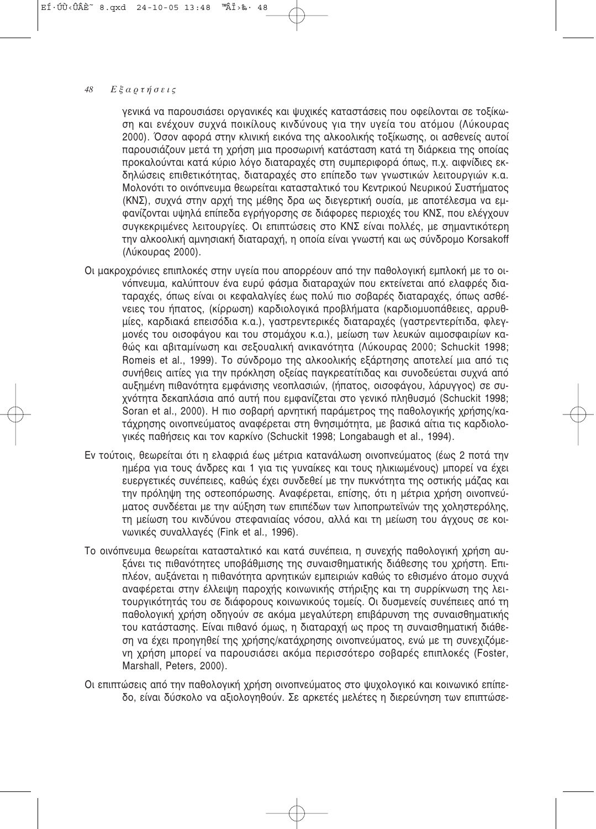48 Εξαρτήσεις

> γενικά να παρουσιάσει οργανικές και ψυχικές καταστάσεις που οφείλονται σε τοξίκωση και ενέχουν συχνά ποικίλους κινδύνους για την υγεία του ατόμου (Λύκουρας 2000). Όσον αφορά στην κλινική εικόνα της αλκοολικής τοξίκωσης, οι ασθενείς αυτοί παρουσιάζουν μετά τη χρήση μια προσωρινή κατάσταση κατά τη διάρκεια της οποίας προκαλούνται κατά κύριο λόγο διαταραχές στη συμπεριφορά όπως, π.χ. αιφνίδιες εκδηλώσεις επιθετικότητας, διαταραχές στο επίπεδο των γνωστικών λειτουργιών κ.α. Μολονότι το οινόπνευμα θεωρείται κατασταλτικό του Κεντρικού Νευρικού Συστήματος (ΚΝΣ), συχνά στην αρχή της μέθης δρα ως διεγερτική ουσία, με αποτέλεσμα να εμφανίζονται υψηλά επίπεδα ενρήνορσης σε διάφορες περιοχές του ΚΝΣ, που ελένχουν συνκεκριμένες λειτουργίες. Οι επιπτώσεις στο ΚΝΣ είναι πολλές, με σημαντικότερη την αλκοολική αμνησιακή διαταραχή, η οποία είναι γνωστή και ως σύνδρομο Korsakoff (Λύκουρας 2000).

- Οι μακροχρόνιες επιπλοκές στην υγεία που απορρέουν από την παθολογική εμπλοκή με το οινόπνευμα, καλύπτουν ένα ευρύ φάσμα διαταραχών που εκτείνεται από ελαφρές διαταραχές, όπως είναι οι κεφαλαλγίες έως πολύ πιο σοβαρές διαταραχές, όπως ασθένειες του ήπατος, (κίρρωση) καρδιολογικά προβλήματα (καρδιομυοπάθειες, αρρυθμίες, καρδιακά επεισόδια κ.α.), γαστρεντερικές διαταραχές (γαστρεντερίτιδα, φλεγμονές του οισοφάγου και του στομάχου κ.α.), μείωση των λευκών αιμοσφαιρίων καθώς και αβιταμίνωση και σεξουαλική ανικανότητα (Λύκουρας 2000; Schuckit 1998; Romeis et al., 1999). Το σύνδρομο της αλκοολικής εξάρτησης αποτελεί μια από τις συνήθεις αιτίες για την πρόκληση οξείας παγκρεατίτιδας και συνοδεύεται συχνά από αυξημένη πιθανότητα εμφάνισης νεοπλασιών, (ήπατος, οισοφάγου, λάρυγγος) σε συχνότητα δεκαπλάσια από αυτή που εμφανίζεται στο γενικό πληθυσμό (Schuckit 1998; Soran et al., 2000). Η πιο σοβαρή αρνητική παράμετρος της παθολογικής χρήσης/κατάχρησης οινοπνεύματος αναφέρεται στη θνησιμότητα, με βασικά αίτια τις καρδιολογικές παθήσεις και τον καρκίνο (Schuckit 1998; Longabaugh et al., 1994).
- Εν τούτοις, θεωρείται ότι η ελαφριά έως μέτρια κατανάλωση οινοπνεύματος (έως 2 ποτά την ημέρα για τους άνδρες και 1 για τις γυναίκες και τους ηλικιωμένους) μπορεί να έχει ευεργετικές συνέπειες, καθώς έχει συνδεθεί με την πυκνότητα της οστικής μάζας και την πρόληψη της οστεοπόρωσης. Αναφέρεται, επίσης, ότι η μέτρια χρήση οινοπνεύματος συνδέεται με την αύξηση των επιπέδων των λιποπρωτεϊνών της χοληστερόλης, τη μείωση του κινδύνου στεφανιαίας νόσου, αλλά και τη μείωση του άγχους σε κοινωνικές συναλλαγές (Fink et al., 1996).
- Το οινόπνευμα θεωρείται κατασταλτικό και κατά συνέπεια, η συνεχής παθολογική χρήση αυξάνει τις πιθανότητες υποβάθμισης της συναισθηματικής διάθεσης του χρήστη. Επιπλέον, αυξάνεται η πιθανότητα αρνητικών εμπειριών καθώς το εθισμένο άτομο συχνά αναφέρεται στην έλλειψη παροχής κοινωνικής στήριξης και τη συρρίκνωση της λειτουργικότητάς του σε διάφορους κοινωνικούς τομείς. Οι δυσμενείς συνέπειες από τη παθολογική χρήση οδηγούν σε ακόμα μεγαλύτερη επιβάρυνση της συναισθηματικής του κατάστασης. Είναι πιθανό όμως, η διαταραχή ως προς τη συναισθηματική διάθεση να έχει προηγηθεί της χρήσης/κατάχρησης οινοπνεύματος, ενώ με τη συνεχιζόμενη χρήση μπορεί να παρουσιάσει ακόμα περισσότερο σοβαρές επιπλοκές (Foster, Marshall, Peters, 2000).
- Οι επιπτώσεις από την παθολογική χρήση οινοπνεύματος στο ψυχολογικό και κοινωνικό επίπεδο, είναι δύσκολο να αξιολογηθούν. Σε αρκετές μελέτες η διερεύνηση των επιπτώσε-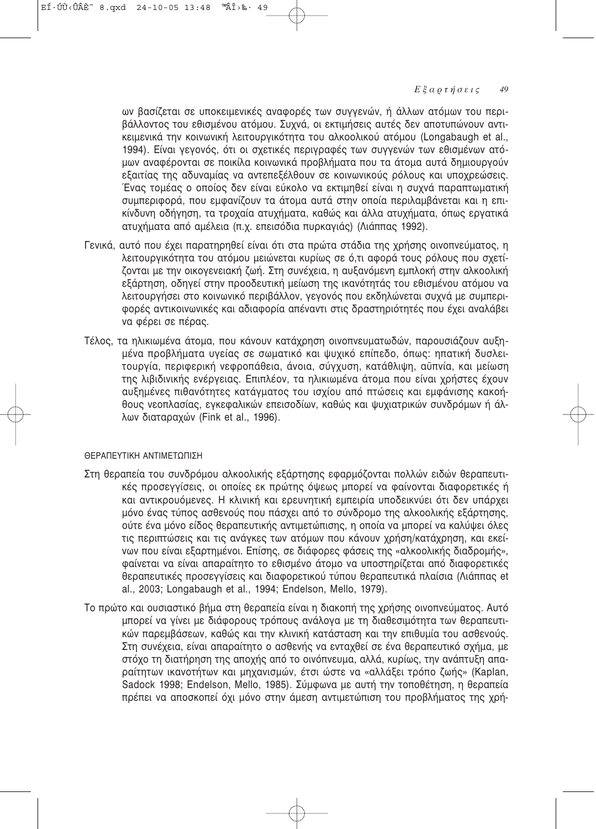ων βασίζεται σε υποκειμενικές αναφορές των συγγενών, ή άλλων ατόμων του περι- $\delta$ άλλοντος του εθισμένου ατόμου. Συχνά, οι εκτιμήσεις αυτές δεν αποτυπώνουν αντι-KΕΙΠΕΥΙΚΆ Την ΚΟΙΥΦΥΙΚή λειτουργικότητα του αλκοολικού ατόμου (Longabaugh et al., 1994). Είναι γεγονός, ότι οι σχετικές περιγραφές των συγγενών των εθισμένων ατόμων αναφέρονται σε ποικίλα κοινωνικά προβλήματα που τα άτομα αυτά δημιουργούν εξαιτίας της αδυναμίας να αντεπεξέλθουν σε κοινωνικούς ρόλους και υποχρεώσεις. Ένας τομέας ο οποίος δεν είναι εύκολο να εκτιμηθεί είναι η συχνά παραπτωματική συμπεριφορά, που εμφανίζουν τα άτομα αυτά στην οποία περιλαμβάνεται και η επι-Κίνδυνη οδήνηση, τα τροχαία ατυχήματα, καθώς και άλλα ατυχήματα, όπως εργατικά ατυχήματα από αμέλεια (π.χ. επεισόδια πυρκανιάς) (Λιάππας 1992).

- Γενικά, αυτό που έχει παρατηρηθεί είναι ότι στα πρώτα στάδια της χρήσης οινοπνεύματος, η λειτουργικότητα του ατόμου μειώνεται κυρίως σε ό,τι αφορά τους ρόλους που σχετίζονται με την οικογενειακή ζωή. Στη συνέχεια, η αυξανόμενη εμπλοκή στην αλκοολική εξάρτηση, οδηγεί στην προοδευτική μείωση της ικανότητάς του εθισμένου ατόμου να λειτουργήσει στο κοινωνικό περιβάλλον, γεγονός που εκδηλώνεται συχνά με συμπεριφορές αντικοινωνικές και αδιαφορία απέναντι στις δραστηριότητές που έχει αναλάβει να φέρει σε πέρας.
- Τέλος, τα ηλικιωμένα άτομα, που κάνουν κατάχρηση οινοπνευματωδών, παρουσιάζουν αυξημένα προβλήματα υγείας σε σωματικό και ψυχικό επίπεδο, όπως: ηπατική δυσλειτουργία, περιφερική νεφροπάθεια, άνοια, σύγχυση, κατάθλιψη, αϋπνία, και μείωση της λιβιδινικής ενέργειας. Επιπλέον, τα ηλικιωμένα άτομα που είναι χρήστες έχουν αυξημένες πιθανότητες κατάγματος του ισχίου από πτώσεις και εμφάνισης κακοήθους νεοπλασίας, εγκεφαλικών επεισοδίων, καθώς και ψυχιατρικών συνδρόμων ή άλλων διαταραχών (Fink et al., 1996).

# ΘΕΡΑΠΕΥΤΙΚΗ ΑΝΤΙΜΕΤΩΠΙΣΗ

- Στη θεραπεία του συνδρόμου αλκοολικής εξάρτησης εφαρμόζονται πολλών ειδών θεραπευτικές προσεγγίσεις, οι οποίες εκ πρώτης όψεως μπορεί να φαίνονται διαφορετικές ή και αντικρουόμενες. Η κλινική και ερευνητική εμπειρία υποδεικνύει ότι δεν υπάρχει μόνο ένας τύπος ασθενούς που πάσχει από το σύνδρομο της αλκοολικής εξάρτησης. ούτε ένα μόνο είδος θεραπευτικής αντιμετώπισης, η οποία να μπορεί να καλύψει όλες τις περιπτώσεις και τις ανάγκες των ατόμων που κάνουν χρήση/κατάχρηση, και εκείνων που είναι εξαρτημένοι. Επίσης, σε διάφορες φάσεις της «αλκοολικής διαδρομής», φαίνεται να είναι απαραίτητο το εθισμένο άτομο να υποστηρίζεται από διαφορετικές θεραπευτικές προσεγγίσεις και διαφορετικού τύπου θεραπευτικά πλαίσια (Λιάππας et al., 2003; Longabaugh et al., 1994; Endelson, Mello, 1979).
- Το πρώτο και ουσιαστικό βήμα στη θεραπεία είναι η διακοπή της χρήσης οινοπνεύματος. Αυτό μπορεί να γίνει με διάφορους τρόπους ανάλογα με τη διαθεσιμότητα των θεραπευτικών παρεμβάσεων, καθώς και την κλινική κατάσταση και την επιθυμία του ασθενούς. Στη συνέχεια, είναι απαραίτητο ο ασθενής να ενταχθεί σε ένα θεραπευτικό σχήμα, με στόχο τη διατήρηση της αποχής από το οινόπνευμα, αλλά, κυρίως, την ανάπτυξη απαpαίτητων ικανοτήτων και μηχανισμών, έτσι ώστε να «αλλάξει τρόπο ζωής» (Kaplan, Sadock 1998; Endelson, Mello, 1985). Σύμφωνα με αυτή την τοποθέτηση, η θεραπεία πρέπει να αποσκοπεί όχι μόνο στην άμεση αντιμετώπιση του προβλήματος της χρή-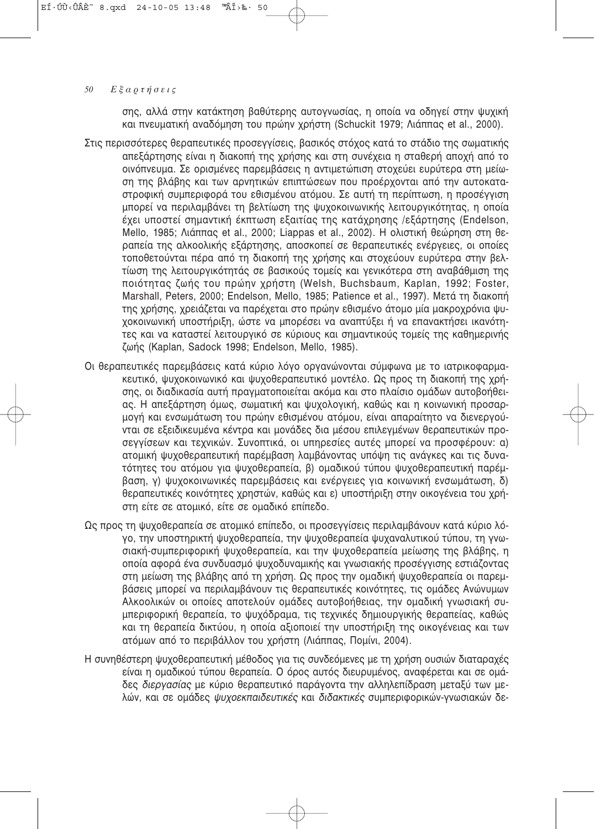σης, αλλά στην κατάκτηση βαθύτερης αυτογνωσίας, η οποία να οδηγεί στην ψυχική Kαι πνευματική αναδόμηση του πρώην χρήστη (Schuckit 1979; Λιάππας et al., 2000).

- Στις περισσότερες θεραπευτικές προσεγγίσεις, βασικός στόχος κατά το στάδιο της σωματικής απεξάρτησης είναι η διακοπή της χρήσης και στη συνέχεια η σταθερή αποχή από το οινόπνευμα. Σε ορισμένες παρεμβάσεις η αντιμετώπιση στοχεύει ευρύτερα στη μείωση της βλάβης και των αρνητικών επιπτώσεων που προέρχονται από την αυτοκαταστροφική συμπεριφορά του εθισμένου ατόμου. Σε αυτή τη περίπτωση, η προσέγγιση μπορεί να περιλαμβάνει τη βελτίωση της ψυχοκοινωνικής λειτουργικότητας, η οποία έχει υποστεί σημαντική έκπτωση εξαιτίας της κατάχρησης /εξάρτησης (Endelson, Mello, 1985; Λιάππας et al., 2000; Liappas et al., 2002). Η ολιστική θεώρηση στη θεραπεία της αλκοολικής εξάρτησης, αποσκοπεί σε θεραπευτικές ενέργειες, οι οποίες τοποθετούνται πέρα από τη διακοπή της χρήσης και στοχεύουν ευρύτερα στην βελτίωση της λειτουργικότητάς σε βασικούς τομείς και γενικότερα στη αναβάθμιση της ποιότητας ζωής του πρώην χρήστη (Welsh, Buchsbaum, Kaplan, 1992; Foster, Marshall, Peters, 2000; Endelson, Mello, 1985; Patience et al., 1997). Μετά τη διακοπή της χρήσης, χρειάζεται να παρέχεται στο πρώην εθισμένο άτομο μία μακροχρόνια ψυχοκοινωνική υποστήριξη, ώστε να μπορέσει να αναπτύξει ή να επανακτήσει ικανότητες και να καταστεί λειτουργικό σε κύριους και σημαντικούς τομείς της καθημερινής ˙ˆ‹˜ (Kaplan, Sadock 1998; Endelson, Mello, 1985).
- Οι θεραπευτικές παρεμβάσεις κατά κύριο λόγο οργανώνονται σύμφωνα με το ιατρικοφαρμακευτικό, ψυχοκοινωνικό και ψυχοθεραπευτικό μοντέλο. Ως προς τη διακοπή της χρήσης, οι διαδικασία αυτή πραγματοποιείται ακόμα και στο πλαίσιο ομάδων αυτοβοήθειας. Η απεξάρτηση όμως, σωματική και ψυχολογική, καθώς και η κοινωνική προσαρμογή και ενσωμάτωση του πρώην εθισμένου ατόμου, είναι απαραίτητο να διενεργού-Vται σε εξειδικευμένα κέντρα και μονάδες δια μέσου επιλεγμένων θεραπευτικών προσεγγίσεων και τεχνικών. Συνοπτικά, οι υπηρεσίες αυτές μπορεί να προσφέρουν: α) ατομική ψυχοθεραπευτική παρέμβαση λαμβάνοντας υπόψη τις ανάγκες και τις δυνατότητες του ατόμου για ψυχοθεραπεία, β) ομαδικού τύπου ψυχοθεραπευτική παρέμβαση, γ) ψυχοκοινωνικές παρεμβάσεις και ενέργειες για κοινωνική ενσωμάτωση, δ) θεραπευτικές κοινότητες χρηστών, καθώς και ε) υποστήριξη στην οικογένεια του χρήστη είτε σε ατομικό, είτε σε ομαδικό επίπεδο.
- Ως προς τη ψυχοθεραπεία σε ατομικό επίπεδο, οι προσεγγίσεις περιλαμβάνουν κατά κύριο λόγο, την υποστηρικτή ψυχοθεραπεία, την ψυχοθεραπεία ψυχαναλυτικού τύπου, τη γνωσιακή-συμπεριφορική ψυχοθεραπεία, και την ψυχοθεραπεία μείωσης της βλάβης, η οποία αφορά ένα συνδυασμό ψυχοδυναμικής και γνωσιακής προσέγγισης εστιάζοντας στη μείωση της βλάβης από τη χρήση. Ως προς την ομαδική ψυχοθεραπεία οι παρεμβάσεις μπορεί να περιλαμβάνουν τις θεραπευτικές κοινότητες, τις ομάδες Ανώνυμων Αλκοολικών οι οποίες αποτελούν ομάδες αυτοβοήθειας, την ομαδική γνωσιακή συμπεριφορική θεραπεία, το ψυχόδραμα, τις τεχνικές δημιουργικής θεραπείας, καθώς και τη θεραπεία δικτύου, η οποία αξιοποιεί την υποστήριξη της οικογένειας και των ατόμων από το περιβάλλον του χρήστη (Λιάππας, Πομίνι, 2004).
- Η συνηθέστερη ψυχοθεραπευτική μέθοδος για τις συνδεόμενες με τη χρήση ουσιών διαταραχές είναι η ομαδικού τύπου θεραπεία. Ο όρος αυτός διευρυμένος, αναφέρεται και σε ομάδες διεργασίας με κύριο θεραπευτικό παράγοντα την αλληλεπίδραση μεταξύ των μελών, και σε ομάδες ψυχοεκπαιδευτικές και διδακτικές συμπεριφορικών-γνωσιακών δε-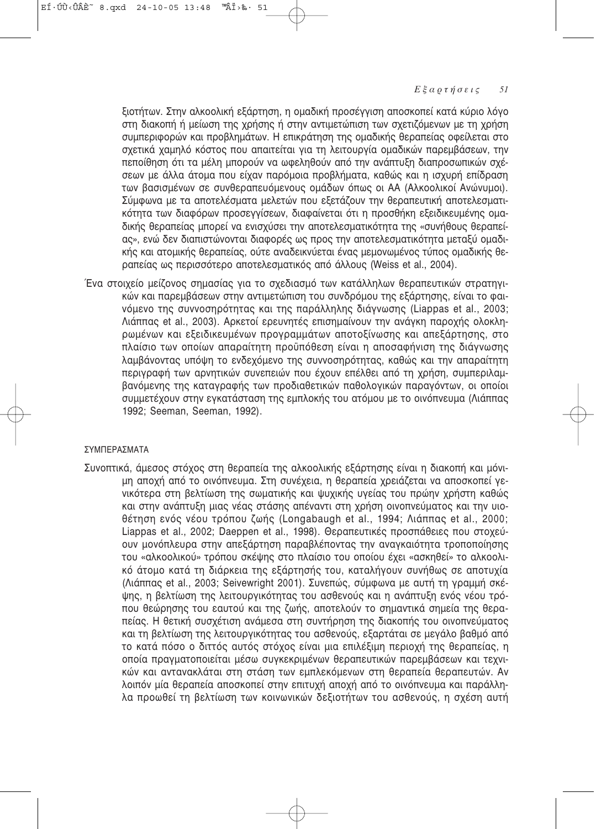#### Εξαρτήσεις 51

ξιοτήτων. Στην αλκοολική εξάρτηση, η ομαδική προσέγγιση αποσκοπεί κατά κύριο λόγο στη διακοπή ή μείωση της χρήσης ή στην αντιμετώπιση των σχετιζόμενων με τη χρήση συμπεριφορών και προβλημάτων. Η επικράτηση της ομαδικής θεραπείας οφείλεται στο σχετικά χαμηλό κόστος που απαιτείται για τη λειτουργία ομαδικών παρεμβάσεων, την πεποίθηση ότι τα μέλη μπορούν να ωφεληθούν από την ανάπτυξη διαπροσωπικών σχέσεων με άλλα άτομα που είχαν παρόμοια προβλήματα, καθώς και η ισχυρή επίδραση των βασισμένων σε συνθεραπευόμενους ομάδων όπως οι ΑΑ (Αλκοολικοί Ανώνυμοι). Σύμφωνα με τα αποτελέσματα μελετών που εξετάζουν την θεραπευτική αποτελεσματικότητα των διαφόρων προσεννίσεων. διαφαίνεται ότι η προσθήκη εξειδικευμένης ομαδικής θεραπείας μπορεί να ενισχύσει την αποτελεσματικότητα της «συνήθους θεραπείας», ενώ δεν διαπιστώνονται διαφορές ως προς την αποτελεσματικότητα μεταξύ ομαδικής και ατομικής θεραπείας, ούτε αναδεικνύεται ένας μεμονωμένος τύπος ομαδικής θεραπείας ως περισσότερο αποτελεσματικός από άλλους (Weiss et al., 2004).

Ένα στοιχείο μείζονος σημασίας για το σχεδιασμό των κατάλληλων θεραπευτικών στρατηγικών και παρεμβάσεων στην αντιμετώπιση του συνδρόμου της εξάρτησης, είναι το φαινόμενο της συννοσηρότητας και της παράλληλης διάγνωσης (Liappas et al., 2003; Λιάππας et al., 2003). Αρκετοί ερευνητές επισημαίνουν την ανάγκη παροχής ολοκληρωμένων και εξειδικευμένων προγραμμάτων αποτοξίνωσης και απεξάρτησης, στο πλαίσιο των οποίων απαραίτητη προϋπόθεση είναι η αποσαφήνιση της διάγνωσης λαμβάνοντας υπόψη το ενδεχόμενο της συννοσηρότητας, καθώς και την απαραίτητη περιγραφή των αρνητικών συνεπειών που έχουν επέλθει από τη χρήση, συμπεριλαμβανόμενης της καταγραφής των προδιαθετικών παθολογικών παραγόντων, οι οποίοι συμμετέχουν στην εγκατάσταση της εμπλοκής του ατόμου με το οινόπνευμα (Λιάππας 1992; Seeman, Seeman, 1992).

## ΣΥΜΠΕΡΑΣΜΑΤΑ

Συνοπτικά, άμεσος στόχος στη θεραπεία της αλκοολικής εξάρτησης είναι η διακοπή και μόνιμη αποχή από το οινόπνευμα. Στη συνέχεια, η θεραπεία χρειάζεται να αποσκοπεί γενικότερα στη βελτίωση της σωματικής και ψυχικής υγείας του πρώην χρήστη καθώς και στην ανάπτυξη μιας νέας στάσης απέναντι στη χρήση οινοπνεύματος και την υιοθέτηση ενός νέου τρόπου ζωής (Longabaugh et al., 1994; Λιάππας et al., 2000; Liappas et al., 2002; Daeppen et al., 1998). Θεραπευτικές προσπάθειες που στοχεύουν μονόπλευρα στην απεξάρτηση παραβλέποντας την αναγκαιότητα τροποποίησης του «αλκοολικού» τρόπου σκέψης στο πλαίσιο του οποίου έχει «ασκηθεί» το αλκοολικό άτομο κατά τη διάρκεια της εξάρτησής του, καταλήγουν συνήθως σε αποτυχία (Λιάππας et al., 2003; Seivewright 2001). Συνεπώς, σύμφωνα με αυτή τη γραμμή σκέψης, η βελτίωση της λειτουργικότητας του ασθενούς και η ανάπτυξη ενός νέου τρόπου θεώρησης του εαυτού και της ζωής, αποτελούν το σημαντικά σημεία της θεραπείας. Η θετική συσχέτιση ανάμεσα στη συντήρηση της διακοπής του οινοπνεύματος και τη βελτίωση της λειτουργικότητας του ασθενούς, εξαρτάται σε μεγάλο βαθμό από το κατά πόσο ο διττός αυτός στόχος είναι μια επιλέξιμη περιοχή της θεραπείας, η οποία πραγματοποιείται μέσω συγκεκριμένων θεραπευτικών παρεμβάσεων και τεχνικών και αντανακλάται στη στάση των εμπλεκόμενων στη θεραπεία θεραπευτών. Αν λοιπόν μία θεραπεία αποσκοπεί στην επιτυχή αποχή από το οινόπνευμα και παράλληλα προωθεί τη βελτίωση των κοινωνικών δεξιοτήτων του ασθενούς, η σχέση αυτή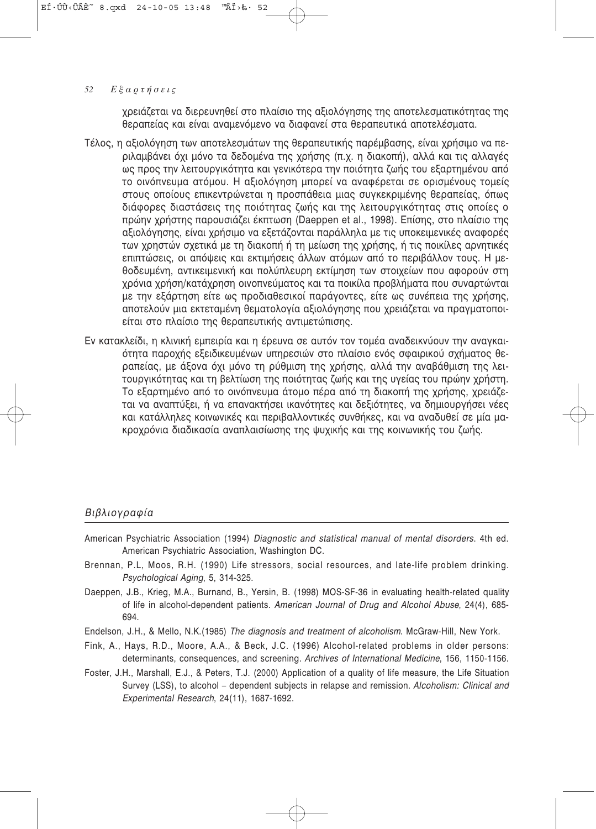χρειάζεται να διερευνηθεί στο πλαίσιο της αξιολόγησης της αποτελεσματικότητας της θεραπείας και είναι αναμενόμενο να διαφανεί στα θεραπευτικά αποτελέσματα.

- Τέλος, η αξιολόγηση των αποτελεσμάτων της θεραπευτικής παρέμβασης, είναι χρήσιμο να περιλαμβάνει όχι μόνο τα δεδομένα της χρήσης (π.χ. η διακοπή), αλλά και τις αλλαγές ως προς την λειτουργικότητα και γενικότερα την ποιότητα ζωής του εξαρτημένου από το οινόπνευμα ατόμου. Η αξιολόγηση μπορεί να αναφέρεται σε ορισμένους τομείς στους οποίους επικεντρώνεται η προσπάθεια μιας συγκεκριμένης θεραπείας, όπως διάφορες διαστάσεις της ποιότητας ζωής και της λειτουργικότητας στις οποίες ο πρώην χρήστης παρουσιάζει έκπτωση (Daeppen et al., 1998). Επίσης, στο πλαίσιο της αξιολόγησης, είναι χρήσιμο να εξετάζονται παράλληλα με τις υποκειμενικές αναφορές των χρηστών σχετικά με τη διακοπή ή τη μείωση της χρήσης, ή τις ποικίλες αρνητικές επιπτώσεις, οι απόψεις και εκτιμήσεις άλλων ατόμων από το περιβάλλον τους. Η μεθοδευμένη, αντικειμενική και πολύπλευρη εκτίμηση των στοιχείων που αφορούν στη χρόνια χρήση/κατάχρηση οινοπνεύματος και τα ποικίλα προβλήματα που συναρτώνται με την εξάρτηση είτε ως προδιαθεσικοί παράγοντες, είτε ως συνέπεια της χρήσης, αποτελούν μια εκτεταμένη θεματολογία αξιολόγησης που χρειάζεται να πραγματοποιείται στο πλαίσιο της θεραπευτικής αντιμετώπισης.
- Εν κατακλείδι, η κλινική εμπειρία και η έρευνα σε αυτόν τον τομέα αναδεικνύουν την αναγκαιότητα παροχής εξειδικευμένων υπηρεσιών στο πλαίσιο ενός σφαιρικού σχήματος θεραπείας, με άξονα όχι μόνο τη ρύθμιση της χρήσης, αλλά την αναβάθμιση της λειτουργικότητας και τη βελτίωση της ποιότητας ζωής και της υγείας του πρώην χρήστη. Το εξαρτημένο από το οινόπνευμα άτομο πέρα από τη διακοπή της χρήσης, χρειάζεται να αναπτύξει, ή να επανακτήσει ικανότητες και δεξιότητες, να δημιουργήσει νέες και κατάλληλες κοινωνικές και περιβαλλοντικές συνθήκες, και να αναδυθεί σε μία μακροχρόνια διαδικασία αναπλαισίωσης της ψυχικής και της κοινωνικής του ζωής.

# $B$ ιβλιογραφία

- American Psychiatric Association (1994) *Diagnostic and statistical manual of mental disorders*. 4th ed. American Psychiatric Association, Washington DC.
- Brennan, P.L, Moos, R.H. (1990) Life stressors, social resources, and late-life problem drinking. *Psychological Aging*, 5, 314-325.
- Daeppen, J.B., Krieg, M.A., Burnand, B., Yersin, B. (1998) MOS-SF-36 in evaluating health-related quality of life in alcohol-dependent patients. *American Journal of Drug and Alcohol Abuse*, 24(4), 685- 694.
- Endelson, J.H., & Mello, N.K.(1985) *The diagnosis and treatment of alcoholism*. McGraw-Hill, New York.
- Fink, A., Hays, R.D., Moore, A.A., & Beck, J.C. (1996) Alcohol-related problems in older persons: determinants, consequences, and screening. *Archives of International Medicine*, 156, 1150-1156.
- Foster, J.H., Marshall, E.J., & Peters, T.J. (2000) Application of a quality of life measure, the Life Situation Survey (LSS), to alcohol – dependent subjects in relapse and remission. *Alcoholism: Clinical and Experimental Research*, 24(11), 1687-1692.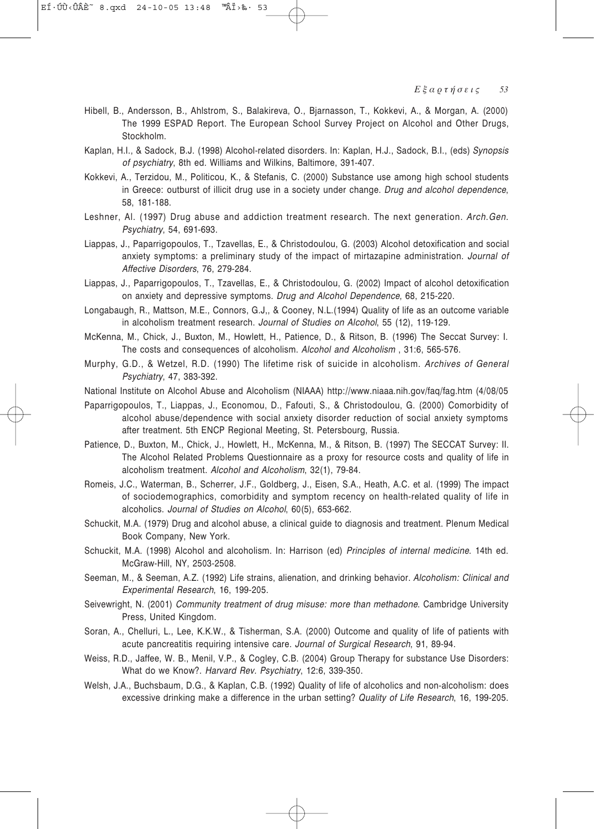$E\{f \cdot \hat{U}\} \times \hat{U} \hat{A} \hat{E}^{\sim}$  8.qxd 24-10-05 13:48  $M\{X}$ :

- Hibell, B., Andersson, B., Ahlstrom, S., Balakireva, O., Bjarnasson, T., Kokkevi, A., & Morgan, A. (2000) The 1999 ESPAD Report. The European School Survey Project on Alcohol and Other Drugs, Stockholm.
- Kaplan, H.I., & Sadock, B.J. (1998) Alcohol-related disorders. In: Kaplan, H.J., Sadock, B.I., (eds) *Synopsis of psychiatry*, 8th ed. Williams and Wilkins, Baltimore, 391-407.
- Kokkevi, A., Terzidou, M., Politicou, K., & Stefanis, C. (2000) Substance use among high school students in Greece: outburst of illicit drug use in a society under change. *Drug and alcohol dependence*, 58, 181-188.
- Leshner, Al. (1997) Drug abuse and addiction treatment research. The next generation. *Arch.Gen. Psychiatry*, 54, 691-693.
- Liappas, J., Paparrigopoulos, T., Tzavellas, E., & Christodoulou, G. (2003) Alcohol detoxification and social anxiety symptoms: a preliminary study of the impact of mirtazapine administration. *Journal of Affective Disorders*, 76, 279-284.
- Liappas, J., Paparrigopoulos, T., Tzavellas, E., & Christodoulou, G. (2002) Impact of alcohol detoxification on anxiety and depressive symptoms. *Drug and Alcohol Dependence*, 68, 215-220.
- Longabaugh, R., Mattson, M.E., Connors, G.J,, & Cooney, N.L.(1994) Quality of life as an outcome variable in alcoholism treatment research. *Journal of Studies on Alcohol*, 55 (12), 119-129.
- McKenna, M., Chick, J., Buxton, M., Howlett, H., Patience, D., & Ritson, B. (1996) The Seccat Survey: I. The costs and consequences of alcoholism. *Alcohol and Alcoholism* , 31:6, 565-576.
- Murphy, G.D., & Wetzel, R.D. (1990) The lifetime risk of suicide in alcoholism. *Archives of General Psychiatry*, 47, 383-392.
- National Institute on Alcohol Abuse and Alcoholism (NIAAA) http://www.niaaa.nih.gov/faq/fag.htm (4/08/05
- Paparrigopoulos, T., Liappas, J., Economou, D., Fafouti, S., & Christodoulou, G. (2000) Comorbidity of alcohol abuse/dependence with social anxiety disorder reduction of social anxiety symptoms after treatment. 5th ENCP Regional Meeting, St. Petersbourg, Russia.
- Patience, D., Buxton, M., Chick, J., Howlett, H., McKenna, M., & Ritson, B. (1997) The SECCAT Survey: II. The Alcohol Related Problems Questionnaire as a proxy for resource costs and quality of life in alcoholism treatment. *Alcohol and Alcoholism*, 32(1), 79-84.
- Romeis, J.C., Waterman, B., Scherrer, J.F., Goldberg, J., Eisen, S.A., Heath, A.C. et al. (1999) The impact of sociodemographics, comorbidity and symptom recency on health-related quality of life in alcoholics. *Journal of Studies on Alcohol*, 60(5), 653-662.
- Schuckit, M.A. (1979) Drug and alcohol abuse, a clinical guide to diagnosis and treatment. Plenum Medical Book Company, New York.
- Schuckit, M.A. (1998) Alcohol and alcoholism. In: Harrison (ed) *Principles of internal medicine*. 14th ed. McGraw-Hill, NY, 2503-2508.
- Seeman, M., & Seeman, A.Z. (1992) Life strains, alienation, and drinking behavior. *Alcoholism: Clinical and Experimental Research*, 16, 199-205.
- Seivewright, N. (2001) *Community treatment of drug misuse: more than methadone*. Cambridge University Press, United Kingdom.
- Soran, A., Chelluri, L., Lee, K.K.W., & Tisherman, S.A. (2000) Outcome and quality of life of patients with acute pancreatitis requiring intensive care. *Journal of Surgical Research*, 91, 89-94.
- Weiss, R.D., Jaffee, W. B., Menil, V.P., & Cogley, C.B. (2004) Group Therapy for substance Use Disorders: What do we Know?. *Harvard Rev. Psychiatry*, 12:6, 339-350.
- Welsh, J.A., Buchsbaum, D.G., & Kaplan, C.B. (1992) Quality of life of alcoholics and non-alcoholism: does excessive drinking make a difference in the urban setting? *Quality of Life Research*, 16, 199-205.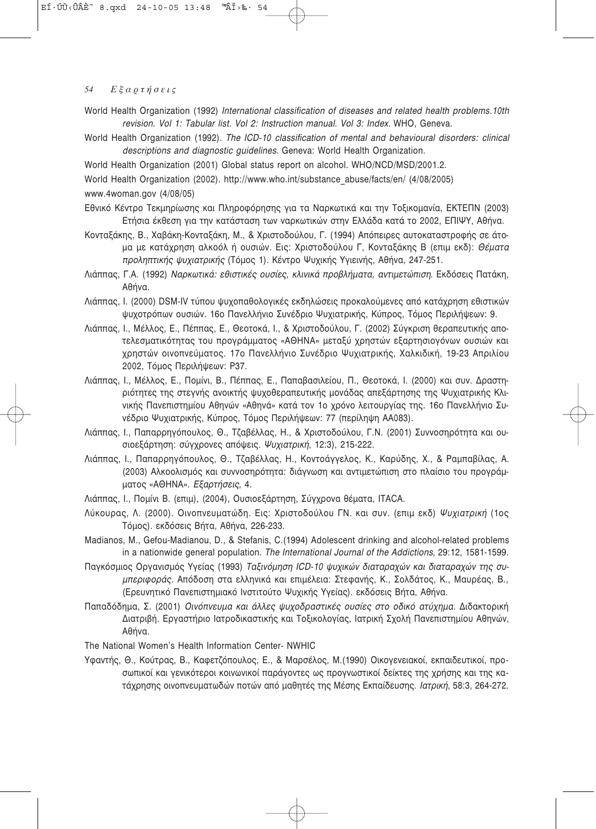#### 54  $E \xi \alpha \varrho \tau \eta \sigma \varepsilon \iota \varsigma$

- World Health Organization (1992) International classification of diseases and related health problems. 10th revision. Vol 1: Tabular list. Vol 2: Instruction manual. Vol 3: Index. WHO, Geneva.
- World Health Organization (1992). The ICD-10 classification of mental and behavioural disorders: clinical descriptions and diagnostic guidelines. Geneva: World Health Organization.
- World Health Organization (2001) Global status report on alcohol. WHO/NCD/MSD/2001.2.
- World Health Organization (2002). http://www.who.int/substance abuse/facts/en/ (4/08/2005)

www.4woman.gov (4/08/05)

- Εθνικό Κέντρο Τεκμηρίωσης και Πληροφόρησης για τα Ναρκωτικά και την Τοξικομανία, ΕΚΤΕΠΝ (2003) Ετήσια έκθεση για την κατάσταση των ναρκωτικών στην Ελλάδα κατά το 2002, ΕΠΙΨΥ, Αθήνα.
- Κονταξάκης, Β., Χαβάκη-Κονταξάκη, Μ., & Χριστοδούλου, Γ. (1994) Απόπειρες αυτοκαταστροφής σε άτομα με κατάχρηση αλκοόλ ή ουσιών. Εις: Χριστοδούλου Γ, Κονταξάκης Β (επιμ εκδ): Θέματα προληπτικής ψυχιατρικής (Τόμος 1). Κέντρο Ψυχικής Υγιεινής, Αθήνα, 247-251.
- Λιάππας, Γ.Α. (1992) Ναρκωτικά: εθιστικές ουσίες, κλινικά προβλήματα, αντιμετώπιση, Εκδόσεις Πατάκη, Αθήνα.
- Λιάππας, Ι. (2000) DSM-IV τύπου ψυχοπαθολογικές εκδηλώσεις προκαλούμενες από κατάχρηση εθιστικών ψυχοτρόπων ουσιών. 16ο Πανελλήνιο Συνέδριο Ψυχιατρικής, Κύπρος, Τόμος Περιλήψεων: 9.
- Λιάππας, Ι., Μέλλος, Ε., Πέππας, Ε., Θεοτοκά, Ι., & Χριστοδούλου, Γ. (2002) Σύγκριση θεραπευτικής αποτελεσματικότητας του προγράμματος «ΑΘΗΝΑ» μεταξύ χρηστών εξαρτησιογόνων ουσιών και χρηστών οινοπνεύματος. 17ο Πανελλήνιο Συνέδριο Ψυχιατρικής, Χαλκιδική, 19-23 Απριλίου 2002, Τόμος Περιλήψεων: Ρ37.
- Λιάππας, Ι., Μέλλος, Ε., Πομίνι, Β., Πέππας, Ε., Παπαβασιλείου, Π., Θεοτοκά, Ι. (2000) και συν. Δραστηριότητες της στεγνής ανοικτής ψυχοθεραπευτικής μονάδας απεξάρτησης της Ψυχιατρικής Κλινικής Πανεπιστημίου Αθηνών «Αθηνά» κατά τον 1ο χρόνο λειτουργίας της. 16ο Πανελλήνιο Συνέδριο Ψυχιατρικής, Κύπρος, Τόμος Περιλήψεων: 77 (περίληψη ΑΑ083).
- Λιάππας, Ι., Παπαρρηγόπουλος, Θ., Τζαβέλλας, Η., & Χριστοδούλου, Γ.Ν. (2001) Συννοσηρότητα και ουσιοεξάρτηση: σύγχρονες απόψεις. Ψυχιατρική, 12:3), 215-222.
- Λιάππας, Ι., Παπαρρηγόπουλος, Θ., Τζαβέλλας, Η., Κοντοάγγελος, Κ., Καρύδης, Χ., & Ραμπαβίλας, Α. (2003) Αλκοολισμός και συννοσηρότητα: διάγνωση και αντιμετώπιση στο πλαίσιο του προγράμματος «ΑΘΗΝΑ». Εξαρτήσεις, 4.
- Λιάππας, Ι., Πομίνι Β. (επιμ), (2004), Ουσιοεξάρτηση, Σύγχρονα θέματα, ΙΤΑΟΑ.
- Λύκουρας, Λ. (2000). Οινοπνευματώδη. Εις: Χριστοδούλου ΓΝ. και συν. (επιμ εκδ) Ψυχιατρική (1ος Τόμος). εκδόσεις Βήτα, Αθήνα, 226-233.
- Madianos, M., Gefou-Madianou, D., & Stefanis, C.(1994) Adolescent drinking and alcohol-related problems in a nationwide general population. The International Journal of the Addictions, 29:12, 1581-1599.
- Παγκόσμιος Οργανισμός Υγείας (1993) Ταξινόμηση ICD-10 ψυχικών διαταραχών και διαταραχών της συμπεριφοράς. Απόδοση στα ελληνικά και επιμέλεια: Στεφανής, Κ., Σολδάτος, Κ., Μαυρέας, Β., (Ερευνητικό Πανεπιστημιακό Ινστιτούτο Ψυχικής Υγείας). εκδόσεις Βήτα, Αθήνα.
- Παπαδόδημα, Σ. (2001) Οινόπνευμα και άλλες ψυχοδραστικές ουσίες στο οδικό ατύχημα. Διδακτορική Διατριβή. Εργαστήριο Ιατροδικαστικής και Τοξικολογίας, Ιατρική Σχολή Πανεπιστημίου Αθηνών, Αθήνα.
- The National Women's Health Information Center- NWHIC
- Υφαντής, Θ., Κούτρας, Β., Καφετζόπουλος, Ε., & Μαρσέλος, Μ.(1990) Οικογενειακοί, εκπαιδευτικοί, προσωπικοί και γενικότεροι κοινωνικοί παράγοντες ως προγνωστικοί δείκτες της χρήσης και της κατάχρησης οινοπνευματωδών ποτών από μαθητές της Μέσης Εκπαίδευσης. Ιατρική, 58:3, 264-272.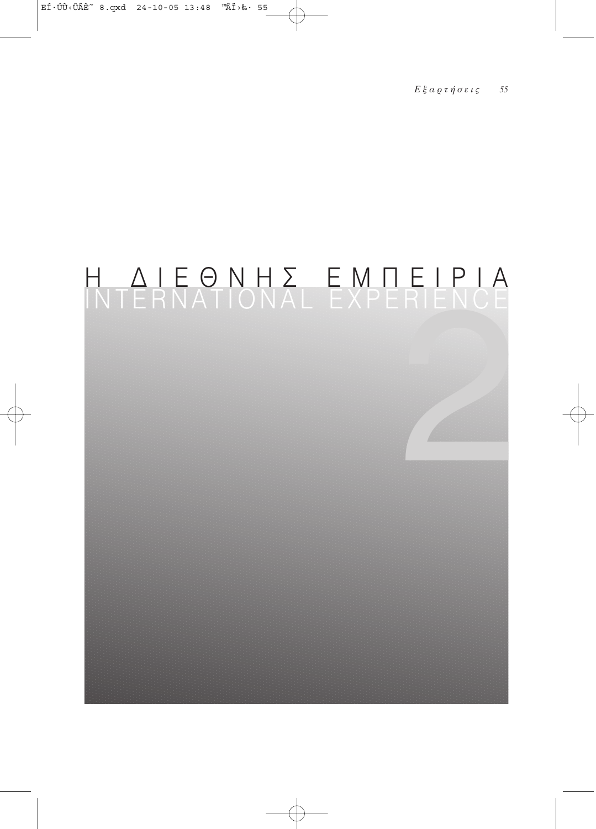$E \xi a \varrho \tau \eta \sigma \varepsilon \iota$  55

# H AIEONH E EMNEIPIA<br>INTERNATIONAL EXPERIENCE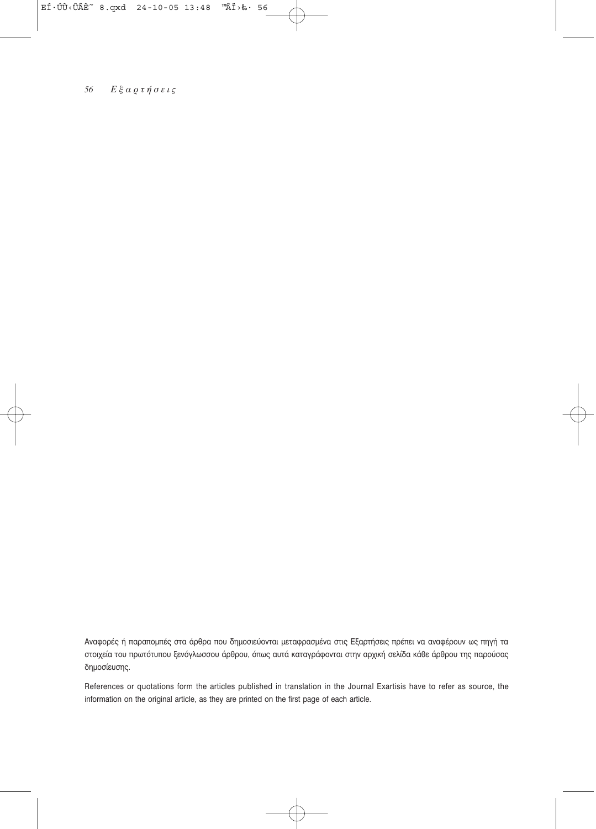Αναφορές ή παραπομπές στα άρθρα που δημοσιεύονται μεταφρασμένα στις Εξαρτήσεις πρέπει να αναφέρουν ως πηγή τα στοιχεία του πρωτότυπου ξενόγλωσσου άρθρου, όπως αυτά καταγράφονται στην αρχική σελίδα κάθε άρθρου της παρούσας δημοσίευσης.

References or quotations form the articles published in translation in the Journal Exartisis have to refer as source, the information on the original article, as they are printed on the first page of each article.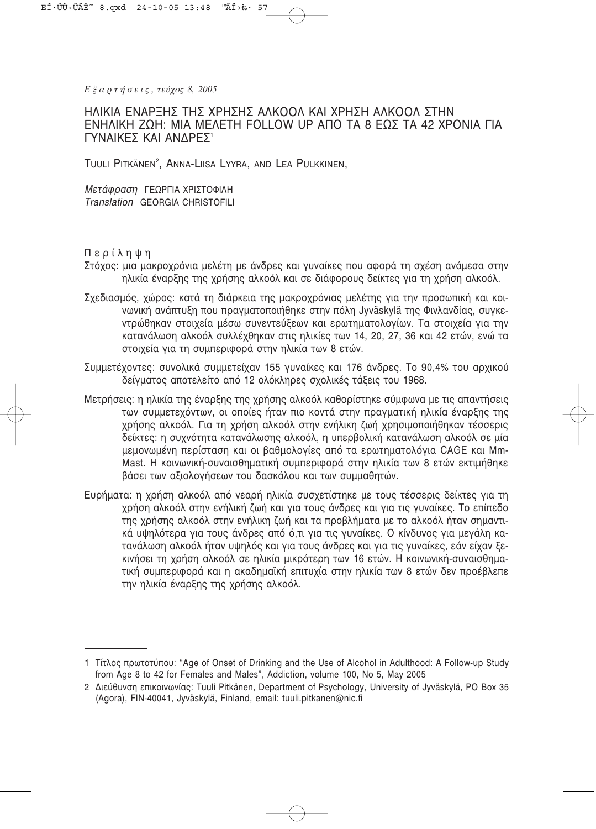$E \xi \alpha \varrho \tau \eta \sigma \varepsilon \iota$ ς, τεύχος 8, 2005

# ΗΛΙΚΙΑ ΕΝΑΡΞΗΣ ΤΗΣ ΧΡΗΣΗΣ ΑΛΚΟΟΛ ΚΑΙ ΧΡΗΣΗ ΑΛΚΟΟΛ ΣΤΗΝ ΕΝΗΛΙΚΗ ΖΩΗ: ΜΙΑ ΜΕΛΕΤΗ FOLLOW UP ΑΠΟ ΤΑ 8 ΕΩΣ ΤΑ 42 ΧΡΟΝΙΑ ΓΙΑ ΓΥΝΑΙΚΕΣ ΚΑΙ ΑΝΔΡΕΣ<sup>1</sup>

TUULI PITKÄNEN<sup>2</sup>, ANNA-LIISA LYYRA, AND LEA PULKKINEN,

Μετάφραση ΓΕΩΡΓΙΑ ΧΡΙΣΤΟΦΙΛΗ Translation GEORGIA CHRISTOFILI

Περίληψη

- Στόχος: μια μακροχρόνια μελέτη με άνδρες και γυναίκες που αφορά τη σχέση ανάμεσα στην ηλικία έναρξης της χρήσης αλκοόλ και σε διάφορους δείκτες για τη χρήση αλκοόλ.
- Σχεδιασμός, χώρος: κατά τη διάρκεια της μακροχρόνιας μελέτης για την προσωπική και κοινωνική ανάπτυξη που πραγματοποιήθηκε στην πόλη Jyväskylä της Φινλανδίας, συγκεντρώθηκαν στοιχεία μέσω συνεντεύξεων και ερωτηματολογίων. Τα στοιχεία για την κατανάλωση αλκοόλ συλλέχθηκαν στις ηλικίες των 14, 20, 27, 36 και 42 ετών, ενώ τα στοιχεία για τη συμπεριφορά στην ηλικία των 8 ετών.
- Συμμετέχοντες: συνολικά συμμετείχαν 155 γυναίκες και 176 άνδρες. Το 90,4% του αρχικού δείγματος αποτελείτο από 12 ολόκληρες σχολικές τάξεις του 1968.
- Μετρήσεις: η ηλικία της έναρξης της χρήσης αλκοόλ καθορίστηκε σύμφωνα με τις απαντήσεις των συμμετεχόντων, οι οποίες ήταν πιο κοντά στην πραγματική ηλικία έναρξης της χρήσης αλκοόλ. Για τη χρήση αλκοόλ στην ενήλικη ζωή χρησιμοποιήθηκαν τέσσερις δείκτες: η συχνότητα κατανάλωσης αλκοόλ, η υπερβολική κατανάλωση αλκοόλ σε μία μεμονωμένη περίσταση και οι βαθμολογίες από τα ερωτηματολόγια CAGE και Mm-Mast. Η κοινωνική-συναισθηματική συμπεριφορά στην ηλικία των 8 ετών εκτιμήθηκε βάσει των αξιολογήσεων του δασκάλου και των συμμαθητών.
- Ευρήματα: η χρήση αλκοόλ από νεαρή ηλικία συσχετίστηκε με τους τέσσερις δείκτες για τη χρήση αλκοόλ στην ενήλική ζωή και για τους άνδρες και για τις γυναίκες. Το επίπεδο της χρήσης αλκοόλ στην ενήλικη ζωή και τα προβλήματα με το αλκοόλ ήταν σημαντικά υψηλότερα για τους άνδρες από ό,τι για τις γυναίκες. Ο κίνδυνος για μεγάλη κατανάλωση αλκοόλ ήταν υψηλός και για τους άνδρες και για τις γυναίκες, εάν είχαν ξεκινήσει τη χρήση αλκοόλ σε ηλικία μικρότερη των 16 ετών. Η κοινωνική-συναισθηματική συμπεριφορά και η ακαδημαϊκή επιτυχία στην ηλικία των 8 ετών δεν προέβλεπε την ηλικία έναρξης της χρήσης αλκοόλ.

<sup>1</sup> Τίτλος πρωτοτύπου: "Age of Onset of Drinking and the Use of Alcohol in Adulthood: A Follow-up Study from Age 8 to 42 for Females and Males", Addiction, volume 100, No 5, May 2005

<sup>2</sup> Διεύθυνση επικοινωνίας: Tuuli Pitkänen, Department of Psychology, University of Jyväskylä, PO Box 35 (Agora), FIN-40041, Jyväskylä, Finland, email: tuuli.pitkanen@nic.fi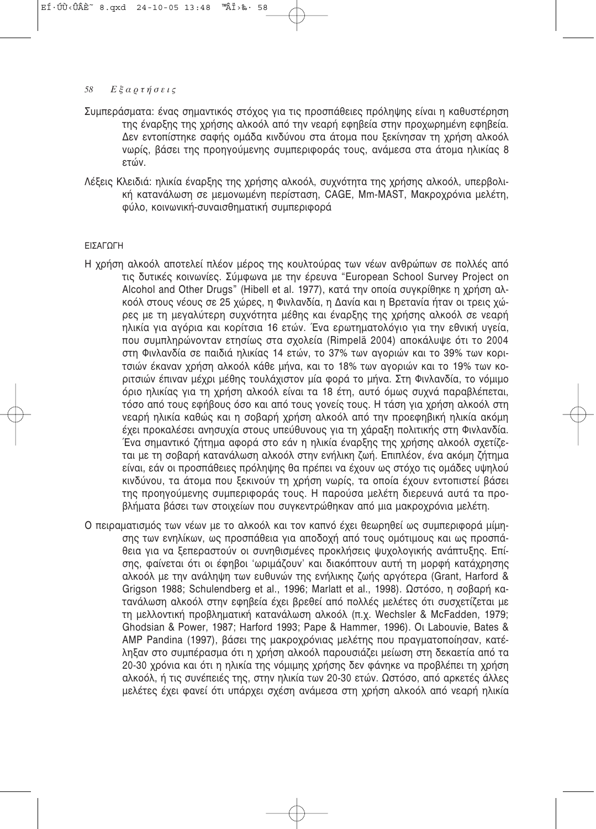- Συμπεράσματα: ένας σημαντικός στόχος για τις προσπάθειες πρόληψης είναι η καθυστέρηση της έναρξης της χρήσης αλκοόλ από την νεαρή εφηβεία στην προχωρημένη εφηβεία. Δεν εντοπίστηκε σαφής ομάδα κινδύνου στα άτομα που ξεκίνησαν τη χρήση αλκοόλ νωρίς, βάσει της προηγούμενης συμπεριφοράς τους, ανάμεσα στα άτομα ηλικίας 8 ετών.
- Λέξεις Κλειδιά: ηλικία έναρξης της χρήσης αλκοόλ, συχνότητα της χρήσης αλκοόλ, υπερβολική κατανάλωση σε μεμονωμένη περίσταση, CAGE, Mm-MAST, Μακροχρόνια μελέτη, φύλο, κοινωνική-συναισθηματική συμπεριφορά

#### EIΣAΓΩΓΗ

- Η χρήση αλκοόλ αποτελεί πλέον μέρος της κουλτούρας των νέων ανθρώπων σε πολλές από τις δυτικές κοινωνίες. Σύμφωνα με την έρευνα "European School Survey Project on Alcohol and Other Drugs" (Hibell et al. 1977), κατά την οποία συγκρίθηκε η χρήση αλκοόλ στους νέους σε 25 χώρες, η Φινλανδία, η Δανία και η Βρετανία ήταν οι τρεις χώρες με τη μεγαλύτερη συχνότητα μέθης και έναρξης της χρήσης αλκοόλ σε νεαρή ηλικία για αγόρια και κορίτσια 16 ετών. Ένα ερωτηματολόγιο για την εθνική υγεία, που συμπληρώνονταν ετησίως στα σχολεία (Rimpelä 2004) αποκάλυψε ότι το 2004 στη Φινλανδία σε παιδιά ηλικίας 14 ετών, το 37% των ανοριών και το 39% των κοριτσιών έκαναν χρήση αλκοόλ κάθε μήνα, και το 18% των αγοριών και το 19% των κοριτσιών έπιναν μέχρι μέθης τουλάχιστον μία φορά το μήνα. Στη Φινλανδία, το νόμιμο όριο ηλικίας για τη χρήση αλκοόλ είναι τα 18 έτη, αυτό όμως συχνά παραβλέπεται, τόσο από τους εφήβους όσο και από τους γονείς τους. Η τάση για χρήση αλκοόλ στη νεαρή ηλικία καθώς και η σοβαρή χρήση αλκοόλ από την προεφηβική ηλικία ακόμη έχει προκαλέσει ανησυχία στους υπεύθυνους για τη χάραξη πολιτικής στη Φινλανδία. Ένα σημαντικό ζήτημα αφορά στο εάν η ηλικία έναρξης της χρήσης αλκοόλ σχετίζεται με τη σοβαρή κατανάλωση αλκοόλ στην ενήλικη ζωή. Επιπλέον, ένα ακόμη ζήτημα είναι, εάν οι προσπάθειες πρόληψης θα πρέπει να έχουν ως στόχο τις ομάδες υψηλού κινδύνου, τα άτομα που ξεκινούν τη χρήση νωρίς, τα οποία έχουν εντοπιστεί βάσει της προηγούμενης συμπεριφοράς τους. Η παρούσα μελέτη διερευνά αυτά τα προβλήματα βάσει των στοιχείων που συγκεντρώθηκαν από μια μακροχρόνια μελέτη.
- Ο πειραματισμός των νέων με το αλκοόλ και τον καπνό έχει θεωρηθεί ως συμπεριφορά μίμησης των ενηλίκων, ως προσπάθεια για αποδοχή από τους ομότιμους και ως προσπάθεια για να ξεπεραστούν οι συνηθισμένες προκλήσεις ψυχολογικής ανάπτυξης. Επίσης, φαίνεται ότι οι έφηβοι 'ωριμάζουν' και διακόπτουν αυτή τη μορφή κατάχρησης αλκοόλ με την ανάληψη των ευθυνών της ενήλικης ζωής αργότερα (Grant, Harford & Grigson 1988; Schulendberg et al., 1996; Marlatt et al., 1998). Ωστόσο, η σοβαρή κατανάλωση αλκοόλ στην εφηβεία έχει βρεθεί από πολλές μελέτες ότι συσχετίζεται με τη μελλοντική προβληματική κατανάλωση αλκοόλ (π.χ. Wechsler & McFadden, 1979; Ghodsian & Power, 1987; Harford 1993; Pape & Hammer, 1996). Ot Labouvie, Bates & AMP Pandina (1997), βάσει της μακροχρόνιας μελέτης που πραγματοποίησαν, κατέληξαν στο συμπέρασμα ότι η χρήση αλκοόλ παρουσιάζει μείωση στη δεκαετία από τα 20-30 χρόνια και ότι η ηλικία της νόμιμης χρήσης δεν φάνηκε να προβλέπει τη χρήση αλκοόλ, ή τις συνέπειές της, στην ηλικία των 20-30 ετών. Ωστόσο, από αρκετές άλλες μελέτες έχει φανεί ότι υπάρχει σχέση ανάμεσα στη χρήση αλκοόλ από νεαρή ηλικία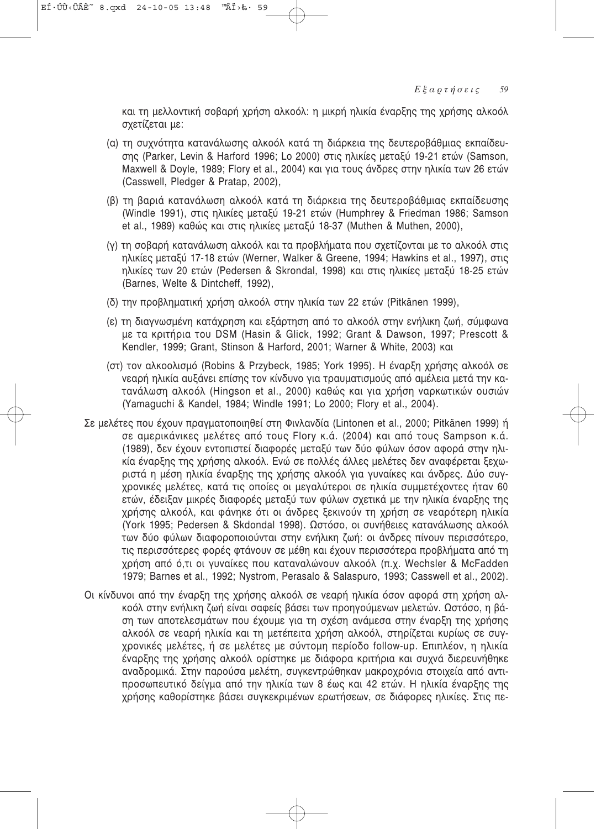και τη μελλοντική σοβαρή χρήση αλκοόλ: η μικρή ηλικία έναρξης της χρήσης αλκοόλ σχετίζεται με:

- (α) τη συγνότητα κατανάλωσης αλκοόλ κατά τη διάρκεια της δευτεροβάθμιας εκπαίδευσης (Parker, Levin & Harford 1996; Lo 2000) στις ηλικίες μεταξύ 19-21 ετών (Samson, Maxwell & Doyle, 1989; Flory et al., 2004) και για τους άνδρες στην ηλικία των 26 ετών (Casswell, Pledger & Pratap, 2002),
- (β) τη βαριά κατανάλωση αλκοόλ κατά τη διάρκεια της δευτεροβάθμιας εκπαίδευσης (Windle 1991), στις ηλικίες μεταξύ 19-21 ετών (Humphrey & Friedman 1986; Samson et al., 1989) καθώς και στις ηλικίες μεταξύ 18-37 (Muthen & Muthen, 2000),
- (γ) τη σοβαρή κατανάλωση αλκοόλ και τα προβλήματα που σχετίζονται με το αλκοόλ στις ηλικίες μεταξύ 17-18 ετών (Werner, Walker & Greene, 1994; Hawkins et al., 1997), στις ηλικίες των 20 ετών (Pedersen & Skrondal, 1998) και στις ηλικίες μεταξύ 18-25 ετών (Barnes, Welte & Dintcheff, 1992),
- (δ) την προβληματική χρήση αλκοόλ στην ηλικία των 22 ετών (Pitkänen 1999),
- (ε) τη διαγνωσμένη κατάχρηση και εξάρτηση από το αλκοόλ στην ενήλικη ζωή, σύμφωνα με τα κριτήρια του DSM (Hasin & Glick, 1992; Grant & Dawson, 1997; Prescott & Kendler, 1999; Grant, Stinson & Harford, 2001; Warner & White, 2003) και
- (στ) τον αλκοολισμό (Robins & Przybeck, 1985; York 1995). Η έναρξη χρήσης αλκοόλ σε νεαρή ηλικία αυξάνει επίσης τον κίνδυνο για τραυματισμούς από αμέλεια μετά την κατανάλωση αλκοόλ (Hingson et al., 2000) καθώς και για χρήση ναρκωτικών ουσιών (Yamaguchi & Kandel, 1984; Windle 1991; Lo 2000; Flory et al., 2004).
- Σε μελέτες που έχουν πραγματοποιηθεί στη Φινλανδία (Lintonen et al., 2000; Pitkänen 1999) ή σε αμερικάνικες μελέτες από τους Flory κ.ά. (2004) και από τους Sampson κ.ά. (1989), δεν έχουν εντοπιστεί διαφορές μεταξύ των δύο φύλων όσον αφορά στην ηλικία έναρξης της χρήσης αλκοόλ. Ενώ σε πολλές άλλες μελέτες δεν αναφέρεται ξεχωριστά η μέση ηλικία έναρξης της χρήσης αλκοόλ για γυναίκες και άνδρες. Δύο συγχρονικές μελέτες, κατά τις οποίες οι μεγαλύτεροι σε ηλικία συμμετέχοντες ήταν 60 ετών, έδειξαν μικρές διαφορές μεταξύ των φύλων σχετικά με την ηλικία έναρξης της χρήσης αλκοόλ, και φάνηκε ότι οι άνδρες ξεκινούν τη χρήση σε νεαρότερη ηλικία (York 1995: Pedersen & Skdondal 1998), Ωστόσο, οι συνήθειες κατανάλωσης αλκοόλ των δύο φύλων διαφοροποιούνται στην ενήλικη ζωή: οι άνδρες πίνουν περισσότερο, τις περισσότερες φορές φτάνουν σε μέθη και έχουν περισσότερα προβλήματα από τη χρήση από ό,τι οι γυναίκες που καταναλώνουν αλκοόλ (π.χ. Wechsler & McFadden 1979; Barnes et al., 1992; Nystrom, Perasalo & Salaspuro, 1993; Casswell et al., 2002).
- Οι κίνδυνοι από την έναρξη της χρήσης αλκοόλ σε νεαρή ηλικία όσον αφορά στη χρήση αλκοόλ στην ενήλικη ζωή είναι σαφείς βάσει των προηγούμενων μελετών. Ωστόσο, η βάση των αποτελεσμάτων που έχουμε για τη σχέση ανάμεσα στην έναρξη της χρήσης αλκοόλ σε νεαρή ηλικία και τη μετέπειτα χρήση αλκοόλ, στηρίζεται κυρίως σε συγχρονικές μελέτες, ή σε μελέτες με σύντομη περίοδο follow-up. Επιπλέον, η ηλικία έναρξης της χρήσης αλκοόλ ορίστηκε με διάφορα κριτήρια και συχνά διερευνήθηκε αναδρομικά. Στην παρούσα μελέτη, συγκεντρώθηκαν μακροχρόνια στοιχεία από αντιπροσωπευτικό δείγμα από την ηλικία των 8 έως και 42 ετών. Η ηλικία έναρξης της χρήσης καθορίστηκε βάσει συγκεκριμένων ερωτήσεων, σε διάφορες ηλικίες. Στις πε-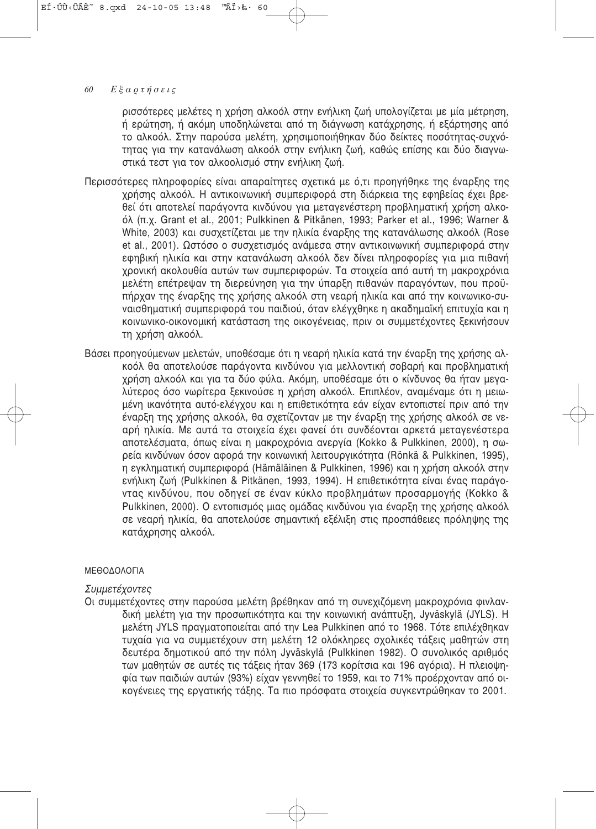ρισσότερες μελέτες η χρήση αλκοόλ στην ενήλικη ζωή υπολογίζεται με μία μέτρηση, ή ερώτηση, ή ακόμη υποδηλώνεται από τη διάγνωση κατάχρησης, ή εξάρτησης από το αλκοόλ. Στην παρούσα μελέτη, χρησιμοποιήθηκαν δύο δείκτες ποσότητας-συχνότητας για την κατανάλωση αλκοόλ στην ενήλικη ζωή, καθώς επίσης και δύο διαγνωστικά τεστ για τον αλκοολισμό στην ενήλικη ζωή.

- Περισσότερες πληροφορίες είναι απαραίτητες σχετικά με ό,τι προηγήθηκε της έναρξης της χρήσης αλκοόλ. Η αντικοινωνική συμπεριφορά στη διάρκεια της εφηβείας έχει βρεθεί ότι αποτελεί παράγοντα κινδύνου για μεταγενέστερη προβληματική χρήση αλκοόλ (π.χ. Grant et al., 2001; Pulkkinen & Pitkänen, 1993; Parker et al., 1996; Warner & White, 2003) και συσχετίζεται με την ηλικία έναρξης της κατανάλωσης αλκοόλ (Rose et al., 2001). Ωστόσο ο συσχετισμός ανάμεσα στην αντικοινωνική συμπεριφορά στην εφηβική ηλικία και στην κατανάλωση αλκοόλ δεν δίνει πληροφορίες για μια πιθανή γρονική ακολουθία αυτών των συμπεριφορών. Τα στοιχεία από αυτή τη μακρογρόνια μελέτη επέτρεψαν τη διερεύνηση για την ύπαρξη πιθανών παραγόντων, που προϋπήρχαν της έναρξης της χρήσης αλκοόλ στη νεαρή ηλικία και από την κοινωνικο-συναισθηματική συμπεριφορά του παιδιού, όταν ελέγχθηκε η ακαδημαϊκή επιτυχία και η κοινωνικο-οικονομική κατάσταση της οικογένειας, πριν οι συμμετέχοντες ξεκινήσουν τη χρήση αλκοόλ.
- Βάσει προηνούμενων μελετών, υποθέσαμε ότι η νεαρή ηλικία κατά την έναρξη της χρήσης αλ-ΚΟÓλ θα αποτελούσε παράγοντα κινδύνου για μελλοντική σοβαρή και προβληματική χρήση αλκοόλ και για τα δύο φύλα. Ακόμη, υποθέσαμε ότι ο κίνδυνος θα ήταν μεγα-<u>λύτερος όσο νωρίτερα ξεκινούσε η χρήση αλκοόλ. Επιπλέον, αναμέναμε ότι η μειω-</u> μένη ικανότητα αυτό-ελέγχου και η επιθετικότητα εάν είχαν εντοπιστεί πριν από την έναρξη της χρήσης αλκοόλ, θα σχετίζονταν με την έναρξη της χρήσης αλκοόλ σε νεαρή ηλικία. Με αυτά τα στοιχεία έχει φανεί ότι συνδέονται αρκετά μεταγενέστερα αποτελέσματα, όπως είναι η μακροχρόνια ανεργία (Kokko & Pulkkinen, 2000), η σωρεία κινδύνων όσον αφορά την κοινωνική λειτουργικότητα (Rönkä & Pulkkinen, 1995), η εγκληματική συμπεριφορά (Hämäläinen & Pulkkinen, 1996) και η χρήση αλκοόλ στην ενήλικη ζωή (Pulkkinen & Pitkänen, 1993, 1994). Η επιθετικότητα είναι ένας παράγοντας κινδύνου, που οδηγεί σε έναν κύκλο προβλημάτων προσαρμογής (Kokko & Pulkkinen, 2000). Ο εντοπισμός μιας ομάδας κινδύνου για έναρξη της χρήσης αλκοόλ σε νεαρή ηλικία, θα αποτελούσε σημαντική εξέλιξη στις προσπάθειες πρόληψης της κατάχρησης αλκοόλ.

# ΜΕΘΟΔΟΛΟΓΙΑ

# Συμμετέχοντες

Οι συμμετέχοντες στην παρούσα μελέτη βρέθηκαν από τη συνεχιζόμενη μακροχρόνια φινλανδική μελέτη για την προσωπικότητα και την κοινωνική ανάπτυξη, Jyväskylä (JYLS). Η ιμελέτη JYLS πραγματοποιείται από την Lea Pulkkinen από το 1968. Τότε επιλέχθηκαν τυχαία για να συμμετέχουν στη μελέτη 12 ολόκληρες σχολικές τάξεις μαθητών στη δευτέρα δημοτικού από την πόλη Jyväskylä (Pulkkinen 1982). Ο συνολικός αριθμός των μαθητών σε αυτές τις τάξεις ήταν 369 (173 κορίτσια και 196 αγόρια). Η πλειοψηφία των παιδιών αυτών (93%) είχαν γεννηθεί το 1959, και το 71% προέρχονταν από οικογένειες της εργατικής τάξης. Τα πιο πρόσφατα στοιχεία συγκεντρώθηκαν το 2001.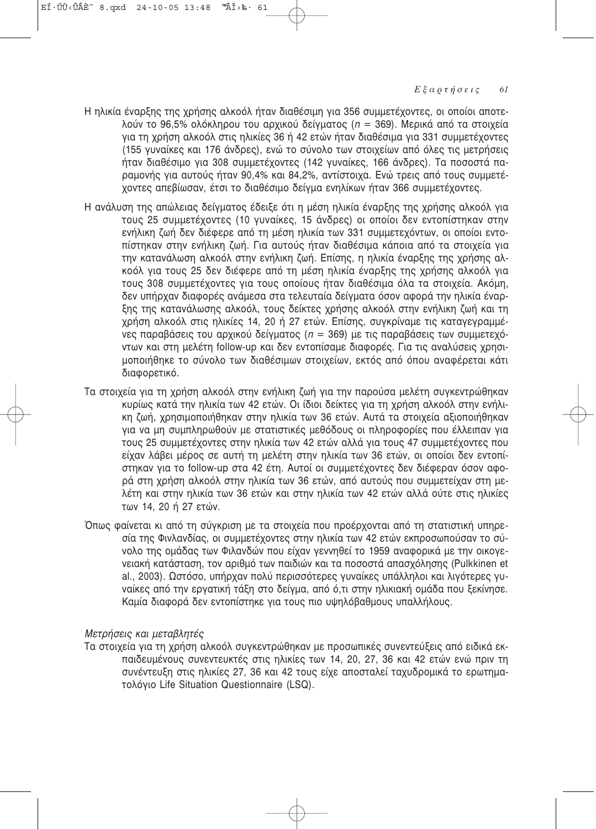EÍ·ÚÙ‹ÛÂȘ 8.qxd 24-10-05 13:48 ™ÂÏ›‰· 61

Η ηλικία έναρξης της χρήσης αλκοόλ ήταν διαθέσιμη για 356 συμμετέχοντες, οι οποίοι αποτελούν το 96,5% ολόκληρου του αρχικού δείγματος (*n* = 369). Μερικά από τα στοιχεία για τη χρήση αλκοόλ στις ηλικίες 36 ή 42 ετών ήταν διαθέσιμα για 331 συμμετέχοντες (155 γυναίκες και 176 άνδρες), ενώ το σύνολο των στοιχείων από όλες τις μετρήσεις ήταν διαθέσιμο για 308 συμμετέχοντες (142 γυναίκες, 166 άνδρες). Τα ποσοστά παραμονής για αυτούς ήταν 90,4% και 84,2%, αντίστοιχα. Ενώ τρεις από τους συμμετέχοντες απεβίωσαν, έτσι το διαθέσιμο δείγμα ενηλίκων ήταν 366 συμμετέχοντες.

- Η ανάλυση της απώλειας δείγματος έδειξε ότι η μέση ηλικία έναρξης της χρήσης αλκοόλ για τους 25 συμμετέχοντες (10 γυναίκες, 15 άνδρες) οι οποίοι δεν εντοπίστηκαν στην ενήλικη ζωή δεν διέφερε από τη μέση ηλικία των 331 συμμετεχόντων, οι οποίοι εντοπίστηκαν στην ενήλικη ζωή. Για αυτούς ήταν διαθέσιμα κάποια από τα στοιχεία για την κατανάλωση αλκοόλ στην ενήλικη ζωή. Επίσης, η ηλικία έναρξης της χρήσης αλ-ΚΟÓλ για τους 25 δεν διέφερε από τη μέση ηλικία έναρξης της χρήσης αλκοόλ για τους 308 συμμετέχοντες για τους οποίους ήταν διαθέσιμα όλα τα στοιχεία. Ακόμη, δεν υπήρχαν διαφορές ανάμεσα στα τελευταία δείγματα όσον αφορά την ηλικία έναρξης της κατανάλωσης αλκοόλ, τους δείκτες χρήσης αλκοόλ στην ενήλικη ζωή και τη χρήση αλκοόλ στις ηλικίες 14, 20 ή 27 ετών. Επίσης, συγκρίναμε τις καταγεγραμμέvες παραβάσεις του αρχικού δείγματος (n = 369) με τις παραβάσεις των συμμετεχόντων και στη μελέτη follow-up και δεν εντοπίσαμε διαφορές. Για τις αναλύσεις χρησιμοποιήθηκε το σύνολο των διαθέσιμων στοιχείων, εκτός από όπου αναφέρεται κάτι διαφορετικό.
- Τα στοιχεία για τη χρήση αλκοόλ στην ενήλικη ζωή για την παρούσα μελέτη συγκεντρώθηκαν κυρίως κατά την ηλικία των 42 ετών. Οι ίδιοι δείκτες για τη χρήση αλκοόλ στην ενήλικη ζωή, χρησιμοποιήθηκαν στην ηλικία των 36 ετών. Αυτά τα στοιχεία αξιοποιήθηκαν για να μη συμπληρωθούν με στατιστικές μεθόδους οι πληροφορίες που έλλειπαν για τους 25 συμμετέχοντες στην ηλικία των 42 ετών αλλά για τους 47 συμμετέχοντες που είχαν λάβει μέρος σε αυτή τη μελέτη στην ηλικία των 36 ετών, οι οποίοι δεν εντοπίστηκαν για το follow-up στα 42 έτη. Αυτοί οι συμμετέχοντες δεν διέφεραν όσον αφορά στη χρήση αλκοόλ στην ηλικία των 36 ετών, από αυτούς που συμμετείχαν στη μελέτη και στην ηλικία των 36 ετών και στην ηλικία των 42 ετών αλλά ούτε στις ηλικίες των 14, 20 ή 27 ετών.
- Όπως φαίνεται κι από τη σύγκριση με τα στοιχεία που προέρχονται από τη στατιστική υπηρεσία της Φινλανδίας, οι συμμετέχοντες στην ηλικία των 42 ετών εκπροσωπούσαν το σύνολο της ομάδας των Φιλανδών που είχαν γεννηθεί το 1959 αναφορικά με την οικογεvειακή κατάσταση, τον αριθμό των παιδιών και τα ποσοστά απασχόλησης (Pulkkinen et al., 2003). Ωστόσο, υπήρχαν πολύ περισσότερες γυναίκες υπάλληλοι και λιγότερες γυναίκες από την εργατική τάξη στο δείγμα, από ό,τι στην ηλικιακή ομάδα που ξεκίνησε. Καμία διαφορά δεν εντοπίστηκε για τους πιο υψηλόβαθμους υπαλλήλους.

# *Μετρήσεις και μεταβλητές*

Τα στοιχεία για τη χρήση αλκοόλ συγκεντρώθηκαν με προσωπικές συνεντεύξεις από ειδικά εκπαιδευμένους συνεντευκτές στις ηλικίες των 14, 20, 27, 36 και 42 ετών ενώ πριν τη συνέντευξη στις ηλικίες 27, 36 και 42 τους είχε αποσταλεί ταχυδρομικά το ερωτηματολόγιο Life Situation Questionnaire (LSQ).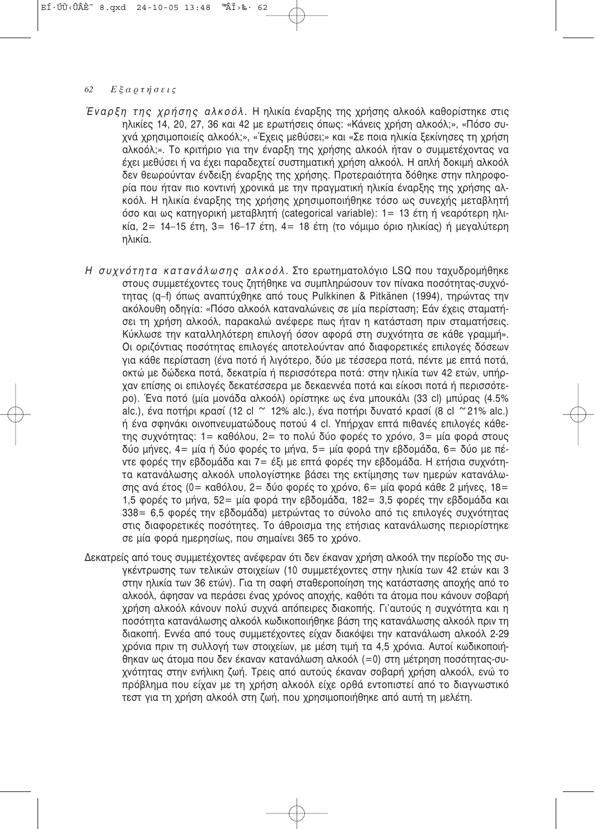- *Έναρξη της χρήσης αλκοόλ.* Η ηλικία έναρξης της χρήσης αλκοόλ καθορίστηκε στις ηλικίες 14, 20, 27, 36 και 42 με ερωτήσεις όπως: «Κάνεις χρήση αλκοόλ;», «Πόσο συχνά χρησιμοποιείς αλκοόλ:», «Έχεις μεθύσει:» και «Σε ποια ηλικία ξεκίνησες τη χρήση αλκοόλ;». Το κριτήριο για την έναρξη της χρήσης αλκοόλ ήταν ο συμμετέχοντας να έχει μεθύσει ή να έχει παραδεχτεί συστηματική χρήση αλκοόλ. Η απλή δοκιμή αλκοόλ δεν θεωρούνταν ένδειξη έναρξης της χρήσης. Προτεραιότητα δόθηκε στην πληροφορία που ήταν πιο κοντινή χρονικά με την πραγματική ηλικία έναρξης της χρήσης αλ-ΚΟÓλ. Η ηλικία έναρξης της χρήσης χρησιμοποιήθηκε τόσο ως συνεχής μεταβλητή όσο και ως κατηγορική μεταβλητή (categorical variable): 1= 13 έτη ή νεαρότερη ηλι- $K(α, 2= 14-15$ έτη, 3= 16-17 έτη, 4= 18 έτη (το νόμιμο όριο ηλικίας) ή μεναλύτερη ηλικία.
- *Η συχνότητα κατανάλωσης αλκοόλ.* Στο ερωτηματολόγιο LSQ που ταχυδρομήθηκε στους συμμετέχοντες τους ζητήθηκε να συμπληρώσουν τον πίνακα ποσότητας-συχνότητας (q-f) όπως αναπτύχθηκε από τους Pulkkinen & Pitkänen (1994), τηρώντας την ακόλουθη οδηγία: «Πόσο αλκοόλ καταναλώνεις σε μία περίσταση; Εάν έχεις σταματήσει τη χρήση αλκοόλ, παρακαλώ ανέφερε πως ήταν η κατάσταση πριν σταματήσεις. Κύκλωσε την καταλληλότερη επιλογή όσον αφορά στη συχνότητα σε κάθε γραμμή». Οι οριζόντιας ποσότητας επιλογές αποτελούνταν από διαφορετικές επιλογές δόσεων για κάθε περίσταση (ένα ποτό ή λιγότερο, δύο με τέσσερα ποτά, πέντε με επτά ποτά, οκτώ με δώδεκα ποτά, δεκατρία ή περισσότερα ποτά: στην ηλικία των 42 ετών, υπήρχαν επίσης οι επιλογές δεκατέσσερα με δεκαεννέα ποτά και είκοσι ποτά ή περισσότερο). Ένα ποτό (μία μονάδα αλκοόλ) ορίστηκε ως ένα μπουκάλι (33 cl) μπύρας (4.5% alc.), ένα ποτήρι κρασί (12 cl ~ 12% alc.), ένα ποτήρι δυνατό κρασί (8 cl ~21% alc.) ή ένα σφηνάκι οινοπνευματώδους ποτού 4 cl. Υπήρχαν επτά πιθανές επιλογές κάθετης συχνότητας: 1= καθόλου, 2= το πολύ δύο φορές το χρόνο, 3= μία φορά στους δύο μήνες, 4= μία ή δύο φορές το μήνα, 5= μία φορά την εβδομάδα, 6= δύο με πέ-Vτε φορές την εβδομάδα και 7= έξι με επτά φορές την εβδομάδα. Η ετήσια συχνότητα κατανάλωσης αλκοόλ υπολογίστηκε βάσει της εκτίμησης των ημερών κατανάλωσης ανά έτος (0= καθόλου, 2= δύο φορές το χρόνο, 6= μία φορά κάθε 2 μήνες, 18= 1,5 φορές το μήνα. 52= μία φορά την εβδομάδα. 182= 3,5 φορές την εβδομάδα και 338= 6,5 φορές την εβδομάδα) μετρώντας το σύνολο από τις επιλογές συχνότητας στις διαφορετικές ποσότητες. Το άθροισμα της ετήσιας κατανάλωσης περιορίστηκε σε μία φορά ημερησίως, που σημαίνει 365 το χρόνο.
- Δεκατρείς από τους συμμετέχοντες ανέφεραν ότι δεν έκαναν χρήση αλκοόλ την περίοδο της συγκέντρωσης των τελικών στοιχείων (10 συμμετέχοντες στην ηλικία των 42 ετών και 3 στην ηλικία των 36 ετών). Για τη σαφή σταθεροποίηση της κατάστασης αποχής από το αλκοόλ, άφησαν να περάσει ένας χρόνος αποχής, καθότι τα άτομα που κάνουν σοβαρή χρήση αλκοόλ κάνουν πολύ συχνά απόπειρες διακοπής. Γι' αυτούς η συχνότητα και η ποσότητα κατανάλωσης αλκοόλ κωδικοποιήθηκε βάση της κατανάλωσης αλκοόλ πριν τη διακοπή. Εννέα από τους συμμετέχοντες είχαν διακόψει την κατανάλωση αλκοόλ 2-29 χρόνια πριν τη συλλογή των στοιχείων, με μέση τιμή τα 4,5 χρόνια. Αυτοί κωδικοποιήθηκαν ως άτομα που δεν έκαναν κατανάλωση αλκοόλ (=0) στη μέτρηση ποσότητας-συχνότητας στην ενήλικη ζωή. Τρεις από αυτούς έκαναν σοβαρή χρήση αλκοόλ, ενώ το πρόβλημα που είχαν με τη χρήση αλκοόλ είχε ορθά εντοπιστεί από το διαγνωστικό τεστ για τη χρήση αλκοόλ στη ζωή, που χρησιμοποιήθηκε από αυτή τη μελέτη.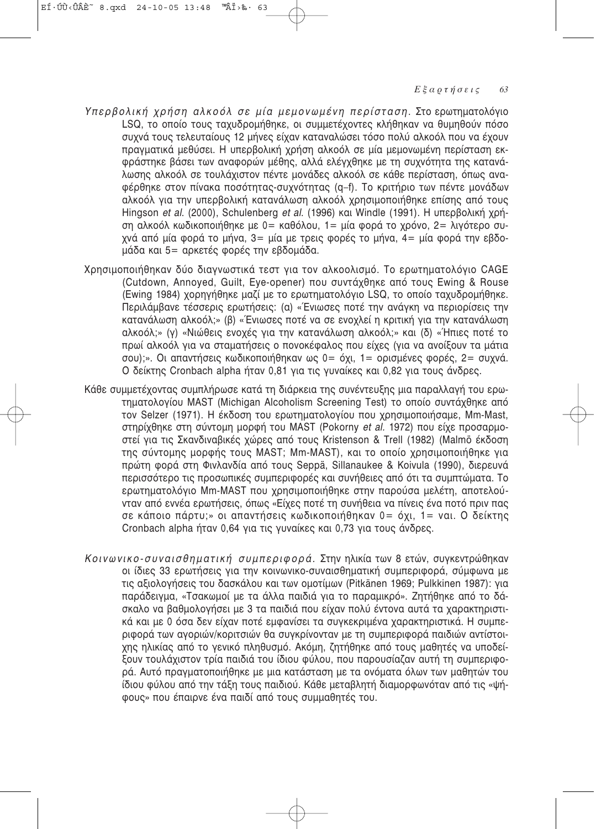Υπερβολική χρήση αλκοόλ σε μία μεμονωμένη περίσταση. Στο ερωτηματολόγιο LSQ, το οποίο τους ταχυδρομήθηκε, οι συμμετέχοντες κλήθηκαν να θυμηθούν πόσο συχνά τους τελευταίους 12 μήνες είχαν καταναλώσει τόσο πολύ αλκοόλ που να έχουν πραγματικά μεθύσει. Η υπερβολική χρήση αλκοόλ σε μία μεμονωμένη περίσταση εκφράστηκε βάσει των αναφορών μέθης, αλλά ελέγχθηκε με τη συχνότητα της κατανά-

 $E\tilde{I}\cdot\tilde{U}\tilde{U}\cdot\hat{U}\hat{A}\tilde{E}^{\sim}$  8.qxd 24-10-05 13:48  $M\tilde{A}$ :‰·

- λωσης αλκοόλ σε τουλάχιστον πέντε μονάδες αλκοόλ σε κάθε περίσταση, όπως αναφέρθηκε στον πίνακα ποσότητας-συχνότητας (q-f). Το κριτήριο των πέντε μονάδων αλκοόλ για την υπερβολική κατανάλωση αλκοόλ χρησιμοποιήθηκε επίσης από τους Hingson *et al.* (2000), Schulenberg *et al.* (1996) και Windle (1991). Η υπερβολική χρήση αλκοόλ κωδικοποιήθηκε με 0= καθόλου, 1= μία φορά το χρόνο, 2= λιγότερο συ- $\gamma$ νά από μία φορά το μήνα, 3= μία με τρεις φορές το μήνα, 4= μία φορά την εβδομάδα και 5= αρκετές φορές την εβδομάδα.
- Χρησιμοποιήθηκαν δύο διαγνωστικά τεστ για τον αλκοολισμό. Το ερωτηματολόγιο CAGE (Cutdown, Annoyed, Guilt, Eye-opener) που συντάχθηκε από τους Ewing & Rouse (Ewing 1984) χορηγήθηκε μαζί με το ερωτηματολόγιο LSQ, το οποίο ταχυδρομήθηκε. Περιλάμβανε τέσσερις ερωτήσεις: (α) «Ένιωσες ποτέ την ανάγκη να περιορίσεις την κατανάλωση αλκοόλ;» (β) «Ένιωσες ποτέ να σε ενοχλεί η κριτική νια την κατανάλωση αλκοόλ;» (γ) «Νιώθεις ενοχές για την κατανάλωση αλκοόλ;» και (δ) «Ήπιες ποτέ το πρωί αλκοόλ για να σταματήσεις ο πονοκέφαλος που είχες (για να ανοίξουν τα μάτια σου);». Οι απαντήσεις κωδικοποιήθηκαν ως 0 = όχι, 1 = ορισμένες φορές, 2 = συχνά. Ο δείκτης Cronbach alpha ήταν 0,81 για τις γυναίκες και 0,82 για τους άνδρες.
- Κάθε συμμετέχοντας συμπλήρωσε κατά τη διάρκεια της συνέντευξης μια παραλλαγή του ερωτηματολογίου MAST (Michigan Alcoholism Screening Test) το οποίο συντάχθηκε από τον Selzer (1971). Η έκδοση του ερωτηματολογίου που χρησιμοποιήσαμε, Mm-Mast, στηρίχθηκε στη σύντομη μορφή του MAST (Pokorny *et al.* 1972) που είχε προσαρμοστεί για τις Σκανδιναβικές χώρες από τους Kristenson & Trell (1982) (Malmö έκδοση της σύντομης μορφής τους MAST; Mm-MAST), και το οποίο χρησιμοποιήθηκε για πρώτη φορά στη Φινλανδία από τους Seppä, Sillanaukee & Koivula (1990), διερευνά περισσότερο τις προσωπικές συμπεριφορές και συνήθειες από ότι τα συμπτώματα. Το ερωτηματολόγιο Mm-MAST που χρησιμοποιήθηκε στην παρούσα μελέτη, αποτελούνταν από εννέα ερωτήσεις, όπως «Είχες ποτέ τη συνήθεια να πίνεις ένα ποτό πριν πας σε κάποιο πάρτυ;» οι απαντήσεις κωδικοποιήθηκαν 0= όχι, 1= ναι. Ο δείκτης Cronbach alpha ήταν 0,64 για τις γυναίκες και 0,73 για τους άνδρες.
- *Κοινωνικο-συναισθηματική συμπεριφορά.* Στην ηλικία των 8 ετών, συγκεντρώθηκαν οι ίδιες 33 ερωτήσεις για την κοινωνικο-συναισθηματική συμπεριφορά, σύμφωνα με τις αξιολογήσεις του δασκάλου και των ομοτίμων (Pitkänen 1969; Pulkkinen 1987): για παράδειγμα, «Τσακωμοί με τα άλλα παιδιά για το παραμικρό». Ζητήθηκε από το δάσκαλο να βαθμολογήσει με 3 τα παιδιά που είχαν πολύ έντονα αυτά τα χαρακτηριστικά και με 0 όσα δεν είχαν ποτέ εμφανίσει τα συγκεκριμένα χαρακτηριστικά. Η συμπεριφορά των αγοριών/κοριτσιών θα συγκρίνονταν με τη συμπεριφορά παιδιών αντίστοιχης ηλικίας από το γενικό πληθυσμό. Ακόμη, ζητήθηκε από τους μαθητές να υποδείξουν τουλάχιστον τρία παιδιά του ίδιου φύλου, που παρουσίαζαν αυτή τη συμπεριφορά. Αυτό πραγματοποιήθηκε με μια κατάσταση με τα ονόματα όλων των μαθητών του ίδιου φύλου από την τάξη τους παιδιού. Κάθε μεταβλητή διαμορφωνόταν από τις «ψήφους» που έπαιρνε ένα παιδί από τους συμμαθητές του.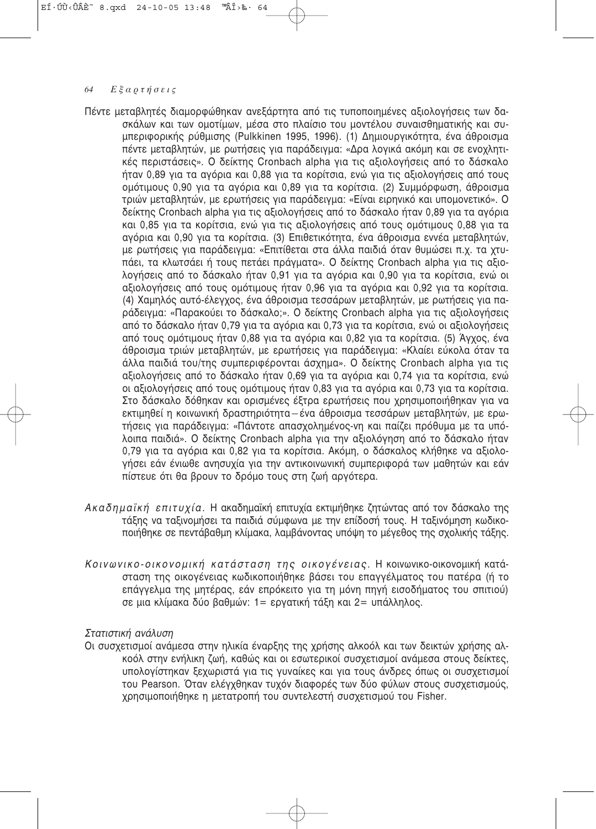- Πέντε μεταβλητές διαμορφώθηκαν ανεξάρτητα από τις τυποποιημένες αξιολογήσεις των δασκάλων και των ομοτίμων, μέσα στο πλαίσιο του μοντέλου συναισθηματικής και συμπεριφορικής ρύθμισης (Pulkkinen 1995, 1996). (1) Δημιουργικότητα, ένα άθροισμα πέντε μεταβλητών, με ρωτήσεις για παράδειγμα: «Δρα λογικά ακόμη και σε ενοχλητικές περιστάσεις». Ο δείκτης Cronbach alpha για τις αξιολογήσεις από το δάσκαλο ήταν 0,89 για τα αγόρια και 0,88 για τα κορίτσια, ενώ για τις αξιολογήσεις από τους ομότιμους 0,90 για τα αγόρια και 0,89 για τα κορίτσια. (2) Συμμόρφωση, άθροισμα τριών μεταβλητών, με ερωτήσεις για παράδειγμα: «Είναι ειρηνικό και υπομονετικό». Ο δείκτης Cronbach alpha για τις αξιολογήσεις από το δάσκαλο ήταν 0,89 για τα αγόρια και 0,85 για τα κορίτσια, ενώ για τις αξιολογήσεις από τους ομότιμους 0,88 για τα αγόρια και 0,90 για τα κορίτσια. (3) Επιθετικότητα, ένα άθροισμα εννέα μεταβλητών, με ρωτήσεις για παράδειγμα: «Επιτίθεται στα άλλα παιδιά όταν θυμώσει π.χ. τα χτυπάει, τα κλωτσάει ή τους πετάει πράγματα». Ο δείκτης Cronbach alpha για τις αξιολογήσεις από το δάσκαλο ήταν 0,91 για τα αγόρια και 0,90 για τα κορίτσια, ενώ οι αξιολογήσεις από τους ομότιμους ήταν 0,96 για τα αγόρια και 0,92 για τα κορίτσια. (4) Χαμηλός αυτό-έλεγχος, ένα άθροισμα τεσσάρων μεταβλητών, με ρωτήσεις για παράδειγμα: «Παρακούει το δάσκαλο;». Ο δείκτης Cronbach alpha για τις αξιολογήσεις από το δάσκαλο ήταν 0,79 για τα αγόρια και 0,73 για τα κορίτσια, ενώ οι αξιολογήσεις από τους ομότιμους ήταν 0,88 για τα αγόρια και 0,82 για τα κορίτσια. (5) Άγχος, ένα άθροισμα τριών μεταβλητών, με ερωτήσεις για παράδειγμα: «Κλαίει εύκολα όταν τα άλλα παιδιά του/της συμπεριφέρονται άσχημα». Ο δείκτης Cronbach alpha για τις αξιολογήσεις από το δάσκαλο ήταν 0,69 για τα αγόρια και 0,74 για τα κορίτσια, ενώ οι αξιολογήσεις από τους ομότιμους ήταν 0,83 για τα αγόρια και 0,73 για τα κορίτσια. Στο δάσκαλο δόθηκαν και ορισμένες έξτρα ερωτήσεις που χρησιμοποιήθηκαν για να εκτιμηθεί η κοινωνική δραστηριότητα – ένα άθροισμα τεσσάρων μεταβλητών, με ερωτήσεις για παράδειγμα: «Πάντοτε απασχολημένος-νη και παίζει πρόθυμα με τα υπόλοιπα παιδιά». Ο δείκτης Cronbach alpha για την αξιολόγηση από το δάσκαλο ήταν 0,79 για τα αγόρια και 0,82 για τα κορίτσια. Ακόμη, ο δάσκαλος κλήθηκε να αξιολογήσει εάν ένιωθε ανησυχία για την αντικοινωνική συμπεριφορά των μαθητών και εάν πίστευε ότι θα βρουν το δρόμο τους στη ζωή αργότερα.
- *Aκαδημαϊκή επιτυχία.* Η ακαδημαϊκή επιτυχία εκτιμήθηκε ζητώντας από τον δάσκαλο της τάξης να ταξινομήσει τα παιδιά σύμφωνα με την επίδοσή τους. Η ταξινόμηση κωδικοποιήθηκε σε πεντάβαθμη κλίμακα, λαμβάνοντας υπόψη το μέγεθος της σχολικής τάξης.
- *Κοινωνικο-οικονομική κατάσταση της οικογένειας.* Η κοινωνικο-οικονομική κατάσταση της οικογένειας κωδικοποιήθηκε βάσει του επαγγέλματος του πατέρα (ή το επάγγελμα της μητέρας, εάν επρόκειτο για τη μόνη πηγή εισοδήματος του σπιτιού) σε μια κλίμακα δύο βαθμών: 1= εργατική τάξη και 2= υπάλληλος.

# Στατιστική ανάλυση

Οι συσχετισμοί ανάμεσα στην ηλικία έναρξης της χρήσης αλκοόλ και των δεικτών χρήσης αλ**κοόλ στην ενήλικη ζωή, καθώς και οι εσωτερικοί συσχετισμοί ανάμεσα στους δείκτες,** υπολογίστηκαν ξεχωριστά για τις γυναίκες και για τους άνδρες όπως οι συσχετισμοί του Pearson. Όταν ελέγχθηκαν τυχόν διαφορές των δύο φύλων στους συσχετισμούς, χρησιμοποιήθηκε η μετατροπή του συντελεστή συσχετισμού του Fisher.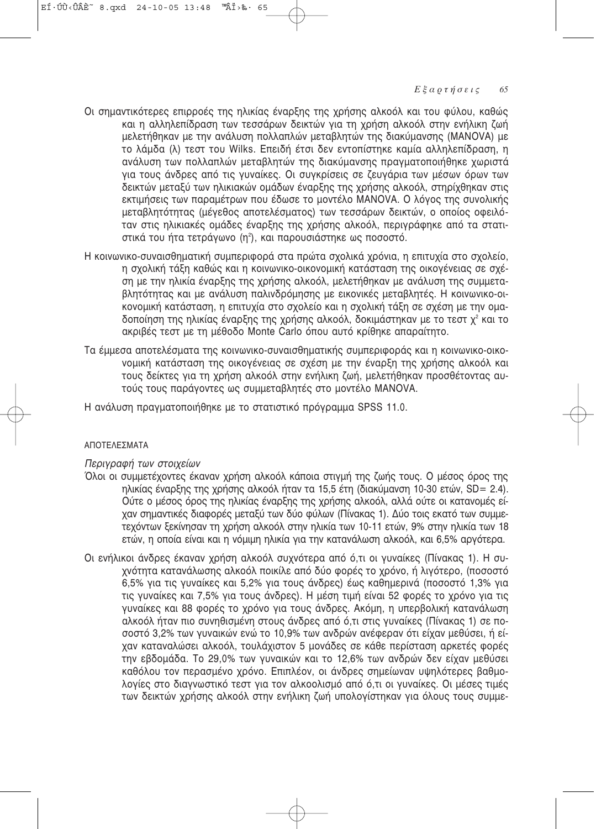- Οι σημαντικότερες επιρροές της ηλικίας έναρξης της χρήσης αλκοόλ και του φύλου, καθώς και η αλληλεπίδραση των τεσσάρων δεικτών για τη χρήση αλκοόλ στην ενήλικη ζωή μελετήθηκαν με την ανάλυση πολλαπλών μεταβλητών της διακύμανσης (MANOVA) με το λάμδα (λ) τεστ του Wilks. Επειδή έτσι δεν εντοπίστηκε καμία αλληλεπίδραση, η ανάλυση των πολλαπλών μεταβλητών της διακύμανσης πραγματοποιήθηκε χωριστά για τους άνδρες από τις γυναίκες. Οι συγκρίσεις σε ζευγάρια των μέσων όρων των δεικτών μεταξύ των ηλικιακών ομάδων έναρξης της χρήσης αλκοόλ, στηρίχθηκαν στις εκτιμήσεις των παραμέτρων που έδωσε το μοντέλο MANOVA. Ο λόγος της συνολικής μεταβλητότητας (μέγεθος αποτελέσματος) των τεσσάρων δεικτών, ο οποίος οφειλόταν στις ηλικιακές ομάδες έναρξης της χρήσης αλκοόλ, περιγράφηκε από τα στατιστικά του ήτα τετράγωνο (η²), και παρουσιάστηκε ως ποσοστό.
- Η κοινωνικο-συναισθηματική συμπεριφορά στα πρώτα σχολικά χρόνια, η επιτυχία στο σχολείο, η σχολική τάξη καθώς και η κοινωνικο-οικονομική κατάσταση της οικογένειας σε σχέση με την ηλικία έναρξης της χρήσης αλκοόλ, μελετήθηκαν με ανάλυση της συμμεταβλητότητας και με ανάλυση παλινδρόμησης με εικονικές μεταβλητές. Η κοινωνικο-οικονομική κατάσταση, η επιτυχία στο σχολείο και η σχολική τάξη σε σχέση με την ομαδοποίηση της ηλικίας έναρξης της χρήσης αλκοόλ, δοκιμάστηκαν με το τεστ χ<sup>2</sup> και το ακριβές τεστ με τη μέθοδο Monte Carlo όπου αυτό κρίθηκε απαραίτητο.
- Τα έμμεσα αποτελέσματα της κοινωνικο-συναισθηματικής συμπεριφοράς και η κοινωνικο-οικοvομική κατάσταση της οικογένειας σε σχέση με την έναρξη της χρήσης αλκοόλ και τους δείκτες για τη χρήση αλκοόλ στην ενήλικη ζωή, μελετήθηκαν προσθέτοντας αυτούς τους παράγοντες ως συμμεταβλητές στο μοντέλο MANOVA.

Η ανάλυση πραγματοποιήθηκε με το στατιστικό πρόγραμμα SPSS 11.0.

#### AΠΟΤΕΛΕΣΜΑΤΑ

#### *Περινραφή των στοιχείων*

EÍ·ÚÙ‹ÛÂȘ 8.qxd 24-10-05 13:48 ™ÂÏ›‰· 65

- Όλοι οι συμμετέχοντες έκαναν χρήση αλκοόλ κάποια στιγμή της ζωής τους. Ο μέσος όρος της ηλικίας έναρξης της χρήσης αλκοόλ ήταν τα 15,5 έτη (διακύμανση 10-30 ετών, SD= 2.4). Ούτε ο μέσος όρος της ηλικίας έναρξης της χρήσης αλκοόλ, αλλά ούτε οι κατανομές είγαν σημαντικές διαφορές μεταξύ των δύο φύλων (Πίνακας 1). Δύο τοις εκατό των συμμετεχόντων ξεκίνησαν τη χρήση αλκοόλ στην ηλικία των 10-11 ετών, 9% στην ηλικία των 18 ετών, η οποία είναι και η νόμιμη ηλικία για την κατανάλωση αλκοόλ, και 6,5% αργότερα.
- Οι ενήλικοι άνδρες έκαναν χρήση αλκοόλ συχνότερα από ό,τι οι γυναίκες (Πίνακας 1). Η συχνότητα κατανάλωσης αλκοόλ ποικίλε από δύο φορές το χρόνο, ή λιγότερο, (ποσοστό 6,5% για τις γυναίκες και 5,2% για τους άνδρες) έως καθημερινά (ποσοστό 1,3% για τις γυναίκες και 7,5% για τους άνδρες). Η μέση τιμή είναι 52 φορές το χρόνο για τις γυναίκες και 88 φορές το χρόνο για τους άνδρες. Ακόμη, η υπερβολική κατανάλωση αλκοόλ ήταν πιο συνηθισμένη στους άνδρες από ό,τι στις γυναίκες (Πίνακας 1) σε ποσοστό 3,2% των γυναικών ενώ το 10,9% των ανδρών ανέφεραν ότι είχαν μεθύσει, ή είχαν καταναλώσει αλκοόλ, τουλάχιστον 5 μονάδες σε κάθε περίσταση αρκετές φορές την εβδομάδα. Το 29,0% των γυναικών και το 12,6% των ανδρών δεν είχαν μεθύσει καθόλου τον περασμένο χρόνο. Επιπλέον, οι άνδρες σημείωναν υψηλότερες βαθμολογίες στο διαγνωστικό τεστ για τον αλκοολισμό από ό,τι οι γυναίκες. Οι μέσες τιμές των δεικτών χρήσης αλκοόλ στην ενήλικη ζωή υπολογίστηκαν για όλους τους συμμε-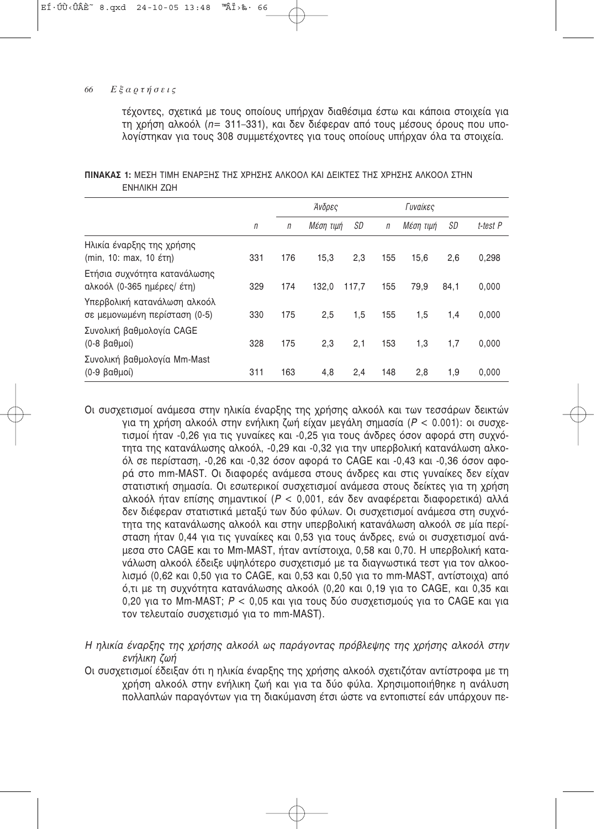τέχοντες, σχετικά με τους οποίους υπήρχαν διαθέσιμα έστω και κάποια στοιχεία για τη χρήση αλκοόλ (*n*= 311–331), και δεν διέφεραν από τους μέσους όρους που υπολογίστηκαν για τους 308 συμμετέχοντες για τους οποίους υπήρχαν όλα τα στοιχεία.

# **ΠΙΝΑΚΑΣ 1:** ΜΕΣΗ ΤΙΜΗ ΕΝΑΡΞΗΣ ΤΗΣ ΧΡΗΣΗΣ ΑΛΚΟΟΛ ΚΑΙ ΔΕΙΚΤΕΣ ΤΗΣ ΧΡΗΣΗΣ ΑΛΚΟΟΛ ΣΤΗΝ ENH§IKH ZøH

|                                                                    |        |            | Άνδρες    |       | Γυναίκες |           |      |          |  |
|--------------------------------------------------------------------|--------|------------|-----------|-------|----------|-----------|------|----------|--|
|                                                                    | $\eta$ | $\sqrt{n}$ | Μέση τιμή | SD    | $\eta$   | Μέση τιμή | SD   | t-test P |  |
| Ηλικία έναρξης της χρήσης<br>(min, 10: max, 10 $\epsilon \tau n$ ) | 331    | 176        | 15,3      | 2,3   | 155      | 15,6      | 2,6  | 0,298    |  |
| Ετήσια συχνότητα κατανάλωσης<br>αλκοόλ (0-365 ημέρες/ έτη)         | 329    | 174        | 132.0     | 117,7 | 155      | 79,9      | 84.1 | 0,000    |  |
| Υπερβολική κατανάλωση αλκοόλ<br>σε μεμονωμένη περίσταση (0-5)      | 330    | 175        | 2,5       | 1,5   | 155      | 1,5       | 1,4  | 0,000    |  |
| Συνολική βαθμολογία CAGE<br>$(0-8 \beta \alpha \theta \mu o)$      | 328    | 175        | 2,3       | 2,1   | 153      | 1,3       | 1,7  | 0,000    |  |
| Συνολική βαθμολογία Mm-Mast<br>$(0-9 \beta \alpha \theta \mu o)$   | 311    | 163        | 4,8       | 2,4   | 148      | 2,8       | 1,9  | 0,000    |  |

Οι συσχετισμοί ανάμεσα στην ηλικία έναρξης της χρήσης αλκοόλ και των τεσσάρων δεικτών για τη χρήση αλκοόλ στην ενήλικη ζωή είχαν μεγάλη σημασία ( $P < 0.001$ ): οι συσχετισμοί ήταν -0,26 για τις γυναίκες και -0,25 για τους άνδρες όσον αφορά στη συχνότητα της κατανάλωσης αλκοόλ, -0,29 και -0,32 για την υπερβολική κατανάλωση αλκοόλ σε περίσταση, -0,26 και -0,32 όσον αφορά το CAGE και -0,43 και -0,36 όσον αφορά στο mm-MAST. Οι διαφορές ανάμεσα στους άνδρες και στις γυναίκες δεν είχαν στατιστική σημασία. Οι εσωτερικοί συσχετισμοί ανάμεσα στους δείκτες για τη χρήση αλκοόλ ήταν επίσης σημαντικοί ( $P < 0.001$ , εάν δεν αναφέρεται διαφορετικά) αλλά δεν διέφεραν στατιστικά μεταξύ των δύο φύλων. Οι συσχετισμοί ανάμεσα στη συχνότητα της κατανάλωσης αλκοόλ και στην υπερβολική κατανάλωση αλκοόλ σε μία περίσταση ήταν 0,44 για τις γυναίκες και 0,53 για τους άνδρες, ενώ οι συσχετισμοί ανάμεσα στο CAGE και το Mm-MAST, ήταν αντίστοιχα, 0,58 και 0,70. Η υπερβολική κατανάλωση αλκοόλ έδειξε υψηλότερο συσχετισμό με τα διαγνωστικά τεστ για τον αλκοολισμό (0,62 και 0,50 για το CAGE, και 0,53 και 0,50 για το mm-MAST, αντίστοιχα) από ό,τι με τη συχνότητα κατανάλωσης αλκοόλ (0,20 και 0,19 για το CAGE, και 0,35 και 0,20 για το Mm-MAST;  $P < 0.05$  και για τους δύο συσχετισμούς για το CAGE και για τον τελευταίο συσχετισμό για το mm-MAST).

Η ηλικία έναρξης της χρήσης αλκοόλ ως παράγοντας πρόβλεψης της χρήσης αλκοόλ στην ενήλικη ζωή

Οι συσχετισμοί έδειξαν ότι η ηλικία έναρξης της χρήσης αλκοόλ σχετιζόταν αντίστροφα με τη χρήση αλκοόλ στην ενήλικη ζωή και για τα δύο φύλα. Χρησιμοποιήθηκε η ανάλυση πολλαπλών παραγόντων για τη διακύμανση έτσι ώστε να εντοπιστεί εάν υπάρχουν πε-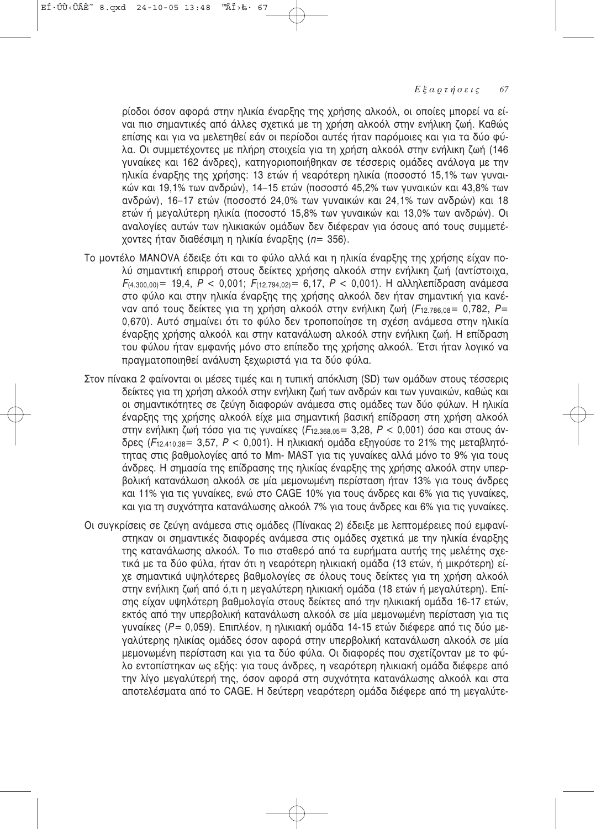$E\{f\cdot \hat{U}\hat{U}\cdot \hat{U}\hat{A}\hat{E}^{\sim}\ 8\}.$ qxd 24-10-05 13:48 ™ÂÏ>‰·

ρίοδοι όσον αφορά στην ηλικία έναρξης της χρήσης αλκοόλ, οι οποίες μπορεί να είναι πιο σημαντικές από άλλες σχετικά με τη χρήση αλκοόλ στην ενήλικη ζωή. Καθώς επίσης και για να μελετηθεί εάν οι περίοδοι αυτές ήταν παρόμοιες και για τα δύο φύλα. Οι συμμετέχοντες με πλήρη στοιχεία για τη χρήση αλκοόλ στην ενήλικη ζωή (146 γυναίκες και 162 άνδρες), κατηγοριοποιήθηκαν σε τέσσερις ομάδες ανάλογα με την ηλικία έναρξης της χρήσης: 13 ετών ή νεαρότερη ηλικία (ποσοστό 15,1% των γυναι-Kών και 19,1% των ανδρών), 14–15 ετών (ποσοστό 45,2% των γυναικών και 43,8% των ανδρών), 16–17 ετών (ποσοστό 24,0% των γυναικών και 24,1% των ανδρών) και 18 ετών ή μεναλύτερη ηλικία (ποσοστό 15,8% των νυναικών και 13,0% των ανδρών). Οι αναλογίες αυτών των ηλικιακών ομάδων δεν διέφεραν για όσους από τους συμμετέχοντες ήταν διαθέσιμη η ηλικία έναρξης (*n*= 356).

- Το μοντέλο MANOVA έδειξε ότι και το φύλο αλλά και η ηλικία έναρξης της χρήσης είχαν πολύ σημαντική επιρροή στους δείκτες χρήσης αλκοόλ στην ενήλικη ζωή (αντίστοιχα, *F*(4.300,00) = 19,4, *P* < 0,001; *F*(12.794,02) = 6,17, *P* < 0,001). Η αλληλεπίδραση ανάμεσα στο φύλο και στην ηλικία έναρξης της χρήσης αλκοόλ δεν ήταν σημαντική για κανέvαν από τους δείκτες για τη χρήση αλκοόλ στην ενήλικη ζωή (F<sub>12.786,08</sub>= 0,782, P= 0,670). Αυτό σημαίνει ότι το φύλο δεν τροποποίησε τη σχέση ανάμεσα στην ηλικία έναρξης χρήσης αλκοόλ και στην κατανάλωση αλκοόλ στην ενήλικη ζωή. Η επίδραση του φύλου ήταν εμφανής μόνο στο επίπεδο της χρήσης αλκοόλ. Έτσι ήταν λογικό να πραγματοποιηθεί ανάλυση ξεχωριστά για τα δύο φύλα.
- Στον πίνακα 2 φαίνονται οι μέσες τιμές και η τυπική απόκλιση (SD) των ομάδων στους τέσσερις δείκτες για τη χρήση αλκοόλ στην ενήλικη ζωή των ανδρών και των γυναικών, καθώς και οι σημαντικότητες σε ζεύγη διαφορών ανάμεσα στις ομάδες των δύο φύλων. Η ηλικία έναρξης της χρήσης αλκοόλ είχε μια σημαντική βασική επίδραση στη χρήση αλκοόλ στην ενήλικη ζωή τόσο για τις γυναίκες (F<sub>12.368.05</sub> = 3,28, P < 0,001) όσο και στους άνδρες (F<sub>12.410,38</sub>= 3,57, P < 0,001). Η ηλικιακή ομάδα εξηγούσε το 21% της μεταβλητότητας στις βαθμολογίες από το Mm- MAST για τις γυναίκες αλλά μόνο το 9% για τους άνδρες. Η σημασία της επίδρασης της ηλικίας έναρξης της χρήσης αλκοόλ στην υπερβολική κατανάλωση αλκοόλ σε μία μεμονωμένη περίσταση ήταν 13% για τους άνδρες Και 11% για τις γυναίκες, ενώ στο CAGE 10% για τους άνδρες και 6% για τις γυναίκες, και για τη συχνότητα κατανάλωσης αλκοόλ 7% για τους άνδρες και 6% για τις γυναίκες.
- Οι συγκρίσεις σε ζεύγη ανάμεσα στις ομάδες (Πίνακας 2) έδειξε με λεπτομέρειες πού εμφανίστηκαν οι σημαντικές διαφορές ανάμεσα στις ομάδες σχετικά με την ηλικία έναρξης της κατανάλωσης αλκοόλ. Το πιο σταθερό από τα ευρήματα αυτής της μελέτης σχετικά με τα δύο φύλα, ήταν ότι η νεαρότερη ηλικιακή ομάδα (13 ετών, ή μικρότερη) είχε σημαντικά υψηλότερες βαθμολογίες σε όλους τους δείκτες για τη χρήση αλκοόλ στην ενήλικη ζωή από ό,τι η μεγαλύτερη ηλικιακή ομάδα (18 ετών ή μεγαλύτερη). Επίσης είχαν υψηλότερη βαθμολογία στους δείκτες από την ηλικιακή ομάδα 16-17 ετών, εκτός από την υπερβολική κατανάλωση αλκοόλ σε μία μεμονωμένη περίσταση για τις γυναίκες (P= 0,059). Επιπλέον, η ηλικιακή ομάδα 14-15 ετών διέφερε από τις δύο μεγαλύτερης ηλικίας ομάδες όσον αφορά στην υπερβολική κατανάλωση αλκοόλ σε μία μεμονωμένη περίσταση και για τα δύο φύλα. Οι διαφορές που σχετίζονταν με το φύλο εντοπίστηκαν ως εξής: για τους άνδρες, η νεαρότερη ηλικιακή ομάδα διέφερε από την λίγο μεγαλύτερή της, όσον αφορά στη συχνότητα κατανάλωσης αλκοόλ και στα αποτελέσματα από το CAGE. Η δεύτερη νεαρότερη ομάδα διέφερε από τη μεγαλύτε-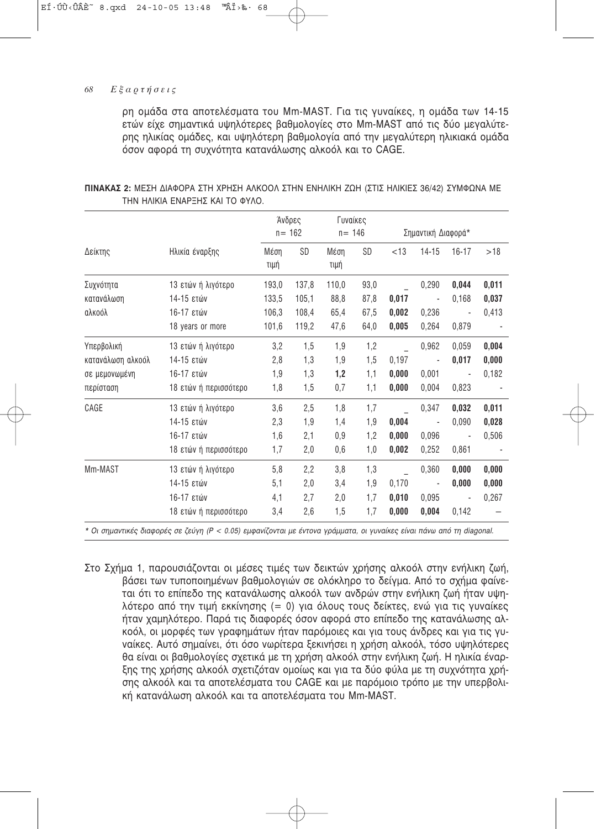ρη ομάδα στα αποτελέσματα του Mm-MAST. Για τις γυναίκες, η ομάδα των 14-15 ετών είχε σημαντικά υψηλότερες βαθμολογίες στο Mm-MAST από τις δύο μεγαλύτερης ηλικίας ομάδες, και υψηλότερη βαθμολογία από την μεγαλύτερη ηλικιακά ομάδα όσον αφορά τη συχνότητα κατανάλωσης αλκοόλ και το CAGE.

|                   | Ηλικία έναρξης        | Άνδρες<br>$n = 162$ |       | Γυναίκες<br>$n = 146$ |      | Σημαντική Διαφορά* |                          |                          |       |
|-------------------|-----------------------|---------------------|-------|-----------------------|------|--------------------|--------------------------|--------------------------|-------|
| Δείκτης           |                       | Μέση<br>τιμή        | SD    | Μέση<br>τιμή          | SD   | < 13               | $14 - 15$                | $16 - 17$                | >18   |
| Συχνότητα         | 13 ετών ή λιγότερο    | 193,0               | 137,8 | 110,0                 | 93,0 |                    | 0,290                    | 0,044                    | 0,011 |
| κατανάλωση        | 14-15 ετών            | 133,5               | 105.1 | 88,8                  | 87,8 | 0,017              | $\overline{\phantom{a}}$ | 0,168                    | 0,037 |
| αλκοόλ            | 16-17 ετών            | 106,3               | 108.4 | 65,4                  | 67,5 | 0.002              | 0,236                    |                          | 0,413 |
|                   | 18 years or more      | 101,6               | 119,2 | 47,6                  | 64,0 | 0,005              | 0,264                    | 0,879                    |       |
| Υπερβολική        | 13 ετών ή λιγότερο    | 3,2                 | 1,5   | 1,9                   | 1,2  |                    | 0,962                    | 0,059                    | 0,004 |
| κατανάλωση αλκοόλ | 14-15 ετών            | 2,8                 | 1,3   | 1,9                   | 1,5  | 0,197              | $\overline{\phantom{a}}$ | 0,017                    | 0,000 |
| σε μεμονωμένη     | 16-17 ετών            | 1,9                 | 1,3   | 1,2                   | 1,1  | 0,000              | 0,001                    | $\overline{a}$           | 0,182 |
| περίσταση         | 18 ετών ή περισσότερο | 1,8                 | 1,5   | 0,7                   | 1,1  | 0,000              | 0,004                    | 0,823                    |       |
| CAGE              | 13 ετών ή λιγότερο    | 3,6                 | 2,5   | 1,8                   | 1,7  |                    | 0,347                    | 0,032                    | 0,011 |
|                   | 14-15 ετών            | 2,3                 | 1,9   | 1,4                   | 1,9  | 0,004              | $\overline{\phantom{a}}$ | 0,090                    | 0,028 |
|                   | 16-17 ετών            | 1,6                 | 2,1   | 0,9                   | 1,2  | 0,000              | 0,096                    | $\ddot{\phantom{0}}$     | 0,506 |
|                   | 18 ετών ή περισσότερο | 1,7                 | 2,0   | 0,6                   | 1,0  | 0,002              | 0,252                    | 0,861                    |       |
| Mm-MAST           | 13 ετών ή λιγότερο    | 5,8                 | 2,2   | 3,8                   | 1,3  |                    | 0,360                    | 0,000                    | 0,000 |
|                   | 14-15 ετών            | 5,1                 | 2,0   | 3,4                   | 1,9  | 0,170              | $\overline{\phantom{a}}$ | 0,000                    | 0,000 |
|                   | 16-17 ετών            | 4,1                 | 2,7   | 2,0                   | 1,7  | 0.010              | 0,095                    | $\overline{\phantom{a}}$ | 0,267 |
|                   | 18 ετών ή περισσότερο | 3,4                 | 2,6   | 1,5                   | 1,7  | 0,000              | 0,004                    | 0,142                    |       |

| ΠΙΝΑΚΑΣ 2: ΜΕΣΗ ΔΙΑΦΟΡΑ ΣΤΗ ΧΡΗΣΗ ΑΛΚΟΟΛ ΣΤΗΝ ΕΝΗΛΙΚΗ ΖΩΗ (ΣΤΙΣ ΗΛΙΚΙΕΣ 36/42) ΣΥΜΦΩΝΑ ΜΕ |  |  |
|-------------------------------------------------------------------------------------------|--|--|
| ΤΗΝ ΗΛΙΚΙΑ ΕΝΑΡΞΗΣ ΚΑΙ ΤΟ ΦΥΛΟ.                                                           |  |  |

Στο Σχήμα 1, παρουσιάζονται οι μέσες τιμές των δεικτών χρήσης αλκοόλ στην ενήλικη ζωή, βάσει των τυποποιημένων βαθμολογιών σε ολόκληρο το δείγμα. Από το σχήμα φαίνεται ότι το επίπεδο της κατανάλωσης αλκοόλ των ανδρών στην ενήλικη ζωή ήταν υψηλότερο από την τιμή εκκίνησης (= 0) για όλους τους δείκτες, ενώ για τις γυναίκες ήταν χαμηλότερο. Παρά τις διαφορές όσον αφορά στο επίπεδο της κατανάλωσης αλκοόλ, οι μορφές των γραφημάτων ήταν παρόμοιες και για τους άνδρες και για τις γυναίκες. Αυτό σημαίνει, ότι όσο νωρίτερα ξεκινήσει η χρήση αλκοόλ, τόσο υψηλότερες θα είναι οι βαθμολογίες σχετικά με τη χρήση αλκοόλ στην ενήλικη ζωή. Η ηλικία έναρξης της χρήσης αλκοόλ σχετιζόταν ομοίως και για τα δύο φύλα με τη συχνότητα χρήσης αλκοόλ και τα αποτελέσματα του CAGE και με παρόμοιο τρόπο με την υπερβολική κατανάλωση αλκοόλ και τα αποτελέσματα του Mm-MAST.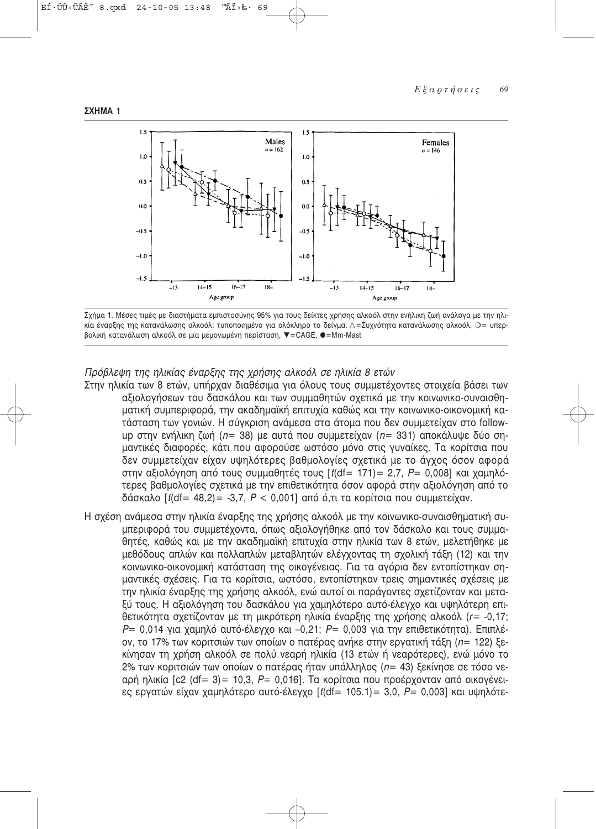



Σχήμα 1. Μέσες τιμές με διαστήματα εμπιστοσύνης 95% για τους δείκτες χρήσης αλκοόλ στην ενήλικη ζωή ανάλογα με την ηλικία έναρξης της κατανάλωσης αλκοόλ: τυποποιημένο για ολόκληρο το δείγμα. Δ=Συχνότητα κατανάλωσης αλκοόλ, Ο= υπερβολική κατανάλωση αλκοόλ σε μία μεμονωμένη περίσταση, **V** = CAGE, <sup>●</sup> = Mm-Mast

# Πρόβλεψη της ηλικίας έναρξης της χρήσης αλκοόλ σε ηλικία 8 ετών

- Στην ηλικία των 8 ετών, υπήρχαν διαθέσιμα για όλους τους συμμετέχοντες στοιχεία βάσει των αξιολογήσεων του δασκάλου και των συμμαθητών σχετικά με την κοινωνικο-συναισθηματική συμπεριφορά, την ακαδημαϊκή επιτυχία καθώς και την κοινωνικο-οικονομική κατάσταση των γονιών. Η σύγκριση ανάμεσα στα άτομα που δεν συμμετείχαν στο followμρ στην ενήλικη ζωή ( $n=38$ ) με αυτά που συμμετείχαν ( $n=331$ ) αποκάλυψε δύο σημαντικές διαφορές, κάτι που αφορούσε ωστόσο μόνο στις γυναίκες. Τα κορίτσια που δεν συμμετείχαν είχαν υψηλότερες βαθμολογίες σχετικά με το άγχος όσον αφορά στην αξιολόγηση από τους συμμαθητές τους [t(df= 171) = 2,7, P = 0,008] και χαμηλότερες βαθμολογίες σχετικά με την επιθετικότητα όσον αφορά στην αξιολόγηση από το δάσκαλο [t(df= 48,2) = -3,7,  $P < 0,001$ ] από ό,τι τα κορίτσια που συμμετείχαν.
- Η σχέση ανάμεσα στην ηλικία έναρξης της χρήσης αλκοόλ με την κοινωνικο-συναισθηματική συμπεριφορά του συμμετέχοντα, όπως αξιολογήθηκε από τον δάσκαλο και τους συμμαθητές, καθώς και με την ακαδημαϊκή επιτυχία στην ηλικία των 8 ετών, μελετήθηκε με μεθόδους απλών και πολλαπλών μεταβλητών ελέγχοντας τη σχολική τάξη (12) και την κοινωνικο-οικονομική κατάσταση της οικογένειας. Για τα αγόρια δεν εντοπίστηκαν σημαντικές σχέσεις. Για τα κορίτσια, ωστόσο, εντοπίστηκαν τρεις σημαντικές σχέσεις με την ηλικία έναρξης της χρήσης αλκοόλ, ενώ αυτοί οι παράγοντες σχετίζονταν και μεταξύ τους. Η αξιολόγηση του δασκάλου για χαμηλότερο αυτό-έλεγχο και υψηλότερη επιθετικότητα σχετίζονταν με τη μικρότερη ηλικία έναρξης της χρήσης αλκοόλ (r= -0,17;  $P = 0.014$  για χαμηλό αυτό-έλεγχο και -0.21;  $P = 0.003$  για την επιθετικότητα). Επιπλέον, το 17% των κοριτσιών των οποίων ο πατέρας ανήκε στην εργατική τάξη (n= 122) ξεκίνησαν τη χρήση αλκοόλ σε πολύ νεαρή ηλικία (13 ετών ή νεαρότερες), ενώ μόνο το 2% των κοριτσιών των οποίων ο πατέρας ήταν υπάλληλος (n= 43) ξεκίνησε σε τόσο νεαρή ηλικία [c2 (df= 3)= 10,3, P= 0,016]. Τα κορίτσια που προέρχονταν από οικογένειες εργατών είχαν χαμηλότερο αυτό-έλεγχο  $\left[t(df = 105.1\right) = 3.0$ ,  $P = 0.003$ ] και υψηλότε-

#### ΣΧΗΜΑ 1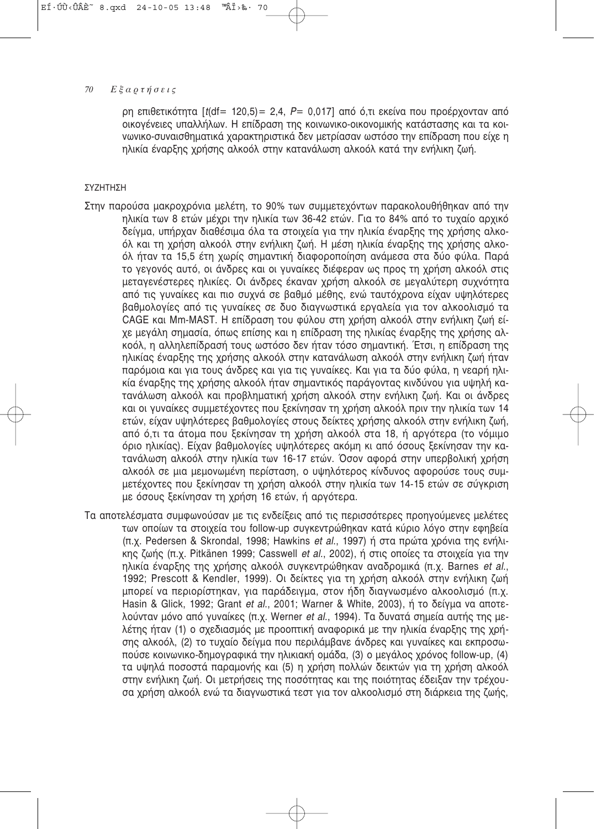ρη επιθετικότητα [t(df= 120,5) = 2,4, P= 0,017] από ό,τι εκείνα που προέρχονταν από οικογένειες υπαλλήλων. Η επίδραση της κοινωνικο-οικονομικής κατάστασης και τα κοινωνικο-συναισθηματικά χαρακτηριστικά δεν μετρίασαν ωστόσο την επίδραση που είχε η ηλικία έναρξης χρήσης αλκοόλ στην κατανάλωση αλκοόλ κατά την ενήλικη ζωή.

#### ΣΥΖΗΤΗΣΗ

- Στην παρούσα μακροχρόνια μελέτη, το 90% των συμμετεχόντων παρακολουθήθηκαν από την ηλικία των 8 ετών μέχρι την ηλικία των 36-42 ετών. Για το 84% από το τυχαίο αρχικό δείγμα, υπήρχαν διαθέσιμα όλα τα στοιχεία για την ηλικία έναρξης της χρήσης αλκοόλ και τη χρήση αλκοόλ στην ενήλικη ζωή. Η μέση ηλικία έναρξης της χρήσης αλκοόλ ήταν τα 15,5 έτη χωρίς σημαντική διαφοροποίηση ανάμεσα στα δύο φύλα. Παρά το γεγονός αυτό, οι άνδρες και οι γυναίκες διέφεραν ως προς τη χρήση αλκοόλ στις μεταγενέστερες ηλικίες. Οι άνδρες έκαναν χρήση αλκοόλ σε μεγαλύτερη συχνότητα από τις γυναίκες και πιο συχνά σε βαθμό μέθης, ενώ ταυτόχρονα είχαν υψηλότερες βαθμολογίες από τις γυναίκες σε δυο διαγνωστικά εργαλεία για τον αλκοολισμό τα CAGE και Mm-MAST. Η επίδραση του φύλου στη χρήση αλκοόλ στην ενήλικη ζωή είχε μεγάλη σημασία, όπως επίσης και η επίδραση της ηλικίας έναρξης της χρήσης αλκοόλ, η αλληλεπίδρασή τους ωστόσο δεν ήταν τόσο σημαντική. Έτσι, η επίδραση της ηλικίας έναρξης της χρήσης αλκοόλ στην κατανάλωση αλκοόλ στην ενήλικη ζωή ήταν παρόμοια και για τους άνδρες και για τις γυναίκες. Και για τα δύο φύλα, η νεαρή ηλικία έναρξης της χρήσης αλκοόλ ήταν σημαντικός παράγοντας κινδύνου για υψηλή κατανάλωση αλκοόλ και προβληματική χρήση αλκοόλ στην ενήλικη ζωή. Και οι άνδρες και οι γυναίκες συμμετέχοντες που ξεκίνησαν τη χρήση αλκοόλ πριν την ηλικία των 14 ετών, είχαν υψηλότερες βαθμολογίες στους δείκτες χρήσης αλκοόλ στην ενήλικη ζωή, από ό,τι τα άτομα που ξεκίνησαν τη χρήση αλκοόλ στα 18, ή αργότερα (το νόμιμο όριο ηλικίας). Είχαν βαθμολογίες υψηλότερες ακόμη κι από όσους ξεκίνησαν την κατανάλωση αλκοόλ στην ηλικία των 16-17 ετών. Όσον αφορά στην υπερβολική χρήση αλκοόλ σε μια μεμονωμένη περίσταση, ο υψηλότερος κίνδυνος αφορούσε τους συμμετέχοντες που ξεκίνησαν τη χρήση αλκοόλ στην ηλικία των 14-15 ετών σε σύγκριση με όσους ξεκίνησαν τη χρήση 16 ετών, ή αργότερα.
- Τα αποτελέσματα συμφωνούσαν με τις ενδείξεις από τις περισσότερες προηγούμενες μελέτες των οποίων τα στοιχεία του follow-up συγκεντρώθηκαν κατά κύριο λόγο στην εφηβεία (π.χ. Pedersen & Skrondal, 1998; Hawkins *et al.*, 1997) ή στα πρώτα χρόνια της ενήλικης ζωής (π.χ. Pitkänen 1999; Casswell *et al.*, 2002), ή στις οποίες τα στοιχεία για την ηλικία έναρξης της χρήσης αλκοόλ συγκεντρώθηκαν αναδρομικά (π.χ. Barnes *et al.*, 1992; Prescott & Kendler, 1999). Οι δείκτες για τη χρήση αλκοόλ στην ενήλικη ζωή μπορεί να περιορίστηκαν, για παράδειγμα, στον ήδη διαγνωσμένο αλκοολισμό (π.χ. Hasin & Glick, 1992; Grant *et al.*, 2001; Warner & White, 2003), ή το δείγμα να αποτελούνταν μόνο από γυναίκες (π.χ. Werner *et al.*, 1994). Τα δυνατά σημεία αυτής της μελέτης ήταν (1) ο σχεδιασμός με προοπτική αναφορικά με την ηλικία έναρξης της χρήσης αλκοόλ, (2) το τυχαίο δείγμα που περιλάμβανε άνδρες και γυναίκες και εκπροσωπούσε κοινωνικο-δημογραφικά την ηλικιακή ομάδα, (3) ο μεγάλος χρόνος follow-up, (4) τα υψηλά ποσοστά παραμονής και (5) η χρήση πολλών δεικτών για τη χρήση αλκοόλ στην ενήλικη ζωή. Οι μετρήσεις της ποσότητας και της ποιότητας έδειξαν την τρέχουσα χρήση αλκοόλ ενώ τα διαγνωστικά τεστ για τον αλκοολισμό στη διάρκεια της ζωής,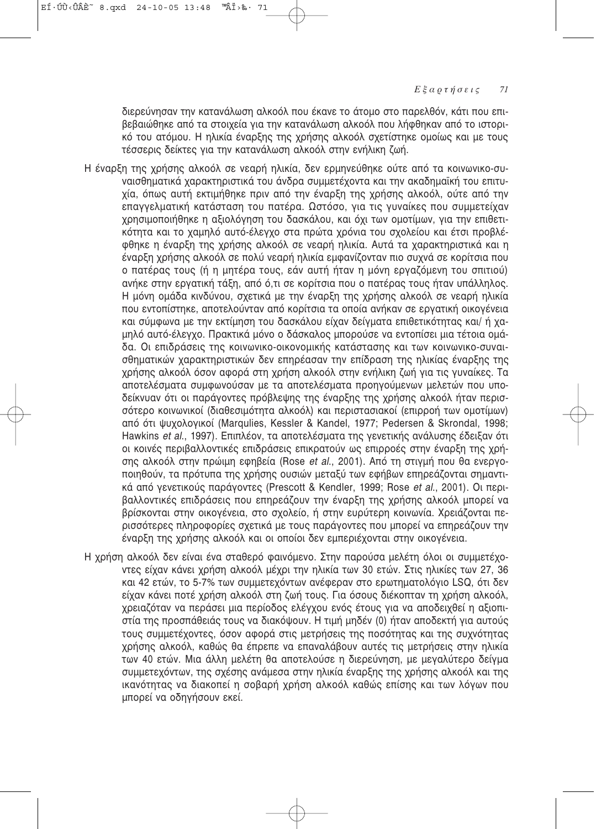$E\{f\cdot \hat{U}\hat{U}\cdot \hat{U}\hat{A}\hat{E}^{\sim}\ 8\}.$ qxd 24-10-05 13:48 ™ÂÏ>‰·

διερεύνησαν την κατανάλωση αλκοόλ που έκανε το άτομο στο παρελθόν, κάτι που επιβεβαιώθηκε από τα στοιχεία για την κατανάλωση αλκοόλ που λήφθηκαν από το ιστορι-Κό του ατόμου. Η ηλικία έναρξης της χρήσης αλκοόλ σχετίστηκε ομοίως και με τους τέσσερις δείκτες για την κατανάλωση αλκοόλ στην ενήλικη ζωή.

- Η έναρξη της χρήσης αλκοόλ σε νεαρή ηλικία, δεν ερμηνεύθηκε ούτε από τα κοινωνικο-συναισθηματικά χαρακτηριστικά του άνδρα συμμετέχοντα και την ακαδημαϊκή του επιτυχία, όπως αυτή εκτιμήθηκε πριν από την έναρξη της χρήσης αλκοόλ, ούτε από την επαγγελματική κατάσταση του πατέρα. Ωστόσο, για τις γυναίκες που συμμετείχαν χρησιμοποιήθηκε η αξιολόγηση του δασκάλου, και όχι των ομοτίμων, για την επιθετι-Κότητα και το χαμηλό αυτό-έλεγχο στα πρώτα χρόνια του σχολείου και έτσι προβλέφθηκε η έναρξη της χρήσης αλκοόλ σε νεαρή ηλικία. Αυτά τα χαρακτηριστικά και η έναρξη χρήσης αλκοόλ σε πολύ νεαρή ηλικία εμφανίζονταν πιο συχνά σε κορίτσια που ο πατέρας τους (ή η μητέρα τους, εάν αυτή ήταν η μόνη εργαζόμενη του σπιτιού) ανήκε στην εργατική τάξη, από ό,τι σε κορίτσια που ο πατέρας τους ήταν υπάλληλος. Η μόνη ομάδα κινδύνου, σχετικά με την έναρξη της χρήσης αλκοόλ σε νεαρή ηλικία που εντοπίστηκε, αποτελούνταν από κορίτσια τα οποία ανήκαν σε εργατική οικογένεια και σύμφωνα με την εκτίμηση του δασκάλου είχαν δείγματα επιθετικότητας και/ ή χαμηλό αυτό-έλεγχο. Πρακτικά μόνο ο δάσκαλος μπορούσε να εντοπίσει μια τέτοια ομάδα. Οι επιδράσεις της κοινωνικο-οικονομικής κατάστασης και των κοινωνικο-συναισθηματικών χαρακτηριστικών δεν επηρέασαν την επίδραση της ηλικίας έναρξης της χρήσης αλκοόλ όσον αφορά στη χρήση αλκοόλ στην ενήλικη ζωή για τις γυναίκες. Τα αποτελέσματα συμφωνούσαν με τα αποτελέσματα προηγούμενων μελετών που υποδείκνυαν ότι οι παράγοντες πρόβλεψης της έναρξης της χρήσης αλκοόλ ήταν περισσότερο κοινωνικοί (διαθεσιμότητα αλκοόλ) και περιστασιακοί (επιρροή των ομοτίμων) aπό ότι ψυχολογικοί (Marqulies, Kessler & Kandel, 1977; Pedersen & Skrondal, 1998; Hawkins *et al.*, 1997). Επιπλέον, τα αποτελέσματα της γενετικής ανάλυσης έδειξαν ότι οι κοινές περιβαλλοντικές επιδράσεις επικρατούν ως επιρροές στην έναρξη της χρήσης αλκοόλ στην πρώιμη εφηβεία (Rose *et al.*, 2001). Από τη στιγμή που θα ενεργοποιηθούν, τα πρότυπα της χρήσης ουσιών μεταξύ των εφήβων επηρεάζονται σημαντι**κά από γενετικούς παράγοντες (Prescott & Kendler, 1999; Rose** *et al.***, 2001). Οι περι**βαλλοντικές επιδράσεις που επηρεάζουν την έναρξη της χρήσης αλκοόλ μπορεί να βρίσκονται στην οικογένεια, στο σχολείο, ή στην ευρύτερη κοινωνία. Χρειάζονται περισσότερες πληροφορίες σχετικά με τους παράγοντες που μπορεί να επηρεάζουν την έναρξη της χρήσης αλκοόλ και οι οποίοι δεν εμπεριέχονται στην οικογένεια.
- Η χρήση αλκοόλ δεν είναι ένα σταθερό φαινόμενο. Στην παρούσα μελέτη όλοι οι συμμετέχο-VΤες είχαν κάνει χρήση αλκοόλ μέχρι την ηλικία των 30 ετών. Στις ηλικίες των 27, 36 Και 42 ετών, το 5-7% των συμμετεχόντων ανέφεραν στο ερωτηματολόνιο LSQ, ότι δεν είχαν κάνει ποτέ χρήση αλκοόλ στη ζωή τους. Για όσους διέκοπταν τη χρήση αλκοόλ, χρειαζόταν να περάσει μια περίοδος ελέγχου ενός έτους για να αποδειχθεί η αξιοπιστία της προσπάθειάς τους να διακόψουν. Η τιμή μηδέν (0) ήταν αποδεκτή για αυτούς τους συμμετέχοντες, όσον αφορά στις μετρήσεις της ποσότητας και της συχνότητας χρήσης αλκοόλ, καθώς θα έπρεπε να επαναλάβουν αυτές τις μετρήσεις στην ηλικία των 40 ετών. Μια άλλη μελέτη θα αποτελούσε η διερεύνηση, με μεγαλύτερο δείγμα συμμετεχόντων, της σχέσης ανάμεσα στην ηλικία έναρξης της χρήσης αλκοόλ και της ικανότητας να διακοπεί η σοβαρή χρήση αλκοόλ καθώς επίσης και των λόγων που μπορεί να οδηγήσουν εκεί.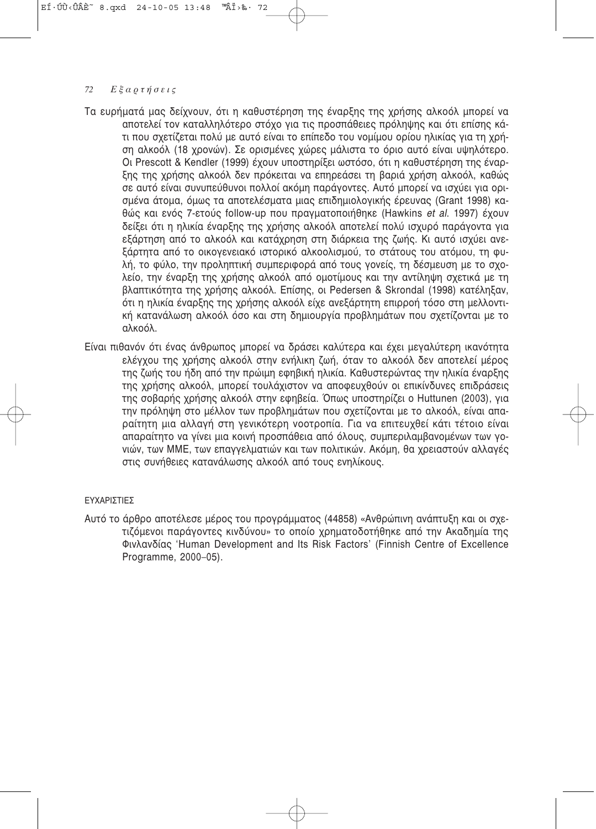- Τα ευρήματά μας δείχνουν, ότι η καθυστέρηση της έναρξης της χρήσης αλκοόλ μπορεί να αποτελεί τον καταλληλότερο στόχο για τις προσπάθειες πρόληψης και ότι επίσης κάτι που σχετίζεται πολύ με αυτό είναι το επίπεδο του νομίμου ορίου ηλικίας για τη χρήση αλκοόλ (18 χρονών). Σε ορισμένες χώρες μάλιστα το όριο αυτό είναι υψηλότερο. Οι Prescott & Kendler (1999) έχουν υποστηρίξει ωστόσο, ότι η καθυστέρηση της έναρξης της χρήσης αλκοόλ δεν πρόκειται να επηρεάσει τη βαριά χρήση αλκοόλ, καθώς σε αυτό είναι συνυπεύθυνοι πολλοί ακόμη παράγοντες. Αυτό μπορεί να ισχύει για ορισμένα άτομα, όμως τα αποτελέσματα μιας επιδημιολογικής έρευνας (Grant 1998) καθώς και ενός 7-ετούς follow-up που πρανματοποιήθηκε (Hawkins *et al.* 1997) έχουν δείξει ότι η ηλικία έναρξης της χρήσης αλκοόλ αποτελεί πολύ ισχυρό παράνοντα για εξάρτηση από το αλκοόλ και κατάχρηση στη διάρκεια της ζωής. Κι αυτό ισχύει ανεξάρτητα από το οικονενειακό ιστορικό αλκοολισμού, το στάτους του ατόμου, τη φυλή, το φύλο, την προληπτική συμπεριφορά από τους γονείς, τη δέσμευση με το σχολείο, την έναρξη της χρήσης αλκοόλ από ομοτίμους και την αντίληψη σχετικά με τη βλαπτικότητα της χρήσης αλκοόλ. Επίσης, οι Pedersen & Skrondal (1998) κατέληξαν, ότι η ηλικία έναρξης της χρήσης αλκοόλ είχε ανεξάρτητη επιρροή τόσο στη μελλοντική κατανάλωση αλκοόλ όσο και στη δημιουργία προβλημάτων που σχετίζονται με το αλκοόλ.
- Είναι πιθανόν ότι ένας άνθρωπος μπορεί να δράσει καλύτερα και έχει μεγαλύτερη ικανότητα ελέγχου της χρήσης αλκοόλ στην ενήλικη ζωή, όταν το αλκοόλ δεν αποτελεί μέρος της ζωής του ήδη από την πρώιμη εφηβική ηλικία. Καθυστερώντας την ηλικία έναρξης της χρήσης αλκοόλ, μπορεί τουλάχιστον να αποφευχθούν οι επικίνδυνες επιδράσεις της σοβαρής χρήσης αλκοόλ στην εφηβεία. Όπως υποστηρίζει ο Huttunen (2003), για την πρόληψη στο μέλλον των προβλημάτων που σχετίζονται με το αλκοόλ, είναι απαραίτητη μια αλλαγή στη γενικότερη νοοτροπία. Για να επιτευχθεί κάτι τέτοιο είναι απαραίτητο να γίνει μια κοινή προσπάθεια από όλους, συμπεριλαμβανομένων των γονιών, των ΜΜΕ, των επαγγελματιών και των πολιτικών. Ακόμη, θα χρειαστούν αλλαγές στις συνήθειες κατανάλωσης αλκοόλ από τους ενηλίκους.

#### EYXAPIΣTIEΣ

Aυτό το άρθρο αποτέλεσε μέρος του προγράμματος (44858) «Ανθρώπινη ανάπτυξη και οι σχετιζόμενοι παράγοντες κινδύνου» το οποίο χρηματοδοτήθηκε από την Ακαδημία της ºÈÓÏ·Ó‰›·˜ 'Human Development and Its Risk Factors' (Finnish Centre of Excellence Programme, 2000–05).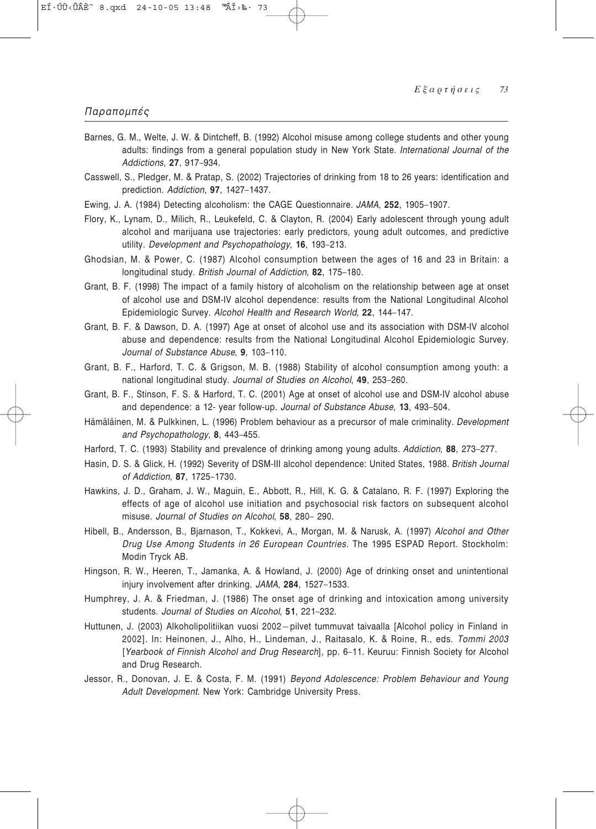### $\Pi$ αραπομπές

- Barnes, G. M., Welte, J. W. & Dintcheff, B. (1992) Alcohol misuse among college students and other young adults: findings from a general population study in New York State. *International Journal of the Addictions*, **27**, 917–934.
- Casswell, S., Pledger, M. & Pratap, S. (2002) Trajectories of drinking from 18 to 26 years: identification and prediction. *Addiction*, **97**, 1427–1437.
- Ewing, J. A. (1984) Detecting alcoholism: the CAGE Questionnaire. *JAMA*, **252**, 1905–1907.
- Flory, K., Lynam, D., Milich, R., Leukefeld, C. & Clayton, R. (2004) Early adolescent through young adult alcohol and marijuana use trajectories: early predictors, young adult outcomes, and predictive utility. *Development and Psychopathology*, **16**, 193–213.
- Ghodsian, M. & Power, C. (1987) Alcohol consumption between the ages of 16 and 23 in Britain: a longitudinal study. *British Journal of Addiction*, **82**, 175–180.
- Grant, B. F. (1998) The impact of a family history of alcoholism on the relationship between age at onset of alcohol use and DSM-IV alcohol dependence: results from the National Longitudinal Alcohol Epidemiologic Survey. *Alcohol Health and Research World*, **22**, 144–147.
- Grant, B. F. & Dawson, D. A. (1997) Age at onset of alcohol use and its association with DSM-IV alcohol abuse and dependence: results from the National Longitudinal Alcohol Epidemiologic Survey. *Journal of Substance Abuse*, **9**, 103–110.
- Grant, B. F., Harford, T. C. & Grigson, M. B. (1988) Stability of alcohol consumption among youth: a national longitudinal study. *Journal of Studies on Alcohol*, **49**, 253–260.
- Grant, B. F., Stinson, F. S. & Harford, T. C. (2001) Age at onset of alcohol use and DSM-IV alcohol abuse and dependence: a 12- year follow-up. *Journal of Substance Abuse*, **13**, 493–504.
- Hämäläinen, M. & Pulkkinen, L. (1996) Problem behaviour as a precursor of male criminality. *Development and Psychopathology*, **8**, 443–455.
- Harford, T. C. (1993) Stability and prevalence of drinking among young adults. *Addiction*, **88**, 273–277.
- Hasin, D. S. & Glick, H. (1992) Severity of DSM-III alcohol dependence: United States, 1988. *British Journal of Addiction*, **87**, 1725–1730.
- Hawkins, J. D., Graham, J. W., Maguin, E., Abbott, R., Hill, K. G. & Catalano, R. F. (1997) Exploring the effects of age of alcohol use initiation and psychosocial risk factors on subsequent alcohol misuse. *Journal of Studies on Alcohol*, **58**, 280– 290.
- Hibell, B., Andersson, B., Bjarnason, T., Kokkevi, A., Morgan, M. & Narusk, A. (1997) *Alcohol and Other Drug Use Among Students in 26 European Countries.* The 1995 ESPAD Report. Stockholm: Modin Tryck AB.
- Hingson, R. W., Heeren, T., Jamanka, A. & Howland, J. (2000) Age of drinking onset and unintentional injury involvement after drinking. *JAMA*, **284**, 1527–1533.
- Humphrey, J. A. & Friedman, J. (1986) The onset age of drinking and intoxication among university students. *Journal of Studies on Alcohol*, **51**, 221–232.
- Huttunen, J. (2003) Alkoholipolitiikan vuosi 2002—pilvet tummuvat taivaalla [Alcohol policy in Finland in 2002]. In: Heinonen, J., Alho, H., Lindeman, J., Raitasalo, K. & Roine, R., eds. *Tommi 2003* [*Yearbook of Finnish Alcohol and Drug Research*], pp. 6–11. Keuruu: Finnish Society for Alcohol and Drug Research.
- Jessor, R., Donovan, J. E. & Costa, F. M. (1991) *Beyond Adolescence: Problem Behaviour and Young Adult Development*. New York: Cambridge University Press.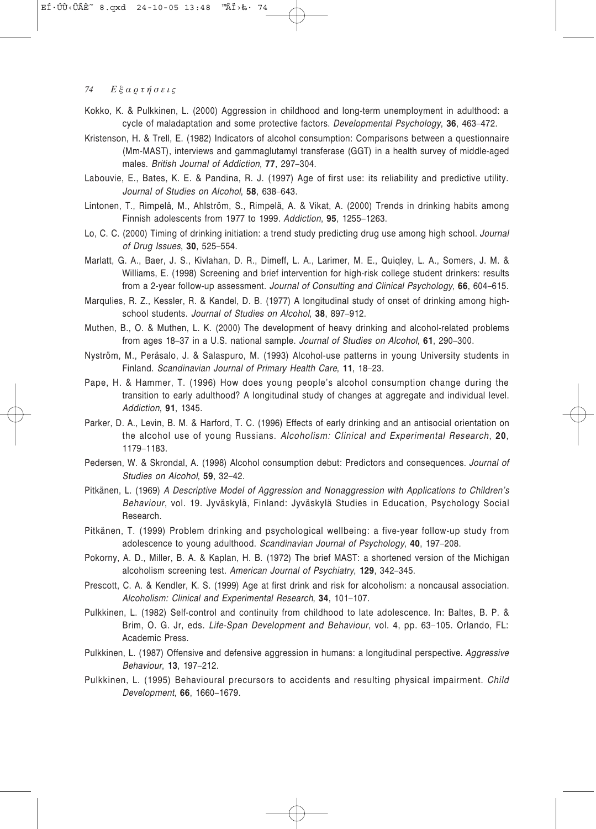- Kokko, K. & Pulkkinen, L. (2000) Aggression in childhood and long-term unemployment in adulthood: a cycle of maladaptation and some protective factors. *Developmental Psychology*, **36**, 463–472.
- Kristenson, H. & Trell, E. (1982) Indicators of alcohol consumption: Comparisons between a questionnaire (Mm-MAST), interviews and gammaglutamyl transferase (GGT) in a health survey of middle-aged males. *British Journal of Addiction*, **77**, 297–304.
- Labouvie, E., Bates, K. E. & Pandina, R. J. (1997) Age of first use: its reliability and predictive utility. *Journal of Studies on Alcohol*, **58**, 638–643.
- Lintonen, T., Rimpelä, M., Ahlström, S., Rimpelä, A. & Vikat, A. (2000) Trends in drinking habits among Finnish adolescents from 1977 to 1999. *Addiction*, **95**, 1255–1263.
- Lo, C. C. (2000) Timing of drinking initiation: a trend study predicting drug use among high school. *Journal of Drug Issues*, **30**, 525–554.
- Marlatt, G. A., Baer, J. S., Kivlahan, D. R., Dimeff, L. A., Larimer, M. E., Quiqley, L. A., Somers, J. M. & Williams, E. (1998) Screening and brief intervention for high-risk college student drinkers: results from a 2-year follow-up assessment. *Journal of Consulting and Clinical Psychology*, **66**, 604–615.
- Marqulies, R. Z., Kessler, R. & Kandel, D. B. (1977) A longitudinal study of onset of drinking among highschool students. *Journal of Studies on Alcohol*, **38**, 897–912.
- Muthen, B., O. & Muthen, L. K. (2000) The development of heavy drinking and alcohol-related problems from ages 18–37 in a U.S. national sample. *Journal of Studies on Alcohol*, **61**, 290–300.
- Nyström, M., Peräsalo, J. & Salaspuro, M. (1993) Alcohol-use patterns in young University students in Finland. *Scandinavian Journal of Primary Health Care*, **11**, 18–23.
- Pape, H. & Hammer, T. (1996) How does young people's alcohol consumption change during the transition to early adulthood? A longitudinal study of changes at aggregate and individual level. *Addiction*, **91**, 1345.
- Parker, D. A., Levin, B. M. & Harford, T. C. (1996) Effects of early drinking and an antisocial orientation on the alcohol use of young Russians. *Alcoholism: Clinical and Experimental Research*, **20**, 1179–1183.
- Pedersen, W. & Skrondal, A. (1998) Alcohol consumption debut: Predictors and consequences. *Journal of Studies on Alcohol*, **59**, 32–42.
- Pitkänen, L. (1969) *A Descriptive Model of Aggression and Nonaggression with Applications to Children's Behaviour*, vol. 19. Jyväskylä, Finland: Jyväskylä Studies in Education, Psychology Social Research.
- Pitkänen, T. (1999) Problem drinking and psychological wellbeing: a five-year follow-up study from adolescence to young adulthood. *Scandinavian Journal of Psychology*, **40**, 197–208.
- Pokorny, A. D., Miller, B. A. & Kaplan, H. B. (1972) The brief MAST: a shortened version of the Michigan alcoholism screening test. *American Journal of Psychiatry*, **129**, 342–345.
- Prescott, C. A. & Kendler, K. S. (1999) Age at first drink and risk for alcoholism: a noncausal association. *Alcoholism: Clinical and Experimental Research*, **34**, 101–107.
- Pulkkinen, L. (1982) Self-control and continuity from childhood to late adolescence. In: Baltes, B. P. & Brim, O. G. Jr, eds. *Life-Span Development and Behaviour*, vol. 4, pp. 63–105. Orlando, FL: Academic Press.
- Pulkkinen, L. (1987) Offensive and defensive aggression in humans: a longitudinal perspective. *Aggressive Behaviour*, **13**, 197–212.
- Pulkkinen, L. (1995) Behavioural precursors to accidents and resulting physical impairment. *Child Development*, **66**, 1660–1679.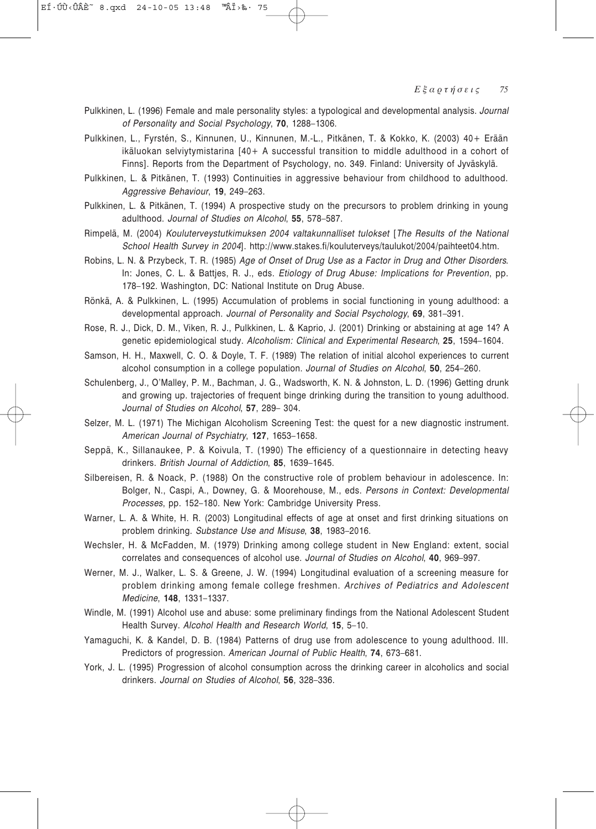- Pulkkinen, L. (1996) Female and male personality styles: a typological and developmental analysis. *Journal of Personality and Social Psychology*, **70**, 1288–1306.
- Pulkkinen, L., Fyrstén, S., Kinnunen, U., Kinnunen, M.-L., Pitkänen, T. & Kokko, K. (2003) 40+ Erään ikäluokan selviytymistarina [40+ A successful transition to middle adulthood in a cohort of Finns]. Reports from the Department of Psychology, no. 349. Finland: University of Jyväskylä.
- Pulkkinen, L. & Pitkänen, T. (1993) Continuities in aggressive behaviour from childhood to adulthood. *Aggressive Behaviour*, **19**, 249–263.
- Pulkkinen, L. & Pitkänen, T. (1994) A prospective study on the precursors to problem drinking in young adulthood. *Journal of Studies on Alcohol*, **55**, 578–587.
- Rimpelä, M. (2004) *Kouluterveystutkimuksen 2004 valtakunnalliset tulokset* [*The Results of the National School Health Survey in 2004*]. http://www.stakes.fi/kouluterveys/taulukot/2004/paihteet04.htm.
- Robins, L. N. & Przybeck, T. R. (1985) *Age of Onset of Drug Use as a Factor in Drug and Other Disorders*. In: Jones, C. L. & Battjes, R. J., eds. *Etiology of Drug Abuse: Implications for Prevention*, pp. 178–192. Washington, DC: National Institute on Drug Abuse.
- Rönkä, A. & Pulkkinen, L. (1995) Accumulation of problems in social functioning in young adulthood: a developmental approach. *Journal of Personality and Social Psychology*, **69**, 381–391.
- Rose, R. J., Dick, D. M., Viken, R. J., Pulkkinen, L. & Kaprio, J. (2001) Drinking or abstaining at age 14? A genetic epidemiological study. *Alcoholism: Clinical and Experimental Research*, **25**, 1594–1604.
- Samson, H. H., Maxwell, C. O. & Doyle, T. F. (1989) The relation of initial alcohol experiences to current alcohol consumption in a college population. *Journal of Studies on Alcohol*, **50**, 254–260.
- Schulenberg, J., O'Malley, P. M., Bachman, J. G., Wadsworth, K. N. & Johnston, L. D. (1996) Getting drunk and growing up. trajectories of frequent binge drinking during the transition to young adulthood. *Journal of Studies on Alcohol*, **57**, 289– 304.
- Selzer, M. L. (1971) The Michigan Alcoholism Screening Test: the quest for a new diagnostic instrument. *American Journal of Psychiatry*, **127**, 1653–1658.
- Seppä, K., Sillanaukee, P. & Koivula, T. (1990) The efficiency of a questionnaire in detecting heavy drinkers. *British Journal of Addiction*, **85**, 1639–1645.
- Silbereisen, R. & Noack, P. (1988) On the constructive role of problem behaviour in adolescence. In: Bolger, N., Caspi, A., Downey, G. & Moorehouse, M., eds. *Persons in Context: Developmental Processes*, pp. 152–180. New York: Cambridge University Press.
- Warner, L. A. & White, H. R. (2003) Longitudinal effects of age at onset and first drinking situations on problem drinking. *Substance Use and Misuse*, **38**, 1983–2016.
- Wechsler, H. & McFadden, M. (1979) Drinking among college student in New England: extent, social correlates and consequences of alcohol use. *Journal of Studies on Alcohol*, **40**, 969–997.
- Werner, M. J., Walker, L. S. & Greene, J. W. (1994) Longitudinal evaluation of a screening measure for problem drinking among female college freshmen. *Archives of Pediatrics and Adolescent Medicine*, **148**, 1331–1337.
- Windle, M. (1991) Alcohol use and abuse: some preliminary findings from the National Adolescent Student Health Survey. *Alcohol Health and Research World*, **15**, 5–10.
- Yamaguchi, K. & Kandel, D. B. (1984) Patterns of drug use from adolescence to young adulthood. III. Predictors of progression. *American Journal of Public Health*, **74**, 673–681.
- York, J. L. (1995) Progression of alcohol consumption across the drinking career in alcoholics and social drinkers. *Journal on Studies of Alcohol*, **56**, 328–336.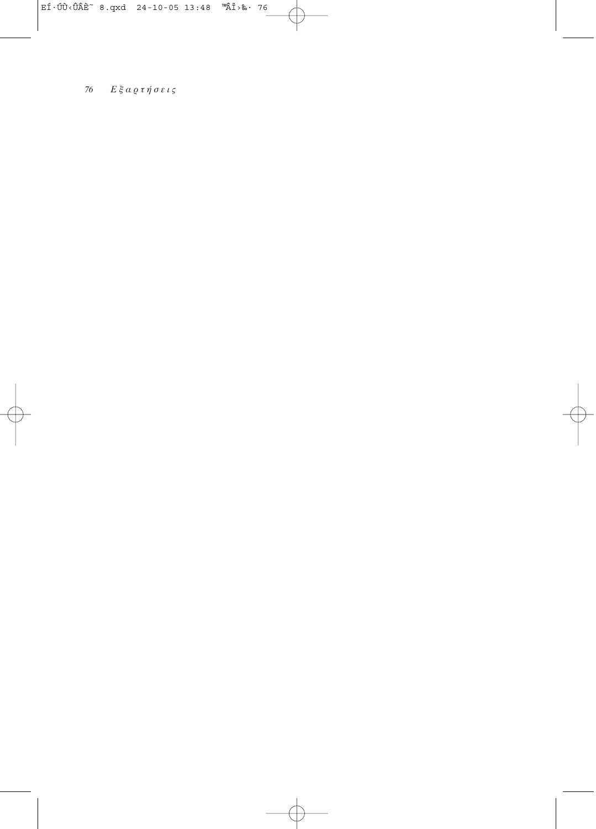$E \xi a \varrho \tau \eta \sigma \varepsilon \iota \varsigma$  $76\,$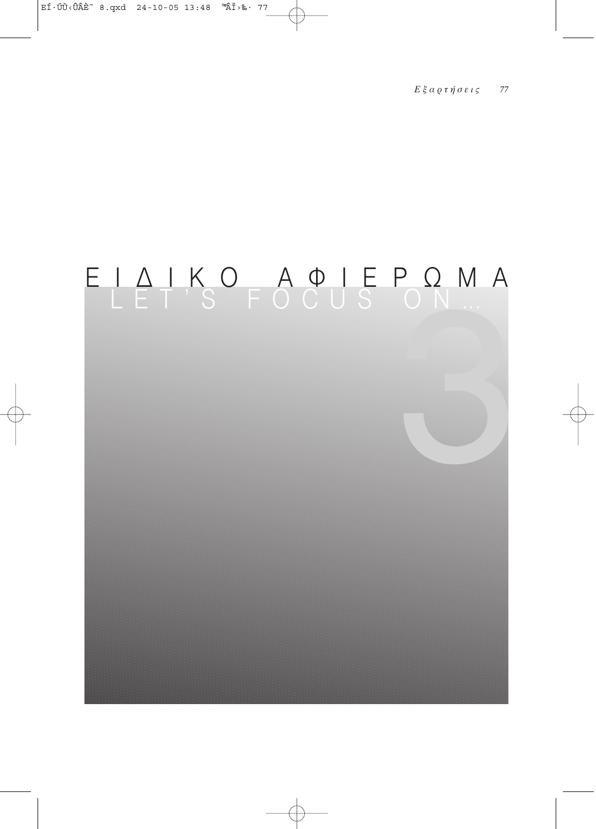$E \xi \alpha \varrho \tau \eta \sigma \varepsilon \iota$  5 77

# E | A | K O | A O | E P O M A<br>L E T S F O C U S O N ...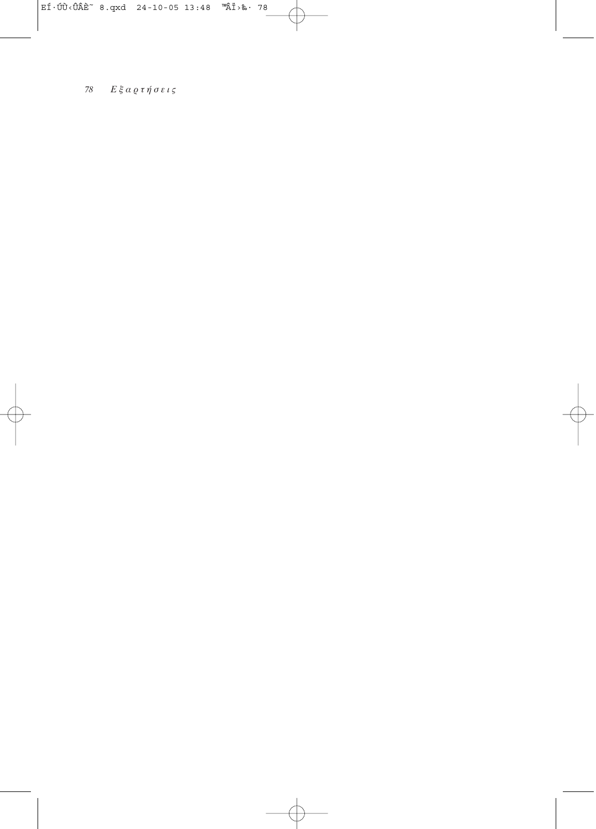$E$ ξαρτήσεις  $78\,$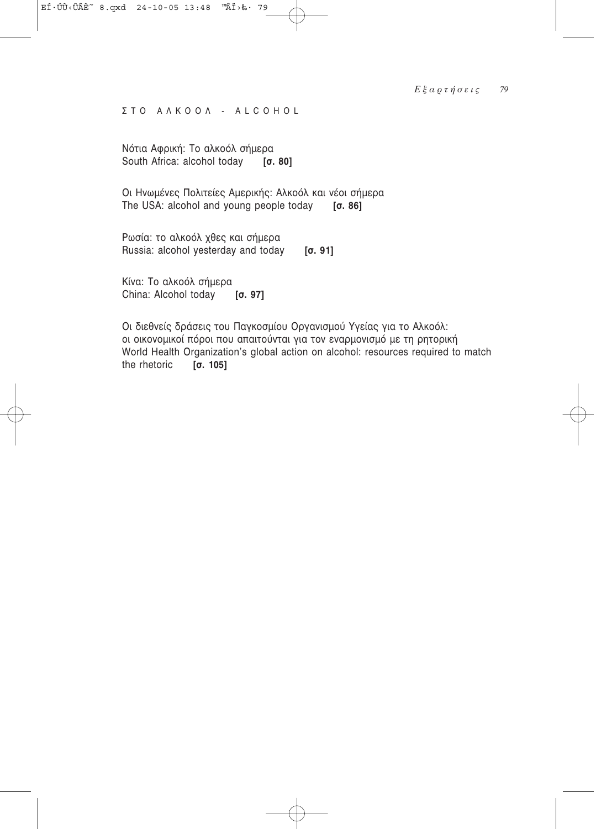### ΣΤΟ ΑΛΚΟΟΛ - ΑLCOHOL

Νότια Αφρική: Το αλκοόλ σήμερα South Africa: alcohol today  $\sigma$ . 80]

Οι Ηνωμένες Πολιτείες Αμερικής: Αλκοόλ και νέοι σήμερα The USA: alcohol and young people today  $[\sigma. 86]$ 

Ρωσία: το αλκοόλ χθες και σήμερα Russia: alcohol yesterday and today  $[ $\sigma$ . 91]$ 

Κίνα: Το αλκοόλ σήμερα China: Alcohol today  $\sigma$ . 97]

Οι διεθνείς δράσεις του Παγκοσμίου Οργανισμού Υγείας για το Αλκοόλ: οι οικονομικοί πόροι που απαιτούνται για τον εναρμονισμό με τη ρητορική World Health Organization's global action on alcohol: resources required to match the rhetoric  $\sigma$ . 105]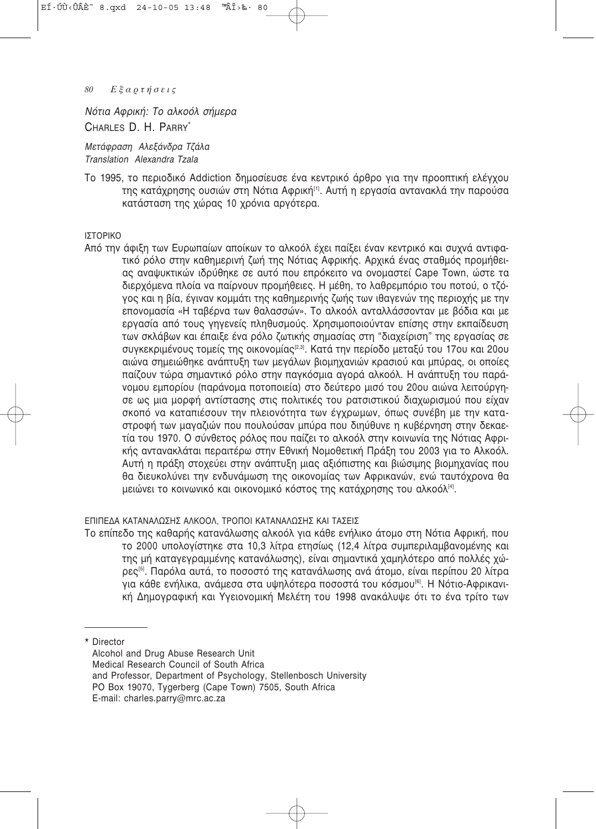*Nότια Αφρική: Το αλκοόλ σήμερα* CHARLES D. H. PARRY\*

*Μετάφραση Αλεξάνδρα Τζάλα Translation Alexandra Tzala*

Το 1995, το περιοδικό Addiction δημοσίευσε ένα κεντρικό άρθρο για την προοπτική ελέγχου της κατάχρησης ουσιών στη Νότια Αφρική<sup>[1]</sup>. Αυτή η εργασία αντανακλά την παρούσα κατάσταση της χώρας 10 χρόνια αργότερα.

### π™TOPIKO

Από την άφιξη των Ευρωπαίων αποίκων το αλκοόλ έχει παίξει έναν κεντρικό και συχνά αντιφατικό ρόλο στην καθημερινή ζωή της Νότιας Αφρικής. Αρχικά ένας σταθμός προμήθειας αναψυκτικών ιδρύθηκε σε αυτό που επρόκειτο να ονομαστεί Cape Town, ώστε τα διερχόμενα πλοία να παίρνουν προμήθειες. Η μέθη, το λαθρεμπόριο του ποτού, ο τζόγος και η βία, έγιναν κομμάτι της καθημερινής ζωής των ιθαγενών της περιοχής με την επονομασία «Η ταβέρνα των θαλασσών». Το αλκοόλ ανταλλάσσονταν με βόδια και με εργασία από τους γηγενείς πληθυσμούς. Χρησιμοποιούνταν επίσης στην εκπαίδευση των σκλάβων και έπαιξε ένα ρόλο ζωτικής σημασίας στη "διαχείριση" της εργασίας σε συγκεκριμένους τομείς της οικονομίας<sup>[2,3]</sup>. Κατά την περίοδο μεταξύ του 17ου και 20ου αιώνα σημειώθηκε ανάπτυξη των μεγάλων βιομηχανιών κρασιού και μπύρας, οι οποίες παίζουν τώρα σημαντικό ρόλο στην παγκόσμια αγορά αλκοόλ. Η ανάπτυξη του παράvομου εμπορίου (παράνομα ποτοποιεία) στο δεύτερο μισό του 20ου αιώνα λειτούργησε ως μια μορφή αντίστασης στις πολιτικές του ρατσιστικού διαχωρισμού που είχαν σκοπό να καταπιέσουν την πλειονότητα των έγχρωμων, όπως συνέβη με την καταστροφή των μαγαζιών που πουλούσαν μπύρα που διηύθυνε η κυβέρνηση στην δεκαετία του 1970. Ο σύνθετος ρόλος που παίζει το αλκοόλ στην κοινωνία της Νότιας Αφρικής αντανακλάται περαιτέρω στην Εθνική Νομοθετική Πράξη του 2003 για το Αλκοόλ. Aυτή η πράξη στοχεύει στην ανάπτυξη μιας αξιόπιστης και βιώσιμης βιομηχανίας που θα διευκολύνει την ενδυνάμωση της οικονομίας των Αφρικανών, ενώ ταυτόχρονα θα μειώνει το κοινωνικό και οικονομικό κόστος της κατάχρησης του αλκοόλ<sup>[4]</sup>.

# ΕΠΙΠΕΔΑ ΚΑΤΑΝΑΛΩΣΗΣ ΑΛΚΟΟΛ, ΤΡΟΠΟΙ ΚΑΤΑΝΑΛΩΣΗΣ ΚΑΙ ΤΑΣΕΙΣ

Το επίπεδο της καθαρής κατανάλωσης αλκοόλ για κάθε ενήλικο άτομο στη Νότια Αφρική, που το 2000 υπολογίστηκε στα 10,3 λίτρα ετησίως (12,4 λίτρα συμπεριλαμβανομένης και της μή καταγεγραμμένης κατανάλωσης), είναι σημαντικά χαμηλότερο από πολλές χώρες<sup>[5]</sup>. Παρόλα αυτά, το ποσοστό της κατανάλωσης ανά άτομο, είναι περίπου 20 λίτρα για κάθε ενήλικα, ανάμεσα στα υψηλότερα ποσοστά του κόσμου<sup>[6]</sup>. Η Νότιο-Αφρικανική Δημογραφική και Υγειονομική Μελέτη του 1998 ανακάλυψε ότι το ένα τρίτο των

\* Director Alcohol and Drug Abuse Research Unit Medical Research Council of South Africa and Professor, Department of Psychology, Stellenbosch University PO Box 19070, Tygerberg (Cape Town) 7505, South Africa E-mail: charles.parry@mrc.ac.za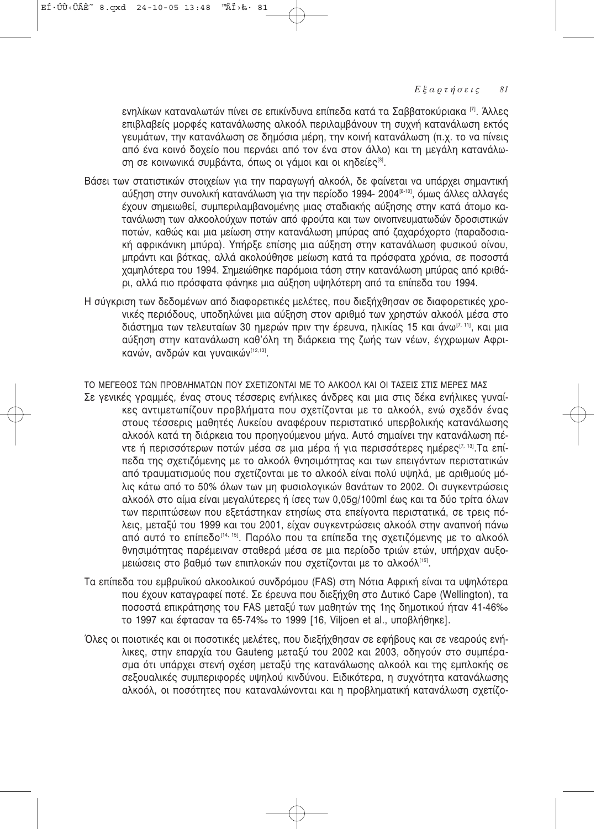ενηλίκων καταναλωτών πίνει σε επικίνδυνα επίπεδα κατά τα Σαββατοκύριακα <sup>[7]</sup>. Άλλες επιβλαβείς μορφές κατανάλωσης αλκοόλ περιλαμβάνουν τη συχνή κατανάλωση εκτός γευμάτων, την κατανάλωση σε δημόσια μέρη, την κοινή κατανάλωση (π.χ. το να πίνεις από ένα κοινό δοχείο που περνάει από τον ένα στον άλλο) και τη μεγάλη κατανάλωση σε κοινωνικά συμβάντα, όπως οι γάμοι και οι κηδείες<sup>[3]</sup>.

- Βάσει των στατιστικών στοιχείων για την παραγωγή αλκοόλ, δε φαίνεται να υπάρχει σημαντική αύξηση στην συνολική κατανάλωση για την περίοδο 1994- 2004<sup>[8-10]</sup>, όμως άλλες αλλαγές έχουν σημειωθεί, συμπεριλαμβανομένης μιας σταδιακής αύξησης στην κατά άτομο κατανάλωση των αλκοολούχων ποτών από φρούτα και των οινοπνευματωδών δροσιστικών ποτών, καθώς και μια μείωση στην κατανάλωση μπύρας από ζαχαρόχορτο (παραδοσιακή αφρικάνικη μπύρα). Υπήρξε επίσης μια αύξηση στην κατανάλωση φυσικού οίνου, μπράντι και βότκας, αλλά ακολούθησε μείωση κατά τα πρόσφατα χρόνια, σε ποσοστά χαμηλότερα του 1994. Σημειώθηκε παρόμοια τάση στην κατανάλωση μπύρας από κριθάρι, αλλά πιο πρόσφατα φάνηκε μια αύξηση υψηλότερη από τα επίπεδα του 1994.
- Η σύγκριση των δεδομένων από διαφορετικές μελέτες, που διεξήχθησαν σε διαφορετικές χρονικές περιόδους, υποδηλώνει μια αύξηση στον αριθμό των χρηστών αλκοόλ μέσα στο διάστημα των τελευταίων 30 ημερών πριν την έρευνα, ηλικίας 15 και άνω<sup>[7, 11</sup>], και μια αύξηση στην κατανάλωση καθ'όλη τη διάρκεια της ζωής των νέων, έγχρωμων Αφρικανών, ανδρών και γυναικών<sup>[12,13]</sup>.

ΤΟ ΜΕΓΕΘΟΣ ΤΩΝ ΠΡΟΒΛΗΜΑΤΩΝ ΠΟΥ ΣΧΕΤΙΖΟΝΤΑΙ ΜΕ ΤΟ ΑΛΚΟΟΛ ΚΑΙ ΟΙ ΤΑΣΕΙΣ ΣΤΙΣ ΜΕΡΕΣ ΜΑΣ

- Σε γενικές γραμμές, ένας στους τέσσερις ενήλικες άνδρες και μια στις δέκα ενήλικες γυναίκες αντιμετωπίζουν προβλήματα που σχετίζονται με το αλκοόλ, ενώ σχεδόν ένας στους τέσσερις μαθητές Λυκείου αναφέρουν περιστατικό υπερβολικής κατανάλωσης αλκοόλ κατά τη διάρκεια του προηγούμενου μήνα. Αυτό σημαίνει την κατανάλωση πέντε ή περισσότερων ποτών μέσα σε μια μέρα ή για περισσότερες ημέρες<sup>[7, 13]</sup>. Τα επίπεδα της σχετιζόμενης με το αλκοόλ θνησιμότητας και των επειγόντων περιστατικών από τραυματισμούς που σχετίζονται με το αλκοόλ είναι πολύ υψηλά, με αριθμούς μόλις κάτω από το 50% όλων των μη φυσιολογικών θανάτων το 2002. Οι συγκεντρώσεις αλκοόλ στο αίμα είναι μεγαλύτερες ή ίσες των 0,05g/100ml έως και τα δύο τρίτα όλων των περιπτώσεων που εξετάστηκαν ετησίως στα επείγοντα περιστατικά, σε τρεις πόλεις, μεταξύ του 1999 και του 2001, είχαν συγκεντρώσεις αλκοόλ στην αναπνοή πάνω από αυτό το επίπεδο<sup>[14, 15]</sup>. Παρόλο που τα επίπεδα της σχετιζόμενης με το αλκοόλ θνησιμότητας παρέμειναν σταθερά μέσα σε μια περίοδο τριών ετών, υπήρχαν αυξομειώσεις στο βαθμό των επιπλοκών που σχετίζονται με το αλκοόλ<sup>[15]</sup>.
- Τα επίπεδα του εμβρυϊκού αλκοολικού συνδρόμου (FAS) στη Νότια Αφρική είναι τα υψηλότερα που έχουν καταγραφεί ποτέ. Σε έρευνα που διεξήχθη στο Δυτικό Cape (Wellington), τα ποσοστά επικράτησης του FAS μεταξύ των μαθητών της 1ης δημοτικού ήταν 41-46‰ το 1997 και έφτασαν τα 65-74‰ το 1999 [16, Viljoen et al., υποβλήθηκε].
- Όλες οι ποιοτικές και οι ποσοτικές μελέτες, που διεξήχθησαν σε εφήβους και σε νεαρούς ενήλικες, στην επαρχία του Gauteng μεταξύ του 2002 και 2003, οδηγούν στο συμπέρασμα ότι υπάρχει στενή σχέση μεταξύ της κατανάλωσης αλκοόλ και της εμπλοκής σε σεξουαλικές συμπεριφορές υψηλού κινδύνου. Ειδικότερα, η συχνότητα κατανάλωσης αλκοόλ, οι ποσότητες που καταναλώνονται και η προβληματική κατανάλωση σχετίζο-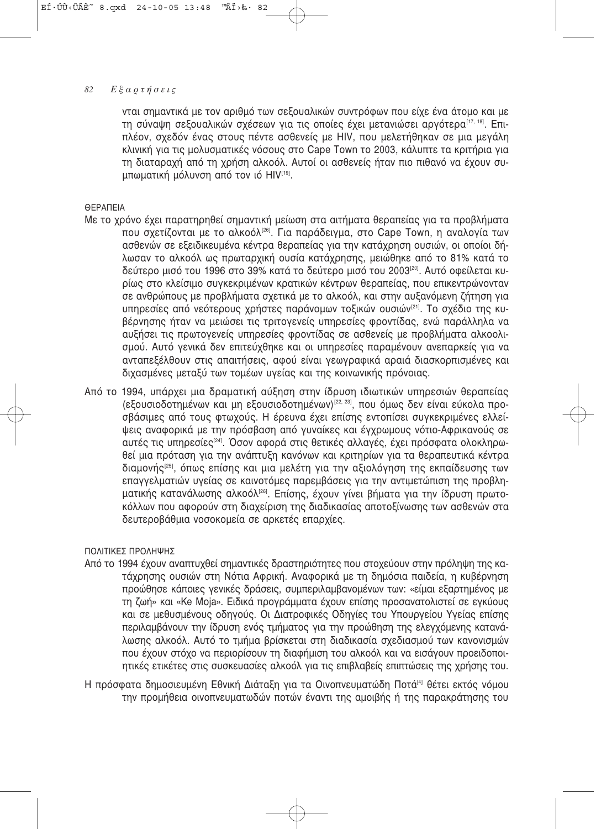Vται σημαντικά με τον αριθμό των σεξουαλικών συντρόφων που είχε ένα άτομο και με τη σύναψη σεξουαλικών σχέσεων για τις οποίες έχει μετανιώσει αργότερα<sup>[17, 18]</sup>. Επιπλέον, σχεδόν ένας στους πέντε ασθενείς με HIV, που μελετήθηκαν σε μια μενάλη κλινική για τις μολυσματικές νόσους στο Cape Town το 2003, κάλυπτε τα κριτήρια για τη διαταραχή από τη χρήση αλκοόλ. Αυτοί οι ασθενείς ήταν πιο πιθανό να έχουν συμπωματική μόλυνση από τον ιό HIV<sup>[19]</sup>.

### ΘΕΡΑΠΕΙΑ

- Με το χρόνο έχει παρατηρηθεί σημαντική μείωση στα αιτήματα θεραπείας για τα προβλήματα που σχετίζονται με το αλκοόλ<sup>[26]</sup>. Για παράδειγμα, στο Cape Town, η αναλογία των ασθενών σε εξειδικευμένα κέντρα θεραπείας για την κατάχρηση ουσιών, οι οποίοι δήλωσαν το αλκοόλ ως πρωταρχική ουσία κατάχρησης, μειώθηκε από το 81% κατά το δεύτερο μισό του 1996 στο 39% κατά το δεύτερο μισό του 2003<sup>[20]</sup>. Αυτό οφείλεται κυρίως στο κλείσιμο συγκεκριμένων κρατικών κέντρων θεραπείας, που επικεντρώνονταν σε ανθρώπους με προβλήματα σχετικά με το αλκοόλ, και στην αυξανόμενη ζήτηση για υπηρεσίες από νεότερους χρήστες παράνομων τοξικών ουσιών<sup>[21]</sup>. Το σχέδιο της κυβέρνησης ήταν να μειώσει τις τριτογενείς υπηρεσίες φροντίδας, ενώ παράλληλα να αυξήσει τις πρωτογενείς υπηρεσίες φροντίδας σε ασθενείς με προβλήματα αλκοολισμού. Αυτό γενικά δεν επιτεύχθηκε και οι υπηρεσίες παραμένουν ανεπαρκείς για να ανταπεξέλθουν στις απαιτήσεις, αφού είναι γεωγραφικά αραιά διασκορπισμένες και διχασμένες μεταξύ των τομέων υγείας και της κοινωνικής πρόνοιας.
- Aπό το 1994, υπάρχει μια δραματική αύξηση στην ίδρυση ιδιωτικών υπηρεσιών θεραπείας (εξουσιοδοτημένων και μη εξουσιοδοτημένων)<sup>[22, 23]</sup>, που όμως δεν είναι εύκολα προσβάσιμες από τους φτωχούς. Η έρευνα έχει επίσης εντοπίσει συγκεκριμένες ελλείψεις αναφορικά με την πρόσβαση από γυναίκες και έγχρωμους νότιο-Αφρικανούς σε αυτές τις υπηρεσίες<sup>[24]</sup>. Όσον αφορά στις θετικές αλλαγές, έχει πρόσφατα ολοκληρωθεί μια πρόταση για την ανάπτυξη κανόνων και κριτηρίων για τα θεραπευτικά κέντρα διαμονής<sup>[25]</sup>, όπως επίσης και μια μελέτη για την αξιολόγηση της εκπαίδευσης των επαγγελματιών υγείας σε καινοτόμες παρεμβάσεις για την αντιμετώπιση της προβληματικής κατανάλωσης αλκοόλ<sup>[26]</sup>. Επίσης, έχουν γίνει βήματα για την ίδρυση πρωτοκόλλων που αφορούν στη διαχείριση της διαδικασίας αποτοξίνωσης των ασθενών στα δευτεροβάθμια νοσοκομεία σε αρκετές επαρχίες.

# ΠΟΛΙΤΙΚΕΣ ΠΡΟΛΗΨΗΣ

Aπό το 1994 έχουν αναπτυχθεί σημαντικές δραστηριότητες που στοχεύουν στην πρόληψη της κατάχρησης ουσιών στη Νότια Αφρική. Αναφορικά με τη δημόσια παιδεία, η κυβέρνηση προώθησε κάποιες γενικές δράσεις, συμπεριλαμβανομένων των: «είμαι εξαρτημένος με τη ζωή» και «Ke Moja». Ειδικά προγράμματα έχουν επίσης προσανατολιστεί σε εγκύους και σε μεθυσμένους οδηγούς. Οι Διατροφικές Οδηγίες του Υπουργείου Υγείας επίσης περιλαμβάνουν την ίδρυση ενός τμήματος για την προώθηση της ελεγχόμενης κατανάλωσης αλκοόλ. Αυτό το τμήμα βρίσκεται στη διαδικασία σχεδιασμού των κανονισμών που έχουν στόχο να περιορίσουν τη διαφήμιση του αλκοόλ και να εισάγουν προειδοποιητικές ετικέτες στις συσκευασίες αλκοόλ για τις επιβλαβείς επιπτώσεις της χρήσης του.

Η πρόσφατα δημοσιευμένη Εθνική Διάταξη για τα Οινοπνευματώδη Ποτά<sup>[4]</sup> θέτει εκτός νόμου την προμήθεια οινοπνευματωδών ποτών έναντι της αμοιβής ή της παρακράτησης του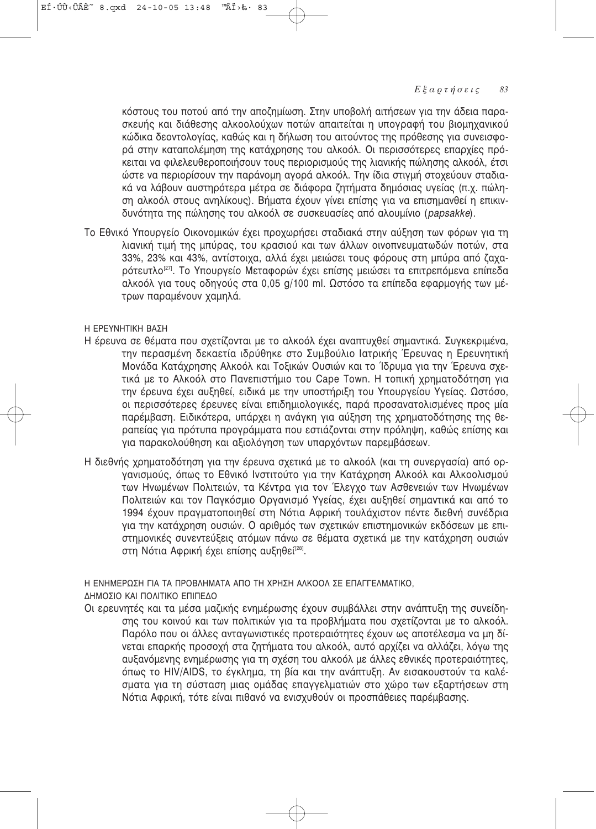EÍ·ÚÙ‹ÛÂȘ 8.qxd 24-10-05 13:48 ™ÂÏ›‰· 83

κόστους του ποτού από την αποζημίωση. Στην υποβολή αιτήσεων για την άδεια παρασκευής και διάθεσης αλκοολούχων ποτών απαιτείται η υπογραφή του βιομηχανικού Κώδικα δεοντολονίας, καθώς και η δήλωση του αιτούντος της πρόθεσης για συνεισφορά στην καταπολέμηση της κατάχρησης του αλκοόλ. Οι περισσότερες επαρχίες πρό-Κειται να φιλελευθεροποιήσουν τους περιορισμούς της λιανικής πώλησης αλκοόλ, έτσι ώστε να περιορίσουν την παράνομη αγορά αλκοόλ. Την ίδια στιγμή στοχεύουν σταδιακά να λάβουν αυστηρότερα μέτρα σε διάφορα ζητήματα δημόσιας υγείας (π.χ. πώληση αλκοόλ στους ανηλίκους). Βήματα έχουν γίνει επίσης για να επισημανθεί η επικινδυνότητα της πώλησης του αλκοόλ σε συσκευασίες από αλουμίνιο (*papsakke*).

Το Εθνικό Υπουργείο Οικονομικών έχει προχωρήσει σταδιακά στην αύξηση των φόρων για τη λιανική τιμή της μπύρας, του κρασιού και των άλλων οινοπνευματωδών ποτών, στα 33%, 23% και 43%, αντίστοιχα, αλλά έχει μειώσει τους φόρους στη μπύρα από ζαχαρότευτλο<sup>[27]</sup>. Το Υπουργείο Μεταφορών έχει επίσης μειώσει τα επιτρεπόμενα επίπεδα αλκοόλ για τους οδηγούς στα 0,05 g/100 ml. Ωστόσο τα επίπεδα εφαρμογής των μέτρων παραμένουν χαμηλά.

Η ΕΡΕΥΝΗΤΙΚΗ ΒΑΣΗ

- Η έρευνα σε θέματα που σχετίζονται με το αλκοόλ έχει αναπτυχθεί σημαντικά. Συγκεκριμένα, την περασμένη δεκαετία ιδρύθηκε στο Συμβούλιο Ιατρικής Έρευνας η Ερευνητική Μονάδα Κατάχρησης Αλκοόλ και Τοξικών Ουσιών και το Ίδρυμα για την Έρευνα σχετικά με το Αλκοόλ στο Πανεπιστήμιο του Cape Town. Η τοπική χρηματοδότηση για την έρευνα έχει αυξηθεί, ειδικά με την υποστήριξη του Υπουργείου Υγείας. Ωστόσο, οι περισσότερες έρευνες είναι επιδημιολογικές, παρά προσανατολισμένες προς μία παρέμβαση. Ειδικότερα, υπάρχει η ανάγκη για αύξηση της χρηματοδότησης της θεραπείας για πρότυπα προγράμματα που εστιάζονται στην πρόληψη, καθώς επίσης και για παρακολούθηση και αξιολόγηση των υπαρχόντων παρεμβάσεων.
- Η διεθνής χρηματοδότηση για την έρευνα σχετικά με το αλκοόλ (και τη συνεργασία) από οργανισμούς, όπως το Εθνικό Ινστιτούτο για την Κατάχρηση Αλκοόλ και Αλκοολισμού των Ηνωμένων Πολιτειών, τα Κέντρα για τον Έλεγχο των Ασθενειών των Ηνωμένων Πολιτειών και τον Παγκόσμιο Οργανισμό Υγείας, έχει αυξηθεί σημαντικά και από το 1994 έχουν πραγματοποιηθεί στη Νότια Αφρική τουλάχιστον πέντε διεθνή συνέδρια για την κατάχρηση ουσιών. Ο αριθμός των σχετικών επιστημονικών εκδόσεων με επιστημονικές συνεντεύξεις ατόμων πάνω σε θέματα σχετικά με την κατάχρηση ουσιών στη Νότια Αφρική έχει επίσης αυξηθεί<sup>[28]</sup>.

Η ΕΝΗΜΕΡΩΣΗ ΓΙΑ ΤΑ ΠΡΟΒΛΗΜΑΤΑ ΑΠΟ ΤΗ ΧΡΗΣΗ ΑΛΚΟΟΛ ΣΕ ΕΠΑΓΓΕΛΜΑΤΙΚΟ. ΔΗΜΟΣΙΟ ΚΑΙ ΠΟΛΙΤΙΚΟ ΕΠΙΠΕΔΟ

Οι ερευνητές και τα μέσα μαζικής ενημέρωσης έχουν συμβάλλει στην ανάπτυξη της συνείδησης του κοινού και των πολιτικών για τα προβλήματα που σχετίζονται με το αλκοόλ. Παρόλο που οι άλλες ανταγωνιστικές προτεραιότητες έχουν ως αποτέλεσμα να μη δίνεται επαρκής προσοχή στα ζητήματα του αλκοόλ, αυτό αρχίζει να αλλάζει, λόγω της αυξανόμενης ενημέρωσης για τη σχέση του αλκοόλ με άλλες εθνικές προτεραιότητες, όπως το HIV/AIDS, το έγκλημα, τη βία και την ανάπτυξη. Αν εισακουστούν τα καλέσματα για τη σύσταση μιας ομάδας επαγγελματιών στο χώρο των εξαρτήσεων στη Νότια Αφρική, τότε είναι πιθανό να ενισχυθούν οι προσπάθειες παρέμβασης.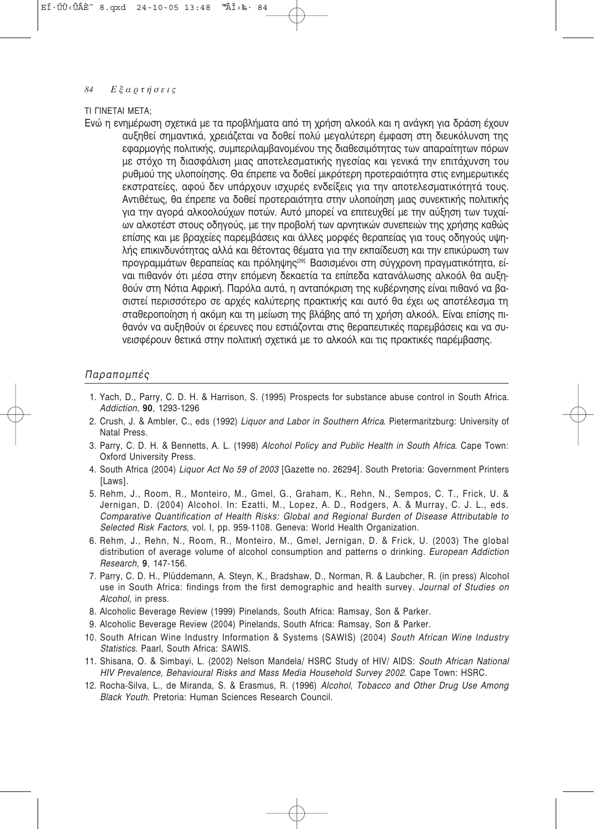### TI FINETAI META;

Ενώ η ενημέρωση σχετικά με τα προβλήματα από τη χρήση αλκοόλ και η ανάνκη για δράση έχουν αυξηθεί σημαντικά, χρειάζεται να δοθεί πολύ μεγαλύτερη έμφαση στη διευκόλυνση της εφαρμογής πολιτικής, συμπεριλαμβανομένου της διαθεσιμότητας των απαραίτητων πόρων με στόχο τη διασφάλιση μιας αποτελεσματικής ηγεσίας και γενικά την επιτάχυνση του ρυθμού της υλοποίησης. Θα έπρεπε να δοθεί μικρότερη προτεραιότητα στις ενημερωτικές εκστρατείες, αφού δεν υπάρχουν ισχυρές ενδείξεις για την αποτελεσματικότητά τους. Αντιθέτως. θα έπρεπε να δοθεί προτεραιότητα στην υλοποίηση μιας συνεκτικής πολιτικής για την αγορά αλκοολούχων ποτών. Αυτό μπορεί να επιτευχθεί με την αύξηση των τυχαίων αλκοτέστ στους οδηγούς, με την προβολή των αρνητικών συνεπειών της χρήσης καθώς επίσης και με βραχείες παρεμβάσεις και άλλες μορφές θεραπείας για τους οδηγούς υψηλής επικινδυνότητας αλλά και θέτοντας θέματα για την εκπαίδευση και την επικύρωση των προγραμμάτων θεραπείας και πρόληψης<sup>[29].</sup> Βασισμένοι στη σύγχρονη πραγματικότητα, είναι πιθανόν ότι μέσα στην επόμενη δεκαετία τα επίπεδα κατανάλωσης αλκοόλ θα αυξηθούν στη Νότια Αφρική. Παρόλα αυτά, η ανταπόκριση της κυβέρνησης είναι πιθανό να βασιστεί περισσότερο σε αρχές καλύτερης πρακτικής και αυτό θα έχει ως αποτέλεσμα τη σταθεροποίηση ή ακόμη και τη μείωση της βλάβης από τη χρήση αλκοόλ. Είναι επίσης πιθανόν να αυξηθούν οι έρευνες που εστιάζονται στις θεραπευτικές παρεμβάσεις και να συνεισφέρουν θετικά στην πολιτική σχετικά με το αλκοόλ και τις πρακτικές παρέμβασης.

### Παραπομπές

- 1. Yach, D., Parry, C. D. H. & Harrison, S. (1995) Prospects for substance abuse control in South Africa. Addiction, 90, 1293-1296
- 2. Crush, J. & Ambler, C., eds (1992) Liquor and Labor in Southern Africa. Pietermaritzburg: University of Natal Press.
- 3. Parry, C. D. H. & Bennetts, A. L. (1998) Alcohol Policy and Public Health in South Africa. Cape Town: Oxford University Press.
- 4. South Africa (2004) Liguor Act No 59 of 2003 [Gazette no. 26294]. South Pretoria: Government Printers [Laws].
- 5. Rehm, J., Room, R., Monteiro, M., Gmel, G., Graham, K., Rehn, N., Sempos, C. T., Frick, U. & Jernigan, D. (2004) Alcohol. In: Ezatti, M., Lopez, A. D., Rodgers, A. & Murray, C. J. L., eds. Comparative Quantification of Health Risks: Global and Regional Burden of Disease Attributable to Selected Risk Factors, vol. I, pp. 959-1108. Geneva: World Health Organization.
- 6. Rehm, J., Rehn, N., Room, R., Monteiro, M., Gmel, Jernigan, D. & Frick, U. (2003) The global distribution of average volume of alcohol consumption and patterns o drinking. European Addiction Research, 9, 147-156.
- 7. Parry, C. D. H., Plüddemann, A. Steyn, K., Bradshaw, D., Norman, R. & Laubcher, R. (in press) Alcohol use in South Africa: findings from the first demographic and health survey. Journal of Studies on Alcohol, in press.
- 8. Alcoholic Beverage Review (1999) Pinelands, South Africa: Ramsay, Son & Parker.
- 9. Alcoholic Beverage Review (2004) Pinelands, South Africa: Ramsay, Son & Parker.
- 10. South African Wine Industry Information & Systems (SAWIS) (2004) South African Wine Industry Statistics. Paarl, South Africa: SAWIS.
- 11. Shisana, O. & Simbayi, L. (2002) Nelson Mandela/ HSRC Study of HIV/ AIDS: South African National HIV Prevalence, Behavioural Risks and Mass Media Household Survey 2002. Cape Town: HSRC.
- 12. Rocha-Silva, L., de Miranda, S. & Erasmus, R. (1996) Alcohol, Tobacco and Other Drug Use Among Black Youth, Pretoria: Human Sciences Research Council.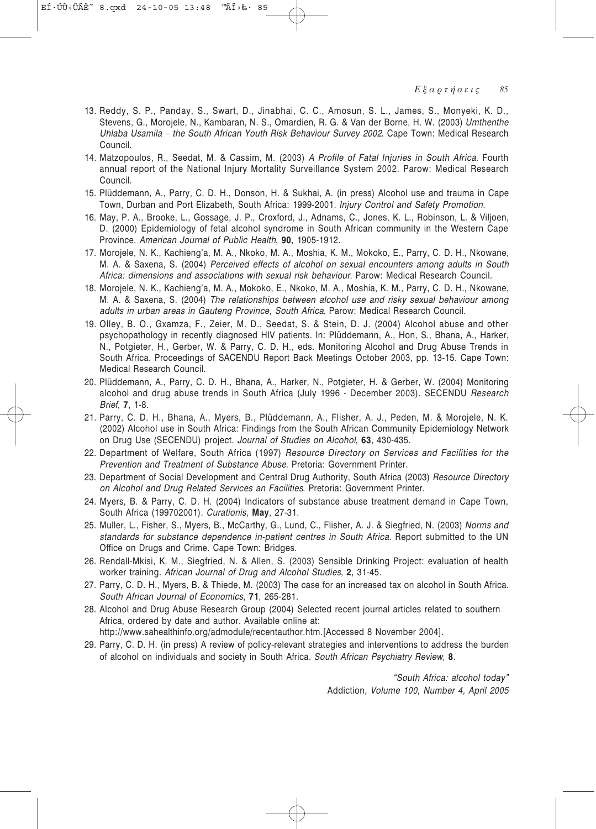EÍ·ÚÙ‹ÛÂȘ 8.qxd 24-10-05 13:48 ™ÂÏ›‰· 85

- 13. Reddy, S. P., Panday, S., Swart, D., Jinabhai, C. C., Amosun, S. L., James, S., Monyeki, K. D., Stevens, G., Morojele, N., Kambaran, N. S., Omardien, R. G. & Van der Borne, H. W. (2003) *Umthenthe Uhlaba Usamila – the South African Youth Risk Behaviour Survey 2002*. Cape Town: Medical Research Council.
- 14. Matzopoulos, R., Seedat, M. & Cassim, M. (2003) *A Profile of Fatal Injuries in South Africa*. Fourth annual report of the National Injury Mortality Surveillance System 2002. Parow: Medical Research Council.
- 15. Plüddemann, A., Parry, C. D. H., Donson, H. & Sukhai, A. (in press) Alcohol use and trauma in Cape Town, Durban and Port Elizabeth, South Africa: 1999-2001. *Injury Control and Safety Promotion.*
- 16. May, P. A., Brooke, L., Gossage, J. P., Croxford, J., Adnams, C., Jones, K. L., Robinson, L. & Viljoen, D. (2000) Epidemiology of fetal alcohol syndrome in South African community in the Western Cape Province. *American Journal of Public Health*, **90**, 1905-1912.
- 17. Morojele, N. K., Kachieng'a, M. A., Nkoko, M. A., Moshia, K. M., Mokoko, E., Parry, C. D. H., Nkowane, M. A. & Saxena, S. (2004) *Perceived effects of alcohol on sexual encounters among adults in South Africa: dimensions and associations with sexual risk behaviour*. Parow: Medical Research Council.
- 18. Morojele, N. K., Kachieng'a, M. A., Mokoko, E., Nkoko, M. A., Moshia, K. M., Parry, C. D. H., Nkowane, M. A. & Saxena, S. (2004) *The relationships between alcohol use and risky sexual behaviour among adults in urban areas in Gauteng Province, South Africa*. Parow: Medical Research Council.
- 19. Olley, B. O., Gxamza, F., Zeier, M. D., Seedat, S. & Stein, D. J. (2004) Alcohol abuse and other psychopathology in recently diagnosed HIV patients. In: Plüddemann, A., Hon, S., Bhana, A., Harker, N., Potgieter, H., Gerber, W. & Parry, C. D. H., eds. Monitoring Alcohol and Drug Abuse Trends in South Africa. Proceedings of SACENDU Report Back Meetings October 2003, pp. 13-15. Cape Town: Medical Research Council.
- 20. Plüddemann, A., Parry, C. D. H., Bhana, A., Harker, N., Potgieter, H. & Gerber, W. (2004) Monitoring alcohol and drug abuse trends in South Africa (July 1996 - December 2003). SECENDU *Research Brief*, **7**, 1-8.
- 21. Parry, C. D. H., Bhana, A., Myers, B., Plüddemann, A., Flisher, A. J., Peden, M. & Morojele, N. K. (2002) Alcohol use in South Africa: Findings from the South African Community Epidemiology Network on Drug Use (SECENDU) project. *Journal of Studies on Alcohol*, **63**, 430-435.
- 22. Department of Welfare, South Africa (1997) *Resource Directory on Services and Facilities for the Prevention and Treatment of Substance Abuse*. Pretoria: Government Printer.
- 23. Department of Social Development and Central Drug Authority, South Africa (2003) *Resource Directory on Alcohol and Drug Related Services an Facilities*. Pretoria: Government Printer.
- 24. Myers, B. & Parry, C. D. H. (2004) Indicators of substance abuse treatment demand in Cape Town, South Africa (199702001). *Curationis*, **May**, 27-31.
- 25. Muller, L., Fisher, S., Myers, B., McCarthy, G., Lund, C., Flisher, A. J. & Siegfried, N. (2003) *Norms and standards for substance dependence in-patient centres in South Africa*. Report submitted to the UN Office on Drugs and Crime. Cape Town: Bridges.
- 26. Rendall-Mkisi, K. M., Siegfried, N. & Allen, S. (2003) Sensible Drinking Project: evaluation of health worker training. *African Journal of Drug and Alcohol Studies*, **2**, 31-45.
- 27. Parry, C. D. H., Myers, B. & Thiede, M. (2003) The case for an increased tax on alcohol in South Africa. *South African Journal of Economics*, **71**, 265-281.
- 28. Alcohol and Drug Abuse Research Group (2004) Selected recent journal articles related to southern Africa, ordered by date and author. Available online at: http://www.sahealthinfo.org/admodule/recentauthor.htm.[Accessed 8 November 2004].
- 29. Parry, C. D. H. (in press) A review of policy-relevant strategies and interventions to address the burden of alcohol on individuals and society in South Africa. *South African Psychiatry Review*, **8**.

*"South Africa: alcohol today"* Addiction*, Volume 100, Number 4, April 2005*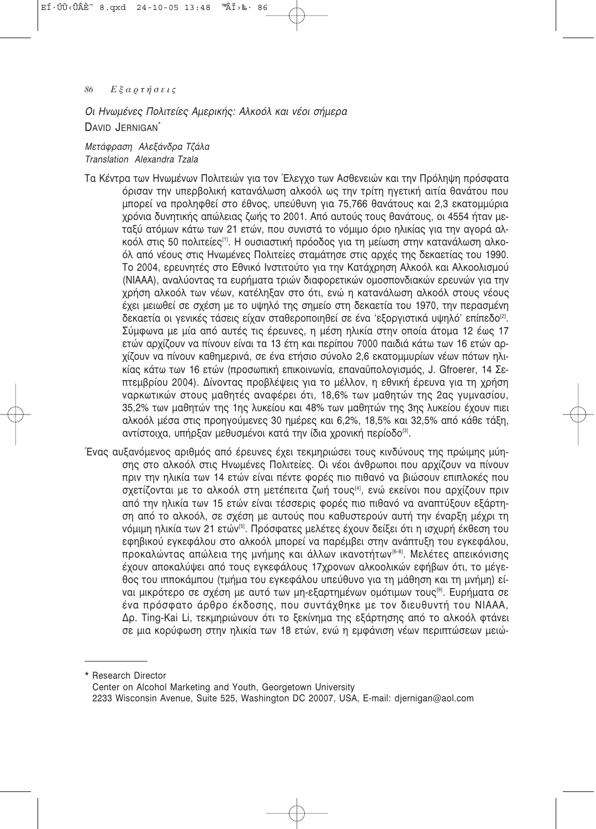Οι Ηνωμένες Πολιτείες Αμερικής: Αλκοόλ και νέοι σήμερα DAVID JERNIGAN<sup>\*</sup>

 $M$ ετάφραση Αλεξάνδρα Τζάλα *Translation Alexandra Tzala*

- Τα Κέντρα των Ηνωμένων Πολιτειών για τον Έλεγχο των Ασθενειών και την Πρόληψη πρόσφατα όρισαν την υπερβολική κατανάλωση αλκοόλ ως την τρίτη ηγετική αιτία θανάτου που μπορεί να προληφθεί στο έθνος, υπεύθυνη για 75,766 θανάτους και 2,3 εκατομμύρια χρόνια δυνητικής απώλειας ζωής το 2001. Από αυτούς τους θανάτους, οι 4554 ήταν μεταξύ ατόμων κάτω των 21 ετών, που συνιστά το νόμιμο όριο ηλικίας για την αγορά αλ-ΚΟόλ στις 50 πολιτείες<sup>[1]</sup>. Η ουσιαστική πρόοδος για τη μείωση στην κατανάλωση αλκοόλ από νέους στις Ηνωμένες Πολιτείες σταμάτησε στις αρχές της δεκαετίας του 1990. Το 2004, ερευνητές στο Εθνικό Ινστιτούτο για την Κατάχρηση Αλκοόλ και Αλκοολισμού (NIAAA), αναλύοντας τα ευρήματα τριών διαφορετικών ομοσπονδιακών ερευνών για την χρήση αλκοόλ των νέων, κατέληξαν στο ότι, ενώ η κατανάλωση αλκοόλ στους νέους έχει μειωθεί σε σχέση με το υψηλό της σημείο στη δεκαετία του 1970, την περασμένη δεκαετία οι γενικές τάσεις είχαν σταθεροποιηθεί σε ένα 'εξοργιστικά υψηλό' επίπεδο<sup>[2]</sup>. Σύμφωνα με μία από αυτές τις έρευνες, η μέση ηλικία στην οποία άτομα 12 έως 17 ετών αρχίζουν να πίνουν είναι τα 13 έτη και περίπου 7000 παιδιά κάτω των 16 ετών αρχίζουν να πίνουν καθημερινά, σε ένα ετήσιο σύνολο 2,6 εκατομμυρίων νέων πότων ηλικίας κάτω των 16 ετών (προσωπική επικοινωνία, επαναϋπολογισμός, J. Gfroerer, 14 Σεπτεμβρίου 2004). Δίνοντας προβλέψεις για το μέλλον, η εθνική έρευνα για τη χρήση vαρκωτικών στους μαθητές αναφέρει ότι, 18,6% των μαθητών της 2ας γυμνασίου, 35,2% των μαθητών της 1ης λυκείου και 48% των μαθητών της 3ης λυκείου έχουν πιει αλκοόλ μέσα στις προηγούμενες 30 ημέρες και 6,2%, 18,5% και 32,5% από κάθε τάξη, αντίστοιχα, υπήρξαν μεθυσμένοι κατά την ίδια χρονική περίοδο<sup>[3]</sup>.
- Ένας αυξανόμενος αριθμός από έρευνες έχει τεκμηριώσει τους κινδύνους της πρώιμης μύησης στο αλκοόλ στις Ηνωμένες Πολιτείες. Οι νέοι άνθρωποι που αρχίζουν να πίνουν πριν την ηλικία των 14 ετών είναι πέντε φορές πιο πιθανό να βιώσουν επιπλοκές που σχετίζονται με το αλκοόλ στη μετέπειτα ζωή τους<sup>[4]</sup>, ενώ εκείνοι που αρχίζουν πριν από την ηλικία των 15 ετών είναι τέσσερις φορές πιο πιθανό να αναπτύξουν εξάρτηση από το αλκοόλ, σε σχέση με αυτούς που καθυστερούν αυτή την έναρξη μέχρι τη VÓμιμη ηλικία των 21 ετών<sup>[5]</sup>. Πρόσφατες μελέτες έχουν δείξει ότι η ισχυρή έκθεση του εφηβικού εγκεφάλου στο αλκοόλ μπορεί να παρέμβει στην ανάπτυξη του εγκεφάλου, προκαλώντας απώλεια της μνήμης και άλλων ικανοτήτων<sup>[6-8]</sup>. Μελέτες απεικόνισης έχουν αποκαλύψει από τους εγκεφάλους 17χρονων αλκοολικών εφήβων ότι, το μέγεθος του ιπποκάμπου (τμήμα του εγκεφάλου υπεύθυνο για τη μάθηση και τη μνήμη) είναι μικρότερο σε σχέση με αυτό των μη-εξαρτημένων ομότιμων τους<sup>[9]</sup>. Ευρήματα σε ένα πρόσφατο άρθρο έκδοσης, που συντάχθηκε με τον διευθυντή του ΝΙΑΑΑ, Δρ. Ting-Kai Li, τεκμηριώνουν ότι το ξεκίνημα της εξάρτησης από το αλκοόλ φτάνει σε μια κορύφωση στην ηλικία των 18 ετών, ενώ η εμφάνιση νέων περιπτώσεων μειώ-

\* Research Director Center on Alcohol Marketing and Youth, Georgetown University 2233 Wisconsin Avenue, Suite 525, Washington DC 20007, USA, E-mail: djernigan@aol.com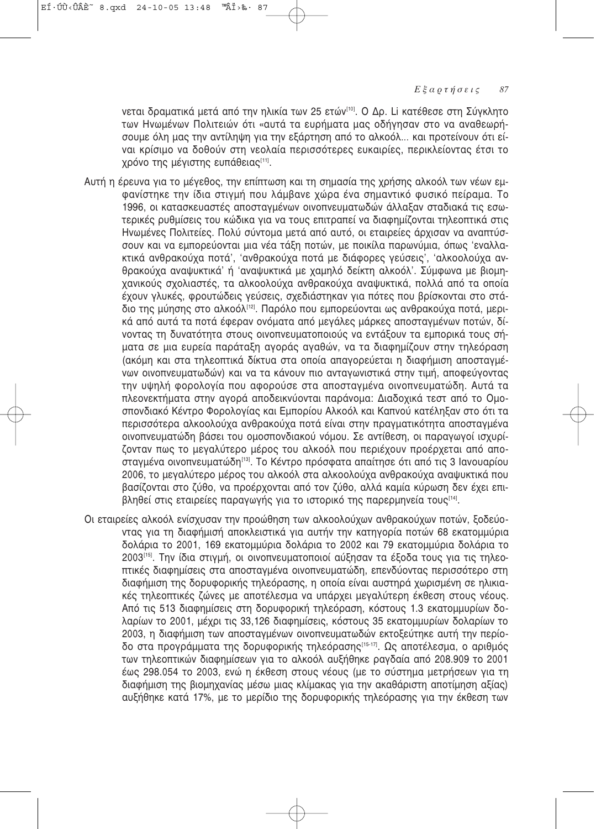$E\{f \cdot \hat{U}\hat{U} \cdot \hat{U}\hat{A}\hat{E}^{\sim} \quad 8 \cdot qxd \quad 24-10-05 \quad 13:48 \quad \sqrt[m]{2}I \cdot \text{$\% \cdot$}$ 

νεται δραματικά μετά από την ηλικία των 25 ετών<sup>[10]</sup>. Ο Δρ. Li κατέθεσε στη Σύγκλητο των Ηνωμένων Πολιτειών ότι «αυτά τα ευρήματα μας οδήγησαν στο να αναθεωρήσουμε όλη μας την αντίληψη για την εξάρτηση από το αλκοόλ... και προτείνουν ότι είναι κρίσιμο να δοθούν στη νεολαία περισσότερες ευκαιρίες, περικλείοντας έτσι το χρόνο της μέγιστης ευπάθειας<sup>[11]</sup>.

- Aυτή η έρευνα για το μέγεθος, την επίπτωση και τη σημασία της χρήσης αλκοόλ των νέων εμφανίστηκε την ίδια στιγμή που λάμβανε χώρα ένα σημαντικό φυσικό πείραμα. Το 1996, οι κατασκευαστές αποσταγμένων οινοπνευματωδών άλλαξαν σταδιακά τις εσωτερικές ρυθμίσεις του κώδικα για να τους επιτραπεί να διαφημίζονται τηλεοπτικά στις Ηνωμένες Πολιτείες. Πολύ σύντομα μετά από αυτό, οι εταιρείες άρχισαν να αναπτύσσουν και να εμπορεύονται μια νέα τάξη ποτών, με ποικίλα παρωνύμια, όπως 'εναλλα-Κτικά ανθρακούχα ποτά', 'ανθρακούχα ποτά με διάφορες γεύσεις', 'αλκοολούχα ανθρακούχα αναψυκτικά<sup>,</sup> ή 'αναψυκτικά με χαμηλό δείκτη αλκοόλ'. Σύμφωνα με βιομηχανικούς σχολιαστές, τα αλκοολούχα ανθρακούχα αναψυκτικά, πολλά από τα οποία έχουν γλυκές, φρουτώδεις γεύσεις, σχεδιάστηκαν για πότες που βρίσκονται στο στάδιο της μύησης στο αλκοόλ<sup>ία</sup>. Παρόλο που εμπορεύονται ως ανθρακούχα ποτά, μερικά από αυτά τα ποτά έφεραν ονόματα από μεγάλες μάρκες αποσταγμένων ποτών, δίvοντας τη δυνατότητα στους οινοπνευματοποιούς να εντάξουν τα εμπορικά τους σήματα σε μια ευρεία παράταξη αγοράς αγαθών, να τα διαφημίζουν στην τηλεόραση (ακόμη και στα τηλεοπτικά δίκτυα στα οποία απαγορεύεται η διαφήμιση αποσταγμένων οινοπνευματωδών) και να τα κάνουν πιο ανταγωνιστικά στην τιμή, αποφεύγοντας την υψηλή φορολογία που αφορούσε στα αποσταγμένα οινοπνευματώδη. Αυτά τα πλεονεκτήματα στην ανορά αποδεικνύονται παράνομα: Διαδοχικά τεστ από το Ομοσπονδιακό Κέντρο Φορολογίας και Εμπορίου Αλκοόλ και Καπνού κατέληξαν στο ότι τα περισσότερα αλκοολούχα ανθρακούχα ποτά είναι στην πραγματικότητα αποσταγμένα οινοπνευματώδη βάσει του ομοσπονδιακού νόμου. Σε αντίθεση, οι παραγωγοί ισχυρίζονταν πως το μεγαλύτερο μέρος του αλκοόλ που περιέχουν προέρχεται από αποσταγμένα οινοπνευματώδη<sup>[13]</sup>. Το Κέντρο πρόσφατα απαίτησε ότι από τις 3 Ιανουαρίου 2006, το μεγαλύτερο μέρος του αλκοόλ στα αλκοολούχα ανθρακούχα αναψυκτικά που βασίζονται στο ζύθο, να προέρχονται από τον ζύθο, αλλά καμία κύρωση δεν έχει επιβληθεί στις εταιρείες παραγωγής για το ιστορικό της παρερμηνεία τους<sup>[14]</sup>.
- Οι εταιρείες αλκοόλ ενίσχυσαν την προώθηση των αλκοολούχων ανθρακούχων ποτών, ξοδεύοντας για τη διαφήμισή αποκλειστικά για αυτήν την κατηγορία ποτών 68 εκατομμύρια δολάρια το 2001, 169 εκατομμύρια δολάρια το 2002 και 79 εκατομμύρια δολάρια το 2003<sup>[15]</sup>. Την ίδια στιγμή, οι οινοπνευματοποιοί αύξησαν τα έξοδα τους για τις τηλεοπτικές διαφημίσεις στα αποσταγμένα οινοπνευματώδη, επενδύοντας περισσότερο στη διαφήμιση της δορυφορικής τηλεόρασης, η οποία είναι αυστηρά χωρισμένη σε ηλικιακές τηλεοπτικές ζώνες με αποτέλεσμα να υπάρχει μεγαλύτερη έκθεση στους νέους. Aπό τις 513 διαφημίσεις στη δορυφορική τηλεόραση, κόστους 1.3 εκατομμυρίων δολαρίων το 2001, μέχρι τις 33,126 διαφημίσεις, κόστους 35 εκατομμυρίων δολαρίων το 2003, η διαφήμιση των αποσταγμένων οινοπνευματωδών εκτοξεύτηκε αυτή την περίοδο στα προγράμματα της δορυφορικής τηλεόρασης<sup>[15-17]</sup>. Ως αποτέλεσμα, ο αριθμός των τηλεοπτικών διαφημίσεων για το αλκοόλ αυξήθηκε ραγδαία από 208.909 το 2001 έως 298.054 το 2003, ενώ η έκθεση στους νέους (με το σύστημα μετρήσεων για τη διαφήμιση της βιομηχανίας μέσω μιας κλίμακας για την ακαθάριστη αποτίμηση αξίας) αυξήθηκε κατά 17%, με το μερίδιο της δορυφορικής τηλεόρασης για την έκθεση των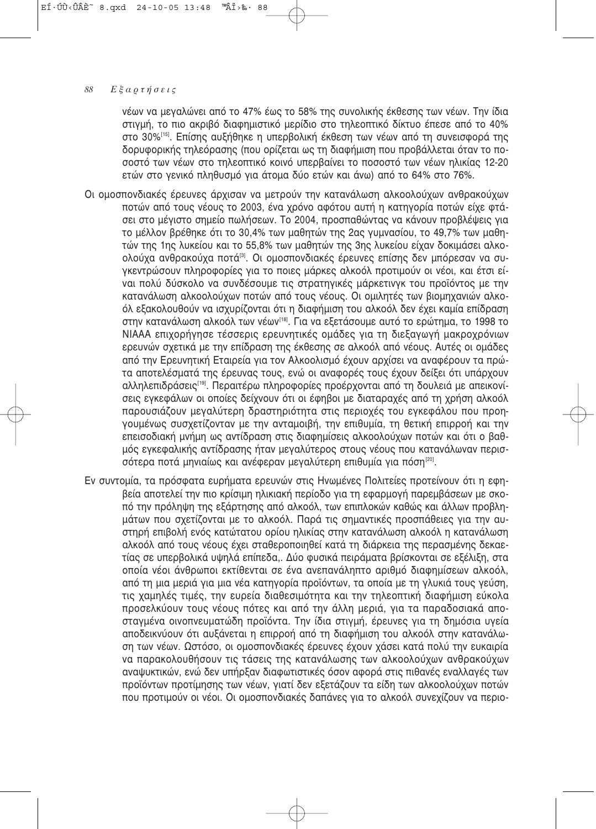νέων να μεγαλώνει από το 47% έως το 58% της συνολικής έκθεσης των νέων. Την ίδια στινμή, το πιο ακοιβό διαφημιστικό μερίδιο στο τηλεοπτικό δίκτυο έπεσε από το 40% στο 30%<sup>[15]</sup>. Επίσης αυξήθηκε η υπερβολική έκθεση των νέων από τη συνεισφορά της δορυφορικής τηλεόρασης (που ορίζεται ως τη διαφήμιση που προβάλλεται όταν το ποσοστό των νέων στο τηλεοπτικό κοινό υπερβαίνει το ποσοστό των νέων ηλικίας 12-20 ετών στο γενικό πληθυσμό για άτομα δύο ετών και άνω) από το 64% στο 76%.

- Οι ομοσπονδιακές έρευνες άρχισαν να μετρούν την κατανάλωση αλκοολούχων ανθρακούχων ποτών από τους νέους το 2003, ένα χρόνο αφότου αυτή η κατηγορία ποτών είχε φτάσει στο μέγιστο σημείο πωλήσεων. Το 2004, προσπαθώντας να κάνουν προβλέψεις για το μέλλον βρέθηκε ότι το 30,4% των μαθητών της 2ας γυμνασίου, το 49,7% των μαθητών της 1ης λυκείου και το 55,8% των μαθητών της 3ης λυκείου είχαν δοκιμάσει αλκοολούχα ανθρακούχα ποτά<sup>[3]</sup>. Οι ομοσπονδιακές έρευνες επίσης δεν μπόρεσαν να συγκεντρώσουν πληροφορίες για το ποιες μάρκες αλκοόλ προτιμούν οι νέοι, και έτσι είναι πολύ δύσκολο να συνδέσουμε τις στρατηγικές μάρκετινγκ του προϊόντος με την κατανάλωση αλκοολούχων ποτών από τους νέους. Οι ομιλητές των βιομηχανιών αλκο-<u>όλ εξακολουθούν να ισχυρίζονται ότι η διαφήμιση του αλκοόλ δεν έχει καμία επίδραση</u> στην κατανάλωση αλκοόλ των νέων<sup>[18]</sup>. Για να εξετάσουμε αυτό το ερώτημα, το 1998 το ΝΙΑΑΑ επιχορήνησε τέσσερις ερευνητικές ομάδες για τη διεξαγωγή μακροχρόνιων ερευνών σχετικά με την επίδραση της έκθεσης σε αλκοόλ από νέους. Αυτές οι ομάδες από την Ερευνητική Εταιρεία για τον Αλκοολισμό έχουν αρχίσει να αναφέρουν τα πρώτα αποτελέσματά της έρευνας τους, ενώ οι αναφορές τους έχουν δείξει ότι υπάρχουν αλληλεπιδράσεις<sup>[19]</sup>. Περαιτέρω πληροφορίες προέρχονται από τη δουλειά με απεικονίσεις εγκεφάλων οι οποίες δείχνουν ότι οι έφηβοι με διαταραχές από τη χρήση αλκοόλ παρουσιάζουν μεγαλύτερη δραστηριότητα στις περιοχές του εγκεφάλου που προηγουμένως συσχετίζονταν με την ανταμοιβή, την επιθυμία, τη θετική επιρροή και την επεισοδιακή μνήμη ως αντίδραση στις διαφημίσεις αλκοολούχων ποτών και ότι ο βαθμός εγκεφαλικής αντίδρασης ήταν μεγαλύτερος στους νέους που κατανάλωναν περισσότερα ποτά μηνιαίως και ανέφεραν μεγαλύτερη επιθυμία για πόση<sup>[20]</sup>.
- Εν συντομία, τα πρόσφατα ευρήματα ερευνών στις Ηνωμένες Πολιτείες προτείνουν ότι η εφηβεία αποτελεί την πιο κρίσιμη ηλικιακή περίοδο για τη εφαρμογή παρεμβάσεων με σκοπό την πρόληψη της εξάρτησης από αλκοόλ, των επιπλοκών καθώς και άλλων προβλημάτων που σχετίζονται με το αλκοόλ. Παρά τις σημαντικές προσπάθειες για την αυστηρή επιβολή ενός κατώτατου ορίου ηλικίας στην κατανάλωση αλκοόλ η κατανάλωση αλκοόλ από τους νέους έχει σταθεροποιηθεί κατά τη διάρκεια της περασμένης δεκαετίας σε υπερβολικά υψηλά επίπεδα.. Δύο φυσικά πειράματα βρίσκονται σε εξέλιξη, στα οποία νέοι άνθρωποι εκτίθενται σε ένα ανεπανάληπτο αριθμό διαφημίσεων αλκοόλ, από τη μια μεριά για μια νέα κατηγορία προϊόντων, τα οποία με τη γλυκιά τους γεύση, τις χαμηλές τιμές, την ευρεία διαθεσιμότητα και την τηλεοπτική διαφήμιση εύκολα προσελκύουν τους νέους πότες και από την άλλη μεριά, για τα παραδοσιακά αποσταγμένα οινοπνευματώδη προϊόντα. Την ίδια στιγμή, έρευνες για τη δημόσια υγεία αποδεικνύουν ότι αυξάνεται η επιρροή από τη διαφήμιση του αλκοόλ στην κατανάλωση των νέων. Ωστόσο, οι ομοσπονδιακές έρευνες έχουν χάσει κατά πολύ την ευκαιρία να παρακολουθήσουν τις τάσεις της κατανάλωσης των αλκοολούχων ανθρακούχων αναψυκτικών, ενώ δεν υπήρξαν διαφωτιστικές όσον αφορά στις πιθανές εναλλαγές των προϊόντων προτίμησης των νέων, γιατί δεν εξετάζουν τα είδη των αλκοολούχων ποτών που προτιμούν οι νέοι. Οι ομοσπονδιακές δαπάνες για το αλκοόλ συνεχίζουν να περιο-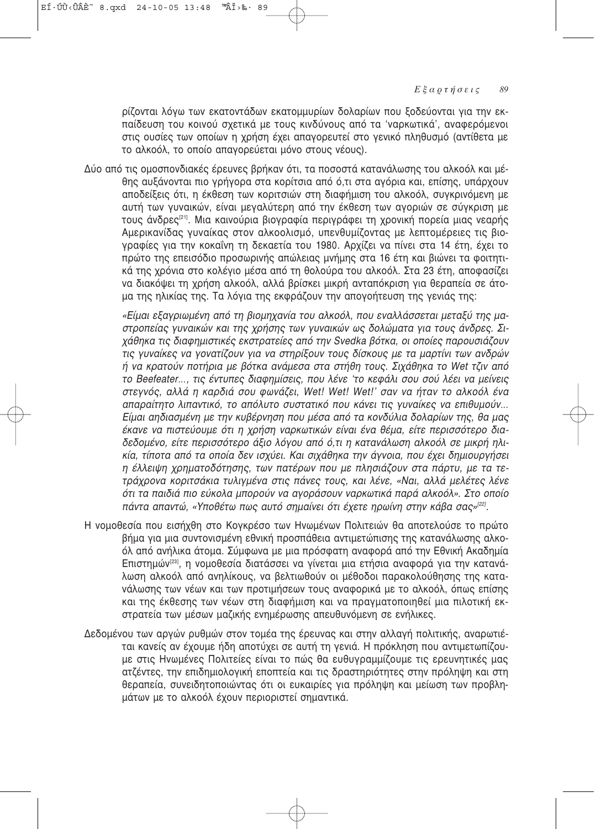ρίζονται λόγω των εκατοντάδων εκατομμυρίων δολαρίων που ξοδεύονται για την εκπαίδευση του κοινού σχετικά με τους κινδύνους από τα 'ναρκωτικά', αναφερόμενοι στις ουσίες των οποίων η χρήση έχει απαγορευτεί στο γενικό πληθυσμό (αντίθετα με το αλκοόλ, το οποίο απαγορεύεται μόνο στους νέους).

Δύο από τις ομοσπονδιακές έρευνες βρήκαν ότι, τα ποσοστά κατανάλωσης του αλκοόλ και μέθης αυξάνονται πιο γρήγορα στα κορίτσια από ό,τι στα αγόρια και, επίσης, υπάρχουν αποδείξεις ότι, η έκθεση των κοριτσιών στη διαφήμιση του αλκοόλ, συγκρινόμενη με αυτή των γυναικών, είναι μεγαλύτερη από την έκθεση των αγοριών σε σύγκριση με τους άνδρες<sup>[21]</sup>. Μια καινούρια βιογραφία περιγράφει τη χρονική πορεία μιας νεαρής Αμερικανίδας γυναίκας στον αλκοολισμό, υπενθυμίζοντας με λεπτομέρειες τις βιογραφίες για την κοκαΐνη τη δεκαετία του 1980. Αρχίζει να πίνει στα 14 έτη, έχει το πρώτο της επεισόδιο προσωρινής απώλειας μνήμης στα 16 έτη και βιώνει τα φοιτητικά της χρόνια στο κολέγιο μέσα από τη θολούρα του αλκοόλ. Στα 23 έτη, αποφασίζει να διακόψει τη χρήση αλκοόλ, αλλά βρίσκει μικρή ανταπόκριση για θεραπεία σε άτομα της ηλικίας της. Τα λόγια της εκφράζουν την απογοήτευση της γενιάς της:

«Είμαι εξαγριωμένη από τη βιομηχανία του αλκοόλ, που εναλλάσσεται μετα*ξύ* της μαστροπείας γυναικών και της χρήσης των γυναικών ως δολώματα για τους άνδρες. Σιχάθηκα τις διαφημιστικές εκστρατείες από την Svedka βότκα, οι οποίες παρουσιάζουν *τις γυναίκες να γονατίζουν για να στηρίξουν τους δίσκους με τα μαρτίνι των ανδρών* ή να κρατούν ποτήρια με βότκα ανάμεσα στα στήθη τους. Σιχάθηκα το Wet τζιν από *το Beefeater..., τις έντυπες διαφημίσεις, που λένε 'το κεφάλι σου σού λέει να μείνεις ÛÙÂÁÓfi˜, ·ÏÏ¿ Ë Î·Ú‰È¿ ÛÔ˘ ʈӿ˙ÂÈ, Wet! Wet! Wet!' Û·Ó Ó· ‹Ù·Ó ÙÔ ·ÏÎÔfiÏ ¤Ó· ··Ú·›ÙËÙÔ ÏÈ·ÓÙÈÎfi, ÙÔ ·fiÏ˘ÙÔ Û˘ÛÙ·ÙÈÎfi Ô˘ οÓÂÈ ÙȘ Á˘Ó·›Î˜ Ó· ÂÈı˘ÌÔ‡Ó… Ēίμαι αηδιασμένη με την κυβέρνηση που μέσα από τα κονδύλια δολαρίων της, θα μας έκανε να πιστεύουμε ότι η χρήση ναρκωτικών είναι ένα θέμα, είτε περισσότερο δια*δεδομένο, είτε περισσότερο άξιο λόγου από ό,τι η κατανάλωση αλκοόλ σε μικρή ηλι-*Κία, τίποτα από τα οποία δεν ισχύει. Και σιχάθηκα την άγνοια, που έχει δημιουργήσει η έλλειψη χρηματοδότησης, των πατέρων που με πλησιάζουν στα πάρτυ, με τα τετράχρονα κοριτσάκια τυλιγμένα στις πάνες τους, και λένε, «Ναι, αλλά μελέτες λένε* ότι τα παιδιά πιο εύκολα μπορούν να αγοράσουν ναρκωτικά παρά αλκοόλ». Στο οποίο *πάντα απαντώ, «Υποθέτω πως αυτό σημαίνει ότι έχετε ηρωίνη στην κάβα σας»<sup>[22]</sup>.* 

- Η νομοθεσία που εισήχθη στο Κογκρέσο των Ηνωμένων Πολιτειών θα αποτελούσε το πρώτο βήμα για μια συντονισμένη εθνική προσπάθεια αντιμετώπισης της κατανάλωσης αλκοόλ από ανήλικα άτομα. Σύμφωνα με μια πρόσφατη αναφορά από την Εθνική Ακαδημία Επιστημών<sup>[23]</sup>, η νομοθεσία διατάσσει να γίνεται μια ετήσια αναφορά για την κατανάλωση αλκοόλ από ανηλίκους, να βελτιωθούν οι μέθοδοι παρακολούθησης της κατανάλωσης των νέων και των προτιμήσεων τους αναφορικά με το αλκοόλ, όπως επίσης και της έκθεσης των νέων στη διαφήμιση και να πραγματοποιηθεί μια πιλοτική εκστρατεία των μέσων μαζικής ενημέρωσης απευθυνόμενη σε ενήλικες.
- Δεδομένου των αργών ρυθμών στον τομέα της έρευνας και στην αλλαγή πολιτικής, αναρωτιέται κανείς αν έχουμε ήδη αποτύχει σε αυτή τη γενιά. Η πρόκληση που αντιμετωπίζουμε στις Ηνωμένες Πολιτείες είναι το πώς θα ευθυγραμμίζουμε τις ερευνητικές μας ατζέντες, την επιδημιολογική εποπτεία και τις δραστηριότητες στην πρόληψη και στη θεραπεία, συνειδητοποιώντας ότι οι ευκαιρίες για πρόληψη και μείωση των προβλημάτων με το αλκοόλ έχουν περιοριστεί σημαντικά.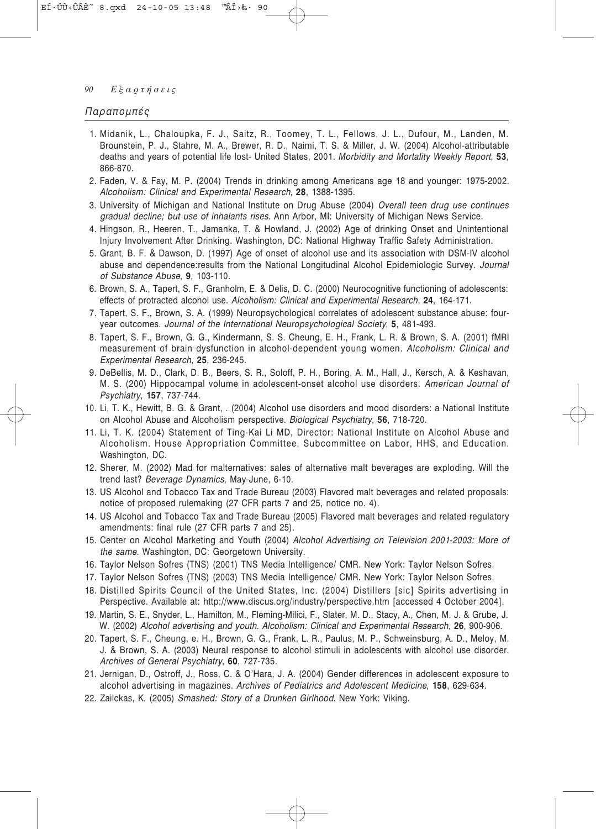### $90^{\circ}$  $E$ ξαρτήσεις

### Παραπομπές

- 1. Midanik, L., Chaloupka, F. J., Saitz, R., Toomey, T. L., Fellows, J. L., Dufour, M., Landen, M. Brounstein, P. J., Stahre, M. A., Brewer, R. D., Naimi, T. S. & Miller, J. W. (2004) Alcohol-attributable deaths and years of potential life lost- United States, 2001. Morbidity and Mortality Weekly Report, 53, 866-870.
- 2. Faden, V. & Fay, M. P. (2004) Trends in drinking among Americans age 18 and younger: 1975-2002. Alcoholism: Clinical and Experimental Research, 28, 1388-1395.
- 3. University of Michigan and National Institute on Drug Abuse (2004) Overall teen drug use continues gradual decline; but use of inhalants rises. Ann Arbor, MI: University of Michigan News Service.
- 4. Hingson, R., Heeren, T., Jamanka, T. & Howland, J. (2002) Age of drinking Onset and Unintentional Injury Involvement After Drinking. Washington, DC: National Highway Traffic Safety Administration.
- 5. Grant, B. F. & Dawson, D. (1997) Age of onset of alcohol use and its association with DSM-IV alcohol abuse and dependence:results from the National Longitudinal Alcohol Epidemiologic Survey. Journal of Substance Abuse, 9, 103-110.
- 6. Brown, S. A., Tapert, S. F., Granholm, E. & Delis, D. C. (2000) Neurocognitive functioning of adolescents: effects of protracted alcohol use. Alcoholism: Clinical and Experimental Research, 24, 164-171.
- 7. Tapert, S. F., Brown, S. A. (1999) Neuropsychological correlates of adolescent substance abuse: fouryear outcomes. Journal of the International Neuropsychological Society, 5, 481-493.
- 8. Tapert, S. F., Brown, G. G., Kindermann, S. S. Cheung, E. H., Frank, L. R. & Brown, S. A. (2001) fMRI measurement of brain dysfunction in alcohol-dependent young women. Alcoholism: Clinical and Experimental Research, 25, 236-245.
- 9. DeBellis, M. D., Clark, D. B., Beers, S. R., Soloff, P. H., Boring, A. M., Hall, J., Kersch, A. & Keshavan, M. S. (200) Hippocampal volume in adolescent-onset alcohol use disorders. American Journal of Psychiatry, 157, 737-744.
- 10. Li, T. K., Hewitt, B. G. & Grant, . (2004) Alcohol use disorders and mood disorders: a National Institute on Alcohol Abuse and Alcoholism perspective. Biological Psychiatry, 56, 718-720.
- 11. Li, T. K. (2004) Statement of Ting-Kai Li MD, Director: National Institute on Alcohol Abuse and Alcoholism. House Appropriation Committee, Subcommittee on Labor, HHS, and Education. Washington, DC.
- 12. Sherer, M. (2002) Mad for malternatives: sales of alternative malt beverages are exploding. Will the trend last? Beverage Dynamics, May-June, 6-10.
- 13. US Alcohol and Tobacco Tax and Trade Bureau (2003) Flavored malt beverages and related proposals: notice of proposed rulemaking (27 CFR parts 7 and 25, notice no. 4).
- 14. US Alcohol and Tobacco Tax and Trade Bureau (2005) Flavored malt beverages and related regulatory amendments: final rule (27 CFR parts 7 and 25).
- 15. Center on Alcohol Marketing and Youth (2004) Alcohol Advertising on Television 2001-2003: More of the same. Washington, DC: Georgetown University.
- 16. Taylor Nelson Sofres (TNS) (2001) TNS Media Intelligence/ CMR. New York: Taylor Nelson Sofres.
- 17. Taylor Nelson Sofres (TNS) (2003) TNS Media Intelligence/ CMR. New York: Taylor Nelson Sofres.
- 18. Distilled Spirits Council of the United States, Inc. (2004) Distillers [sic] Spirits advertising in Perspective. Available at: http://www.discus.org/industry/perspective.htm [accessed 4 October 2004].
- 19. Martin, S. E., Snyder, L., Hamilton, M., Fleming-Milici, F., Slater, M. D., Stacy, A., Chen, M. J. & Grube, J. W. (2002) Alcohol advertising and youth. Alcoholism: Clinical and Experimental Research, 26, 900-906.
- 20. Tapert, S. F., Cheung, e. H., Brown, G. G., Frank, L. R., Paulus, M. P., Schweinsburg, A. D., Meloy, M. J. & Brown, S. A. (2003) Neural response to alcohol stimuli in adolescents with alcohol use disorder. Archives of General Psychiatry, 60, 727-735.
- 21. Jernigan, D., Ostroff, J., Ross, C. & O'Hara, J. A. (2004) Gender differences in adolescent exposure to alcohol advertising in magazines. Archives of Pediatrics and Adolescent Medicine, 158, 629-634.
- 22. Zailckas, K. (2005) Smashed: Story of a Drunken Girlhood. New York: Viking.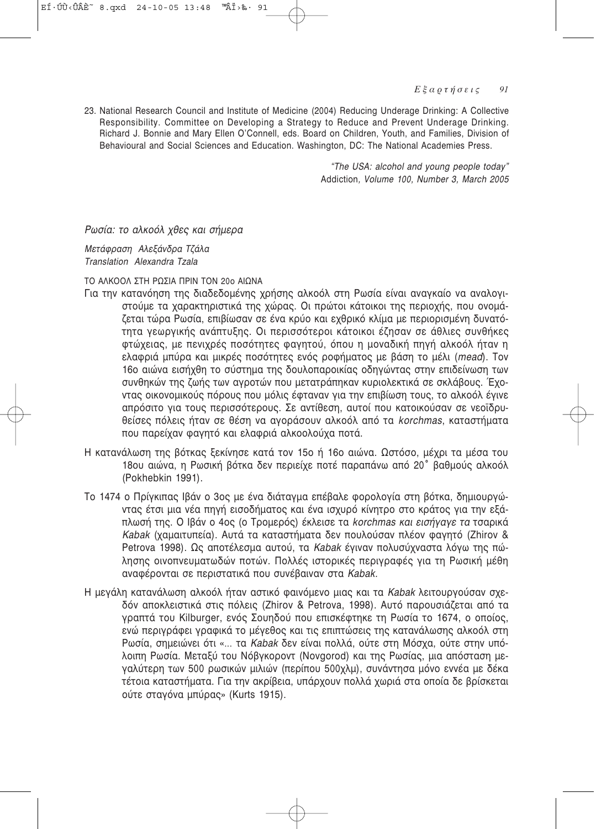EÍ·ÚÙ<ÛÂÈ<sup>~</sup> 8.qxd  $24 - 10 - 05$  13:48 ™ÂÏ>‰·  $Q<sub>1</sub>$ 

> 23. National Research Council and Institute of Medicine (2004) Reducing Underage Drinking: A Collective Responsibility. Committee on Developing a Strategy to Reduce and Prevent Underage Drinking. Richard J. Bonnie and Mary Ellen O'Connell, eds. Board on Children, Youth, and Families, Division of Behavioural and Social Sciences and Education. Washington, DC: The National Academies Press.

> > "The USA: alcohol and young people today" Addiction, Volume 100, Number 3, March 2005

Ρωσία: το αλκοόλ χθες και σήμερα

Μετάφραση Αλεξάνδρα Τζάλα Translation Alexandra Tzala

ΤΟ ΑΛΚΟΟΛ ΣΤΗ ΡΩΣΙΑ ΠΡΙΝ ΤΟΝ 20ο ΑΙΩΝΑ

- Για την κατανόηση της διαδεδομένης χρήσης αλκοόλ στη Ρωσία είναι αναγκαίο να αναλογιστούμε τα χαρακτηριστικά της χώρας. Οι πρώτοι κάτοικοι της περιοχής, που ονομάζεται τώρα Ρωσία, επιβίωσαν σε ένα κρύο και εχθρικό κλίμα με περιορισμένη δυνατότητα γεωργικής ανάπτυξης. Οι περισσότεροι κάτοικοι έζησαν σε άθλιες συνθήκες φτώχειας, με πενιχρές ποσότητες φαγητού, όπου η μοναδική πηγή αλκοόλ ήταν η ελαφριά μπύρα και μικρές ποσότητες ενός ροφήματος με βάση το μέλι (*mead*). Τον 16ο αιώνα εισήχθη το σύστημα της δουλοπαροικίας οδηγώντας στην επιδείνωση των συνθηκών της ζωής των αγροτών που μετατράπηκαν κυριολεκτικά σε σκλάβους. Έχοντας οικονομικούς πόρους που μόλις έφταναν για την επιβίωση τους, το αλκοόλ έγινε απρόσιτο για τους περισσότερους. Σε αντίθεση, αυτοί που κατοικούσαν σε νεοϊδρυθείσες πόλεις ήταν σε θέση να αγοράσουν αλκοόλ από τα korchmas, καταστήματα που παρείχαν φαγητό και ελαφριά αλκοολούχα ποτά.
- Η κατανάλωση της βότκας ξεκίνησε κατά τον 15ο ή 16ο αιώνα. Ωστόσο, μέχρι τα μέσα του 18ου αιώνα, η Ρωσική βότκα δεν περιείχε ποτέ παραπάνω από 20° βαθμούς αλκοόλ (Pokhebkin 1991).
- Το 1474 ο Πρίγκιπας Ιβάν ο 3ος με ένα διάταγμα επέβαλε φορολογία στη βότκα, δημιουργώντας έτσι μια νέα πηγή εισοδήματος και ένα ισχυρό κίνητρο στο κράτος για την εξάπλωσή της. Ο Ιβάν ο 4ος (ο Τρομερός) έκλεισε τα korchmas και εισήγαγε τα τσαρικά Kabak (χαμαιτυπεία). Αυτά τα καταστήματα δεν πουλούσαν πλέον φαγητό (Zhirov & Petrova 1998). Ως αποτέλεσμα αυτού, τα Kabak έγιναν πολυσύχναστα λόγω της πώλησης οινοπνευματωδών ποτών. Πολλές ιστορικές περιγραφές για τη Ρωσική μέθη αναφέρονται σε περιστατικά που συνέβαιναν στα Kabak.
- Η μεγάλη κατανάλωση αλκοόλ ήταν αστικό φαινόμενο μιας και τα Kabak λειτουργούσαν σχεδόν αποκλειστικά στις πόλεις (Zhirov & Petrova, 1998). Αυτό παρουσιάζεται από τα γραπτά του Kilburger, ενός Σουηδού που επισκέφτηκε τη Ρωσία το 1674, ο οποίος, ενώ περιγράφει γραφικά το μέγεθος και τις επιπτώσεις της κατανάλωσης αλκοόλ στη Ρωσία, σημειώνει ότι «... τα Kabak δεν είναι πολλά, ούτε στη Μόσχα, ούτε στην υπόλοιπη Ρωσία. Μεταξύ του Νόβγκοροντ (Novgorod) και της Ρωσίας, μια απόσταση μεγαλύτερη των 500 ρωσικών μιλιών (περίπου 500χλμ), συνάντησα μόνο εννέα με δέκα τέτοια καταστήματα. Για την ακρίβεια, υπάρχουν πολλά χωριά στα οποία δε βρίσκεται ούτε σταγόνα μπύρας» (Kurts 1915).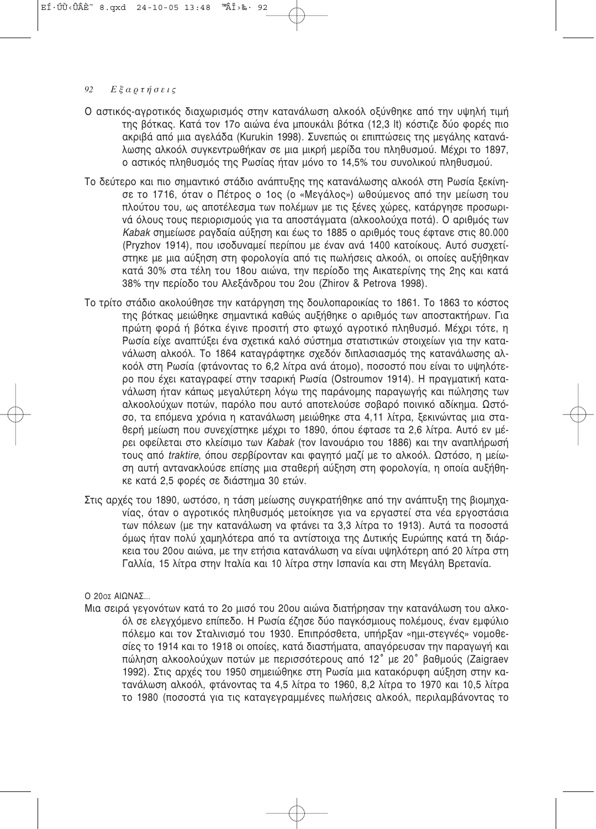- Ο αστικός-αγροτικός διαχωρισμός στην κατανάλωση αλκοόλ οξύνθηκε από την υψηλή τιμή της βότκας. Κατά τον 17ο αιώνα ένα μπουκάλι βότκα (12,3 lt) κόστιζε δύο φορές πιο ακριβά από μια ανελάδα (Kurukin 1998). Συνεπώς οι επιπτώσεις της μενάλης κατανάλωσης αλκοόλ συγκεντρωθήκαν σε μια μικρή μερίδα του πληθυσμού. Μέχρι το 1897, ο αστικός πληθυσμός της Ρωσίας ήταν μόνο το 14,5% του συνολικού πληθυσμού.
- Το δεύτερο και πιο σημαντικό στάδιο ανάπτυξης της κατανάλωσης αλκοόλ στη Ρωσία ξεκίνησε το 1716, όταν ο Πέτρος ο 1ος (ο «Μεγάλος») ωθούμενος από την μείωση του πλούτου του, ως αποτέλεσμα των πολέμων με τις ξένες χώρες, κατάργησε προσωρινά όλους τους περιορισμούς για τα αποστάγματα (αλκοολούχα ποτά). Ο αριθμός των *Kabak* σημείωσε ραγδαία αύξηση και έως το 1885 ο αριθμός τους έφτανε στις 80.000 (Pryzhov 1914), που ισοδυναμεί περίπου με έναν ανά 1400 κατοίκους. Αυτό συσχετίστηκε με μια αύξηση στη φορολογία από τις πωλήσεις αλκοόλ, οι οποίες αυξήθηκαν κατά 30% στα τέλη του 18ου αιώνα, την περίοδο της Αικατερίνης της 2ης και κατά 38% την περίοδο του Αλεξάνδρου του 2ου (Zhirov & Petrova 1998).
- Το τρίτο στάδιο ακολούθησε την κατάργηση της δουλοπαροικίας το 1861. Το 1863 το κόστος της βότκας μειώθηκε σημαντικά καθώς αυξήθηκε ο αριθμός των αποστακτήρων. Για πρώτη φορά ή βότκα έγινε προσιτή στο φτωχό αγροτικό πληθυσμό. Μέχρι τότε, η Ρωσία είχε αναπτύξει ένα σχετικά καλό σύστημα στατιστικών στοιχείων για την κατανάλωση αλκοόλ. Το 1864 καταγράφτηκε σχεδόν διπλασιασμός της κατανάλωσης αλ-Κοόλ στη Ρωσία (φτάνοντας το 6,2 λίτρα ανά άτομο), ποσοστό που είναι το υψηλότερο που έχει καταγραφεί στην τσαρική Ρωσία (Ostroumov 1914). Η πραγματική κατανάλωση ήταν κάπως μεγαλύτερη λόγω της παράνομης παραγωγής και πώλησης των αλκοολούχων ποτών, παρόλο που αυτό αποτελούσε σοβαρό ποινικό αδίκημα. Ωστόσο, τα επόμενα χρόνια η κατανάλωση μειώθηκε στα 4,11 λίτρα, ξεκινώντας μια σταθερή μείωση που συνεχίστηκε μέχρι το 1890, όπου έφτασε τα 2,6 λίτρα. Αυτό εν μέρει οφείλεται στο κλείσιμο των *Kabak* (τον Ιανουάριο του 1886) και την αναπλήρωσή τους από *traktire*, όπου σερβίρονταν και φανητό μαζί με το αλκοόλ, Ωστόσο, η μείωση αυτή αντανακλούσε επίσης μια σταθερή αύξηση στη φορολογία, η οποία αυξήθηκε κατά 2,5 φορές σε διάστημα 30 ετών.
- Στις αρχές του 1890, ωστόσο, η τάση μείωσης συγκρατήθηκε από την ανάπτυξη της βιομηχαvίας, όταν ο αγροτικός πληθυσμός μετοίκησε για να εργαστεί στα νέα εργοστάσια των πόλεων (με την κατανάλωση να φτάνει τα 3,3 λίτρα το 1913). Αυτά τα ποσοστά όμως ήταν πολύ χαμηλότερα από τα αντίστοιχα της Δυτικής Ευρώπης κατά τη διάρκεια του 20ου αιώνα, με την ετήσια κατανάλωση να είναι υψηλότερη από 20 λίτρα στη Γαλλία, 15 λίτρα στην Ιταλία και 10 λίτρα στην Ισπανία και στη Μεγάλη Βρετανία.

### $O$  20οΣ ΑΙΩΝΑΣ...

Μια σειρά γεγονότων κατά το 2ο μισό του 20ου αιώνα διατήρησαν την κατανάλωση του αλκοόλ σε ελεγχόμενο επίπεδο. Η Ρωσία έζησε δύο παγκόσμιους πολέμους, έναν εμφύλιο πόλεμο και τον Σταλινισμό του 1930. Επιπρόσθετα, υπήρξαν «ημι-στεγνές» νομοθεσίες το 1914 και το 1918 οι οποίες, κατά διαστήματα, απαγόρευσαν την παραγωγή και πώληση αλκοολούχων ποτών με περισσότερους από 12° με 20° βαθμούς (Zaigraev 1992). Στις αρχές του 1950 σημειώθηκε στη Ρωσία μια κατακόρυφη αύξηση στην κατανάλωση αλκοόλ, φτάνοντας τα 4,5 λίτρα το 1960, 8,2 λίτρα το 1970 και 10,5 λίτρα το 1980 (ποσοστά για τις καταγεγραμμένες πωλήσεις αλκοόλ, περιλαμβάνοντας το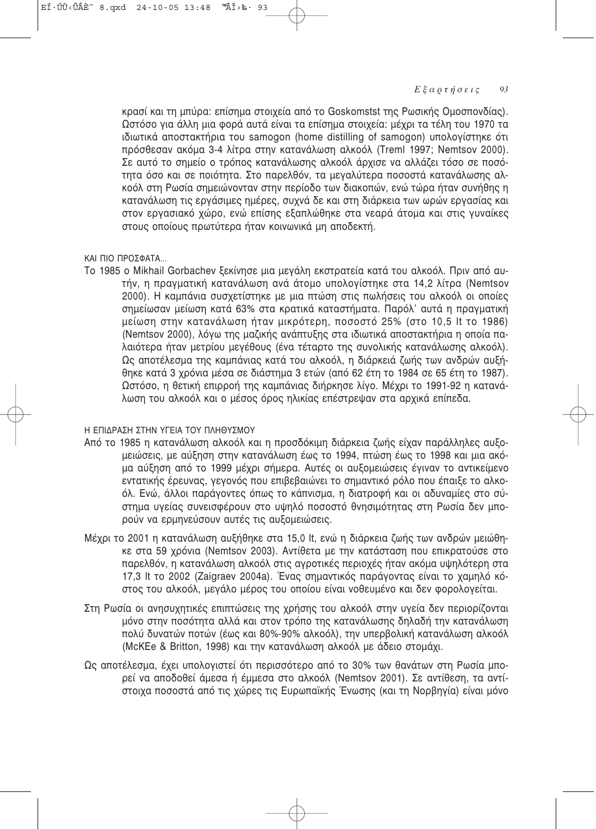EÍ·ÚÙ‹ÛÂȘ 8.qxd 24-10-05 13:48 ™ÂÏ›‰· 93

Κρασί και τη μπύρα: επίσημα στοιχεία από το Goskomstst της Ρωσικής Ομοσπονδίας). Ωστόσο για άλλη μια φορά αυτά είναι τα επίσημα στοιχεία: μέχρι τα τέλη του 1970 τα ιδιωτικά αποστακτήρια του samogon (home distilling of samogon) υπολογίστηκε ότι πρόσθεσαν ακόμα 3-4 λίτρα στην κατανάλωση αλκοόλ (Treml 1997; Nemtsov 2000). Σε αυτό το σημείο ο τρόπος κατανάλωσης αλκοόλ άρχισε να αλλάζει τόσο σε ποσότητα όσο και σε ποιότητα. Στο παρελθόν, τα μεγαλύτερα ποσοστά κατανάλωσης αλκοόλ στη Ρωσία σημειώνονταν στην περίοδο των διακοπών, ενώ τώρα ήταν συνήθης η κατανάλωση τις εργάσιμες ημέρες, συχνά δε και στη διάρκεια των ωρών εργασίας και στον εργασιακό χώρο, ενώ επίσης εξαπλώθηκε στα νεαρά άτομα και στις γυναίκες στους οποίους πρωτύτερα ήταν κοινωνικά μη αποδεκτή.

- ΚΑΙ ΠΙΟ ΠΡΟΣΦΑΤΑ...
- Το 1985 ο Mikhail Gorbachev ξεκίνησε μια μεγάλη εκστρατεία κατά του αλκοόλ. Πριν από αυτήν, η πραγματική κατανάλωση ανά άτομο υπολογίστηκε στα 14,2 λίτρα (Nemtsov 2000). Η καμπάνια συσχετίστηκε με μια πτώση στις πωλήσεις του αλκοόλ οι οποίες σημείωσαν μείωση κατά 63% στα κρατικά καταστήματα. Παρόλ' αυτά η πραγματική μείωση στην κατανάλωση ήταν μικρότερη, ποσοστό 25% (στο 10,5 lt το 1986) (Nemtsov 2000), λόγω της μαζικής ανάπτυξης στα ιδιωτικά αποστακτήρια η οποία παλαιότερα ήταν μετρίου μεγέθους (ένα τέταρτο της συνολικής κατανάλωσης αλκοόλ). Ως αποτέλεσμα της καμπάνιας κατά του αλκοόλ, η διάρκειά ζωής των ανδρών αυξήθηκε κατά 3 χρόνια μέσα σε διάστημα 3 ετών (από 62 έτη το 1984 σε 65 έτη το 1987). Ωστόσο, η θετική επιρροή της καμπάνιας διήρκησε λίγο. Μέχρι το 1991-92 η κατανάλωση του αλκοόλ και ο μέσος όρος ηλικίας επέστρεψαν στα αρχικά επίπεδα.

## Η ΕΠΙΔΡΑΣΗ ΣΤΗΝ ΥΓΕΙΑ ΤΟΥ ΠΛΗΘΥΣΜΟΥ

- Aπό το 1985 η κατανάλωση αλκοόλ και η προσδόκιμη διάρκεια ζωής είχαν παράλληλες αυξοιμειώσεις, με αύξηση στην κατανάλωση έως το 1994, πτώση έως το 1998 και μια ακόμα αύξηση από το 1999 μέχρι σήμερα. Αυτές οι αυξομειώσεις έγιναν το αντικείμενο εντατικής έρευνας, γεγονός που επιβεβαιώνει το σημαντικό ρόλο που έπαιξε το αλκοόλ. Ενώ, άλλοι παράγοντες όπως το κάπνισμα, η διατροφή και οι αδυναμίες στο σύστημα υγείας συνεισφέρουν στο υψηλό ποσοστό θνησιμότητας στη Ρωσία δεν μπορούν να ερμηνεύσουν αυτές τις αυξομειώσεις.
- Μέχρι το 2001 η κατανάλωση αυξήθηκε στα 15,0 lt, ενώ η διάρκεια ζωής των ανδρών μειώθηκε στα 59 χρόνια (Nemtsov 2003). Αντίθετα με την κατάσταση που επικρατούσε στο παρελθόν, η κατανάλωση αλκοόλ στις αγροτικές περιοχές ήταν ακόμα υψηλότερη στα 17,3 lt το 2002 (Zaigraev 2004a). Ένας σημαντικός παράγοντας είναι το χαμηλό κόστος του αλκοόλ, μεγάλο μέρος του οποίου είναι νοθευμένο και δεν φορολογείται.
- Στη Ρωσία οι ανησυχητικές επιπτώσεις της χρήσης του αλκοόλ στην υγεία δεν περιορίζονται μόνο στην ποσότητα αλλά και στον τρόπο της κατανάλωσης δηλαδή την κατανάλωση πολύ δυνατών ποτών (έως και 80%-90% αλκοόλ), την υπερβολική κατανάλωση αλκοόλ (McKEe & Britton, 1998) και την κατανάλωση αλκοόλ με άδειο στομάχι.
- Ως αποτέλεσμα, έχει υπολογιστεί ότι περισσότερο από το 30% των θανάτων στη Ρωσία μπορεί να αποδοθεί άμεσα ή έμμεσα στο αλκοόλ (Nemtsov 2001). Σε αντίθεση, τα αντίστοιχα ποσοστά από τις χώρες τις Ευρωπαϊκής Ένωσης (και τη Νορβηγία) είναι μόνο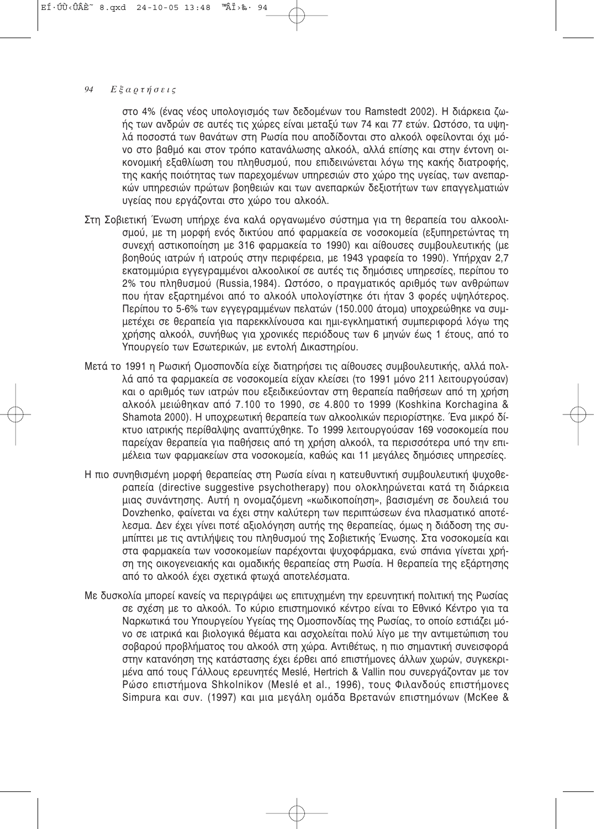στο 4% (ένας νέος υπολογισμός των δεδομένων του Ramstedt 2002). Η διάρκεια ζωής των ανδρών σε αυτές τις χώρες είναι μεταξύ των 74 και 77 ετών. Ωστόσο, τα υψηλά ποσοστά των θανάτων στη Ρωσία που αποδίδονται στο αλκοόλ οφείλονται όχι μόνο στο βαθμό και στον τρόπο κατανάλωσης αλκοόλ, αλλά επίσης και στην έντονη οι-ΚΟΥΟμική εξαθλίωση του πληθυσμού, που επιδεινώνεται λόγω της κακής διατροφής, της κακής ποιότητας των παρεχομένων υπηρεσιών στο χώρο της υγείας, των ανεπαρκών υπηρεσιών πρώτων βοηθειών και των ανεπαρκών δεξιοτήτων των επαγγελματιών υγείας που εργάζονται στο χώρο του αλκοόλ.

- Στη Σοβιετική Ένωση υπήρχε ένα καλά οργανωμένο σύστημα για τη θεραπεία του αλκοολισμού, με τη μορφή ενός δικτύου από φαρμακεία σε νοσοκομεία (εξυπηρετώντας τη συνεχή αστικοποίηση με 316 φαρμακεία το 1990) και αίθουσες συμβουλευτικής (με βοηθούς ιατρών ή ιατρούς στην περιφέρεια, με 1943 γραφεία το 1990). Υπήρχαν 2,7 εκατομμύρια εγγεγραμμένοι αλκοολικοί σε αυτές τις δημόσιες υπηρεσίες, περίπου το 2% του πληθυσμού (Russia,1984). Ωστόσο, ο πραγματικός αριθμός των ανθρώπων που ήταν εξαρτημένοι από το αλκοόλ υπολογίστηκε ότι ήταν 3 φορές υψηλότερος. Περίπου το 5-6% των εγγεγραμμένων πελατών (150.000 άτομα) υποχρεώθηκε να συμμετέχει σε θεραπεία για παρεκκλίνουσα και ημι-εγκληματική συμπεριφορά λόγω της γρήσης αλκοόλ, συνήθως για χρονικές περιόδους των 6 μηνών έως 1 έτους, από το Υπουργείο των Εσωτερικών, με εντολή Δικαστηρίου.
- Μετά το 1991 η Ρωσική Ομοσπονδία είχε διατηρήσει τις αίθουσες συμβουλευτικής, αλλά πολλά από τα φαρμακεία σε νοσοκομεία είχαν κλείσει (το 1991 μόνο 211 λειτουργούσαν) και ο αριθμός των ιατρών που εξειδικεύονταν στη θεραπεία παθήσεων από τη χρήση αλκοόλ μειώθηκαν από 7.100 το 1990, σε 4.800 το 1999 (Koshkina Korchagina & Shamota 2000). Η υποχρεωτική θεραπεία των αλκοολικών περιορίστηκε. Ένα μικρό δίκτυο ιατρικής περίθαλψης αναπτύχθηκε. Το 1999 λειτουργούσαν 169 νοσοκομεία που παρείχαν θεραπεία για παθήσεις από τη χρήση αλκοόλ, τα περισσότερα υπό την επιμέλεια των φαρμακείων στα νοσοκομεία, καθώς και 11 μενάλες δημόσιες υπηρεσίες.
- Η πιο συνηθισμένη μορφή θεραπείας στη Ρωσία είναι η κατευθυντική συμβουλευτική ψυχοθεραπεία (directive suggestive psychotherapy) που ολοκληρώνεται κατά τη διάρκεια μιας συνάντησης. Αυτή η ονομαζόμενη «κωδικοποίηση», βασισμένη σε δουλειά του Dovzhenko, φαίνεται να έχει στην καλύτερη των περιπτώσεων ένα πλασματικό αποτέλεσμα. Δεν έχει γίνει ποτέ αξιολόγηση αυτής της θεραπείας, όμως η διάδοση της συμπίπτει με τις αντιλήψεις του πληθυσμού της Σοβιετικής Ένωσης. Στα νοσοκομεία και στα φαρμακεία των νοσοκομείων παρέχονται ψυχοφάρμακα, ενώ σπάνια γίνεται χρήση της οικογενειακής και ομαδικής θεραπείας στη Ρωσία. Η θεραπεία της εξάρτησης από το αλκοόλ έχει σχετικά φτωχά αποτελέσματα.
- Με δυσκολία μπορεί κανείς να περιγράψει ως επιτυχημένη την ερευνητική πολιτική της Ρωσίας σε σχέση με το αλκοόλ. Το κύριο επιστημονικό κέντρο είναι το Εθνικό Κέντρο για τα Ναρκωτικά του Υπουργείου Υγείας της Ομοσπονδίας της Ρωσίας, το οποίο εστιάζει μόνο σε ιατρικά και βιολογικά θέματα και ασχολείται πολύ λίγο με την αντιμετώπιση του σοβαρού προβλήματος του αλκοόλ στη χώρα. Αντιθέτως, η πιο σημαντική συνεισφορά στην κατανόηση της κατάστασης έχει έρθει από επιστήμονες άλλων χωρών, συγκεκριμένα από τους Γάλλους ερευνητές Meslé, Hertrich & Vallin που συνεργάζονταν με τον Pώσο επιστήμονα Shkolnikov (Meslé et al., 1996), τους Φιλανδούς επιστήμονες Simpura και συν. (1997) και μια μεγάλη ομάδα Βρετανών επιστημόνων (McKee &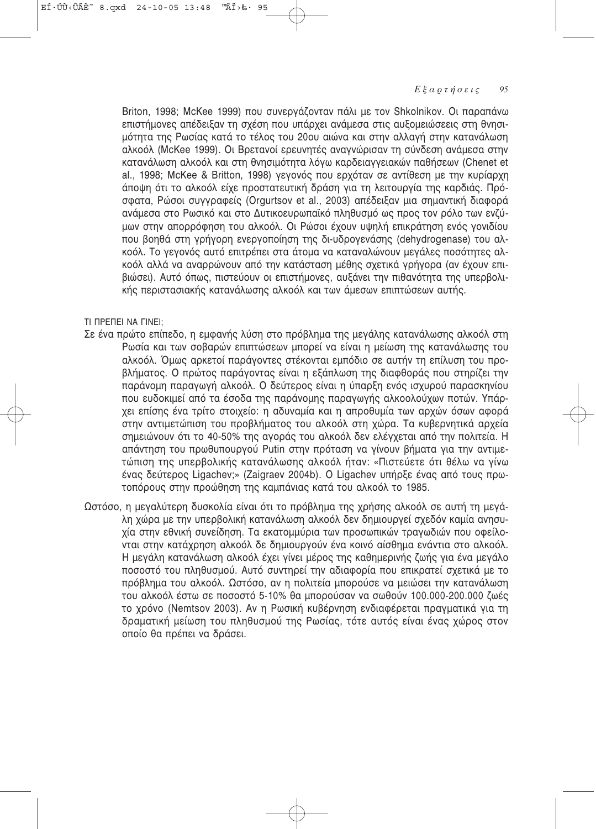Briton, 1998; McKee 1999) που συνεργάζονταν πάλι με τον Shkolnikov. Οι παραπάνω επιστήμονες απέδειξαν τη σχέση που υπάρχει ανάμεσα στις αυξομειώσεεις στη θνησιμότητα της Ρωσίας κατά το τέλος του 20ου αιώνα και στην αλλανή στην κατανάλωση αλκοόλ (McKee 1999). Οι Βρετανοί ερευνητές αναγνώρισαν τη σύνδεση ανάμεσα στην κατανάλωση αλκοόλ και στη θνησιμότητα λόγω καρδειαγγειακών παθήσεων (Chenet et al., 1998; McKee & Britton, 1998) γεγονός που ερχόταν σε αντίθεση με την κυρίαρχη άποψη ότι το αλκοόλ είχε προστατευτική δράση για τη λειτουργία της καρδιάς. Πρόσφατα, Ρώσοι συγγραφείς (Orgurtsov et al., 2003) απέδειξαν μια σημαντική διαφορά ανάμεσα στο Ρωσικό και στο Δυτικοευρωπαϊκό πληθυσμό ως προς τον ρόλο των ενζύμων στην απορρόφηση του αλκοόλ. Οι Ρώσοι έχουν υψηλή επικράτηση ενός νονιδίου που βοηθά στη γρήγορη ενεργοποίηση της δι-υδρογενάσης (dehydrogenase) του αλ-ΚΟÓλ. Το γενονός αυτό επιτρέπει στα άτομα να καταναλώνουν μενάλες ποσότητες αλκοόλ αλλά να αναρρώνουν από την κατάσταση μέθης σχετικά γρήγορα (αν έχουν επιβιώσει). Αυτό όπως, πιστεύουν οι επιστήμονες, αυξάνει την πιθανότητα της υπερβολικής περιστασιακής κατανάλωσης αλκοόλ και των άμεσων επιπτώσεων αυτής.

# TI ΠΡΕΠΕΙ ΝΑ ΓΙΝΕΙ:

- Σε ένα πρώτο επίπεδο, η εμφανής λύση στο πρόβλημα της μεγάλης κατανάλωσης αλκοόλ στη Ρωσία και των σοβαρών επιπτώσεων μπορεί να είναι η μείωση της κατανάλωσης του αλκοόλ. Όμως αρκετοί παράγοντες στέκονται εμπόδιο σε αυτήν τη επίλυση του προβλήματος. Ο πρώτος παράγοντας είναι η εξάπλωση της διαφθοράς που στηρίζει την παράνομη παραγωνή αλκοόλ. Ο δεύτερος είναι η ύπαρξη ενός ισχυρού παρασκηνίου που ευδοκιμεί από τα έσοδα της παράνομης παραγωγής αλκοολούχων ποτών. Υπάρχει επίσης ένα τρίτο στοιχείο: η αδυναμία και η απροθυμία των αρχών όσων αφορά στην αντιμετώπιση του προβλήματος του αλκοόλ στη χώρα. Τα κυβερνητικά αρχεία σημειώνουν ότι το 40-50% της αγοράς του αλκοόλ δεν ελέγχεται από την πολιτεία. Η απάντηση του πρωθυπουργού Putin στην πρόταση να γίνουν βήματα για την αντιμετώπιση της υπερβολικής κατανάλωσης αλκοόλ ήταν: «Πιστεύετε ότι θέλω να γίνω ένας δεύτερος Ligachev;» (Zaigraev 2004b). Ο Ligachev υπήρξε ένας από τους πρωτοπόρους στην προώθηση της καμπάνιας κατά του αλκοόλ το 1985.
- Ωστόσο, η μεγαλύτερη δυσκολία είναι ότι το πρόβλημα της χρήσης αλκοόλ σε αυτή τη μεγάλη χώρα με την υπερβολική κατανάλωση αλκοόλ δεν δημιουργεί σχεδόν καμία ανησυχία στην εθνική συνείδηση. Τα εκατομμύρια των προσωπικών τραγωδιών που οφείλο-Vται στην κατάχρηση αλκοόλ δε δημιουργούν ένα κοινό αίσθημα ενάντια στο αλκοόλ. Η μεγάλη κατανάλωση αλκοόλ έχει γίνει μέρος της καθημερινής ζωής για ένα μεγάλο ποσοστό του πληθυσμού. Αυτό συντηρεί την αδιαφορία που επικρατεί σχετικά με το πρόβλημα του αλκοόλ. Ωστόσο, αν η πολιτεία μπορούσε να μειώσει την κατανάλωση του αλκοόλ έστω σε ποσοστό 5-10% θα μπορούσαν να σωθούν 100.000-200.000 ζωές το χρόνο (Nemtsov 2003). Αν η Ρωσική κυβέρνηση ενδιαφέρεται πραγματικά για τη δραματική μείωση του πληθυσμού της Ρωσίας, τότε αυτός είναι ένας χώρος στον οποίο θα πρέπει να δράσει.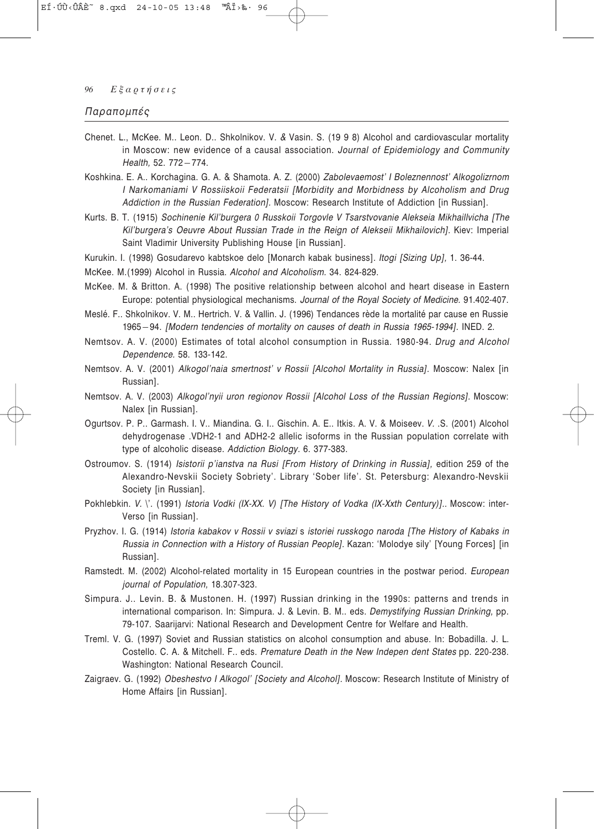### Εξαρτήσεις 96

### Παραπομπές

- Chenet. L., McKee. M., Leon. D., Shkolnikov. V. & Vasin. S. (19 9 8) Alcohol and cardiovascular mortality in Moscow: new evidence of a causal association. Journal of Epidemiology and Community Health, 52. 772-774.
- Koshkina, E. A., Korchagina, G. A. & Shamota, A. Z. (2000) Zabolevaemost' I Boleznennost' Alkogolizrnom I Narkomaniami V Rossiiskoii Federatsii [Morbidity and Morbidness by Alcoholism and Drug Addiction in the Russian Federation]. Moscow: Research Institute of Addiction [in Russian].
- Kurts. B. T. (1915) Sochinenie Kil'burgera 0 Russkoii Torgovle V Tsarstvovanie Alekseia Mikhaillvicha [The Kil'burgera's Oeuvre About Russian Trade in the Reign of Alekseii Mikhailovich]. Kiev: Imperial Saint Vladimir University Publishing House Iin Russian1.
- Kurukin. I. (1998) Gosudarevo kabtskoe delo [Monarch kabak business]. Itogi [Sizing Up], 1. 36-44.
- McKee. M.(1999) Alcohol in Russia. Alcohol and Alcoholism. 34. 824-829.
- McKee. M. & Britton. A. (1998) The positive relationship between alcohol and heart disease in Eastern Europe: potential physiological mechanisms. Journal of the Royal Society of Medicine. 91.402-407.
- Meslé. F.. Shkolnikov. V. M.. Hertrich. V. & Vallin. J. (1996) Tendances rède la mortalité par cause en Russie 1965-94. [Modern tendencies of mortality on causes of death in Russia 1965-1994]. INED. 2.
- Nemtsov. A. V. (2000) Estimates of total alcohol consumption in Russia. 1980-94. Drug and Alcohol Dependence. 58. 133-142.
- Nemtsov. A. V. (2001) Alkogol'naia smertnost' v Rossii [Alcohol Mortality in Russia]. Moscow: Nalex [in Russian].
- Nemtsov. A. V. (2003) Alkogol'nyii uron regionov Rossii [Alcohol Loss of the Russian Regions]. Moscow: Nalex [in Russian].
- Ogurtsov. P. P.. Garmash. I. V.. Miandina. G. I.. Gischin. A. E.. Itkis. A. V. & Moiseev. V. .S. (2001) Alcohol dehydrogenase .VDH2-1 and ADH2-2 allelic isoforms in the Russian population correlate with type of alcoholic disease. Addiction Biology. 6. 377-383.
- Ostroumov. S. (1914) Isistorii p'ianstva na Rusi [From History of Drinking in Russia], edition 259 of the Alexandro-Nevskii Society Sobriety'. Library 'Sober life'. St. Petersburg: Alexandro-Nevskii Society [in Russian].
- Pokhlebkin. V. \'. (1991) Istoria Vodki (IX-XX. V) [The History of Vodka (IX-Xxth Century)].. Moscow: inter-Verso [in Russian].
- Pryzhov. I. G. (1914) Istoria kabakov v Rossii v sviazi s istoriei russkogo naroda [The History of Kabaks in Russia in Connection with a History of Russian People]. Kazan: 'Molodye sily' [Young Forces] [in Russian].
- Ramstedt. M. (2002) Alcohol-related mortality in 15 European countries in the postwar period. European journal of Population, 18.307-323.
- Simpura. J.. Levin. B. & Mustonen. H. (1997) Russian drinking in the 1990s: patterns and trends in international comparison. In: Simpura. J. & Levin. B. M.. eds. Demystifying Russian Drinking, pp. 79-107. Saarijarvi: National Research and Development Centre for Welfare and Health.
- Treml. V. G. (1997) Soviet and Russian statistics on alcohol consumption and abuse. In: Bobadilla. J. L. Costello. C. A. & Mitchell. F.. eds. Premature Death in the New Indepen dent States pp. 220-238. Washington: National Research Council.
- Zaigraev. G. (1992) Obeshestvo I Alkogol' [Society and Alcohol]. Moscow: Research Institute of Ministry of Home Affairs [in Russian].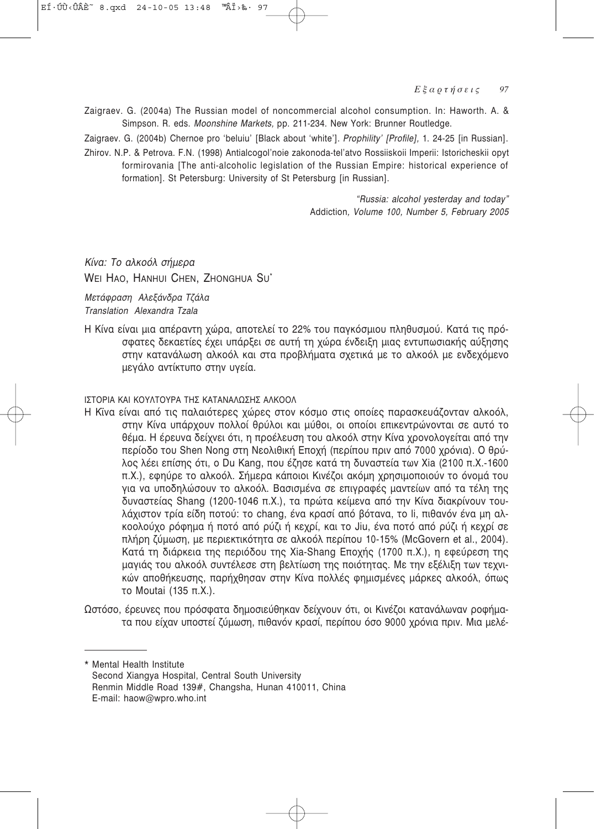Zaigraev. G. (2004a) The Russian model of noncommercial alcohol consumption. In: Haworth. A. & Simpson. R. eds. Moonshine Markets, pp. 211-234. New York: Brunner Routledge.

Zaigraev. G. (2004b) Chernoe pro 'beluiu' [Black about 'white']. Prophility' [Profile], 1. 24-25 [in Russian]. Zhirov. N.P. & Petrova. F.N. (1998) Antialcogol'noie zakonoda-tel'atvo Rossiiskoii Imperii: Istoricheskii opyt formirovania [The anti-alcoholic legislation of the Russian Empire: historical experience of formation]. St Petersburg: University of St Petersburg [in Russian].

> "Russia: alcohol yesterday and today" Addiction, Volume 100, Number 5, February 2005

Κίνα: Το αλκοόλ σήμερα WEI HAO, HANHUI CHEN, ZHONGHUA SU\*

Μετάφραση Αλεξάνδρα Τζάλα Translation Alexandra Tzala

Η Κίνα είναι μια απέραντη χώρα, αποτελεί το 22% του παγκόσμιου πληθυσμού. Κατά τις πρόσφατες δεκαετίες έχει υπάρξει σε αυτή τη χώρα ένδειξη μιας εντυπωσιακής αύξησης στην κατανάλωση αλκοόλ και στα προβλήματα σχετικά με το αλκοόλ με ενδεχόμενο μεγάλο αντίκτυπο στην υγεία.

# ΙΣΤΟΡΙΑ ΚΑΙ ΚΟΥΛΤΟΥΡΑ ΤΗΣ ΚΑΤΑΝΑΛΩΣΗΣ ΑΛΚΟΟΛ

- Η Κϊνα είναι από τις παλαιότερες χώρες στον κόσμο στις οποίες παρασκευάζονταν αλκοόλ, στην Κίνα υπάρχουν πολλοί θρύλοι και μύθοι, οι οποίοι επικεντρώνονται σε αυτό το θέμα. Η έρευνα δείχνει ότι, η προέλευση του αλκοόλ στην Κίνα χρονολογείται από την περίοδο του Shen Nong στη Νεολιθική Εποχή (περίπου πριν από 7000 χρόνια). Ο θρύλος λέει επίσης ότι, ο Du Kang, που έζησε κατά τη δυναστεία των Xia (2100 π.Χ.-1600 π.Χ.), εφηύρε το αλκοόλ. Σήμερα κάποιοι Κινέζοι ακόμη χρησιμοποιούν το όνομά του για να υποδηλώσουν το αλκοόλ. Βασισμένα σε επιγραφές μαντείων από τα τέλη της δυναστείας Shang (1200-1046 π.Χ.), τα πρώτα κείμενα από την Κίνα διακρίνουν τουλάχιστον τρία είδη ποτού: το chang, ένα κρασί από βότανα, το li, πιθανόν ένα μη αλκοολούχο ρόφημα ή ποτό από ρύζι ή κεχρί, και το Jiu, ένα ποτό από ρύζι ή κεχρί σε πλήρη ζύμωση, με περιεκτικότητα σε αλκοόλ περίπου 10-15% (McGovern et al., 2004). Κατά τη διάρκεια της περιόδου της Xia-Shang Εποχής (1700 π.Χ.), η εφεύρεση της μαγιάς του αλκοόλ συντέλεσε στη βελτίωση της ποιότητας. Με την εξέλιξη των τεχνικών αποθήκευσης, παρήχθησαν στην Κίνα πολλές φημισμένες μάρκες αλκοόλ, όπως το Moutai (135 π.Χ.).
- Ωστόσο, έρευνες που πρόσφατα δημοσιεύθηκαν δείχνουν ότι, οι Κινέζοι κατανάλωναν ροφήματα που είχαν υποστεί ζύμωση, πιθανόν κρασί, περίπου όσο 9000 χρόνια πριν. Μια μελέ-

\* Mental Health Institute Second Xiangya Hospital, Central South University Renmin Middle Road 139#, Changsha, Hunan 410011, China E-mail: haow@wpro.who.int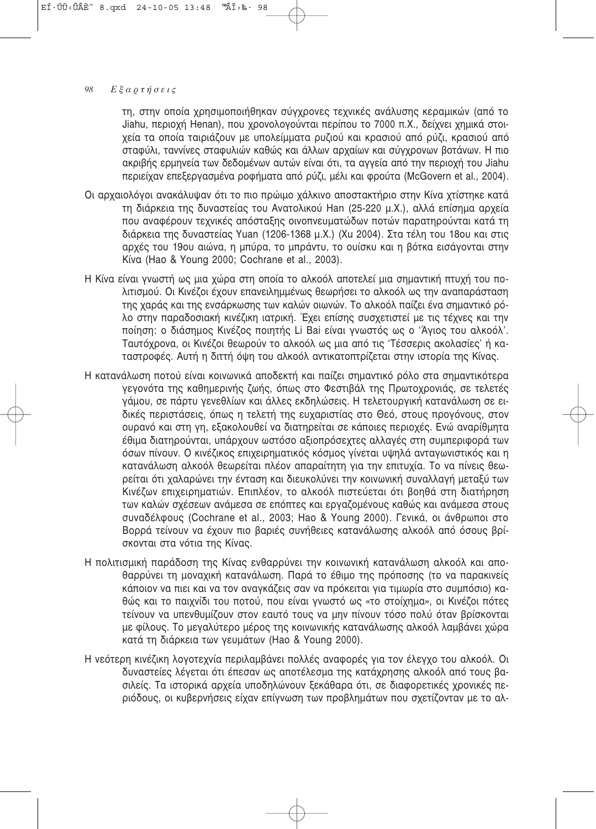τη, στην οποία χρησιμοποιήθηκαν σύγχρονες τεχνικές ανάλυσης κεραμικών (από το Jiahu, περιοχή Henan), που χρονολογούνται περίπου το 7000 π.Χ., δείχνει χημικά στοιχεία τα οποία ταιριάζουν με υπολείμματα ρυζιού και κρασιού από ρύζι, κρασιού από σταφύλι, ταννίνες σταφυλιών καθώς και άλλων αρχαίων και σύγχρονων βοτάνων. Η πιο ακριβής ερμηνεία των δεδομένων αυτών είναι ότι, τα αγγεία από την περιοχή του Jiahu περιείχαν επεξεργασμένα ροφήματα από ρύζι, μέλι και φρούτα (McGovern et al., 2004).

- Οι αρχαιολόγοι ανακάλυψαν ότι το πιο πρώιμο χάλκινο αποστακτήριο στην Κίνα χτίστηκε κατά τη διάρκεια της δυναστείας του Ανατολικού Han (25-220 μ.Χ.), αλλά επίσημα αρχεία που αναφέρουν τεχνικές απόσταξης οινοπνευματώδων ποτών παρατηρούνται κατά τη διάρκεια της δυναστείας Yuan (1206-1368 μ.Χ.) (Xu 2004). Στα τέλη του 18ου και στις αρχές του 19ου αιώνα, η μπύρα, το μπράντυ, το ουίσκυ και η βότκα εισάγονται στην Kíva (Hao & Young 2000; Cochrane et al., 2003).
- Η Κίνα είναι γνωστή ως μια χώρα στη οποία το αλκοόλ αποτελεί μια σημαντική πτυχή του πολιτισμού. Οι Κινέζοι έχουν επανειλημμένως θεωρήσει το αλκοόλ ως την αναπαράσταση της χαράς και της ενσάρκωσης των καλών οιωνών. Το αλκοόλ παίζει ένα σημαντικό ρόλο στην παραδοσιακή κινέζικη ιατρική. Έχει επίσης συσχετιστεί με τις τέχνες και την ποίηση: ο διάσημος Κινέζος ποιητής Li Bai είναι γνωστός ως ο 'Άγιος του αλκοόλ'. Ταυτόχρονα, οι Κινέζοι θεωρούν το αλκοόλ ως μια από τις 'Τέσσερις ακολασίες' ή καταστροφές. Αυτή η διττή όψη του αλκοόλ αντικατοπτρίζεται στην ιστορία της Κίνας.
- Η κατανάλωση ποτού είναι κοινωνικά αποδεκτή και παίζει σημαντικό ρόλο στα σημαντικότερα γεγονότα της καθημερινής ζωής, όπως στο Φεστιβάλ της Πρωτοχρονιάς, σε τελετές γάμου, σε πάρτυ γενεθλίων και άλλες εκδηλώσεις. Η τελετουργική κατανάλωση σε ειδικές περιστάσεις, όπως η τελετή της ευχαριστίας στο Θεό, στους προγόνους, στον ουρανό και στη γη, εξακολουθεί να διατηρείται σε κάποιες περιοχές. Ενώ αναρίθμητα έθιμα διατηρούνται, υπάρχουν ωστόσο αξιοπρόσεχτες αλλαγές στη συμπεριφορά των όσων πίνουν. Ο κινέζικος επιχειρηματικός κόσμος γίνεται υψηλά ανταγωνιστικός και η κατανάλωση αλκοόλ θεωρείται πλέον απαραίτητη για την επιτυχία. Το να πίνεις θεωρείται ότι χαλαρώνει την ένταση και διευκολύνει την κοινωνική συναλλαγή μεταξύ των Κινέζων επιχειρηματιών. Επιπλέον, το αλκοόλ πιστεύεται ότι βοηθά στη διατήρηση των καλών σχέσεων ανάμεσα σε επόπτες και εργαζομένους καθώς και ανάμεσα στους συναδέλφους (Cochrane et al., 2003; Hao & Young 2000). Γενικά, οι άνθρωποι στο Βορρά τείνουν να έχουν πιο βαριές συνήθειες κατανάλωσης αλκοόλ από όσους βρίσκονται στα νότια της Κίνας.
- Η πολιτισμική παράδοση της Κίνας ενθαρρύνει την κοινωνική κατανάλωση αλκοόλ και αποθαρρύνει τη μοναχική κατανάλωση. Παρά το έθιμο της πρόποσης (το να παρακινείς κάποιον να πιει και να τον ανανκάζεις σαν να πρόκειται νια τιμωρία στο συμπόσιο) καθώς και το παιχνίδι του ποτού, που είναι γνωστό ως «το στοίχημα», οι Κινέζοι πότες τείνουν να υπενθυμίζουν στον εαυτό τους να μην πίνουν τόσο πολύ όταν βρίσκονται με φίλους. Το μεγαλύτερο μέρος της κοινωνικής κατανάλωσης αλκοόλ λαμβάνει χώρα κατά τη διάρκεια των γευμάτων (Hao & Young 2000).
- Η νεότερη κινέζικη λογοτεχνία περιλαμβάνει πολλές αναφορές για τον έλεγχο του αλκοόλ. Οι δυναστείες λέγεται ότι έπεσαν ως αποτέλεσμα της κατάχρησης αλκοόλ από τους βασιλείς. Τα ιστορικά αρχεία υποδηλώνουν ξεκάθαρα ότι, σε διαφορετικές χρονικές περιόδους, οι κυβερνήσεις είχαν επίγνωση των προβλημάτων που σχετίζονταν με το αλ-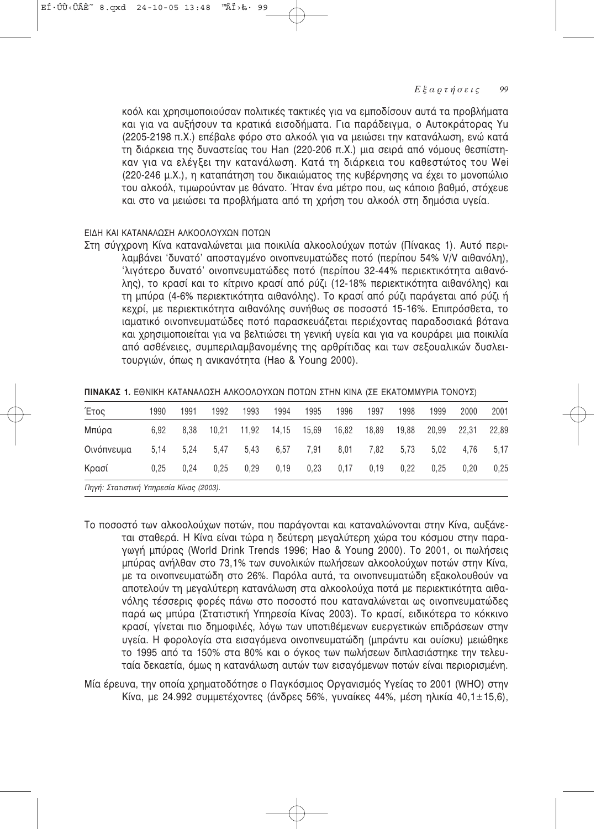EÍ·ÚÙ<ÛÂÈ<sup>~</sup> 8.qxd  $24 - 10 - 05$  13:48 ™ÂÏ>‱∙

> κοόλ και χρησιμοποιούσαν πολιτικές τακτικές για να εμποδίσουν αυτά τα προβλήματα και για να αυξήσουν τα κρατικά εισοδήματα. Για παράδειγμα, ο Αυτοκράτορας Υυ (2205-2198 π.Χ.) επέβαλε φόρο στο αλκοόλ για να μειώσει την κατανάλωση, ενώ κατά τη διάρκεια της δυναστείας του Han (220-206 π.Χ.) μια σειρά από νόμους θεσπίστηκαν για να ελέγξει την κατανάλωση. Κατά τη διάρκεια του καθεστώτος του Wei (220-246 μ.Χ.), η καταπάτηση του δικαιώματος της κυβέρνησης να έχει το μονοπώλιο του αλκοόλ, τιμωρούνταν με θάνατο. Ήταν ένα μέτρο που, ως κάποιο βαθμό, στόχευε και στο να μειώσει τα προβλήματα από τη χρήση του αλκοόλ στη δημόσια υγεία.

# ΕΙΔΗ ΚΑΙ ΚΑΤΑΝΑΛΩΣΗ ΑΛΚΟΟΛΟΥΧΩΝ ΠΟΤΩΝ

Στη σύγχρονη Κίνα καταναλώνεται μια ποικιλία αλκοολούχων ποτών (Πίνακας 1). Αυτό περιλαμβάνει 'δυνατό' αποσταγμένο οινοπνευματώδες ποτό (περίπου 54% V/V αιθανόλη), ΄λιγότερο δυνατό' οινοπνευματώδες ποτό (περίπου 32-44% περιεκτικότητα αιθανόλης), το κρασί και το κίτρινο κρασί από ρύζι (12-18% περιεκτικότητα αιθανόλης) και τη μπύρα (4-6% περιεκτικότητα αιθανόλης). Το κρασί από ρύζι παράγεται από ρύζι ή κεχρί, με περιεκτικότητα αιθανόλης συνήθως σε ποσοστό 15-16%. Επιπρόσθετα, το ιαματικό οινοπνευματώδες ποτό παρασκευάζεται περιέχοντας παραδοσιακά βότανα και χρησιμοποιείται για να βελτιώσει τη γενική υγεία και για να κουράρει μια ποικιλία από ασθένειες, συμπεριλαμβανομένης της αρθρίτιδας και των σεξουαλικών δυσλειτουργιών, όπως η ανικανότητα (Hao & Young 2000).

| Έτος                                    | 1990 | 1991 | 1992  | 1993  | 1994  | 1995  | 1996  | 1997  | 1998  | 1999  | 2000  | 2001  |
|-----------------------------------------|------|------|-------|-------|-------|-------|-------|-------|-------|-------|-------|-------|
| Μπύρα                                   | 6.92 | 8.38 | 10.21 | 11.92 | 14.15 | 15.69 | 16.82 | 18.89 | 19.88 | 20.99 | 22.31 | 22.89 |
| Οινόπνευμα                              | 5.14 | 5.24 | 5.47  | 5.43  | 6.57  | 7.91  | 8.01  | 7.82  | 5.73  | 5.02  | 4.76  | 5.17  |
| Κρασί                                   | 0.25 | 0.24 | 0.25  | 0.29  | 0.19  | 0.23  | 0.17  | 0.19  | 0.22  | 0.25  | 0.20  | 0.25  |
| Πηγή: Στατιστική Υπηρεσία Κίνας (2003). |      |      |       |       |       |       |       |       |       |       |       |       |

ΠΙΝΑΚΑΣ 1. ΕΘΝΙΚΗ ΚΑΤΑΝΑΛΩΣΗ ΑΛΚΟΟΛΟΥΧΩΝ ΠΟΤΩΝ ΣΤΗΝ ΚΙΝΑ (ΣΕ ΕΚΑΤΟΜΜΥΡΙΑ ΤΟΝΟΥΣ)

- Το ποσοστό των αλκοολούχων ποτών, που παράγονται και καταναλώνονται στην Κίνα, αυξάνεται σταθερά. Η Κίνα είναι τώρα η δεύτερη μεγαλύτερη χώρα του κόσμου στην παραγωγή μπύρας (World Drink Trends 1996; Hao & Young 2000). Το 2001, οι πωλήσεις μπύρας ανήλθαν στο 73,1% των συνολικών πωλήσεων αλκοολούχων ποτών στην Κίνα, με τα οινοπνευματώδη στο 26%. Παρόλα αυτά, τα οινοπνευματώδη εξακολουθούν να αποτελούν τη μεγαλύτερη κατανάλωση στα αλκοολούχα ποτά με περιεκτικότητα αιθανόλης τέσσερις φορές πάνω στο ποσοστό που καταναλώνεται ως οινοπνευματώδες παρά ως μπύρα (Στατιστική Υπηρεσία Κίνας 2003). Το κρασί, ειδικότερα το κόκκινο κρασί, γίνεται πιο δημοφιλές, λόγω των υποτιθέμενων ευεργετικών επιδράσεων στην υγεία. Η φορολογία στα εισαγόμενα οινοπνευματώδη (μπράντυ και ουίσκυ) μειώθηκε το 1995 από τα 150% στα 80% και ο όνκος των πωλήσεων διπλασιάστηκε την τελευταία δεκαετία, όμως η κατανάλωση αυτών των εισαγόμενων ποτών είναι περιορισμένη.
- Μία έρευνα, την οποία χρηματοδότησε ο Παγκόσμιος Οργανισμός Υγείας το 2001 (WHO) στην Κίνα, με 24.992 συμμετέχοντες (άνδρες 56%, γυναίκες 44%, μέση ηλικία 40,1±15,6),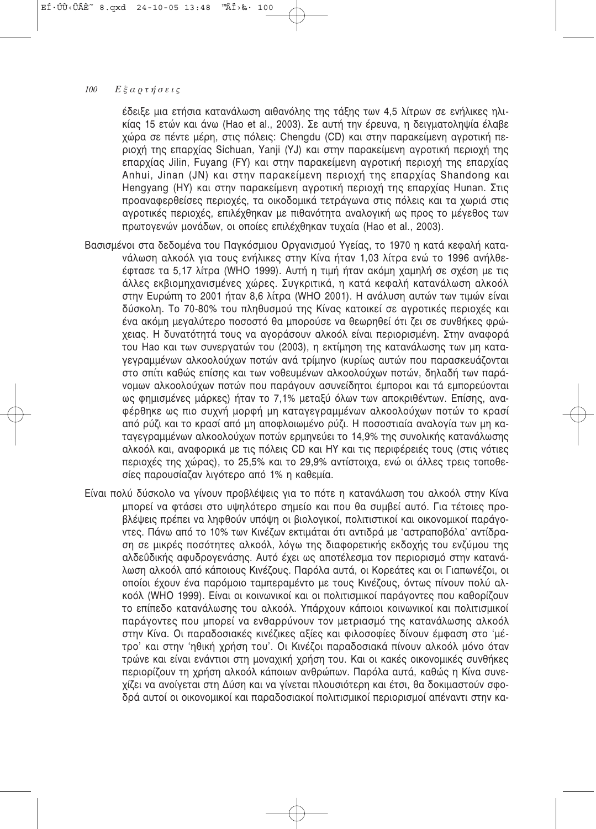έδειξε μια ετήσια κατανάλωση αιθανόλης της τάξης των 4,5 λίτρων σε ενήλικες ηλικίας 15 ετών και άνω (Hao et al., 2003). Σε αυτή την έρευνα, η δειγματοληψία έλαβε χώρα σε πέντε μέρη, στις πόλεις: Chengdu (CD) και στην παρακείμενη αγροτική περιοχή της επαρχίας Sichuan, Yanji (YJ) και στην παρακείμενη αγροτική περιοχή της επαρχίας Jilin, Fuyang (FY) και στην παρακείμενη αγροτική περιοχή της επαρχίας Anhui, Jinan (JN) και στην παρακείμενη περιοχή της επαρχίας Shandong και Hengyang (HY) και στην παρακείμενη αγροτική περιοχή της επαρχίας Hunan. Στις προαναφερθείσες περιοχές, τα οικοδομικά τετράγωνα στις πόλεις και τα χωριά στις ανροτικές περιοχές, επιλέχθηκαν με πιθανότητα αναλονική ως προς το μένεθος των πρωτονενών μονάδων, οι οποίες επιλέχθηκαν τυχαία (Hao et al., 2003).

- Βασισμένοι στα δεδομένα του Παγκόσμιου Οργανισμού Υγείας, το 1970 η κατά κεφαλή κατανάλωση αλκοόλ για τους ενήλικες στην Κίνα ήταν 1,03 λίτρα ενώ το 1996 ανήλθεέφτασε τα 5,17 λίτρα (WHO 1999). Αυτή η τιμή ήταν ακόμη χαμηλή σε σχέση με τις άλλες εκβιομηχανισμένες χώρες. Συγκριτικά, η κατά κεφαλή κατανάλωση αλκοόλ στην Ευρώπη το 2001 ήταν 8,6 λίτρα (WHO 2001). Η ανάλυση αυτών των τιμών είναι δύσκολη. Το 70-80% του πληθυσμού της Κίνας κατοικεί σε αγροτικές περιοχές και ένα ακόμη μεγαλύτερο ποσοστό θα μπορούσε να θεωρηθεί ότι ζει σε συνθήκες φρώχειας. Η δυνατότητά τους να αγοράσουν αλκοόλ είναι περιορισμένη. Στην αναφορά του Hao και των συνεργατών του (2003), η εκτίμηση της κατανάλωσης των μη καταγεγραμμένων αλκοολούχων ποτών ανά τρίμηνο (κυρίως αυτών που παρασκευάζονται στο σπίτι καθώς επίσης και των νοθευμένων αλκοολούχων ποτών, δηλαδή των παράνομων αλκοολούχων ποτών που παράγουν ασυνείδητοι έμποροι και τά εμπορεύονται ως φημισμένες μάρκες) ήταν το 7,1% μεταξύ όλων των αποκριθέντων. Επίσης, αναφέρθηκε ως πιο συχνή μορφή μη καταγεγραμμένων αλκοολούχων ποτών το κρασί από ρύζι και το κρασί από μη αποφλοιωμένο ρύζι. Η ποσοστιαία αναλογία των μη καταγεγραμμένων αλκοολούχων ποτών ερμηνεύει το 14,9% της συνολικής κατανάλωσης αλκοόλ και, αναφορικά με τις πόλεις CD και HY και τις περιφέρειές τους (στις νότιες περιοχές της χώρας), το 25,5% και το 29,9% αντίστοιχα, ενώ οι άλλες τρεις τοποθεσίες παρουσίαζαν λιγότερο από 1% η καθεμία.
- Είναι πολύ δύσκολο να γίνουν προβλέψεις για το πότε η κατανάλωση του αλκοόλ στην Κίνα μπορεί να φτάσει στο υψηλότερο σημείο και που θα συμβεί αυτό. Για τέτοιες προβλέψεις πρέπει να ληφθούν υπόψη οι βιολογικοί, πολιτιστικοί και οικονομικοί παράγοντες. Πάνω από το 10% των Κινέζων εκτιμάται ότι αντιδρά με 'αστραποβόλα' αντίδραση σε μικρές ποσότητες αλκοόλ, λόγω της διαφορετικής εκδοχής του ενζύμου της αλδεΰδικής αφυδρογενάσης. Αυτό έχει ως αποτέλεσμα τον περιορισμό στην κατανάλωση αλκοόλ από κάποιους Κινέζους. Παρόλα αυτά, οι Κορεάτες και οι Γιαπωνέζοι, οι οποίοι έχουν ένα παρόμοιο ταμπεραμέντο με τους Κινέζους, όντως πίνουν πολύ αλκοόλ (WHO 1999). Είναι οι κοινωνικοί και οι πολιτισμικοί παράγοντες που καθορίζουν το επίπεδο κατανάλωσης του αλκοόλ. Υπάρχουν κάποιοι κοινωνικοί και πολιτισμικοί παράγοντες που μπορεί να ενθαρρύνουν τον μετριασμό της κατανάλωσης αλκοόλ στην Κίνα. Οι παραδοσιακές κινέζικες αξίες και φιλοσοφίες δίνουν έμφαση στο 'μέτρο' και στην 'ηθική χρήση του'. Οι Κινέζοι παραδοσιακά πίνουν αλκοόλ μόνο όταν τρώνε και είναι ενάντιοι στη μοναχική χρήση του. Και οι κακές οικονομικές συνθήκες περιορίζουν τη χρήση αλκοόλ κάποιων ανθρώπων. Παρόλα αυτά, καθώς η Κίνα συνεχίζει να ανοίγεται στη Δύση και να γίνεται πλουσιότερη και έτσι, θα δοκιμαστούν σφοδρά αυτοί οι οικονομικοί και παραδοσιακοί πολιτισμικοί περιορισμοί απέναντι στην κα-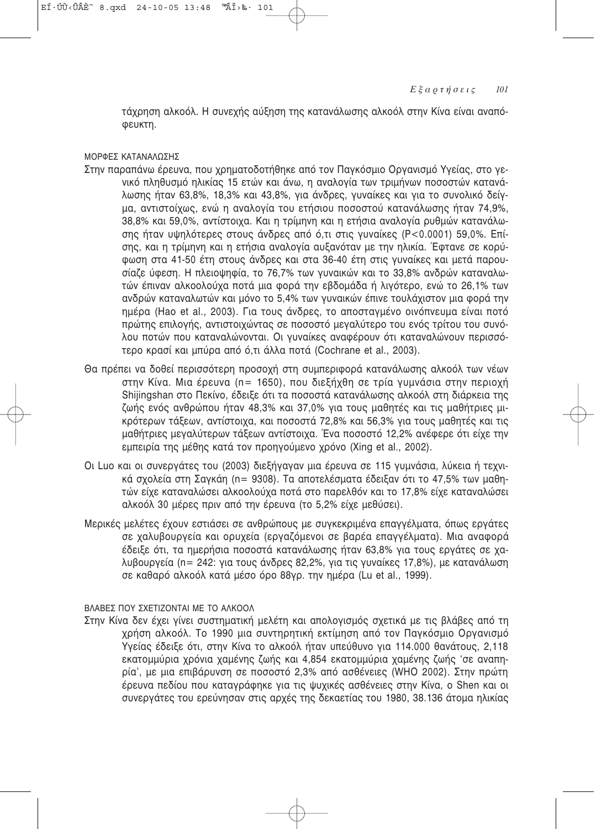EÍ·ÚÙ‹ÛÂȘ 8.qxd 24-10-05 13:48 ™ÂÏ›‰· 101

τάχρηση αλκοόλ. Η συνεχής αύξηση της κατανάλωσης αλκοόλ στην Κίνα είναι αναπό-Φευκτη.

# ΜΟΡΦΕΣ ΚΑΤΑΝΑΛΩΣΗΣ

- Στην παραπάνω έρευνα, που χρηματοδοτήθηκε από τον Παγκόσμιο Οργανισμό Υγείας, στο γενικό πληθυσμό ηλικίας 15 ετών και άνω, η αναλογία των τριμήνων ποσοστών κατανάλωσης ήταν 63,8%, 18,3% και 43,8%, για άνδρες, γυναίκες και για το συνολικό δείγμα, αντιστοίχως, ενώ η αναλογία του ετήσιου ποσοστού κατανάλωσης ήταν 74,9%, 38,8% και 59,0%, αντίστοιχα. Και η τρίμηνη και η ετήσια αναλονία ρυθμών κατανάλωσης ήταν υψηλότερες στους άνδρες από ό,τι στις γυναίκες (P<0.0001) 59,0%. Επίσης, και η τρίμηνη και η ετήσια αναλογία αυξανόταν με την ηλικία. Έφτανε σε κορύφωση στα 41-50 έτη στους άνδρες και στα 36-40 έτη στις γυναίκες και μετά παρουσίαζε ύφεση. Η πλειοψηφία, το 76,7% των γυναικών και το 33,8% ανδρών καταναλωτών έπιναν αλκοολούχα ποτά μια φορά την εβδομάδα ή λιγότερο, ενώ το 26,1% των ανδρών καταναλωτών και μόνο το 5,4% των γυναικών έπινε τουλάχιστον μια φορά την ημέρα (Hao et al., 2003). Για τους άνδρες, το αποσταγμένο οινόπνευμα είναι ποτό πρώτης επιλογής, αντιστοιχώντας σε ποσοστό μεγαλύτερο του ενός τρίτου του συνόλου ποτών που καταναλώνονται. Οι γυναίκες αναφέρουν ότι καταναλώνουν περισσότερο κρασί και μπύρα από ό,τι άλλα ποτά (Cochrane et al., 2003).
- Θα πρέπει να δοθεί περισσότερη προσοχή στη συμπεριφορά κατανάλωσης αλκοόλ των νέων στην Κίνα. Μια έρευνα (n= 1650), που διεξήχθη σε τρία γυμνάσια στην περιοχή Shijingshan στο Πεκίνο, έδειξε ότι τα ποσοστά κατανάλωσης αλκοόλ στη διάρκεια της ζωής ενός ανθρώπου ήταν 48,3% και 37,0% για τους μαθητές και τις μαθήτριες μικρότερων τάξεων, αντίστοιχα, και ποσοστά 72,8% και 56,3% για τους μαθητές και τις μαθήτριες μεγαλύτερων τάξεων αντίστοιχα. Ένα ποσοστό 12,2% ανέφερε ότι είχε την εμπειρία της μέθης κατά τον προηγούμενο χρόνο (Xing et al., 2002).
- Οι Luo και οι συνεργάτες του (2003) διεξήγαγαν μια έρευνα σε 115 γυμνάσια, λύκεια ή τεχνικά σχολεία στη Σαγκάη (n= 9308). Τα αποτελέσματα έδειξαν ότι το 47,5% των μαθητών είχε καταναλώσει αλκοολούχα ποτά στο παρελθόν και το 17,8% είχε καταναλώσει αλκοόλ 30 μέρες πριν από την έρευνα (το 5,2% είχε μεθύσει).
- Μερικές μελέτες έχουν εστιάσει σε ανθρώπους με συγκεκριμένα επαγγέλματα, όπως εργάτες σε χαλυβουργεία και ορυχεία (εργαζόμενοι σε βαρέα επαγγέλματα). Μια αναφορά έδειξε ότι, τα ημερήσια ποσοστά κατανάλωσης ήταν 63,8% για τους εργάτες σε χαλυβουργεία (n= 242: για τους άνδρες 82,2%, για τις γυναίκες 17,8%), με κατανάλωση σε καθαρό αλκοόλ κατά μέσο όρο 88γρ. την ημέρα (Lu et al., 1999).

## ΒΛΑΒΕΣ ΠΟΥ ΣΧΕΤΙΖΟΝΤΑΙ ΜΕ ΤΟ ΑΛΚΟΟΛ

Στην Κίνα δεν έχει γίνει συστηματική μελέτη και απολογισμός σχετικά με τις βλάβες από τη χρήση αλκοόλ. Το 1990 μια συντηρητική εκτίμηση από τον Παγκόσμιο Οργανισμό Υγείας έδειξε ότι, στην Κίνα το αλκοόλ ήταν υπεύθυνο για 114.000 θανάτους, 2,118 εκατομμύρια χρόνια χαμένης ζωής και 4,854 εκατομμύρια χαμένης ζωής 'σε αναπηρία', με μια επιβάρυνση σε ποσοστό 2,3% από ασθένειες (WHO 2002). Στην πρώτη έρευνα πεδίου που καταγράφηκε για τις ψυχικές ασθένειες στην Κίνα, ο Shen και οι συνεργάτες του ερεύνησαν στις αρχές της δεκαετίας του 1980, 38.136 άτομα ηλικίας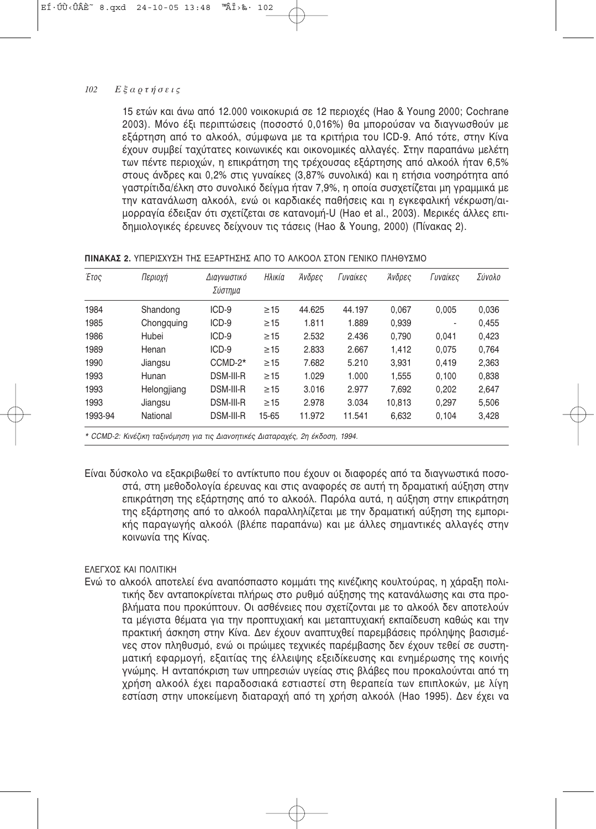15 ετών και άνω από 12.000 νοικοκυριά σε 12 περιοχές (Hao & Young 2000; Cochrane 2003). Μόνο έξι περιπτώσεις (ποσοστό 0,016%) θα μπορούσαν να διαγνωσθούν με εξάρτηση από το αλκοόλ, σύμφωνα με τα κριτήρια του ICD-9. Από τότε, στην Κίνα έχουν συμβεί ταχύτατες κοινωνικές και οικονομικές αλλαγές. Στην παραπάνω μελέτη των πέντε περιοχών, η επικράτηση της τρέχουσας εξάρτησης από αλκοόλ ήταν 6,5% στους άνδρες και 0,2% στις γυναίκες (3,87% συνολικά) και η ετήσια νοσηρότητα από γαστρίτιδα/έλκη στο συνολικό δείγμα ήταν 7,9%, η οποία συσχετίζεται μη γραμμικά με την κατανάλωση αλκοόλ, ενώ οι καρδιακές παθήσεις και η εγκεφαλική νέκρωση/αιμορραγία έδειξαν ότι σχετίζεται σε κατανομή-U (Hao et al., 2003). Μερικές άλλες επιδημιολογικές έρευνες δείχνουν τις τάσεις (Hao & Young, 2000) (Πίνακας 2).

| Έτος                                                                           | Περιοχή     | Διαγνωστικό<br>Σύστημα | Ηλικία    | Άνδρες | Γυναίκες | Άνδρες | Γυναίκες | Σύνολο |  |
|--------------------------------------------------------------------------------|-------------|------------------------|-----------|--------|----------|--------|----------|--------|--|
| 1984                                                                           | Shandong    | $ICD-9$                | $\geq$ 15 | 44.625 | 44.197   | 0.067  | 0.005    | 0,036  |  |
| 1985                                                                           | Chongquing  | ICD-9                  | $\geq$ 15 | 1.811  | 1.889    | 0,939  |          | 0,455  |  |
| 1986                                                                           | Hubei       | $ICD-9$                | $\geq$ 15 | 2.532  | 2.436    | 0.790  | 0.041    | 0,423  |  |
| 1989                                                                           | Henan       | $ICD-9$                | $\geq$ 15 | 2.833  | 2.667    | 1.412  | 0.075    | 0,764  |  |
| 1990                                                                           | Jiangsu     | $CCMD-2*$              | $\geq$ 15 | 7.682  | 5.210    | 3.931  | 0.419    | 2,363  |  |
| 1993                                                                           | Hunan       | DSM-III-R              | $\geq$ 15 | 1.029  | 1.000    | 1,555  | 0,100    | 0,838  |  |
| 1993                                                                           | Helongjiang | DSM-III-R              | $\geq$ 15 | 3.016  | 2.977    | 7.692  | 0,202    | 2,647  |  |
| 1993                                                                           | Jiangsu     | DSM-III-R              | $\geq$ 15 | 2.978  | 3.034    | 10.813 | 0,297    | 5,506  |  |
| 1993-94                                                                        | National    | <b>DSM-III-R</b>       | 15-65     | 11.972 | 11.541   | 6,632  | 0,104    | 3,428  |  |
| * CCMD-2: Κινέζικη ταξινόμηση για τις Διανοητικές Διαταραχές, 2η έκδοση, 1994. |             |                        |           |        |          |        |          |        |  |

**FINAKAY 2. YEEPIXYYH THY E=APTHYHY AFIO TO AAKOOA YTON FENIKO FIAHOYYMO** 

Είναι δύσκολο να εξακριβωθεί το αντίκτυπο που έχουν οι διαφορές από τα διαγνωστικά ποσοστά, στη μεθοδολογία έρευνας και στις αναφορές σε αυτή τη δραματική αύξηση στην επικράτηση της εξάρτησης από το αλκοόλ. Παρόλα αυτά, η αύξηση στην επικράτηση της εξάρτησης από το αλκοόλ παραλληλίζεται με την δραματική αύξηση της εμπορικής παραγωγής αλκοόλ (βλέπε παραπάνω) και με άλλες σημαντικές αλλαγές στην κοινωνία της Κίνας.

# ΕΛΕΓΧΟΣ ΚΑΙ ΠΟΛΙΤΙΚΗ

Ενώ το αλκοόλ αποτελεί ένα αναπόσπαστο κομμάτι της κινέζικης κουλτούρας, η χάραξη πολιτικής δεν ανταποκρίνεται πλήρως στο ρυθμό αύξησης της κατανάλωσης και στα προβλήματα που προκύπτουν. Οι ασθένειες που σχετίζονται με το αλκοόλ δεν αποτελούν τα μέγιστα θέματα για την προπτυχιακή και μεταπτυχιακή εκπαίδευση καθώς και την πρακτική άσκηση στην Κίνα. Δεν έχουν αναπτυχθεί παρεμβάσεις πρόληψης βασισμέ-Vες στον πληθυσμό, ενώ οι πρώιμες τεχνικές παρέμβασης δεν έχουν τεθεί σε συστηματική εφαρμογή, εξαιτίας της έλλειψης εξειδίκευσης και ενημέρωσης της κοινής γνώμης. Η ανταπόκριση των υπηρεσιών υγείας στις βλάβες που προκαλούνται από τη χρήση αλκοόλ έχει παραδοσιακά εστιαστεί στη θεραπεία των επιπλοκών, με λίγη εστίαση στην υποκείμενη διαταραχή από τη χρήση αλκοόλ (Hao 1995). Δεν έχει να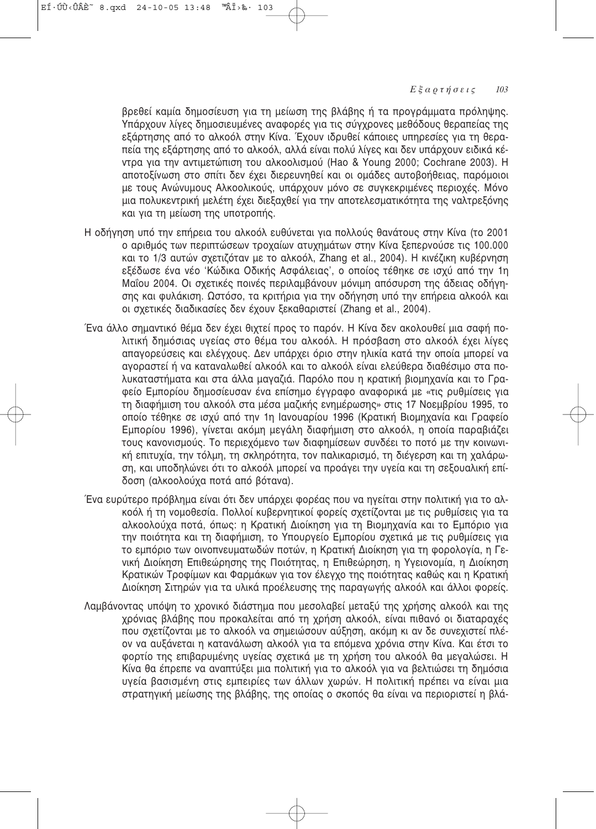EÍ·ÚÙ‹ÛÂȘ 8.qxd 24-10-05 13:48 ™ÂÏ›‰· 103

βρεθεί καμία δημοσίευση για τη μείωση της βλάβης ή τα προγράμματα πρόληψης. Υπάρχουν λίγες δημοσιευμένες αναφορές για τις σύγχρονες μεθόδους θεραπείας της εξάρτησης από το αλκοόλ στην Κίνα. Έχουν ιδρυθεί κάποιες υπηρεσίες για τη θεραπεία της εξάρτησης από το αλκοόλ, αλλά είναι πολύ λίγες και δεν υπάρχουν ειδικά κέντρα για την αντιμετώπιση του αλκοολισμού (Hao & Young 2000; Cochrane 2003). Η αποτοξίνωση στο σπίτι δεν έχει διερευνηθεί και οι ομάδες αυτοβοήθειας, παρόμοιοι με τους Ανώνυμους Αλκοολικούς, υπάρχουν μόνο σε συγκεκριμένες περιοχές. Μόνο μια πολυκεντρική μελέτη έχει διεξαχθεί για την αποτελεσματικότητα της ναλτρεξόνης και για τη μείωση της υποτροπής.

- Η οδήγηση υπό την επήρεια του αλκοόλ ευθύνεται για πολλούς θανάτους στην Κίνα (το 2001 ο αριθμός των περιπτώσεων τροχαίων ατυχημάτων στην Κίνα ξεπερνούσε τις 100.000 Kαι το 1/3 αυτών σχετιζόταν με το αλκοόλ, Zhang et al., 2004). Η κινέζικη κυβέρνηση εξέδωσε ένα νέο 'Κώδικα Οδικής Ασφάλειας', ο οποίος τέθηκε σε ισχύ από την 1η Μαΐου 2004. Οι σχετικές ποινές περιλαμβάνουν μόνιμη απόσυρση της άδειας οδήγησης και φυλάκιση. Ωστόσο, τα κριτήρια για την οδήγηση υπό την επήρεια αλκοόλ και οι σχετικές διαδικασίες δεν έχουν ξεκαθαριστεί (Zhang et al., 2004).
- Ένα άλλο σημαντικό θέμα δεν έχει θιχτεί προς το παρόν. Η Κίνα δεν ακολουθεί μια σαφή πολιτική δημόσιας υγείας στο θέμα του αλκοόλ. Η πρόσβαση στο αλκοόλ έχει λίγες απαγορεύσεις και ελέγχους. Δεν υπάρχει όριο στην ηλικία κατά την οποία μπορεί να αγοραστεί ή να καταναλωθεί αλκοόλ και το αλκοόλ είναι ελεύθερα διαθέσιμο στα πολυκαταστήματα και στα άλλα μαγαζιά. Παρόλο που η κρατική βιομηχανία και το Γρα-Φείο Εμπορίου δημοσίευσαν ένα επίσημο έγγραφο αναφορικά με «τις ρυθμίσεις για τη διαφήμιση του αλκοόλ στα μέσα μαζικής ενημέρωσης» στις 17 Νοεμβρίου 1995, το οποίο τέθηκε σε ισχύ από την 1η Ιανουαρίου 1996 (Κρατική Βιομηχανία και Γραφείο Εμπορίου 1996), γίνεται ακόμη μεγάλη διαφήμιση στο αλκοόλ, η οποία παραβιάζει τους κανονισμούς. Το περιεχόμενο των διαφημίσεων συνδέει το ποτό με την κοινωνική επιτυχία, την τόλμη, τη σκληρότητα, τον παλικαρισμό, τη διέγερση και τη χαλάρωση, και υποδηλώνει ότι το αλκοόλ μπορεί να προάγει την υγεία και τη σεξουαλική επίδοση (αλκοολούχα ποτά από βότανα).
- Ένα ευρύτερο πρόβλημα είναι ότι δεν υπάρχει φορέας που να ηγείται στην πολιτική για το αλκοόλ ή τη νομοθεσία. Πολλοί κυβερνητικοί φορείς σχετίζονται με τις ρυθμίσεις για τα αλκοολούχα ποτά, όπως: η Κρατική Διοίκηση για τη Βιομηχανία και το Εμπόριο για την ποιότητα και τη διαφήμιση, το Υπουργείο Εμπορίου σχετικά με τις ρυθμίσεις για το εμπόριο των οινοπνευματωδών ποτών, η Κρατική Διοίκηση για τη φορολογία, η Γενική Διοίκηση Επιθεώρησης της Ποιότητας, η Επιθεώρηση, η Υγειονομία, η Διοίκηση Κρατικών Τροφίμων και Φαρμάκων για τον έλεγχο της ποιότητας καθώς και η Κρατική Διοίκηση Σιτηρών για τα υλικά προέλευσης της παραγωγής αλκοόλ και άλλοι φορείς.
- Λαμβάνοντας υπόψη το χρονικό διάστημα που μεσολαβεί μεταξύ της χρήσης αλκοόλ και της χρόνιας βλάβης που προκαλείται από τη χρήση αλκοόλ, είναι πιθανό οι διαταραχές που σχετίζονται με το αλκοόλ να σημειώσουν αύξηση, ακόμη κι αν δε συνεχιστεί πλέον να αυξάνεται η κατανάλωση αλκοόλ για τα επόμενα χρόνια στην Κίνα. Και έτσι το φορτίο της επιβαρυμένης υγείας σχετικά με τη χρήση του αλκοόλ θα μεγαλώσει. Η Κίνα θα έπρεπε να αναπτύξει μια πολιτική για το αλκοόλ για να βελτιώσει τη δημόσια υγεία βασισμένη στις εμπειρίες των άλλων χωρών. Η πολιτική πρέπει να είναι μια στρατηγική μείωσης της βλάβης, της οποίας ο σκοπός θα είναι να περιοριστεί η βλά-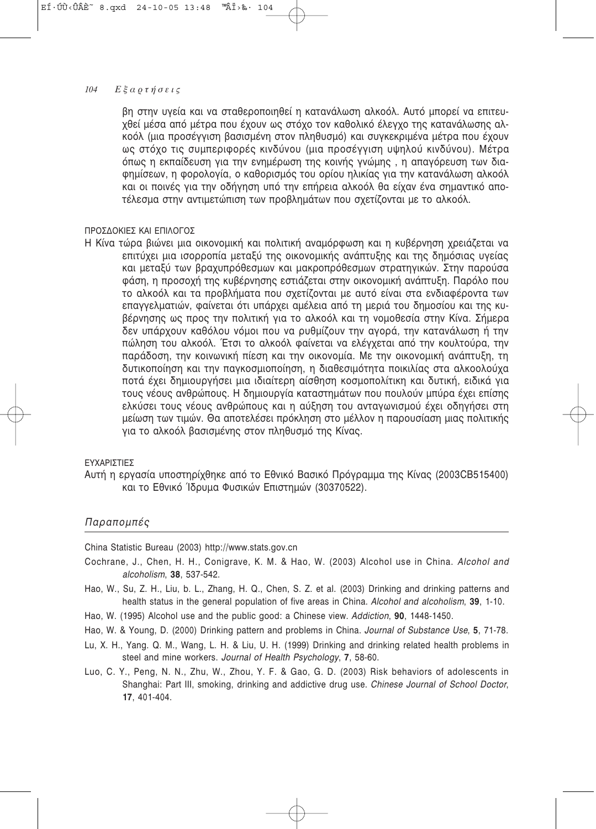βη στην υγεία και να σταθεροποιηθεί η κατανάλωση αλκοόλ. Αυτό μπορεί να επιτευχθεί μέσα από μέτρα που έχουν ως στόχο τον καθολικό έλεγχο της κατανάλωσης αλκοόλ (μια προσέγγιση βασισμένη στον πληθυσμό) και συγκεκριμένα μέτρα που έχουν ως στόχο τις συμπεριφορές κινδύνου (μια προσέγγιση υψηλού κινδύνου). Μέτρα όπως η εκπαίδευση για την ενημέρωση της κοινής γνώμης, η απαγόρευση των διαφημίσεων, η φορολογία, ο καθορισμός του ορίου ηλικίας για την κατανάλωση αλκοόλ και οι ποινές για την οδήγηση υπό την επήρεια αλκοόλ θα είχαν ένα σημαντικό αποτέλεσμα στην αντιμετώπιση των προβλημάτων που σχετίζονται με το αλκοόλ.

# ΠΡΟΣΛΟΚΙΕΣ ΚΑΙ ΕΠΙΛΟΓΟΣ

Η Κίνα τώρα βιώνει μια οικονομική και πολιτική αναμόρφωση και η κυβέρνηση χρειάζεται να επιτύχει μια ισορροπία μεταξύ της οικονομικής ανάπτυξης και της δημόσιας υγείας και μεταξύ των βραχυπρόθεσμων και μακροπρόθεσμων στρατηγικών. Στην παρούσα φάση, η προσοχή της κυβέρνησης εστιάζεται στην οικονομική ανάπτυξη. Παρόλο που το αλκοόλ και τα προβλήματα που σχετίζονται με αυτό είναι στα ενδιαφέροντα των επαγγελματιών, φαίνεται ότι υπάρχει αμέλεια από τη μεριά του δημοσίου και της κυβέρνησης ως προς την πολιτική για το αλκοόλ και τη νομοθεσία στην Κίνα. Σήμερα δεν υπάρχουν καθόλου νόμοι που να ρυθμίζουν την αγορά, την κατανάλωση ή την πώληση του αλκοόλ. Έτσι το αλκοόλ φαίνεται να ελέγχεται από την κουλτούρα, την παράδοση, την κοινωνική πίεση και την οικονομία. Με την οικονομική ανάπτυξη, τη δυτικοποίηση και την παγκοσμιοποίηση, η διαθεσιμότητα ποικιλίας στα αλκοολούχα ποτά έχει δημιουργήσει μια ιδιαίτερη αίσθηση κοσμοπολίτικη και δυτική, ειδικά για τους νέους ανθρώπους. Η δημιουργία καταστημάτων που πουλούν μπύρα έχει επίσης ελκύσει τους νέους ανθρώπους και η αύξηση του ανταγωνισμού έχει οδηγήσει στη μείωση των τιμών. Θα αποτελέσει πρόκληση στο μέλλον η παρουσίαση μιας πολιτικής για το αλκοόλ βασισμένης στον πληθυσμό της Κίνας.

### ΕΥΧΑΡΙΣΤΙΕΣ

Αυτή η εργασία υποστηρίχθηκε από το Εθνικό Βασικό Πρόγραμμα της Κίνας (2003CB515400) και το Εθνικό Ίδρυμα Φυσικών Επιστημών (30370522).

### Παραπομπές

China Statistic Bureau (2003) http://www.stats.gov.cn

- Cochrane, J., Chen, H. H., Conigrave, K. M. & Hao, W. (2003) Alcohol use in China. Alcohol and alcoholism. 38, 537-542.
- Hao, W., Su, Z. H., Liu, b. L., Zhang, H. Q., Chen, S. Z. et al. (2003) Drinking and drinking patterns and health status in the general population of five areas in China. Alcohol and alcoholism, 39, 1-10.
- Hao, W. (1995) Alcohol use and the public good: a Chinese view. Addiction, 90, 1448-1450.
- Hao, W. & Young, D. (2000) Drinking pattern and problems in China. Journal of Substance Use, 5, 71-78.
- Lu, X. H., Yang. Q. M., Wang, L. H. & Liu, U. H. (1999) Drinking and drinking related health problems in steel and mine workers. Journal of Health Psychology, 7, 58-60.
- Luo, C. Y., Peng, N. N., Zhu, W., Zhou, Y. F. & Gao, G. D. (2003) Risk behaviors of adolescents in Shanghai: Part III, smoking, drinking and addictive drug use. Chinese Journal of School Doctor, 17.401-404.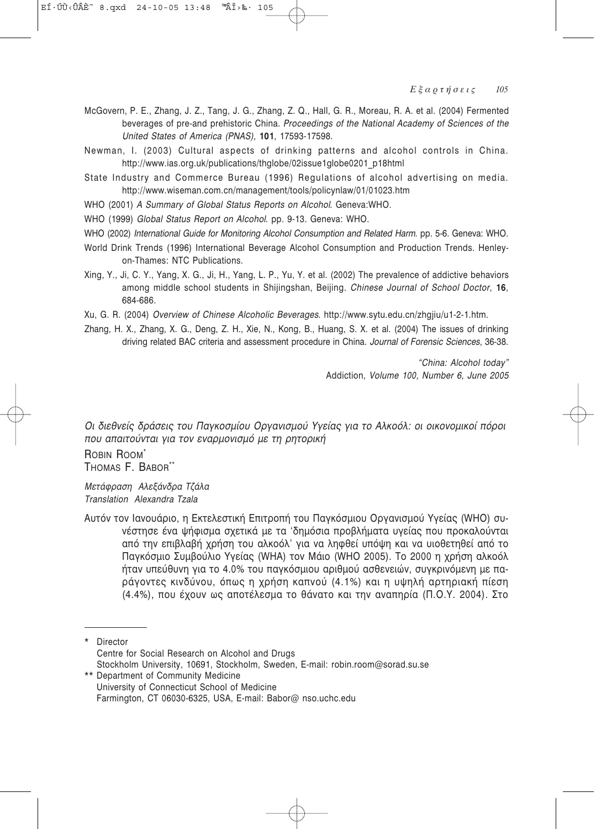EÍ∙ÚÙ<ÛÂÈ~ 8.qxd  $24 - 10 - 05$  13:48 <sup>™</sup>ÂÏ>‰· 105

> McGovern, P. E., Zhang, J. Z., Tang, J. G., Zhang, Z. Q., Hall, G. R., Moreau, R. A. et al. (2004) Fermented beverages of pre-and prehistoric China. Proceedings of the National Academy of Sciences of the United States of America (PNAS), 101, 17593-17598.

- Newman, I. (2003) Cultural aspects of drinking patterns and alcohol controls in China. http://www.ias.org.uk/publications/thglobe/02issue1globe0201\_p18html
- State Industry and Commerce Bureau (1996) Regulations of alcohol advertising on media. http://www.wiseman.com.cn/management/tools/policynlaw/01/01023.htm
- WHO (2001) A Summary of Global Status Reports on Alcohol, Geneva: WHO,
- WHO (1999) Global Status Report on Alcohol. pp. 9-13. Geneva: WHO.
- WHO (2002) International Guide for Monitoring Alcohol Consumption and Related Harm. pp. 5-6. Geneva: WHO.
- World Drink Trends (1996) International Beverage Alcohol Consumption and Production Trends. Henleyon-Thames: NTC Publications.
- Xing, Y., Ji, C. Y., Yang, X. G., Ji, H., Yang, L. P., Yu, Y. et al. (2002) The prevalence of addictive behaviors among middle school students in Shijingshan, Beijing. Chinese Journal of School Doctor, 16, 684-686.
- Xu, G. R. (2004) Overview of Chinese Alcoholic Beverages. http://www.sytu.edu.cn/zhgjiu/u1-2-1.htm.
- Zhang, H. X., Zhang, X. G., Deng, Z. H., Xie, N., Kong, B., Huang, S. X. et al. (2004) The issues of drinking driving related BAC criteria and assessment procedure in China. Journal of Forensic Sciences, 36-38.

"China: Alcohol today" Addiction, Volume 100, Number 6, June 2005

Οι διεθνείς δράσεις του Παγκοσμίου Οργανισμού Υγείας για το Αλκοόλ: οι οικονομικοί πόροι που απαιτούνται για τον εναρμονισμό με τη ρητορική

ROBIN ROOM\* THOMAS F. BABOR\*\*

Μετάφραση Αλεξάνδρα Τζάλα Translation Alexandra Tzala

Αυτόν τον Ιανουάριο, η Εκτελεστική Επιτροπή του Παγκόσμιου Οργανισμού Υγείας (WHO) συνέστησε ένα ψήφισμα σχετικά με τα 'δημόσια προβλήματα υγείας που προκαλούνται από την επιβλαβή χρήση του αλκοόλ' για να ληφθεί υπόψη και να υιοθετηθεί από το Παγκόσμιο Συμβούλιο Υγείας (WHA) τον Μάιο (WHO 2005). Το 2000 η χρήση αλκοόλ ήταν υπεύθυνη για το 4.0% του παγκόσμιου αριθμού ασθενειών, συγκρινόμενη με παράγοντες κινδύνου, όπως η χρήση καπνού (4.1%) και η υψηλή αρτηριακή πίεση (4.4%), που έχουν ως αποτέλεσμα το θάνατο και την αναπηρία (Π.Ο.Υ. 2004). Στο

\*\* Department of Community Medicine University of Connecticut School of Medicine Farmington, CT 06030-6325, USA, E-mail: Babor@ nso.uchc.edu

Director Centre for Social Research on Alcohol and Drugs Stockholm University, 10691, Stockholm, Sweden, E-mail: robin.room@sorad.su.se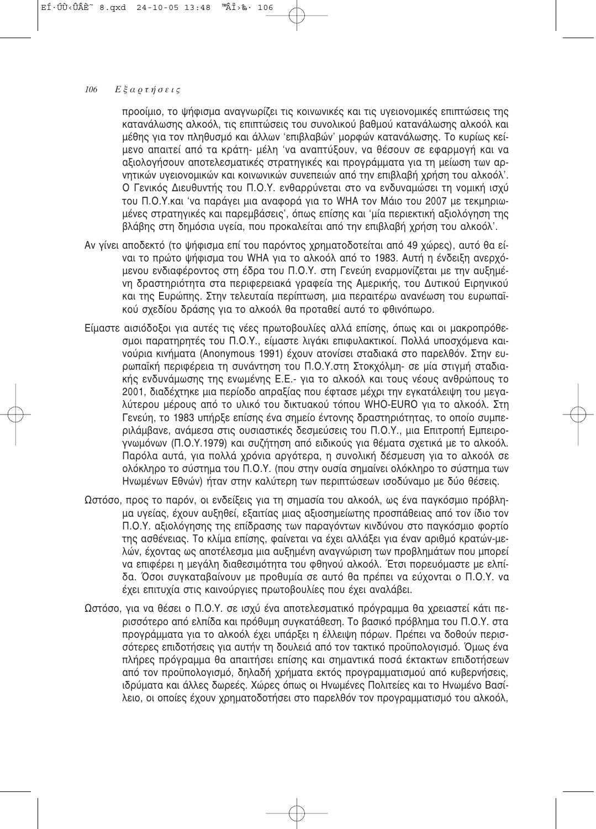προοίμιο, το ψήφισμα αναγνωρίζει τις κοινωνικές και τις υγειονομικές επιπτώσεις της κατανάλωσης αλκοόλ, τις επιπτώσεις του συνολικού βαθμού κατανάλωσης αλκοόλ και μέθης για τον πληθυσμό και άλλων 'επιβλαβών' μορφών κατανάλωσης. Το κυρίως κείμενο απαιτεί από τα κράτη- μέλη 'να αναπτύξουν, να θέσουν σε εφαρμογή και να αξιολογήσουν αποτελεσματικές στρατηγικές και προγράμματα για τη μείωση των αρνητικών υγειονομικών και κοινωνικών συνεπειών από την επιβλαβή χρήση του αλκοόλ'. Ο Γενικός Διευθυντής του Π.Ο.Υ. ενθαρρύνεται στο να ενδυναμώσει τη νομική ισχύ του Π.Ο.Υ.και 'να παράγει μια αναφορά για το WHA τον Μάιο του 2007 με τεκμηριωμένες στρατηγικές και παρεμβάσεις', όπως επίσης και 'μία περιεκτική αξιολόγηση της βλάβης στη δημόσια υγεία, που προκαλείται από την επιβλαβή χρήση του αλκοόλ'.

- Αν γίνει αποδεκτό (το ψήφισμα επί του παρόντος χρηματοδοτείται από 49 χώρες), αυτό θα είναι το πρώτο ψήφισμα του WHA για το αλκοόλ από το 1983. Αυτή η ένδειξη ανερχόμενου ενδιαφέροντος στη έδρα του Π.Ο.Υ. στη Γενεύη εναρμονίζεται με την αυξημένη δραστηριότητα στα περιφερειακά γραφεία της Αμερικής, του Δυτικού Ειρηνικού και της Ευρώπης. Στην τελευταία περίπτωση, μια περαιτέρω ανανέωση του ευρωπαϊκού σχεδίου δράσης για το αλκοόλ θα προταθεί αυτό το φθινόπωρο.
- Είμαστε αισιόδοξοι για αυτές τις νέες πρωτοβουλίες αλλά επίσης, όπως και οι μακροπρόθεσμοι παρατηρητές του Π.Ο.Υ., είμαστε λιγάκι επιφυλακτικοί. Πολλά υποσχόμενα καινούρια κινήματα (Anonymous 1991) έχουν ατονίσει σταδιακά στο παρελθόν. Στην ευρωπαϊκή περιφέρεια τη συνάντηση του Π.Ο.Υ.στη Στοκχόλμη- σε μία στιγμή σταδιακής ενδυνάμωσης της ενωμένης Ε.Ε.- για το αλκοόλ και τους νέους ανθρώπους το 2001, διαδέχτηκε μια περίοδο απραξίας που έφτασε μέχρι την εγκατάλειψη του μεγαλύτερου μέρους από το υλικό του δικτυακού τόπου WHO-EURO για το αλκοόλ. Στη Γενεύη, το 1983 υπήρξε επίσης ένα σημείο έντονης δραστηριότητας, το οποίο συμπεριλάμβανε, ανάμεσα στις ουσιαστικές δεσμεύσεις του Π.Ο.Υ., μια Επιτροπή Εμπειρογνωμόνων (Π.Ο.Υ.1979) και συζήτηση από ειδικούς για θέματα σχετικά με το αλκοόλ. Παρόλα αυτά, για πολλά χρόνια αργότερα, η συνολική δέσμευση για το αλκοόλ σε ολόκληρο το σύστημα του Π.Ο.Υ. (που στην ουσία σημαίνει ολόκληρο το σύστημα των Ηνωμένων Εθνών) ήταν στην καλύτερη των περιπτώσεων ισοδύναμο με δύο θέσεις.
- Ωστόσο, προς το παρόν, οι ενδείξεις για τη σημασία του αλκοόλ, ως ένα παγκόσμιο πρόβλημα υγείας, έχουν αυξηθεί, εξαιτίας μιας αξιοσημείωτης προσπάθειας από τον ίδιο τον Π.Ο.Υ. αξιολόγησης της επίδρασης των παραγόντων κινδύνου στο παγκόσμιο φορτίο της ασθένειας. Το κλίμα επίσης, φαίνεται να έχει αλλάξει για έναν αριθμό κρατών-μελών, έχοντας ως αποτέλεσμα μια αυξημένη αναγνώριση των προβλημάτων που μπορεί να επιφέρει η μεγάλη διαθεσιμότητα του φθηνού αλκοόλ. Έτσι πορευόμαστε με ελπίδα. Όσοι συγκαταβαίνουν με προθυμία σε αυτό θα πρέπει να εύχονται ο Π.Ο.Υ. να έχει επιτυχία στις καινούργιες πρωτοβουλίες που έχει αναλάβει.
- Ωστόσο, για να θέσει ο Π.Ο.Υ. σε ισχύ ένα αποτελεσματικό πρόγραμμα θα χρειαστεί κάτι περισσότερο από ελπίδα και πρόθυμη συγκατάθεση. Το βασικό πρόβλημα του Π.Ο.Υ. στα προγράμματα για το αλκοόλ έχει υπάρξει η έλλειψη πόρων. Πρέπει να δοθούν περισσότερες επιδοτήσεις για αυτήν τη δουλειά από τον τακτικό προϋπολογισμό. Όμως ένα πλήρες πρόγραμμα θα απαιτήσει επίσης και σημαντικά ποσά έκτακτων επιδοτήσεων από τον προϋπολογισμό, δηλαδή χρήματα εκτός προγραμματισμού από κυβερνήσεις, ιδρύματα και άλλες δωρεές. Χώρες όπως οι Ηνωμένες Πολιτείες και το Ηνωμένο Βασίλειο, οι οποίες έχουν χρηματοδοτήσει στο παρελθόν τον προγραμματισμό του αλκοόλ,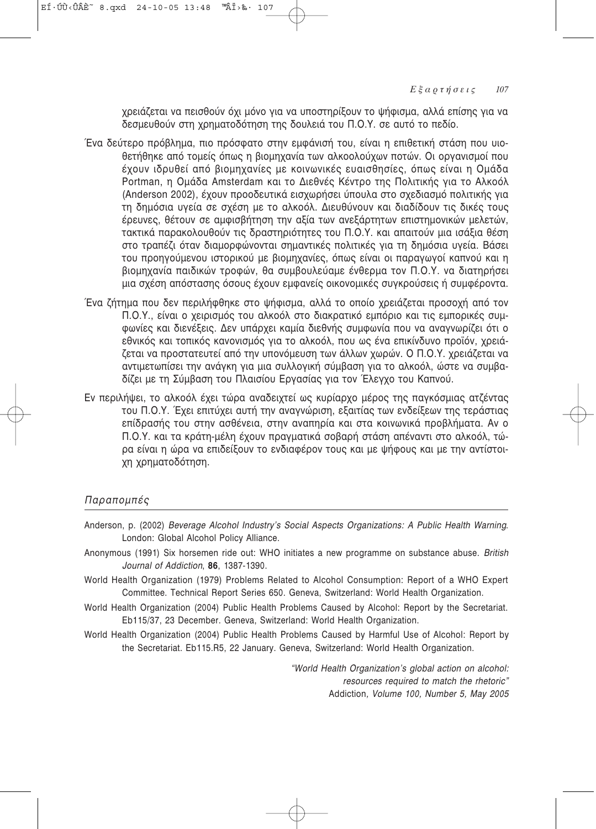χρειάζεται να πεισθούν όχι μόνο για να υποστηρίξουν το ψήφισμα, αλλά επίσης για να δεσμευθούν στη χρηματοδότηση της δουλειά του Π.Ο.Υ. σε αυτό το πεδίο.

- Ένα δεύτερο πρόβλημα, πιο πρόσφατο στην εμφάνισή του, είναι η επιθετική στάση που υιοθετήθηκε από τομείς όπως η βιομηχανία των αλκοολούχων ποτών. Οι οργανισμοί που έχουν ιδρυθεί από βιομηχανίες με κοινωνικές ευαισθησίες, όπως είναι η Ομάδα Portman, η Ομάδα Amsterdam και το Διεθνές Κέντρο της Πολιτικής για το Αλκοόλ (Anderson 2002), έχουν προοδευτικά εισχωρήσει ύπουλα στο σχεδιασμό πολιτικής για τη δημόσια υγεία σε σχέση με το αλκοόλ. Διευθύνουν και διαδίδουν τις δικές τους έρευνες, θέτουν σε αμφισβήτηση την αξία των ανεξάρτητων επιστημονικών μελετών, τακτικά παρακολουθούν τις δραστηριότητες του Π.Ο.Υ. και απαιτούν μια ισάξια θέση στο τραπέζι όταν διαμορφώνονται σημαντικές πολιτικές για τη δημόσια υγεία. Βάσει του προηγούμενου ιστορικού με βιομηχανίες, όπως είναι οι παραγωγοί καπνού και η βιομηχανία παιδικών τροφών, θα συμβουλεύαμε ένθερμα τον Π.Ο.Υ. να διατηρήσει μια σχέση απόστασης όσους έχουν εμφανείς οικονομικές συγκρούσεις ή συμφέροντα.
- Ένα ζήτημα που δεν περιλήφθηκε στο ψήφισμα, αλλά το οποίο χρειάζεται προσοχή από τον Π.Ο.Υ., είναι ο χειρισμός του αλκοόλ στο διακρατικό εμπόριο και τις εμπορικές συμφωνίες και διενέξεις. Δεν υπάρχει καμία διεθνής συμφωνία που να αναγνωρίζει ότι ο εθνικός και τοπικός κανονισμός για το αλκοόλ, που ως ένα επικίνδυνο προϊόν, χρειάζεται να προστατευτεί από την υπονόμευση των άλλων χωρών. Ο Π.Ο.Υ. χρειάζεται να αντιμετωπίσει την ανάγκη για μια συλλογική σύμβαση για το αλκοόλ, ώστε να συμβαδίζει με τη Σύμβαση του Πλαισίου Εργασίας για τον Έλεγχο του Καπνού.
- Εν περιλήψει, το αλκοόλ έχει τώρα αναδειχτεί ως κυρίαρχο μέρος της παγκόσμιας ατζέντας του Π.Ο.Υ. Έχει επιτύχει αυτή την αναγνώριση, εξαιτίας των ενδείξεων της τεράστιας επίδρασής του στην ασθένεια, στην αναπηρία και στα κοινωνικά προβλήματα. Αν ο Π.Ο.Υ. και τα κράτη-μέλη έχουν πραγματικά σοβαρή στάση απέναντι στο αλκοόλ, τώρα είναι η ώρα να επιδείξουν το ενδιαφέρον τους και με ψήφους και με την αντίστοιχη χρηματοδότηση.

### *Παραπομπές*

- Anderson, p. (2002) *Beverage Alcohol Industry's Social Aspects Organizations: A Public Health Warning*. London: Global Alcohol Policy Alliance.
- Anonymous (1991) Six horsemen ride out: WHO initiates a new programme on substance abuse. *British Journal of Addiction*, **86**, 1387-1390.
- World Health Organization (1979) Problems Related to Alcohol Consumption: Report of a WHO Expert Committee. Technical Report Series 650. Geneva, Switzerland: World Health Organization.
- World Health Organization (2004) Public Health Problems Caused by Alcohol: Report by the Secretariat. Eb115/37, 23 December. Geneva, Switzerland: World Health Organization.
- World Health Organization (2004) Public Health Problems Caused by Harmful Use of Alcohol: Report by the Secretariat. Eb115.R5, 22 January. Geneva, Switzerland: World Health Organization.

*"World Health Organization's global action on alcohol: resources required to match the rhetoric"* Addiction*, Volume 100, Number 5, May 2005*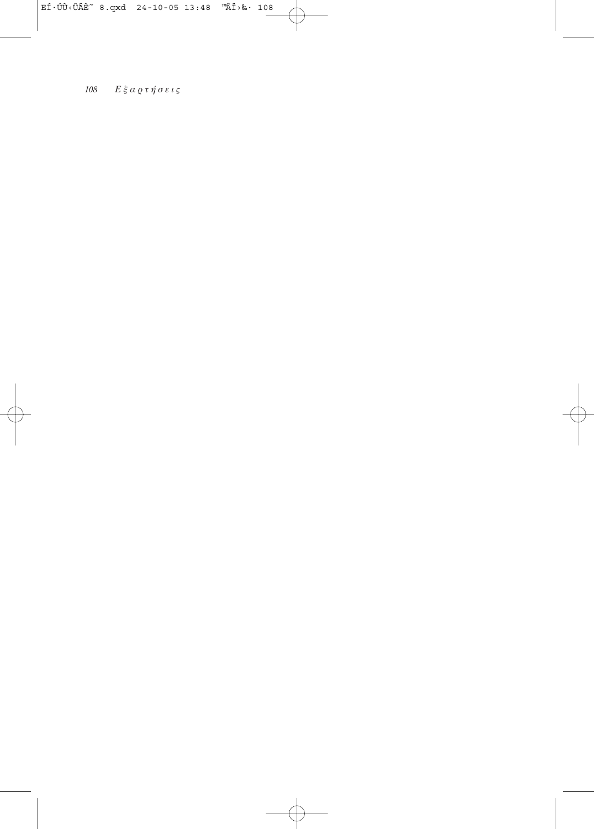$E$ ξαρτήσεις  $108\,$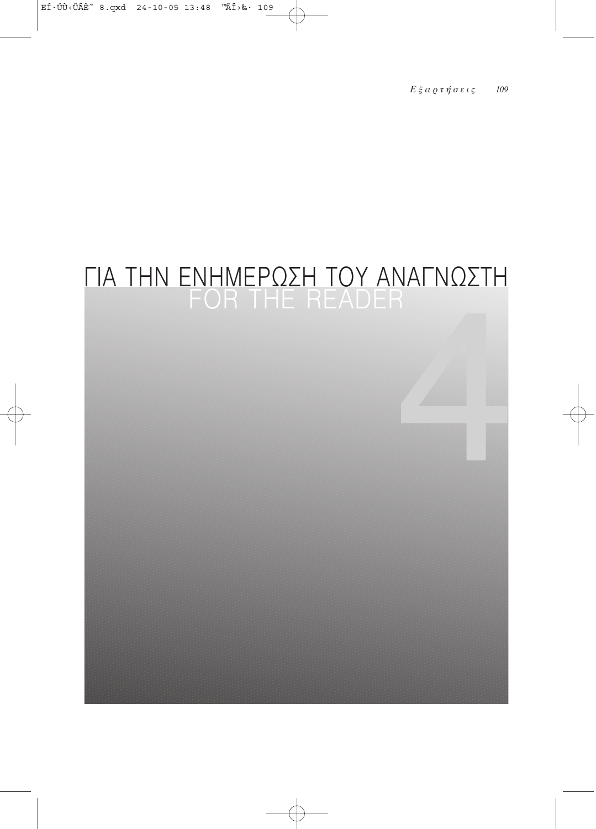$E \xi a \varrho \tau \eta \sigma \varepsilon \iota$ ς 109

# ΓΙΑ ΤΗΝ ΕΝΗΜΕΡΩΣΗ ΤΟΥ ΑΝΑΓΝΩΣΤΗ FOR THE READER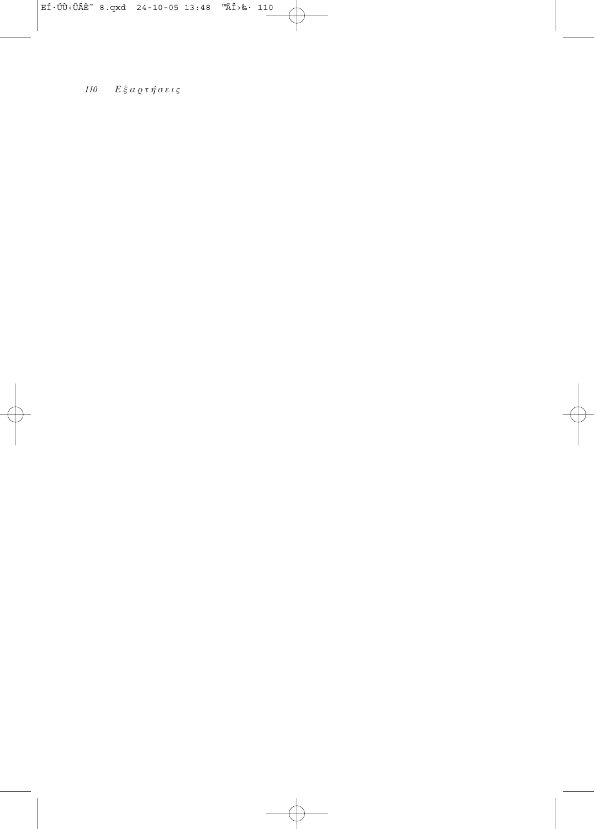$E$  ξ α  $\varrho$  τ ή σ ε ι ς 110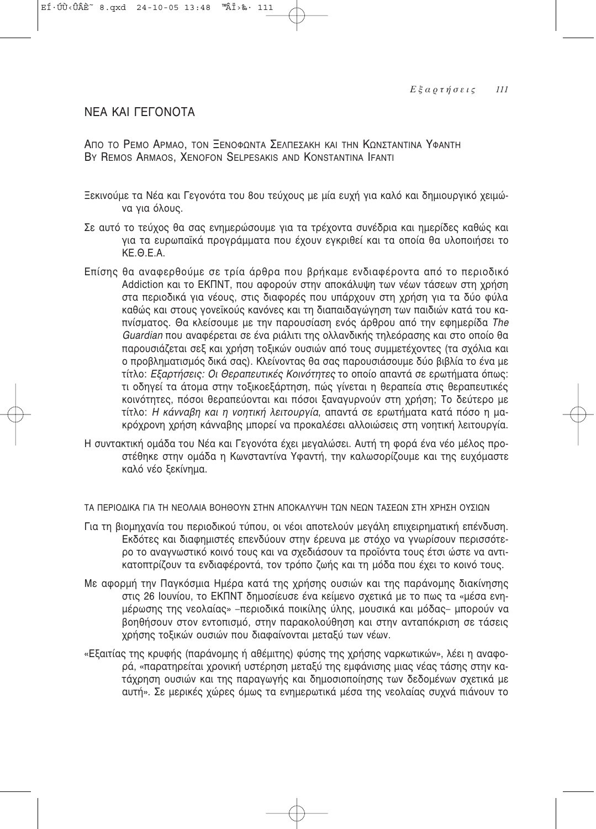### NFA KAI FFFONOTA

ΑΠΟ ΤΟ ΡΕΜΟ ΑΡΜΑΟ, ΤΟΝ ΞΕΝΟΦΩΝΤΑ ΣΕΛΠΕΣΑΚΗ ΚΑΙ ΤΗΝ ΚΩΝΣΤΑΝΤΙΝΑ ΥΦΑΝΤΗ BY REMOS ARMAOS, XENOFON SELPESAKIS AND KONSTANTINA IFANTI

- Ξεκινούμε τα Νέα και Γεγονότα του 8ου τεύχους με μία ευχή για καλό και δημιουργικό χειμώνα για όλους.
- Σε αυτό το τεύχος θα σας ενημερώσουμε για τα τρέχοντα συνέδρια και ημερίδες καθώς και για τα ευρωπαϊκά προγράμματα που έχουν εγκριθεί και τα οποία θα υλοποιήσει το  $KE. \Theta.E.A.$
- Επίσης θα αναφερθούμε σε τρία άρθρα που βρήκαμε ενδιαφέροντα από το περιοδικό Addiction και το ΕΚΠΝΤ, που αφορούν στην αποκάλυψη των νέων τάσεων στη χρήση στα περιοδικά για νέους, στις διαφορές που υπάρχουν στη χρήση για τα δύο φύλα καθώς και στους γονεϊκούς κανόνες και τη διαπαιδαγώγηση των παιδιών κατά του καπνίσματος. Θα κλείσουμε με την παρουσίαση ενός άρθρου από την εφημερίδα The Guardian που αναφέρεται σε ένα ριάλιτι της ολλανδικής τηλεόρασης και στο οποίο θα παρουσιάζεται σεξ και χρήση τοξικών ουσιών από τους συμμετέχοντες (τα σχόλια και ο προβληματισμός δικά σας). Κλείνοντας θα σας παρουσιάσουμε δύο βιβλία το ένα με τίτλο: Εξαρτήσεις: Οι Θεραπευτικές Κοινότητες το οποίο απαντά σε ερωτήματα όπως: τι οδηνεί τα άτομα στην τοξικοεξάρτηση, πώς γίνεται η θεραπεία στις θεραπευτικές κοινότητες, πόσοι θεραπεύονται και πόσοι ξαναγυρνούν στη χρήση; Το δεύτερο με τίτλο: Η κάνναβη και η νοητική λειτουργία, απαντά σε ερωτήματα κατά πόσο η μακρόχρονη χρήση κάνναβης μπορεί να προκαλέσει αλλοιώσεις στη νοητική λειτουργία.
- Η συντακτική ομάδα του Νέα και Γεγονότα έχει μεγαλώσει. Αυτή τη φορά ένα νέο μέλος προστέθηκε στην ομάδα η Κωνσταντίνα Υφαντή, την καλωσορίζουμε και της ευχόμαστε καλό νέο ξεκίνημα.

ΤΑ ΠΕΡΙΟΔΙΚΑ ΓΙΑ ΤΗ ΝΕΟΛΑΙΑ ΒΟΗΘΟΥΝ ΣΤΗΝ ΑΠΟΚΑΛΥΨΗ ΤΩΝ ΝΕΩΝ ΤΑΣΕΩΝ ΣΤΗ ΧΡΗΣΗ ΟΥΣΙΩΝ

- Για τη βιομηχανία του περιοδικού τύπου, οι νέοι αποτελούν μεγάλη επιχειρηματική επένδυση. Εκδότες και διαφημιστές επενδύουν στην έρευνα με στόχο να γνωρίσουν περισσότερο το αναγνωστικό κοινό τους και να σχεδιάσουν τα προϊόντα τους έτσι ώστε να αντικατοπτρίζουν τα ενδιαφέροντά, τον τρόπο ζωής και τη μόδα που έχει το κοινό τους.
- Με αφορμή την Παγκόσμια Ημέρα κατά της χρήσης ουσιών και της παράνομης διακίνησης στις 26 Ιουνίου, το ΕΚΠΝΤ δημοσίευσε ένα κείμενο σχετικά με το πως τα «μέσα ενημέρωσης της νεολαίας» -περιοδικά ποικίλης ύλης, μουσικά και μόδας- μπορούν να βοηθήσουν στον εντοπισμό, στην παρακολούθηση και στην ανταπόκριση σε τάσεις χρήσης τοξικών ουσιών που διαφαίνονται μεταξύ των νέων.
- «Εξαιτίας της κρυφής (παράνομης ή αθέμιτης) φύσης της χρήσης ναρκωτικών», λέει η αναφορά, «παρατηρείται χρονική υστέρηση μεταξύ της εμφάνισης μιας νέας τάσης στην κατάχρηση ουσιών και της παραγωγής και δημοσιοποίησης των δεδομένων σχετικά με αυτή». Σε μερικές χώρες όμως τα ενημερωτικά μέσα της νεολαίας συχνά πιάνουν το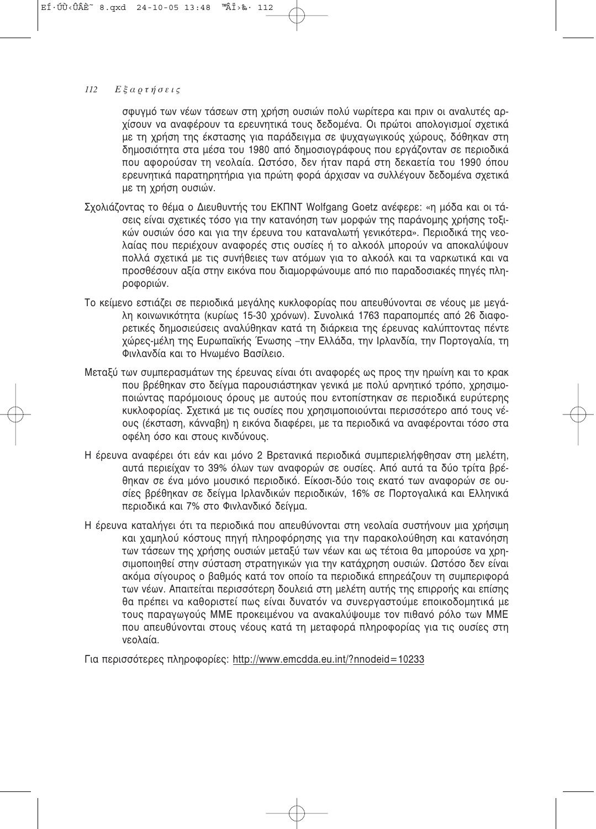σφυγμό των νέων τάσεων στη χρήση ουσιών πολύ νωρίτερα και πριν οι αναλυτές αρχίσουν να αναφέρουν τα ερευνητικά τους δεδομένα. Οι πρώτοι απολογισμοί σχετικά με τη χρήση της έκστασης για παράδειγμα σε ψυχαγωγικούς χώρους, δόθηκαν στη δημοσιότητα στα μέσα του 1980 από δημοσιογράφους που εργάζονταν σε περιοδικά που αφορούσαν τη νεολαία. Ωστόσο, δεν ήταν παρά στη δεκαετία του 1990 όπου ερευνητικά παρατηρητήρια για πρώτη φορά άρχισαν να συλλέγουν δεδομένα σχετικά με τη χρήση ουσιών.

- Σχολιάζοντας το θέμα ο Διευθυντής του ΕΚΠΝΤ Wolfgang Goetz ανέφερε: «η μόδα και οι τάσεις είναι σχετικές τόσο για την κατανόηση των μορφών της παράνομης χρήσης τοξικών ουσιών όσο και για την έρευνα του καταναλωτή γενικότερα». Περιοδικά της νεολαίας που περιέχουν αναφορές στις ουσίες ή το αλκοόλ μπορούν να αποκαλύψουν πολλά σχετικά με τις συνήθειες των ατόμων για το αλκοόλ και τα ναρκωτικά και να προσθέσουν αξία στην εικόνα που διαμορφώνουμε από πιο παραδοσιακές πηγές πληροφοριών.
- Το κείμενο εστιάζει σε περιοδικά μεγάλης κυκλοφορίας που απευθύνονται σε νέους με μεγάλη κοινωνικότητα (κυρίως 15-30 χρόνων). Συνολικά 1763 παραπομπές από 26 διαφορετικές δημοσιεύσεις αναλύθηκαν κατά τη διάρκεια της έρευνας καλύπτοντας πέντε χώρες-μέλη της Ευρωπαϊκής Ένωσης –την Ελλάδα, την Ιρλανδία, την Πορτογαλία, τη Φινλανδία και το Ηνωμένο Βασίλειο.
- Μεταξύ των συμπερασμάτων της έρευνας είναι ότι αναφορές ως προς την ηρωίνη και το κρακ που βρέθηκαν στο δείγμα παρουσιάστηκαν γενικά με πολύ αρνητικό τρόπο, χρησιμοποιώντας παρόμοιους όρους με αυτούς που εντοπίστηκαν σε περιοδικά ευρύτερης κυκλοφορίας. Σχετικά με τις ουσίες που χρησιμοποιούνται περισσότερο από τους νέους (έκσταση, κάνναβη) η εικόνα διαφέρει, με τα περιοδικά να αναφέρονται τόσο στα οφέλη όσο και στους κινδύνους.
- Η έρευνα αναφέρει ότι εάν και μόνο 2 Βρετανικά περιοδικά συμπεριελήφθησαν στη μελέτη. αυτά περιείχαν το 39% όλων των αναφορών σε ουσίες. Από αυτά τα δύο τρίτα βρέθηκαν σε ένα μόνο μουσικό περιοδικό. Είκοσι-δύο τοις εκατό των αναφορών σε ουσίες βρέθηκαν σε δείγμα Ιρλανδικών περιοδικών, 16% σε Πορτογαλικά και Ελληνικά περιοδικά και 7% στο Φινλανδικό δείγμα.
- Η έρευνα καταλήγει ότι τα περιοδικά που απευθύνονται στη νεολαία συστήνουν μια χρήσιμη και χαμηλού κόστους πηγή πληροφόρησης για την παρακολούθηση και κατανόηση των τάσεων της χρήσης ουσιών μεταξύ των νέων και ως τέτοια θα μπορούσε να χρησιμοποιηθεί στην σύσταση στρατηγικών για την κατάχρηση ουσιών. Ωστόσο δεν είναι ακόμα σίγουρος ο βαθμός κατά τον οποίο τα περιοδικά επηρεάζουν τη συμπεριφορά των νέων. Απαιτείται περισσότερη δουλειά στη μελέτη αυτής της επιρροής και επίσης θα πρέπει να καθοριστεί πως είναι δυνατόν να συνεργαστούμε εποικοδομητικά με τους παραγωγούς ΜΜΕ προκειμένου να ανακαλύψουμε τον πιθανό ρόλο των ΜΜΕ που απευθύνονται στους νέους κατά τη μεταφορά πληροφορίας για τις ουσίες στη νεολαία.

Για περισσότερες πληροφορίες: http://www.emcdda.eu.int/?nnodeid=10233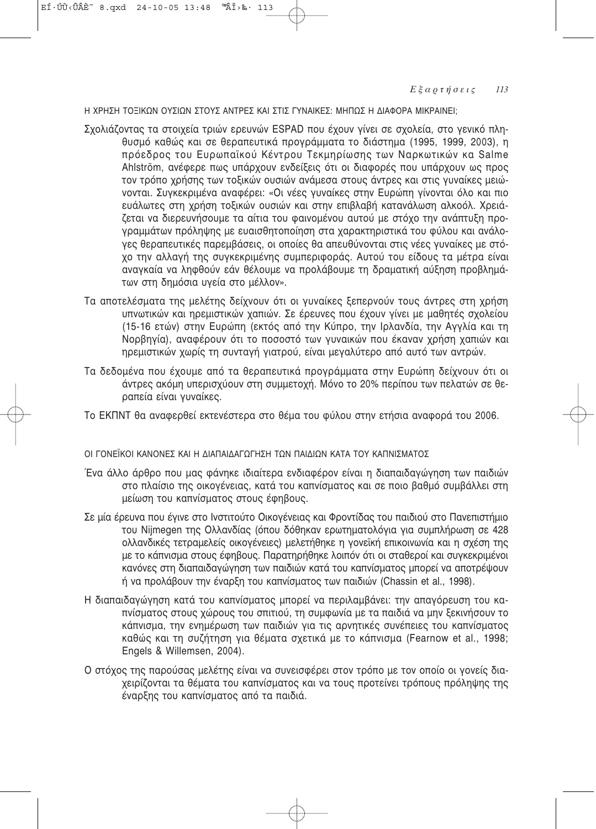Η ΧΡΗΣΗ ΤΟΞΙΚΩΝ ΟΥΣΙΩΝ ΣΤΟΥΣ ΑΝΤΡΕΣ ΚΑΙ ΣΤΙΣ ΓΥΝΑΙΚΕΣ: ΜΗΠΩΣ Η ΔΙΑΦΟΡΑ ΜΙΚΡΑΙΝΕΙ;

- Σχολιάζοντας τα στοιχεία τριών ερευνών ESPAD που έχουν γίνει σε σχολεία, στο γενικό πληθυσμό καθώς και σε θεραπευτικά προγράμματα το διάστημα (1995, 1999, 2003), η πρόεδρος του Ευρωπαϊκού Κέντρου Τεκμηρίωσης των Ναρκωτικών κα Salme Ahlström, ανέφερε πως υπάρχουν ενδείξεις ότι οι διαφορές που υπάρχουν ως προς τον τρόπο χρήσης των τοξικών ουσιών ανάμεσα στους άντρες και στις γυναίκες μειώνονται. Συγκεκριμένα αναφέρει: «Οι νέες γυναίκες στην Ευρώπη γίνονται όλο και πιο ευάλωτες στη χρήση τοξικών ουσιών και στην επιβλαβή κατανάλωση αλκοόλ. Χρειάζεται να διερευνήσουμε τα αίτια του φαινομένου αυτού με στόχο την ανάπτυξη προγραμμάτων πρόληψης με ευαισθητοποίηση στα χαρακτηριστικά του φύλου και ανάλογες θεραπευτικές παρεμβάσεις, οι οποίες θα απευθύνονται στις νέες γυναίκες με στόχο την αλλανή της συνκεκριμένης συμπεριφοράς. Αυτού του είδους τα μέτρα είναι αναγκαία να ληφθούν εάν θέλουμε να προλάβουμε τη δραματική αύξηση προβλημάτων στη δημόσια υγεία στο μέλλον».
- Τα αποτελέσματα της μελέτης δείχνουν ότι οι γυναίκες ξεπερνούν τους άντρες στη χρήση υπνωτικών και ηρεμιστικών χαπιών. Σε έρευνες που έχουν γίνει με μαθητές σχολείου (15-16 ετών) στην Ευρώπη (εκτός από την Κύπρο, την Ιρλανδία, την Αγγλία και τη Nορβηγία), αναφέρουν ότι το ποσοστό των γυναικών που έκαναν χρήση χαπιών και ηρεμιστικών χωρίς τη συνταγή γιατρού, είναι μεγαλύτερο από αυτό των αντρών.
- Τα δεδομένα που έχουμε από τα θεραπευτικά προγράμματα στην Ευρώπη δείχνουν ότι οι άντρες ακόμη υπερισχύουν στη συμμετοχή. Μόνο το 20% περίπου των πελατών σε θεραπεία είναι γυναίκες.
- Το ΕΚΠΝΤ θα αναφερθεί εκτενέστερα στο θέμα του φύλου στην ετήσια αναφορά του 2006.

ΟΙ ΓΟΝΕΪΚΟΙ ΚΑΝΟΝΕΣ ΚΑΙ Η ΔΙΑΠΑΙΔΑΓΩΓΗΣΗ ΤΩΝ ΠΑΙΔΙΩΝ ΚΑΤΑ ΤΟΥ ΚΑΠΝΙΣΜΑΤΟΣ

- Ένα άλλο άρθρο που μας φάνηκε ιδιαίτερα ενδιαφέρον είναι η διαπαιδαγώγηση των παιδιών στο πλαίσιο της οικογένειας, κατά του καπνίσματος και σε ποιο βαθμό συμβάλλει στη μείωση του καπνίσματος στους έφηβους.
- Σε μία έρευνα που έγινε στο Ινστιτούτο Οικογένειας και Φροντίδας του παιδιού στο Πανεπιστήμιο του Nijmegen της Ολλανδίας (όπου δόθηκαν ερωτηματολόνια νια συμπλήρωση σε 428 ολλανδικές τετραμελείς οικογένειες) μελετήθηκε η γονεϊκή επικοινωνία και η σχέση της με το κάπνισμα στους έφηβους. Παρατηρήθηκε λοιπόν ότι οι σταθεροί και συγκεκριμένοι κανόνες στη διαπαιδαγώγηση των παιδιών κατά του καπνίσματος μπορεί να αποτρέψουν ή να προλάβουν την έναρξη του καπνίσματος των παιδιών (Chassin et al., 1998).
- H διαπαιδαγώγηση κατά του καπνίσματος μπορεί να περιλαμβάνει: την απαγόρευση του καπνίσματος στους χώρους του σπιτιού, τη συμφωνία με τα παιδιά να μην ξεκινήσουν το κάπνισμα, την ενημέρωση των παιδιών για τις αρνητικές συνέπειες του καπνίσματος καθώς και τη συζήτηση για θέματα σχετικά με το κάπνισμα (Fearnow et al., 1998; Engels & Willemsen, 2004).
- Ο στόχος της παρούσας μελέτης είναι να συνεισφέρει στον τρόπο με τον οποίο οι γονείς διαχειρίζονται τα θέματα του καπνίσματος και να τους προτείνει τρόπους πρόληψης της έναρξης του καπνίσματος από τα παιδιά.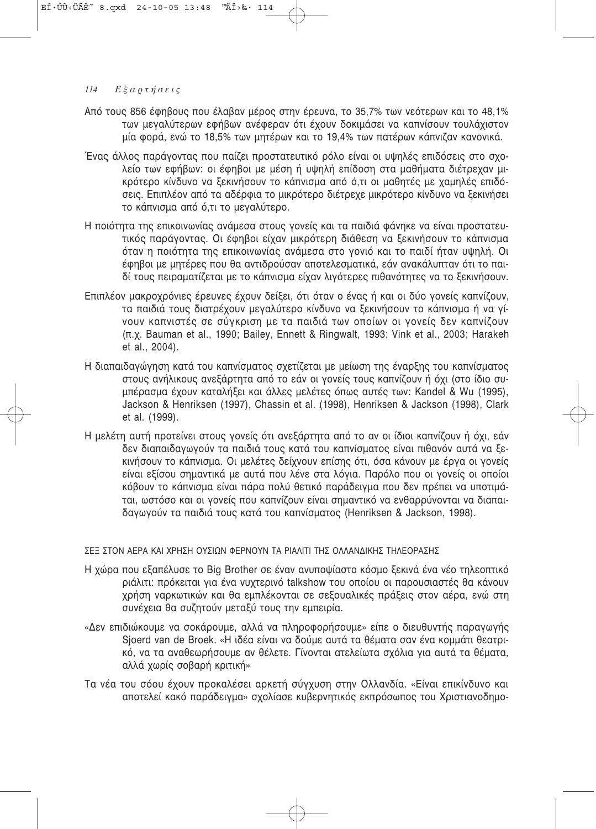- Από τους 856 έφηβους που έλαβαν μέρος στην έρευνα, το 35,7% των νεότερων και το 48,1% των μεγαλύτερων εφήβων ανέφεραν ότι έχουν δοκιμάσει να καπνίσουν τουλάχιστον μία φορά, ενώ το 18.5% των μητέρων και το 19.4% των πατέρων κάπνιζαν κανονικά.
- Ένας άλλος παράγοντας που παίζει προστατευτικό ρόλο είναι οι υψηλές επιδόσεις στο σχολείο των εφήβων: οι έφηβοι με μέση ή υψηλή επίδοση στα μαθήματα διέτρεχαν μικρότερο κίνδυνο να ξεκινήσουν το κάπνισμα από ό,τι οι μαθητές με χαμηλές επιδόσεις. Επιπλέον από τα αδέρφια το μικρότερο διέτρεχε μικρότερο κίνδυνο να ξεκινήσει το κάπνισμα από ό,τι το μεγαλύτερο.
- Η ποιότητα της επικοινωνίας ανάμεσα στους γονείς και τα παιδιά φάνηκε να είναι προστατευτικός παράγοντας. Οι έφηβοι είχαν μικρότερη διάθεση να ξεκινήσουν το κάπνισμα όταν η ποιότητα της επικοινωνίας ανάμεσα στο γονιό και το παιδί ήταν υψηλή. Οι έφηβοι με μητέρες που θα αντιδρούσαν αποτελεσματικά, εάν ανακάλυπταν ότι το παιδί τους πειραματίζεται με το κάπνισμα είχαν λιγότερες πιθανότητες να το ξεκινήσουν.
- Επιπλέον μακροχρόνιες έρευνες έχουν δείξει, ότι όταν ο ένας ή και οι δύο γονείς καπνίζουν, τα παιδιά τους διατρέχουν μεγαλύτερο κίνδυνο να ξεκινήσουν το κάπνισμα ή να γίνουν καπνιστές σε σύγκριση με τα παιδιά των οποίων οι γονείς δεν καπνίζουν (π.χ. Bauman et al., 1990; Bailey, Ennett & Ringwalt, 1993; Vink et al., 2003; Harakeh et al., 2004).
- Η διαπαιδαγώγηση κατά του καπνίσματος σχετίζεται με μείωση της έναρξης του καπνίσματος στους ανήλικους ανεξάρτητα από το εάν οι νονείς τους καπνίζουν ή όχι (στο ίδιο συμπέρασμα έχουν καταλήξει και άλλες μελέτες όπως αυτές των: Kandel & Wu (1995), Jackson & Henriksen (1997), Chassin et al. (1998), Henriksen & Jackson (1998), Clark et al. (1999).
- Η μελέτη αυτή προτείνει στους γονείς ότι ανεξάρτητα από το αν οι ίδιοι καπνίζουν ή όχι, εάν δεν διαπαιδαγωγούν τα παιδιά τους κατά του καπνίσματος είναι πιθανόν αυτά να ξεκινήσουν το κάπνισμα. Οι μελέτες δείχνουν επίσης ότι, όσα κάνουν με έργα οι γονείς είναι εξίσου σημαντικά με αυτά που λένε στα λόγια. Παρόλο που οι γονείς οι οποίοι κόβουν το κάπνισμα είναι πάρα πολύ θετικό παράδειγμα που δεν πρέπει να υποτιμάται, ωστόσο και οι γονείς που καπνίζουν είναι σημαντικό να ενθαρρύνονται να διαπαιδαγωγούν τα παιδιά τους κατά του καπνίσματος (Henriksen & Jackson, 1998).

#### ΣΕΞ ΣΤΟΝ ΑΕΡΑ ΚΑΙ ΧΡΗΣΗ ΟΥΣΙΟΝ ΦΕΡΝΟΥΝ ΤΑ ΡΙΑΛΙΤΙ ΤΗΣ ΟΛΛΑΝΛΙΚΗΣ ΤΗΛΕΟΡΑΣΗΣ

- Η χώρα που εξαπέλυσε το Big Brother σε έναν ανυποψίαστο κόσμο ξεκινά ένα νέο τηλεοπτικό ριάλιτι: πρόκειται για ένα νυχτερινό talkshow του οποίου οι παρουσιαστές θα κάνουν χρήση ναρκωτικών και θα εμπλέκονται σε σεξουαλικές πράξεις στον αέρα, ενώ στη συνέχεια θα συζητούν μεταξύ τους την εμπειρία.
- «Δεν επιδιώκουμε να σοκάρουμε, αλλά να πληροφορήσουμε» είπε ο διευθυντής παραγωγής Sjoerd van de Broek. «Η ιδέα είναι να δούμε αυτά τα θέματα σαν ένα κομμάτι θεατρικό, να τα αναθεωρήσουμε αν θέλετε. Γίνονται ατελείωτα σχόλια νια αυτά τα θέματα. αλλά χωρίς σοβαρή κριτική»
- Τα νέα του σόου έχουν προκαλέσει αρκετή σύγχυση στην Ολλανδία. «Είναι επικίνδυνο και αποτελεί κακό παράδειγμα» σχολίασε κυβερνητικός εκπρόσωπος του Χριστιανοδημο-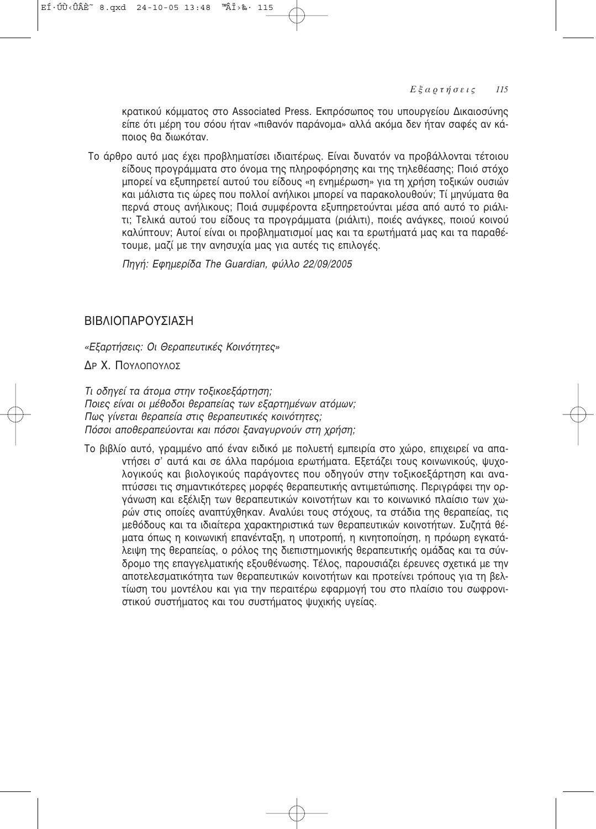#### *<i>Eξαρτήσεις* 115

κρατικού κόμματος στο Associated Press. Εκπρόσωπος του υπουργείου Δικαιοσύνης είπε ότι μέρη του σόου ήταν «πιθανόν παράνομα» αλλά ακόμα δεν ήταν σαφές αν κάποιος θα διωκόταν.

To άρθρο αυτό μας έχει προβληματίσει ιδιαιτέρως. Είναι δυνατόν να προβάλλονται τέτοιου είδους προγράμματα στο όνομα της πληροφόρησης και της τηλεθέασης; Ποιό στόχο μπορεί να εξυπηρετεί αυτού του είδους «η ενημέρωση» για τη χρήση τοξικών ουσιών και μάλιστα τις ώρες που πολλοί ανήλικοι μπορεί να παρακολουθούν; Τί μηνύματα θα περνά στους ανήλικους; Ποιά συμφέροντα εξυπηρετούνται μέσα από αυτό το ριάλιτι; Τελικά αυτού του είδους τα προγράμματα (ριάλιτι), ποιές ανάγκες, ποιού κοινού καλύπτουν; Αυτοί είναι οι προβληματισμοί μας και τα ερωτήματά μας και τα παραθέτουμε, μαζί με την ανησυχία μας για αυτές τις επιλογές.

*Πηγή: Εφημερίδα The Guardian, φύλλο 22/09/2005* 

#### $RIB$ ΔΙΟΠΑΡΟΥΣΙΑΣΗ

EÍ·ÚÙ‹ÛÂȘ 8.qxd 24-10-05 13:48 ™ÂÏ›‰· 115

«*Εξαρτήσεις: Οι Θεραπευτικές Κοινότητες»* 

ΔΡ Χ. ΠΟΥΛΟΠΟΥΛΟΣ

*Τι οδηγεί τα άτομα στην τοξικοεξάρτηση;* Ποιες είναι οι μέθοδοι θεραπείας των εξαρτημένων ατόμων; Πως γίνεται θεραπεία στις θεραπευτικές κοινότητες; *Πόσοι αποθεραπεύονται και πόσοι ξαναγυρνούν στη χρήση;* 

Το βιβλίο αυτό, γραμμένο από έναν ειδικό με πολυετή εμπειρία στο χώρο, επιχειρεί να απα-Vτήσει σ' αυτά και σε άλλα παρόμοια ερωτήματα. Εξετάζει τους κοινωνικούς, ψυχολογικούς και βιολογικούς παράγοντες που οδηγούν στην τοξικοεξάρτηση και αναπτύσσει τις σημαντικότερες μορφές θεραπευτικής αντιμετώπισης. Περιγράφει την οργάνωση και εξέλιξη των θεραπευτικών κοινοτήτων και το κοινωνικό πλαίσιο των χωρών στις οποίες αναπτύχθηκαν. Αναλύει τους στόχους, τα στάδια της θεραπείας, τις μεθόδους και τα ιδιαίτερα χαρακτηριστικά των θεραπευτικών κοινοτήτων. Συζητά θέματα όπως η κοινωνική επανένταξη, η υποτροπή, η κινητοποίηση, η πρόωρη εγκατάλειψη της θεραπείας, ο ρόλος της διεπιστημονικής θεραπευτικής ομάδας και τα σύνδρομο της επαγγελματικής εξουθένωσης. Τέλος, παρουσιάζει έρευνες σχετικά με την αποτελεσματικότητα των θεραπευτικών κοινοτήτων και προτείνει τρόπους για τη βελτίωση του μοντέλου και για την περαιτέρω εφαρμογή του στο πλαίσιο του σωφρονιστικού συστήματος και του συστήματος ψυχικής υγείας.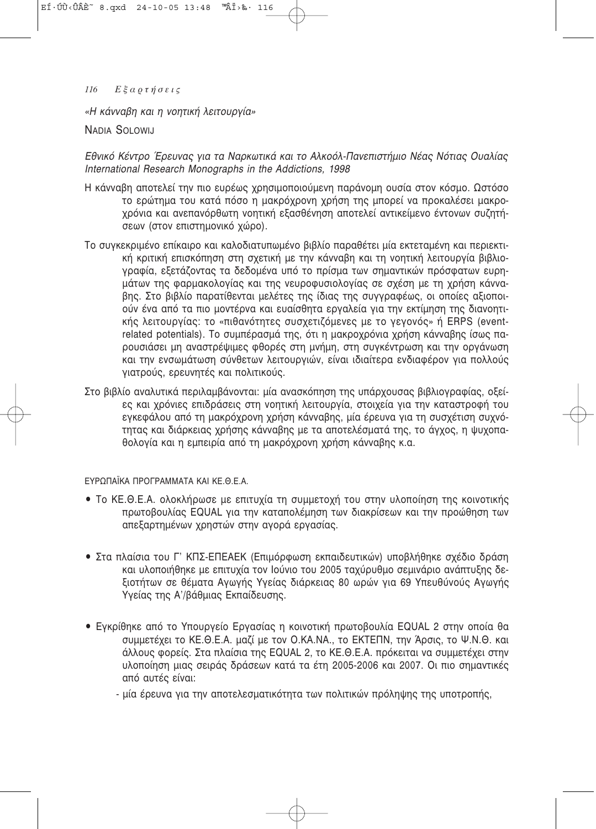«Η κάνναβη και η νοητική λειτουργία»

NADIA SOLOWIJ

*Εθνικό Κέντρο Έρευνας για τα Ναρκωτικά και το Αλκοόλ-Πανεπιστήμιο Νέας Νότιας Ουαλίας International Research Monographs in the Addictions, 1998*

- Η κάνναβη αποτελεί την πιο ευρέως χρησιμοποιούμενη παράνομη ουσία στον κόσμο. Ωστόσο το ερώτημα του κατά πόσο η μακρόχρονη χρήση της μπορεί να προκαλέσει μακροχρόνια και ανεπανόρθωτη νοητική εξασθένηση αποτελεί αντικείμενο έντονων συζητήσεων (στον επιστημονικό χώρο).
- Το συγκεκριμένο επίκαιρο και καλοδιατυπωμένο βιβλίο παραθέτει μία εκτεταμένη και περιεκτική κριτική επισκόπηση στη σχετική με την κάνναβη και τη νοητική λειτουργία βιβλιογραφία, εξετάζοντας τα δεδομένα υπό το πρίσμα των σημαντικών πρόσφατων ευρημάτων της φαρμακολογίας και της νευροφυσιολογίας σε σχέση με τη χρήση κάνναβης. Στο βιβλίο παρατίθενται μελέτες της ίδιας της συγγραφέως, οι οποίες αξιοποιούν ένα από τα πιο μοντέρνα και ευαίσθητα εργαλεία για την εκτίμηση της διανοητικής λειτουργίας: το «πιθανότητες συσχετιζόμενες με το γεγονός» ή ERPS (eventrelated potentials). Το συμπέρασμά της, ότι η μακροχρόνια χρήση κάνναβης ίσως παρουσιάσει μη αναστρέψιμες φθορές στη μνήμη, στη συγκέντρωση και την οργάνωση και την ενσωμάτωση σύνθετων λειτουργιών, είναι ιδιαίτερα ενδιαφέρον για πολλούς γιατρούς, ερευνητές και πολιτικούς.
- Στο βιβλίο αναλυτικά περιλαμβάνονται: μία ανασκόπηση της υπάρχουσας βιβλιογραφίας, οξείες και χρόνιες επιδράσεις στη νοητική λειτουργία, στοιχεία για την καταστροφή του εγκεφάλου από τη μακρόχρονη χρήση κάνναβης, μία έρευνα για τη συσχέτιση συχνότητας και διάρκειας χρήσης κάνναβης με τα αποτελέσματά της, το άγχος, η ψυχοπαθολογία και η εμπειρία από τη μακρόχρονη χρήση κάνναβης κ.α.

#### EYPΩΠΑΪΚΑ ΠΡΟΓΡΑΜΜΑΤΑ ΚΑΙ ΚΕ.Θ.Ε.Α.

- Το ΚΕ.Θ.Ε.Α. ολοκλήρωσε με επιτυχία τη συμμετοχή του στην υλοποίηση της κοινοτικής πρωτοβουλίας EQUAL για την καταπολέμηση των διακρίσεων και την προώθηση των απεξαρτημένων χρηστών στην ανορά ερνασίας.
- Στα πλαίσια του Γ' ΚΠΣ-ΕΠΕΑΕΚ (Επιμόρφωση εκπαιδευτικών) υποβλήθηκε σχέδιο δράση και υλοποιήθηκε με επιτυχία τον Ιούνιο του 2005 ταχύρυθμο σεμινάριο ανάπτυξης δεξιοτήτων σε θέματα Αγωγής Υγείας διάρκειας 80 ωρών για 69 Υπευθύνούς Αγωγής Υγείας της Α'/βάθμιας Εκπαίδευσης.
- Εγκρίθηκε από το Υπουργείο Εργασίας η κοινοτική πρωτοβουλία EQUAL 2 στην οποία θα συμμετέχει το KE.Θ.Ε.Α. μαζί με τον Ο.ΚΑ.ΝΑ., το ΕΚΤΕΠΝ, την Άρσις, το Ψ.Ν.Θ. και άλλους φορείς. Στα πλαίσια της EQUAL 2, το ΚΕ.Θ.Ε.Α. πρόκειται να συμμετέχει στην υλοποίηση μιας σειράς δράσεων κατά τα έτη 2005-2006 και 2007. Οι πιο σημαντικές από αυτές είναι:
	- μία έρευνα για την αποτελεσματικότητα των πολιτικών πρόληψης της υποτροπής,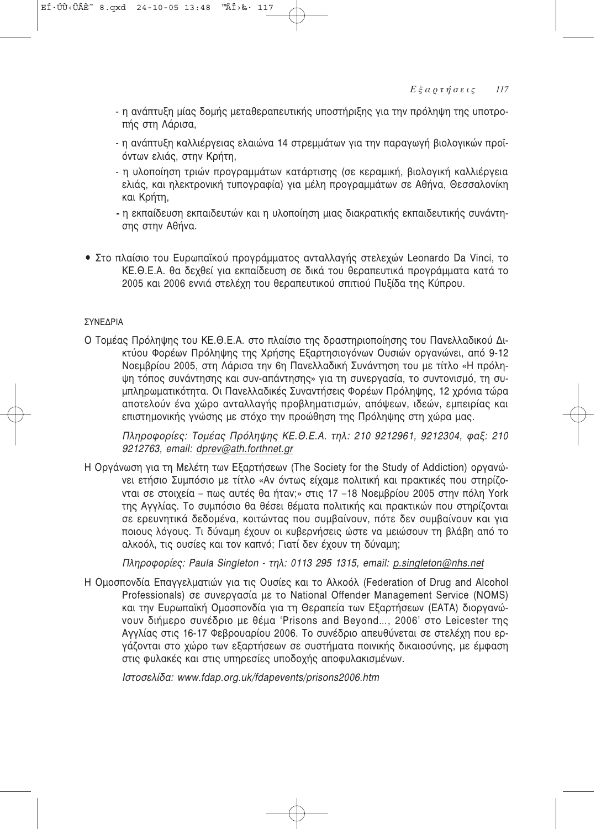#### *<i>Eξαρτήσεις* 117

EÍ·ÚÙ‹ÛÂȘ 8.qxd 24-10-05 13:48 ™ÂÏ›‰· 117

- η ανάπτυξη μίας δομής μεταθεραπευτικής υποστήριξης για την πρόληψη της υποτροπής στη Λάρισα,
- η ανάπτυξη καλλιέρνειας ελαιώνα 14 στρεμμάτων νια την παρανωνή βιολονικών προϊόντων ελιάς, στην Κρήτη,
- η υλοποίηση τριών προγραμμάτων κατάρτισης (σε κεραμική, βιολογική καλλιέργεια ελιάς, και ηλεκτρονική τυπονραφία) για μέλη προνραμμάτων σε Αθήνα. Θεσσαλονίκη και Κοήτη.
- *-* η εκπαίδευση εκπαιδευτών και η υλοποίηση μιας διακρατικής εκπαιδευτικής συνάντησης στην Αθήνα.
- Στο πλαίσιο του Ευρωπαϊκού προγράμματος ανταλλαγής στελεχών Leonardo Da Vinci, το ΚΕ.Θ.Ε.Α. θα δεχθεί για εκπαίδευση σε δικά του θεραπευτικά προγράμματα κατά το 2005 και 2006 εννιά στελέχη του θεραπευτικού σπιτιού Πυξίδα της Κύπρου.

#### ΣΥΝΕΛΡΙΑ

Ο Τομέας Πρόληψης του ΚΕ.Θ.Ε.Α. στο πλαίσιο της δραστηριοποίησης του Πανελλαδικού Δι-Κτύου Φορέων Πρόληψης της Χρήσης Εξαρτησιονόνων Ουσιών οργανώνει, από 9-12 Νοεμβρίου 2005, στη Λάρισα την 6η Πανελλαδική Συνάντηση του με τίτλο «Η πρόληψη τόπος συνάντησης και συν-απάντησης» για τη συνεργασία, το συντονισμό, τη συμπληρωματικότητα. Οι Πανελλαδικές Συναντήσεις Φορέων Πρόληψης, 12 χρόνια τώρα αποτελούν ένα χώρο ανταλλαγής προβληματισμών, απόψεων, ιδεών, εμπειρίας και επιστημονικής γνώσης με στόχο την προώθηση της Πρόληψης στη χώρα μας.

 $\Pi$ ληροφορίες: Τομέας Πρόληψης ΚΕ.Θ.Ε.Α. τηλ: 210 9212961, 9212304, φαξ: 210 *9212763, email: dprev@ath.forthnet.gr*

Η Οργάνωση για τη Μελέτη των Εξαρτήσεων (The Society for the Study of Addiction) οργανώ-Vει ετήσιο Συμπόσιο με τίτλο «Αν όντως είχαμε πολιτική και πρακτικές που στηρίζο-Vται σε στοιχεία – πως αυτές θα ήταν;» στις 17 -18 Νοεμβρίου 2005 στην πόλη York της Αγγλίας. Το συμπόσιο θα θέσει θέματα πολιτικής και πρακτικών που στηρίζονται σε ερευνητικά δεδομένα, κοιτώντας που συμβαίνουν, πότε δεν συμβαίνουν και για ποιους λόγους. Τι δύναμη έχουν οι κυβερνήσεις ώστε να μειώσουν τη βλάβη από το αλκοόλ, τις ουσίες και τον καπνό; Γιατί δεν έχουν τη δύναμη;

 $\eta$ *Πληροφορίες: Paula Singleton - τηλ: 0113 295 1315, email: p.singleton@nhs.net* 

Η Ομοσπονδία Επαγγελματιών για τις Ουσίες και το Αλκοόλ (Federation of Drug and Alcohol Professionals) σε συνεργασία με το National Offender Management Service (NOMS) και την Ευρωπαϊκή Ομοσπονδία για τη Θεραπεία των Εξαρτήσεων (ΕΑΤΑ) διοργανώνουν διήμερο συνέδριο με θέμα 'Prisons and Beyond..., 2006' στο Leicester της Αννλίας στις 16-17 Φεβρουαρίου 2006. Το συνέδριο απευθύνεται σε στελέχη που εργάζονται στο χώρο των εξαρτήσεων σε συστήματα ποινικής δικαιοσύνης, με έμφαση στις φυλακές και στις υπηρεσίες υποδοχής αποφυλακισμένων.

 $I$ στοσελίδα: www.fdap.org.uk/fdapevents/prisons2006.htm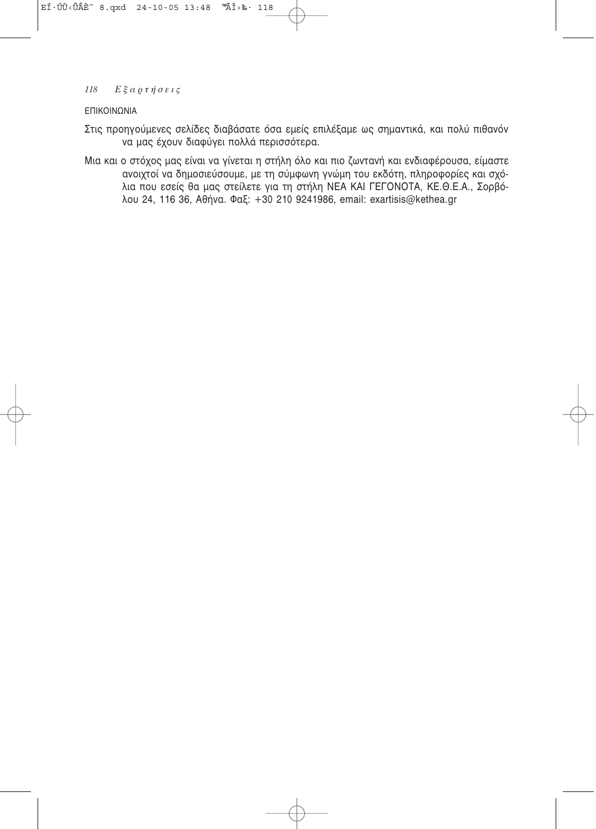ΕΠΙΚΟΙΝΩΝΙΑ

Στις προηγούμενες σελίδες διαβάσατε όσα εμείς επιλέξαμε ως σημαντικά, και πολύ πιθανόν να μας έχουν διαφύγει πολλά περισσότερα.

Μια και ο στόχος μας είναι να γίνεται η στήλη όλο και πιο ζωντανή και ενδιαφέρουσα, είμαστε ανοιχτοί να δημοσιεύσουμε, με τη σύμφωνη γνώμη του εκδότη, πληροφορίες και σχόλια που εσείς θα μας στείλετε για τη στήλη ΝΕΑ ΚΑΙ ΓΕΓΟΝΟΤΑ, ΚΕ.Θ.Ε.Α., Σορβόλου 24, 116 36, Αθήνα. Φαξ: +30 210 9241986, email: exartisis@kethea.gr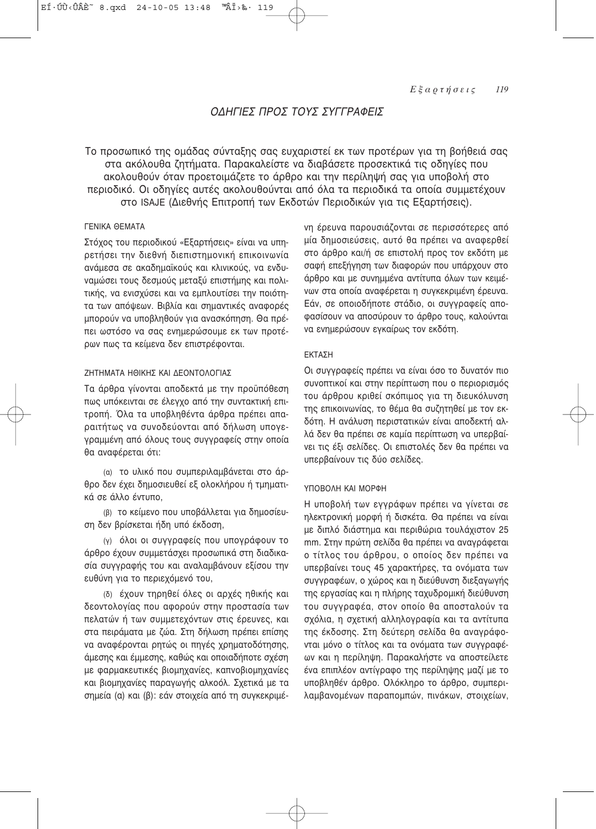Το προσωπικό της ομάδας σύνταξης σας ευχαριστεί εκ των προτέρων για τη βοήθειά σας στα ακόλουθα ζητήματα. Παρακαλείστε να διαβάσετε προσεκτικά τις οδηγίες που ακολουθούν όταν προετοιμάζετε το άρθρο και την περίληψή σας για υποβολή στο περιοδικό. Οι οδηγίες αυτές ακολουθούνται από όλα τα περιοδικά τα οποία συμμετέχουν στο ISAJE (Διεθνής Επιτροπή των Εκδοτών Περιοδικών για τις Εξαρτήσεις).

#### *TENIKA ΘΕΜΑΤΑ*

Στόχος του περιοδικού «Εξαρτήσεις» είναι να υπηρετήσει την διεθνή διεπιστημονική επικοινωνία ανάμεσα σε ακαδημαϊκούς και κλινικούς, να ενδυναμώσει τους δεσμούς μεταξύ επιστήμης και πολιτικής, να ενισχύσει και να εμπλουτίσει την ποιότητα των απόψεων. Βιβλία και σημαντικές αναφορές μπορούν να υποβληθούν για ανασκόπηση. Θα πρέπει ωστόσο να σας ενημερώσουμε εκ των προτέρων πως τα κείμενα δεν επιστρέφονται.

#### ΖΗΤΗΜΑΤΑ ΗΘΙΚΗΣ ΚΑΙ ΔΕΟΝΤΟΛΟΓΙΑΣ

Τα άρθρα γίνονται αποδεκτά με την προϋπόθεση πως υπόκεινται σε έλεγχο από την συντακτική επιτροπή. Όλα τα υποβληθέντα άρθρα πρέπει απαραιτήτως να συνοδεύονται από δήλωση υπογεγραμμένη από όλους τους συγγραφείς στην οποία θα αναφέρεται ότι:

(α) το υλικό που συμπεριλαμβάνεται στο άρθρο δεν έχει δημοσιευθεί εξ ολοκλήρου ή τμηματικά σε άλλο έντυπο.

(β) το κείμενο που υποβάλλεται για δημοσίευση δεν βρίσκεται ήδη υπό έκδοση,

(γ) όλοι οι συγγραφείς που υπογράφουν το άρθρο έχουν συμμετάσχει προσωπικά στη διαδικασία συγγραφής του και αναλαμβάνουν εξίσου την ευθύνη για το περιεχόμενό του,

(δ) έχουν τηρηθεί όλες οι αρχές ηθικής και δεοντολογίας που αφορούν στην προστασία των πελατών ή των συμμετεχόντων στις έρευνες, και στα πειράματα με ζώα. Στη δήλωση πρέπει επίσης να αναφέρονται ρητώς οι πηγές χρηματοδότησης, άμεσης και έμμεσης, καθώς και οποιαδήποτε σχέση με φαρμακευτικές βιομηχανίες, καπνοβιομηχανίες και βιομηχανίες παραγωγής αλκοόλ. Σχετικά με τα σημεία (α) και (β): εάν στοιχεία από τη συγκεκριμένη έρευνα παρουσιάζονται σε περισσότερες από μία δημοσιεύσεις, αυτό θα πρέπει να αναφερθεί στο άρθρο και/ή σε επιστολή προς τον εκδότη με σαφή επεξήγηση των διαφορών που υπάρχουν στο άρθρο και με συνημμένα αντίτυπα όλων των κειμένων στα οποία αναφέρεται η συγκεκριμένη έρευνα. Εάν, σε οποιοδήποτε στάδιο, οι συγγραφείς αποφασίσουν να αποσύρουν το άρθρο τους, καλούνται να ενημερώσουν εγκαίρως τον εκδότη.

#### **ЕКТА** УН

Οι συγγραφείς πρέπει να είναι όσο το δυνατόν πιο συνοπτικοί και στην περίπτωση που ο περιορισμός του άρθρου κριθεί σκόπιμος για τη διευκόλυνση της επικοινωνίας, το θέμα θα συζητηθεί με τον εκδότη. Η ανάλυση περιστατικών είναι αποδεκτή αλλά δεν θα πρέπει σε καμία περίπτωση να υπερβαίνει τις έξι σελίδες. Οι επιστολές δεν θα πρέπει να υπερβαίνουν τις δύο σελίδες.

#### ҮПОВОЛН КАІ МОРФН

Η υποβολή των εγγράφων πρέπει να γίνεται σε ηλεκτρονική μορφή ή δισκέτα. Θα πρέπει να είναι με διπλό διάστημα και περιθώρια τουλάχιστον 25 mm. Στην πρώτη σελίδα θα πρέπει να αναγράφεται ο τίτλος του άρθρου, ο οποίος δεν πρέπει να υπερβαίνει τους 45 χαρακτήρες, τα ονόματα των συγγραφέων, ο χώρος και η διεύθυνση διεξαγωγής της εργασίας και η πλήρης ταχυδρομική διεύθυνση του συγγραφέα, στον οποίο θα αποσταλούν τα σχόλια, η σχετική αλληλογραφία και τα αντίτυπα της έκδοσης. Στη δεύτερη σελίδα θα αναγράφονται μόνο ο τίτλος και τα ονόματα των συγγραφέων και η περίληψη. Παρακαλήστε να αποστείλετε ένα επιπλέον αντίγραφο της περίληψης μαζί με το υποβληθέν άρθρο. Ολόκληρο το άρθρο, συμπεριλαμβανομένων παραπομπών, πινάκων, στοιχείων,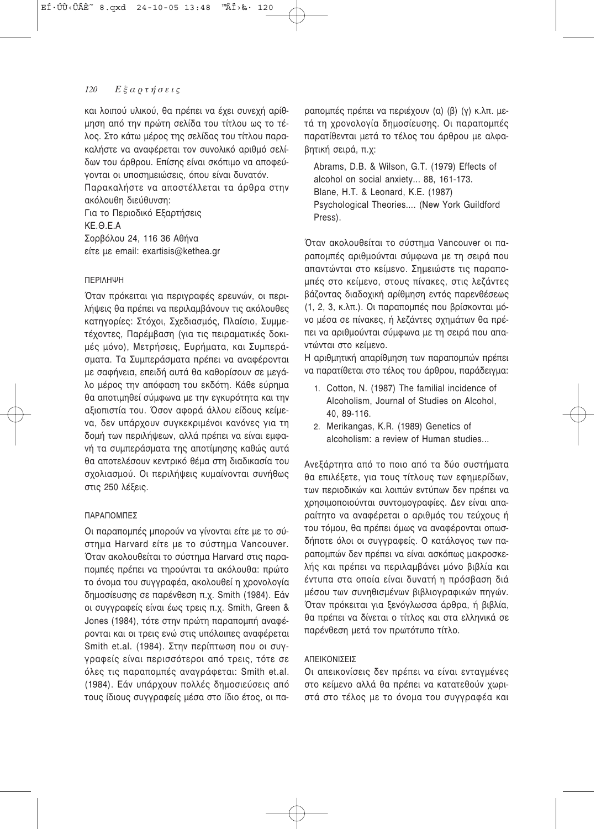#### 120 Εξαρτήσεις

και λοιπού υλικού, θα πρέπει να έχει συνεχή αρίθμηση από την πρώτη σελίδα του τίτλου ως το τέλος. Στο κάτω μέρος της σελίδας του τίτλου παρακαλήστε να αναφέρεται τον συνολικό αριθμό σελίδων του άρθρου. Επίσης είναι σκόπιμο να αποφεύγονται οι υποσημειώσεις, όπου είναι δυνατόν.

Παρακαλήστε να αποστέλλεται τα άρθρα στην ακόλουθη διεύθυνση:

Για το Περιοδικό Εξαρτήσεις  $KE.\Theta.E.A$ Σορβόλου 24, 116 36 Αθήνα είτε με email: exartisis@kethea.gr

#### ПЕРІЛНШН

Όταν πρόκειται για περιγραφές ερευνών, οι περιλήψεις θα πρέπει να περιλαμβάνουν τις ακόλουθες κατηγορίες: Στόχοι, Σχεδιασμός, Πλαίσιο, Συμμετέχοντες, Παρέμβαση (για τις πειραματικές δοκιμές μόνο), Μετρήσεις, Ευρήματα, και Συμπεράσματα. Τα Συμπεράσματα πρέπει να αναφέρονται με σαφήνεια, επειδή αυτά θα καθορίσουν σε μεγάλο μέρος την απόφαση του εκδότη. Κάθε εύρημα θα αποτιμηθεί σύμφωνα με την εγκυρότητα και την αξιοπιστία του. Όσον αφορά άλλου είδους κείμενα, δεν υπάρχουν συγκεκριμένοι κανόνες για τη δομή των περιλήψεων, αλλά πρέπει να είναι εμφανή τα συμπεράσματα της αποτίμησης καθώς αυτά θα αποτελέσουν κεντρικό θέμα στη διαδικασία του σχολιασμού. Οι περιλήψεις κυμαίνονται συνήθως στις 250 λέξεις.

#### ΠΑΡΑΠΟΜΠΕΣ

Οι παραπομπές μπορούν να γίνονται είτε με το σύστημα Harvard είτε με το σύστημα Vancouver. Όταν ακολουθείται το σύστημα Harvard στις παραπομπές πρέπει να τηρούνται τα ακόλουθα: πρώτο το όνομα του συγγραφέα, ακολουθεί η χρονολογία δημοσίευσης σε παρένθεση π.χ. Smith (1984). Εάν οι συγγραφείς είναι έως τρεις π.χ. Smith, Green & Jones (1984), τότε στην πρώτη παραπομπή αναφέρονται και οι τρεις ενώ στις υπόλοιπες αναφέρεται Smith et.al. (1984). Στην περίπτωση που οι συγγραφείς είναι περισσότεροι από τρεις, τότε σε όλες τις παραπομπές αναγράφεται: Smith et.al. (1984). Εάν υπάρχουν πολλές δημοσιεύσεις από τους ίδιους συγγραφείς μέσα στο ίδιο έτος, οι παραπομπές πρέπει να περιέχουν (α) (β) (γ) κ.λπ. μετά τη χρονολογία δημοσίευσης. Οι παραπομπές παρατίθενται μετά το τέλος του άρθρου με αλφαβητική σειρά, π.χ:

Abrams, D.B. & Wilson, G.T. (1979) Effects of alcohol on social anxiety... 88, 161-173. Blane, H.T. & Leonard, K.E. (1987) Psychological Theories.... (New York Guildford Press).

Όταν ακολουθείται το σύστημα Vancouver οι παραπομπές αριθμούνται σύμφωνα με τη σειρά που απαντώνται στο κείμενο. Σημειώστε τις παραπομπές στο κείμενο, στους πίνακες, στις λεζάντες βάζοντας διαδοχική αρίθμηση εντός παρενθέσεως (1, 2, 3, κ.λπ.). Οι παραπομπές που βρίσκονται μόνο μέσα σε πίνακες, ή λεζάντες σχημάτων θα πρέπει να αριθμούνται σύμφωνα με τη σειρά που απαντώνται στο κείμενο.

Η αριθμητική απαρίθμηση των παραπομπών πρέπει να παρατίθεται στο τέλος του άρθρου, παράδειγμα:

- 1. Cotton, N. (1987) The familial incidence of Alcoholism, Journal of Studies on Alcohol, 40, 89-116.
- 2. Merikangas, K.R. (1989) Genetics of alcoholism: a review of Human studies...

Ανεξάρτητα από το ποιο από τα δύο συστήματα θα επιλέξετε, για τους τίτλους των εφημερίδων, των περιοδικών και λοιπών εντύπων δεν πρέπει να χρησιμοποιούνται συντομογραφίες. Δεν είναι απαραίτητο να αναφέρεται ο αριθμός του τεύχους ή του τόμου, θα πρέπει όμως να αναφέρονται οπωσδήποτε όλοι οι συγγραφείς. Ο κατάλογος των παραπομπών δεν πρέπει να είναι ασκόπως μακροσκελής και πρέπει να περιλαμβάνει μόνο βιβλία και έντυπα στα οποία είναι δυνατή η πρόσβαση διά μέσου των συνηθισμένων βιβλιογραφικών πηγών. Όταν πρόκειται για ξενόγλωσσα άρθρα, ή βιβλία, θα πρέπει να δίνεται ο τίτλος και στα ελληνικά σε παρένθεση μετά τον πρωτότυπο τίτλο.

#### ΑΠΕΙΚΟΝΙΣΕΙΣ

Οι απεικονίσεις δεν πρέπει να είναι ενταγμένες στο κείμενο αλλά θα πρέπει να κατατεθούν χωριστά στο τέλος με το όνομα του συγγραφέα και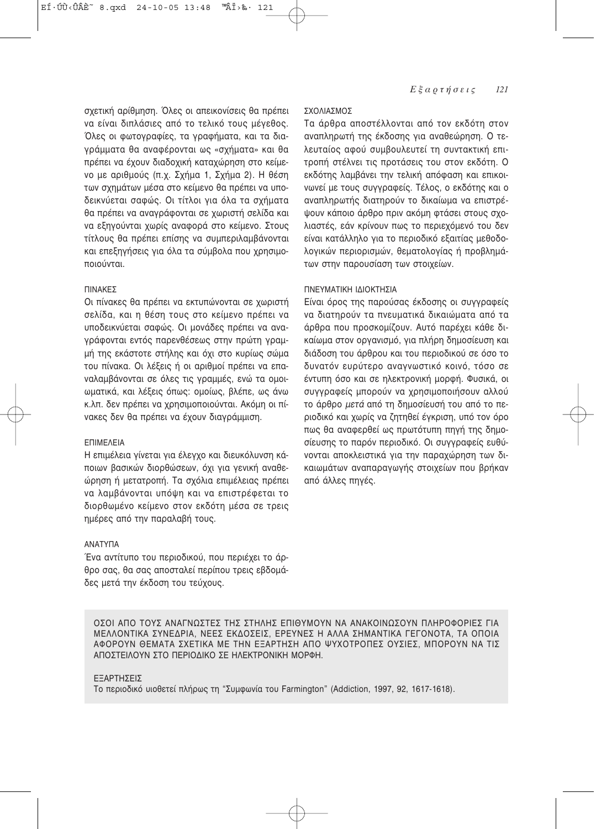σχετική αρίθμηση. Όλες οι απεικονίσεις θα πρέπει να είναι διπλάσιες από το τελικό τους μέγεθος. Όλες οι φωτογραφίες, τα γραφήματα, και τα διαγράμματα θα αναφέρονται ως «σχήματα» και θα πρέπει να έχουν διαδοχική καταχώρηση στο κείμενο με αριθμούς (π.χ. Σχήμα 1, Σχήμα 2). Η θέση των σχημάτων μέσα στο κείμενο θα πρέπει να υποδεικνύεται σαφώς. Οι τίτλοι για όλα τα σχήματα θα πρέπει να ανανράφονται σε χωριστή σελίδα και να εξηγούνται χωρίς αναφορά στο κείμενο. Στους τίτλους θα πρέπει επίσης να συμπεριλαμβάνονται και επεξηνήσεις για όλα τα σύμβολα που χρησιμοποιούνται.

#### *<u>INAKET</u>*

Οι πίνακες θα πρέπει να εκτυπώνονται σε χωριστή σελίδα, και η θέση τους στο κείμενο πρέπει να υποδεικνύεται σαφώς. Οι μονάδες πρέπει να αναγράφονται εντός παρενθέσεως στην πρώτη γραμμή της εκάστοτε στήλης και όχι στο κυρίως σώμα του πίνακα. Οι λέξεις ή οι αριθμοί πρέπει να επαναλαμβάνονται σε όλες τις γραμμές, ενώ τα ομοιωματικά, και λέξεις όπως: ομοίως, βλέπε, ως άνω κ.λπ. δεν πρέπει να χρησιμοποιούνται. Ακόμη οι πίνακες δεν θα πρέπει να έχουν διαγράμμιση.

#### ΕΠΙΜΕΛΕΙΑ

Η επιμέλεια γίνεται για έλεγχο και διευκόλυνση κάποιων βασικών διορθώσεων, όχι για γενική αναθεώρηση ή μετατροπή. Τα σχόλια επιμέλειας πρέπει να λαμβάνονται υπόψη και να επιστρέφεται το διορθωμένο κείμενο στον εκδότη μέσα σε τρεις ημέρες από την παραλαβή τους.

#### ANATYNA

Ένα αντίτυπο του περιοδικού, που περιέχει το άρθρο σας, θα σας αποσταλεί περίπου τρεις εβδομάδες μετά την έκδοση του τεύχους.

#### ΣΧΟΛΙΑΣΜΟΣ

Τα άρθρα αποστέλλονται από τον εκδότη στον αναπληρωτή της έκδοσης για αναθεώρηση. Ο τελευταίος αφού συμβουλευτεί τη συντακτική επιτροπή στέλνει τις προτάσεις του στον εκδότη. Ο εκδότης λαμβάνει την τελική απόφαση και επικοινωνεί με τους συγγραφείς. Τέλος, ο εκδότης και ο αναπληρωτής διατηρούν το δικαίωμα να επιστρέψουν κάποιο άρθρο πριν ακόμη φτάσει στους σχολιαστές, εάν κρίνουν πως το περιεχόμενό του δεν είναι κατάλληλο για το περιοδικό εξαιτίας μεθοδολονικών περιορισμών. θεματολονίας ή προβλημάτων στην παρουσίαση των στοιχείων.

#### ΠΝΕΥΜΑΤΙΚΗ ΙΛΙΟΚΤΗΣΙΑ

Είναι όρος της παρούσας έκδοσης οι συγγραφείς να διατηρούν τα πνευματικά δικαιώματα από τα άρθρα που προσκομίζουν. Αυτό παρέχει κάθε δικαίωμα στον οργανισμό, για πλήρη δημοσίευση και διάδοση του άρθρου και του περιοδικού σε όσο το δυνατόν ευρύτερο αναγνωστικό κοινό, τόσο σε έντυπη όσο και σε ηλεκτρονική μορφή. Φυσικά, οι συγγραφείς μπορούν να χρησιμοποιήσουν αλλού το άρθρο μετά από τη δημοσίευσή του από το περιοδικό και χωρίς να ζητηθεί έγκριση, υπό τον όρο πως θα αναφερθεί ως πρωτότυπη πηγή της δημοσίευσης το παρόν περιοδικό. Οι συγγραφείς ευθύνονται αποκλειστικά για την παραχώρηση των δικαιωμάτων αναπαραγωγής στοιχείων που βρήκαν από άλλες πηγές.

ΟΣΟΙ ΑΠΟ ΤΟΥΣ ΑΝΑΓΝΩΣΤΕΣ ΤΗΣ ΣΤΗΛΗΣ ΕΠΙΘΥΜΟΥΝ ΝΑ ΑΝΑΚΟΙΝΩΣΟΥΝ ΠΛΗΡΟΦΟΡΙΕΣ ΓΙΑ ΜΕΛΛΟΝΤΙΚΑ ΣΥΝΕΔΡΙΑ, ΝΕΕΣ ΕΚΔΟΣΕΙΣ, ΕΡΕΥΝΕΣ Η ΑΛΛΑ ΣΗΜΑΝΤΙΚΑ ΓΕΓΟΝΟΤΑ, ΤΑ ΟΠΟΙΑ ΑΦΟΡΟΥΝ ΘΕΜΑΤΑ ΣΧΕΤΙΚΑ ΜΕ ΤΗΝ ΕΞΑΡΤΗΣΗ ΑΠΟ ΨΥΧΟΤΡΟΠΕΣ ΟΥΣΙΕΣ, ΜΠΟΡΟΥΝ ΝΑ ΤΙΣ ΑΠΟΣΤΕΙΛΟΥΝ ΣΤΟ ΠΕΡΙΟΔΙΚΟ ΣΕ ΗΛΕΚΤΡΟΝΙΚΗ ΜΟΡΦΗ.

#### **F=APTH7FI7**

Το περιοδικό υιοθετεί πλήρως τη "Συμφωνία του Farmington" (Addiction, 1997, 92, 1617-1618).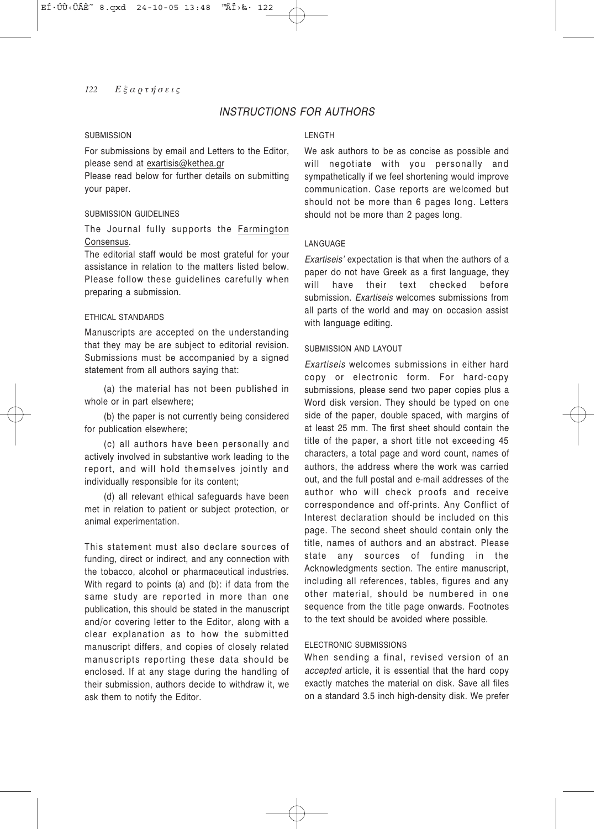#### *INSTRUCTIONS FOR AUTHORS*

#### **SUBMISSION**

For submissions by email and Letters to the Editor, please send at exartisis@kethea.gr

Please read below for further details on submitting your paper.

#### SUBMISSION GUIDELINES

The Journal fully supports the Farmington Consensus.

The editorial staff would be most grateful for your assistance in relation to the matters listed below. Please follow these guidelines carefully when preparing a submission.

#### ETHICAL STANDARDS

Manuscripts are accepted on the understanding that they may be are subject to editorial revision. Submissions must be accompanied by a signed statement from all authors saying that:

(a) the material has not been published in whole or in part elsewhere;

(b) the paper is not currently being considered for publication elsewhere;

(c) all authors have been personally and actively involved in substantive work leading to the report, and will hold themselves jointly and individually responsible for its content;

(d) all relevant ethical safeguards have been met in relation to patient or subject protection, or animal experimentation.

This statement must also declare sources of funding, direct or indirect, and any connection with the tobacco, alcohol or pharmaceutical industries. With regard to points (a) and (b): if data from the same study are reported in more than one publication, this should be stated in the manuscript and/or covering letter to the Editor, along with a clear explanation as to how the submitted manuscript differs, and copies of closely related manuscripts reporting these data should be enclosed. If at any stage during the handling of their submission, authors decide to withdraw it, we ask them to notify the Editor.

#### LENGTH

We ask authors to be as concise as possible and will negotiate with you personally and sympathetically if we feel shortening would improve communication. Case reports are welcomed but should not be more than 6 pages long. Letters should not be more than 2 pages long.

#### LANGUAGE

*Exartiseis'* expectation is that when the authors of a paper do not have Greek as a first language, they will have their text checked before submission. *Exartiseis* welcomes submissions from all parts of the world and may on occasion assist with language editing.

#### SUBMISSION AND LAYOUT

*Exartiseis* welcomes submissions in either hard copy or electronic form. For hard-copy submissions, please send two paper copies plus a Word disk version. They should be typed on one side of the paper, double spaced, with margins of at least 25 mm. The first sheet should contain the title of the paper, a short title not exceeding 45 characters, a total page and word count, names of authors, the address where the work was carried out, and the full postal and e-mail addresses of the author who will check proofs and receive correspondence and off-prints. Any Conflict of Interest declaration should be included on this page. The second sheet should contain only the title, names of authors and an abstract. Please state any sources of funding in the Acknowledgments section. The entire manuscript, including all references, tables, figures and any other material, should be numbered in one sequence from the title page onwards. Footnotes to the text should be avoided where possible.

#### ELECTRONIC SUBMISSIONS

When sending a final, revised version of an *accepted* article, it is essential that the hard copy exactly matches the material on disk. Save all files on a standard 3.5 inch high-density disk. We prefer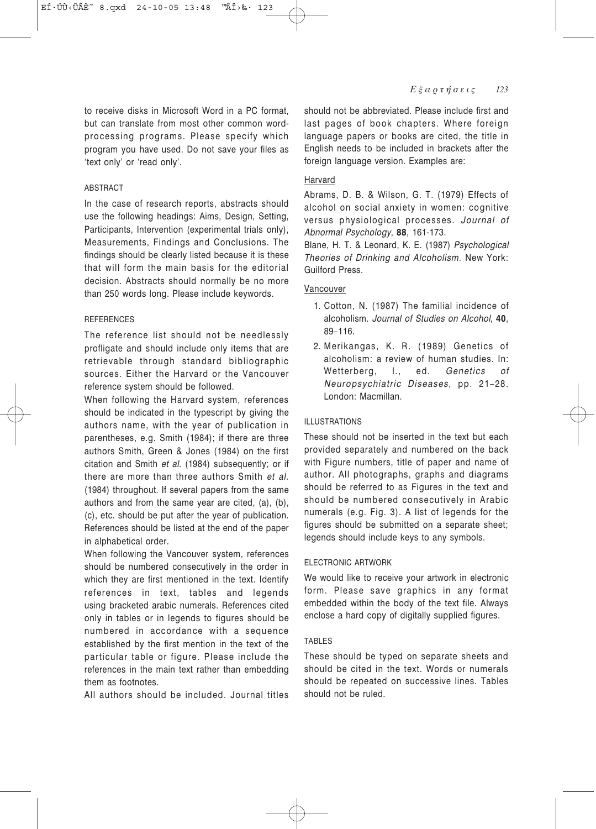to receive disks in Microsoft Word in a PC format, but can translate from most other common wordprocessing programs. Please specify which program you have used. Do not save your files as 'text only' or 'read only'.

#### ABSTRACT

In the case of research reports, abstracts should use the following headings: Aims, Design, Setting, Participants, Intervention (experimental trials only), Measurements, Findings and Conclusions. The findings should be clearly listed because it is these that will form the main basis for the editorial decision. Abstracts should normally be no more than 250 words long. Please include keywords.

#### **REFERENCES**

The reference list should not be needlessly profligate and should include only items that are retrievable through standard bibliographic sources. Either the Harvard or the Vancouver reference system should be followed.

When following the Harvard system, references should be indicated in the typescript by giving the authors name, with the year of publication in parentheses, e.g. Smith (1984); if there are three authors Smith, Green & Jones (1984) on the first citation and Smith *et al*. (1984) subsequently; or if there are more than three authors Smith *et al*. (1984) throughout. If several papers from the same authors and from the same year are cited, (a), (b), (c), etc. should be put after the year of publication. References should be listed at the end of the paper in alphabetical order.

When following the Vancouver system, references should be numbered consecutively in the order in which they are first mentioned in the text. Identify references in text, tables and legends using bracketed arabic numerals. References cited only in tables or in legends to figures should be numbered in accordance with a sequence established by the first mention in the text of the particular table or figure. Please include the references in the main text rather than embedding them as footnotes.

All authors should be included. Journal titles

#### *<i>E*ξαρτήσεις 123

should not be abbreviated. Please include first and last pages of book chapters. Where foreign language papers or books are cited, the title in English needs to be included in brackets after the foreign language version. Examples are:

#### Harvard

Abrams, D. B. & Wilson, G. T. (1979) Effects of alcohol on social anxiety in women: cognitive versus physiological processes. *Journal of Abnormal Psychology*, **88**, 161-173.

Blane, H. T. & Leonard, K. E. (1987) *Psychological Theories of Drinking and Alcoholism*. New York: Guilford Press.

#### Vancouver

- 1. Cotton, N. (1987) The familial incidence of alcoholism. *Journal of Studies on Alcohol*, **40**, 89–116.
- 2. Merikangas, K. R. (1989) Genetics of alcoholism: a review of human studies. In: Wetterberg, I., ed. *Genetics of Neuropsychiatric Diseases*, pp. 21–28. London: Macmillan.

#### ILLUSTRATIONS

These should not be inserted in the text but each provided separately and numbered on the back with Figure numbers, title of paper and name of author. All photographs, graphs and diagrams should be referred to as Figures in the text and should be numbered consecutively in Arabic numerals (e.g. Fig. 3). A list of legends for the figures should be submitted on a separate sheet; legends should include keys to any symbols.

#### ELECTRONIC ARTWORK

We would like to receive your artwork in electronic form. Please save graphics in any format embedded within the body of the text file. Always enclose a hard copy of digitally supplied figures.

#### TABLES

These should be typed on separate sheets and should be cited in the text. Words or numerals should be repeated on successive lines. Tables should not be ruled.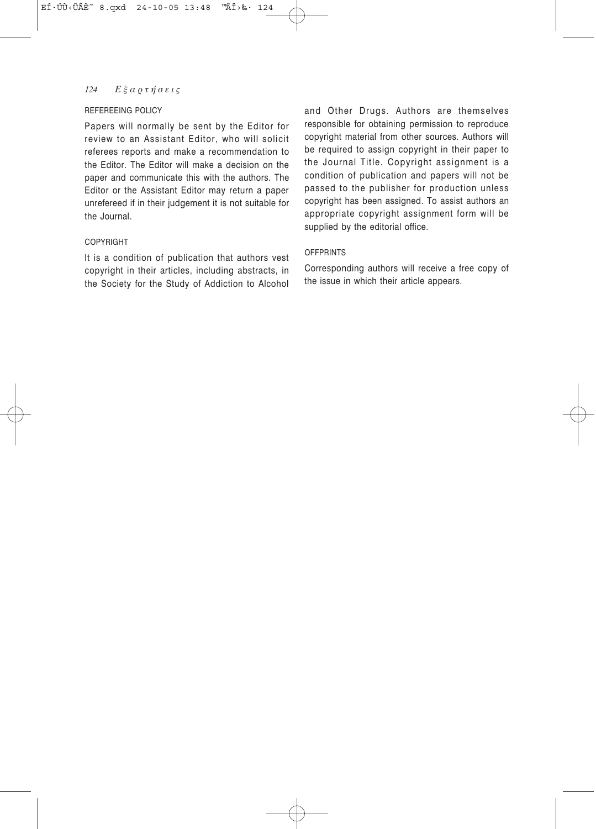#### REFEREEING POLICY

Papers will normally be sent by the Editor for review to an Assistant Editor, who will solicit referees reports and make a recommendation to the Editor. The Editor will make a decision on the paper and communicate this with the authors. The Editor or the Assistant Editor may return a paper unrefereed if in their judgement it is not suitable for the Journal.

#### COPYRIGHT

It is a condition of publication that authors vest copyright in their articles, including abstracts, in the Society for the Study of Addiction to Alcohol

and Other Drugs. Authors are themselves responsible for obtaining permission to reproduce copyright material from other sources. Authors will be required to assign copyright in their paper to the Journal Title. Copyright assignment is a condition of publication and papers will not be passed to the publisher for production unless copyright has been assigned. To assist authors an appropriate copyright assignment form will be supplied by the editorial office.

#### **OFFPRINTS**

Corresponding authors will receive a free copy of the issue in which their article appears.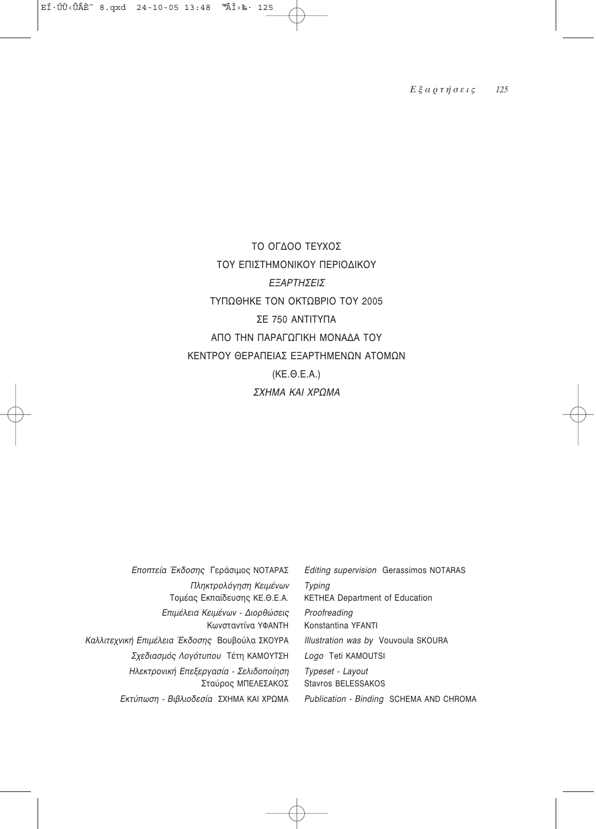ΤΟ ΟΓΔΟΟ ΤΕΥΧΟΣ ΤΟΥ ΕΠΙΣΤΗΜΟΝΙΚΟΥ ΠΕΡΙΟΔΙΚΟΥ **ΕΞΑΡΤΗΣΕΙΣ** ΤΥΠΩΘΗΚΕ ΤΟΝ ΟΚΤΩΒΡΙΟ ΤΟΥ 2005 ΣΕ 750 ΑΝΤΙΤΥΠΑ ΑΠΟ ΤΗΝ ΠΑΡΑΓΩΓΙΚΗ ΜΟΝΑΔΑ ΤΟΥ ΚΕΝΤΡΟΥ ΘΕΡΑΠΕΙΑΣ ΕΞΑΡΤΗΜΕΝΩΝ ΑΤΟΜΩΝ  $(KE. \Theta.E.A.)$ ΣΧΗΜΑ ΚΑΙ ΧΡΩΜΑ

 $E\acute{\text{I}}\cdot\acute{\text{U}}\grave{\text{U}}\cdot\hat{\text{U}}\hat{\text{A}}\hat{\text{E}}^{\sim}$  8.qxd 24-10-05 13:48  $\text{M}\acute{\text{A}}\ddot{\text{I}}\cdot\text{L}$  125

| Εποπτεία Έκδοσης Γεράσιμος ΝΟΤΑΡΑΣ                           | Editing supervision Gerassimos NOTARAS          |
|--------------------------------------------------------------|-------------------------------------------------|
| Πληκτρολόγηση Κειμένων<br>Τομέας Εκπαίδευσης ΚΕ.Θ.Ε.Α.       | Typing<br><b>KETHEA Department of Education</b> |
| Επιμέλεια Κειμένων - Διορθώσεις<br>Κωνσταντίνα ΥΦΑΝΤΗ        | Proofreading<br>Konstantina YFANTI              |
| Καλλιτεχνική Επιμέλεια Έκδοσης  Βουβούλα ΣΚΟΥΡΑ              | Illustration was by Vouvoula SKOURA             |
| Σχεδιασμός Λογότυπου Τέτη ΚΑΜΟΥΤΣΗ                           | Logo Teti KAMOUTSI                              |
| Ηλεκτρονική Επεξεργασία - Σελιδοποίηση<br>Σταύρος ΜΠΕΛΕΣΑΚΟΣ | Typeset - Layout<br>Stavros BELESSAKOS          |
| Εκτύπωση - Βιβλιοδεσία ΣΧΗΜΑ ΚΑΙ ΧΡΩΜΑ                       | Publication - Binding SCHEMA AND CHROMA         |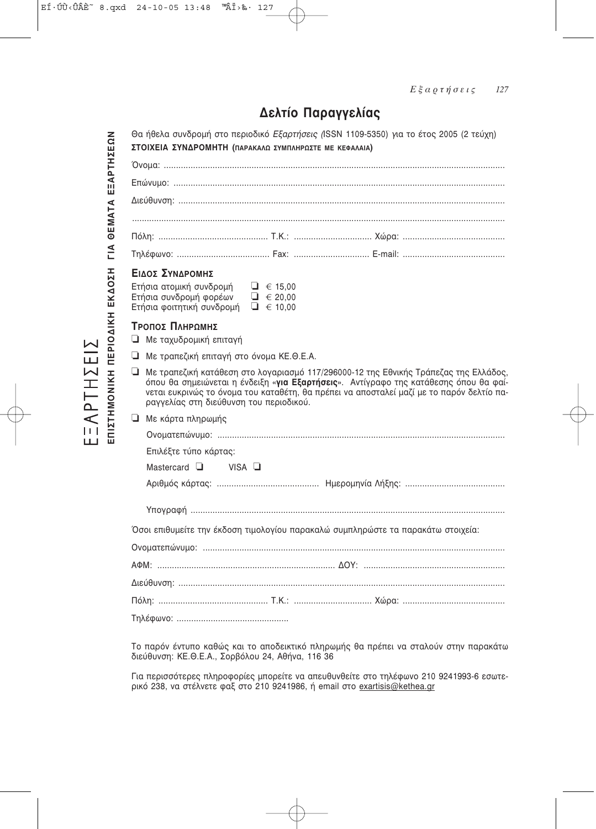| ΣΤΟΙΧΕΙΑ ΣΥΝΔΡΟΜΗΤΗ (ΠΑΡΑΚΑΛΩ ΣΥΜΠΛΗΡΩΣΤΕ ΜΕ ΚΕΦΑΛΑΙΑ)                                                                       | Θα ήθελα συνδρομή στο περιοδικό Εξαρτήσεις (ISSN 1109-5350) για το έτος 2005 (2 τεύχη)                                                                                                                                                                                     |  |
|------------------------------------------------------------------------------------------------------------------------------|----------------------------------------------------------------------------------------------------------------------------------------------------------------------------------------------------------------------------------------------------------------------------|--|
|                                                                                                                              |                                                                                                                                                                                                                                                                            |  |
|                                                                                                                              |                                                                                                                                                                                                                                                                            |  |
|                                                                                                                              |                                                                                                                                                                                                                                                                            |  |
|                                                                                                                              |                                                                                                                                                                                                                                                                            |  |
|                                                                                                                              |                                                                                                                                                                                                                                                                            |  |
|                                                                                                                              |                                                                                                                                                                                                                                                                            |  |
| ΕΙΔΟΣ ΣΥΝΔΡΟΜΗΣ<br>Ετήσια ατομική συνδρομή $\Box$ € 15,00<br>Ετήσια συνδρομή φορέων<br>Ετήσια φοιτητική συνδρομή (Π) € 10,00 |                                                                                                                                                                                                                                                                            |  |
| <b>ΤΡΟΠΟΣ ΠΛΗΡΩΜΗΣ</b><br>Με ταχυδρομική επιταγή<br>u                                                                        |                                                                                                                                                                                                                                                                            |  |
| Με τραπεζική επιταγή στο όνομα ΚΕ.Θ.Ε.Α.<br>u                                                                                |                                                                                                                                                                                                                                                                            |  |
| ραγγελίας στη διεύθυνση του περιοδικού.                                                                                      | Δ Με τραπεζική κατάθεση στο λογαριασμό 117/296000-12 της Εθνικής Τράπεζας της Ελλάδος,<br>όπου θα σημειώνεται η ένδειξη «για Εξαρτήσεις». Αντίγραφο της κατάθεσης όπου θα φαί-<br>νεται ευκρινώς το όνομα του καταθέτη, θα πρέπει να αποσταλεί μαζί με το παρόν δελτίο πα- |  |
| <b>Δ</b> Με κάρτα πληρωμής                                                                                                   |                                                                                                                                                                                                                                                                            |  |
|                                                                                                                              |                                                                                                                                                                                                                                                                            |  |
| Επιλέξτε τύπο κάρτας:                                                                                                        |                                                                                                                                                                                                                                                                            |  |
| Mastercard $\Box$ VISA $\Box$                                                                                                |                                                                                                                                                                                                                                                                            |  |
|                                                                                                                              |                                                                                                                                                                                                                                                                            |  |
|                                                                                                                              |                                                                                                                                                                                                                                                                            |  |
|                                                                                                                              | Όσοι επιθυμείτε την έκδοση τιμολογίου παρακαλώ συμπληρώστε τα παρακάτω στοιχεία:                                                                                                                                                                                           |  |
|                                                                                                                              |                                                                                                                                                                                                                                                                            |  |
|                                                                                                                              |                                                                                                                                                                                                                                                                            |  |
|                                                                                                                              |                                                                                                                                                                                                                                                                            |  |
|                                                                                                                              |                                                                                                                                                                                                                                                                            |  |
|                                                                                                                              |                                                                                                                                                                                                                                                                            |  |

Το παρόν έντυπο καθώς και το αποδεικτικό πληρωμής θα πρέπει να σταλούν στην παρακάτω<br>διεύθυνση: ΚΕ.Θ.Ε.Α., Σορβόλου 24, Αθήνα, 116 36

Για περισσότερες πληροφορίες μπορείτε να απευθυνθείτε στο τηλέφωνο 210 9241993-6 εσωτε-<br>ρικό 238, να στέλνετε φαξ στο 210 9241986, ή email στο <u>exartisis@kethea.gr</u>

# Δελτίο Παραγγελίας